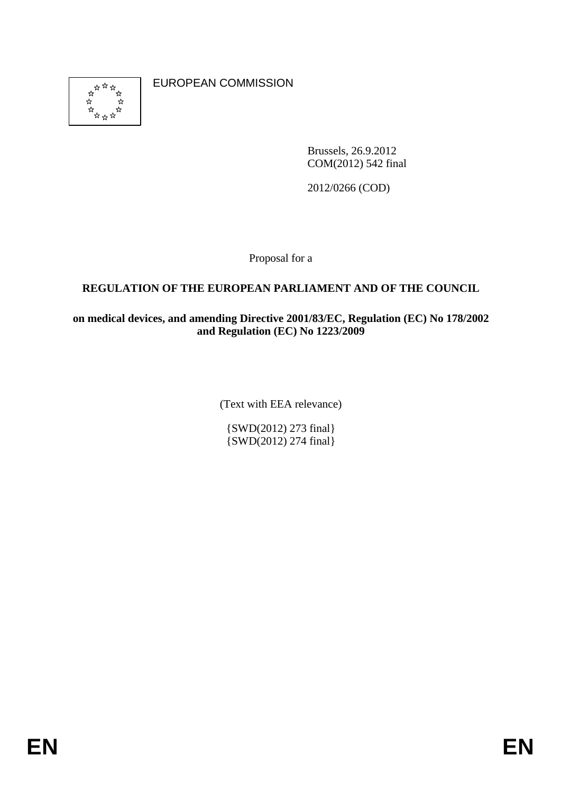

EUROPEAN COMMISSION

Brussels, 26.9.2012 COM(2012) 542 final

2012/0266 (COD)

Proposal for a

### **REGULATION OF THE EUROPEAN PARLIAMENT AND OF THE COUNCIL**

#### **on medical devices, and amending Directive 2001/83/EC, Regulation (EC) No 178/2002 and Regulation (EC) No 1223/2009**

(Text with EEA relevance)

{SWD(2012) 273 final} {SWD(2012) 274 final}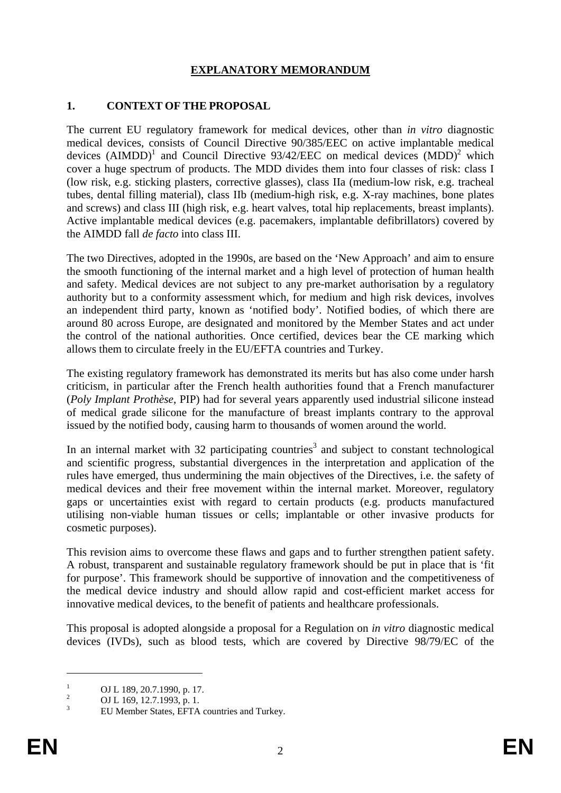# **EXPLANATORY MEMORANDUM**

#### **1. CONTEXT OF THE PROPOSAL**

The current EU regulatory framework for medical devices, other than *in vitro* diagnostic medical devices, consists of Council Directive 90/385/EEC on active implantable medical devices  $(AIMDD)^1$  and Council Directive 93/42/EEC on medical devices  $(MDD)^2$  which cover a huge spectrum of products. The MDD divides them into four classes of risk: class I (low risk, e.g. sticking plasters, corrective glasses), class IIa (medium-low risk, e.g. tracheal tubes, dental filling material), class IIb (medium-high risk, e.g. X-ray machines, bone plates and screws) and class III (high risk, e.g. heart valves, total hip replacements, breast implants). Active implantable medical devices (e.g. pacemakers, implantable defibrillators) covered by the AIMDD fall *de facto* into class III.

The two Directives, adopted in the 1990s, are based on the 'New Approach' and aim to ensure the smooth functioning of the internal market and a high level of protection of human health and safety. Medical devices are not subject to any pre-market authorisation by a regulatory authority but to a conformity assessment which, for medium and high risk devices, involves an independent third party, known as 'notified body'. Notified bodies, of which there are around 80 across Europe, are designated and monitored by the Member States and act under the control of the national authorities. Once certified, devices bear the CE marking which allows them to circulate freely in the EU/EFTA countries and Turkey.

The existing regulatory framework has demonstrated its merits but has also come under harsh criticism, in particular after the French health authorities found that a French manufacturer (*Poly Implant Prothèse*, PIP) had for several years apparently used industrial silicone instead of medical grade silicone for the manufacture of breast implants contrary to the approval issued by the notified body, causing harm to thousands of women around the world.

In an internal market with 32 participating countries<sup>3</sup> and subject to constant technological and scientific progress, substantial divergences in the interpretation and application of the rules have emerged, thus undermining the main objectives of the Directives, i.e. the safety of medical devices and their free movement within the internal market. Moreover, regulatory gaps or uncertainties exist with regard to certain products (e.g. products manufactured utilising non-viable human tissues or cells; implantable or other invasive products for cosmetic purposes).

This revision aims to overcome these flaws and gaps and to further strengthen patient safety. A robust, transparent and sustainable regulatory framework should be put in place that is 'fit for purpose'. This framework should be supportive of innovation and the competitiveness of the medical device industry and should allow rapid and cost-efficient market access for innovative medical devices, to the benefit of patients and healthcare professionals.

This proposal is adopted alongside a proposal for a Regulation on *in vitro* diagnostic medical devices (IVDs), such as blood tests, which are covered by Directive 98/79/EC of the

<sup>1</sup> OJ L 189, 20.7.1990, p. 17.

 $\overline{2}$ OJ L 169, 12.7.1993, p. 1.

<sup>3</sup> EU Member States, EFTA countries and Turkey.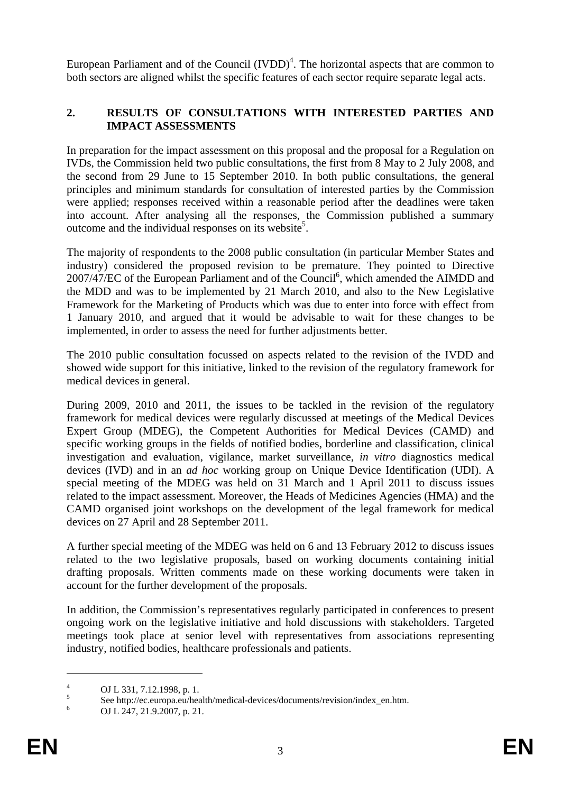European Parliament and of the Council  $(IVDD)^4$ . The horizontal aspects that are common to both sectors are aligned whilst the specific features of each sector require separate legal acts.

### **2. RESULTS OF CONSULTATIONS WITH INTERESTED PARTIES AND IMPACT ASSESSMENTS**

In preparation for the impact assessment on this proposal and the proposal for a Regulation on IVDs, the Commission held two public consultations, the first from 8 May to 2 July 2008, and the second from 29 June to 15 September 2010. In both public consultations, the general principles and minimum standards for consultation of interested parties by the Commission were applied; responses received within a reasonable period after the deadlines were taken into account. After analysing all the responses, the Commission published a summary outcome and the individual responses on its website<sup>5</sup>.

The majority of respondents to the 2008 public consultation (in particular Member States and industry) considered the proposed revision to be premature. They pointed to Directive 2007/47/EC of the European Parliament and of the Council<sup>6</sup>, which amended the AIMDD and the MDD and was to be implemented by 21 March 2010, and also to the New Legislative Framework for the Marketing of Products which was due to enter into force with effect from 1 January 2010, and argued that it would be advisable to wait for these changes to be implemented, in order to assess the need for further adjustments better.

The 2010 public consultation focussed on aspects related to the revision of the IVDD and showed wide support for this initiative, linked to the revision of the regulatory framework for medical devices in general.

During 2009, 2010 and 2011, the issues to be tackled in the revision of the regulatory framework for medical devices were regularly discussed at meetings of the Medical Devices Expert Group (MDEG), the Competent Authorities for Medical Devices (CAMD) and specific working groups in the fields of notified bodies, borderline and classification, clinical investigation and evaluation, vigilance, market surveillance, *in vitro* diagnostics medical devices (IVD) and in an *ad hoc* working group on Unique Device Identification (UDI). A special meeting of the MDEG was held on 31 March and 1 April 2011 to discuss issues related to the impact assessment. Moreover, the Heads of Medicines Agencies (HMA) and the CAMD organised joint workshops on the development of the legal framework for medical devices on 27 April and 28 September 2011.

A further special meeting of the MDEG was held on 6 and 13 February 2012 to discuss issues related to the two legislative proposals, based on working documents containing initial drafting proposals. Written comments made on these working documents were taken in account for the further development of the proposals.

In addition, the Commission's representatives regularly participated in conferences to present ongoing work on the legislative initiative and hold discussions with stakeholders. Targeted meetings took place at senior level with representatives from associations representing industry, notified bodies, healthcare professionals and patients.

<sup>4</sup> OJ L 331, 7.12.1998, p. 1.

<sup>5</sup> See http://ec.europa.eu/health/medical-devices/documents/revision/index\_en.htm.

<sup>6</sup> OJ L 247, 21.9.2007, p. 21.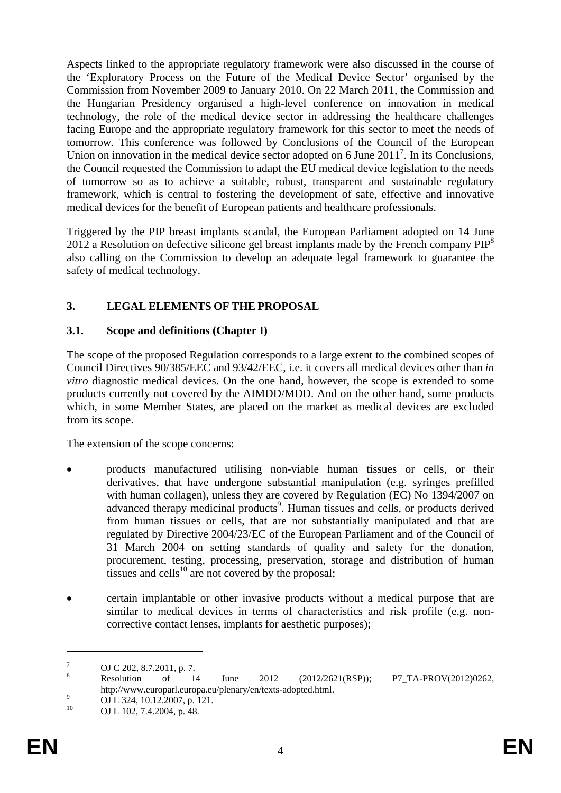Aspects linked to the appropriate regulatory framework were also discussed in the course of the 'Exploratory Process on the Future of the Medical Device Sector' organised by the Commission from November 2009 to January 2010. On 22 March 2011, the Commission and the Hungarian Presidency organised a high-level conference on innovation in medical technology, the role of the medical device sector in addressing the healthcare challenges facing Europe and the appropriate regulatory framework for this sector to meet the needs of tomorrow. This conference was followed by Conclusions of the Council of the European Union on innovation in the medical device sector adopted on 6 June  $2011^7$ . In its Conclusions, the Council requested the Commission to adapt the EU medical device legislation to the needs of tomorrow so as to achieve a suitable, robust, transparent and sustainable regulatory framework, which is central to fostering the development of safe, effective and innovative medical devices for the benefit of European patients and healthcare professionals.

Triggered by the PIP breast implants scandal, the European Parliament adopted on 14 June 2012 a Resolution on defective silicone gel breast implants made by the French company  $PIP<sup>8</sup>$ also calling on the Commission to develop an adequate legal framework to guarantee the safety of medical technology.

### **3. LEGAL ELEMENTS OF THE PROPOSAL**

#### **3.1. Scope and definitions (Chapter I)**

The scope of the proposed Regulation corresponds to a large extent to the combined scopes of Council Directives 90/385/EEC and 93/42/EEC, i.e. it covers all medical devices other than *in vitro* diagnostic medical devices. On the one hand, however, the scope is extended to some products currently not covered by the AIMDD/MDD. And on the other hand, some products which, in some Member States, are placed on the market as medical devices are excluded from its scope.

The extension of the scope concerns:

- products manufactured utilising non-viable human tissues or cells, or their derivatives, that have undergone substantial manipulation (e.g. syringes prefilled with human collagen), unless they are covered by Regulation (EC) No 1394/2007 on advanced therapy medicinal products<sup>9</sup>. Human tissues and cells, or products derived from human tissues or cells, that are not substantially manipulated and that are regulated by Directive 2004/23/EC of the European Parliament and of the Council of 31 March 2004 on setting standards of quality and safety for the donation, procurement, testing, processing, preservation, storage and distribution of human tissues and cells $^{10}$  are not covered by the proposal;
- certain implantable or other invasive products without a medical purpose that are similar to medical devices in terms of characteristics and risk profile (e.g. noncorrective contact lenses, implants for aesthetic purposes);

<u>.</u>

<sup>7</sup> OJ C 202, 8.7.2011, p. 7.

<sup>8</sup> Resolution of 14 June 2012 (2012/2621(RSP)); P7\_TA-PROV(2012)0262,

http://www.europarl.europa.eu/plenary/en/texts-adopted.html.

<sup>&</sup>lt;sup>9</sup> OJ L 324, 10.12.2007, p. 121.

OJ L 102, 7.4.2004, p. 48.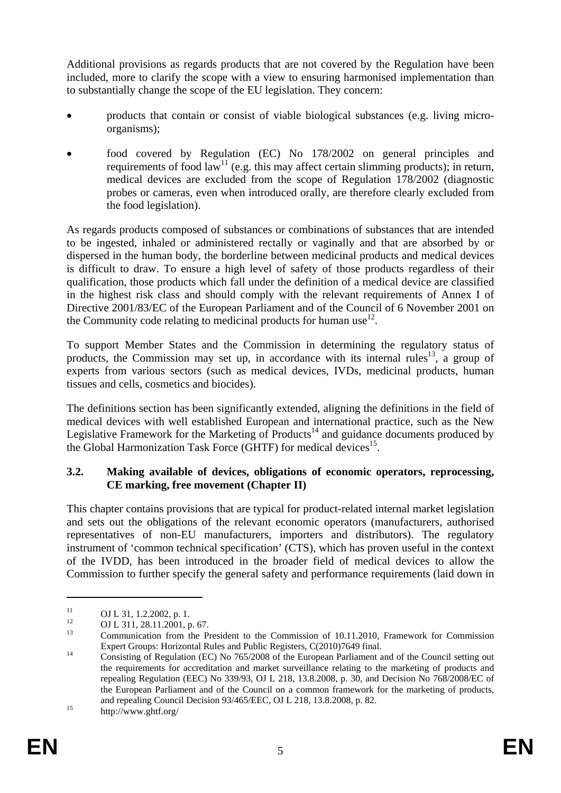Additional provisions as regards products that are not covered by the Regulation have been included, more to clarify the scope with a view to ensuring harmonised implementation than to substantially change the scope of the EU legislation. They concern:

- products that contain or consist of viable biological substances (e.g. living microorganisms);
- food covered by Regulation (EC) No 178/2002 on general principles and requirements of food  $\text{law}^{11}$  (e.g. this may affect certain slimming products); in return, medical devices are excluded from the scope of Regulation 178/2002 (diagnostic probes or cameras, even when introduced orally, are therefore clearly excluded from the food legislation).

As regards products composed of substances or combinations of substances that are intended to be ingested, inhaled or administered rectally or vaginally and that are absorbed by or dispersed in the human body, the borderline between medicinal products and medical devices is difficult to draw. To ensure a high level of safety of those products regardless of their qualification, those products which fall under the definition of a medical device are classified in the highest risk class and should comply with the relevant requirements of Annex I of Directive 2001/83/EC of the European Parliament and of the Council of 6 November 2001 on the Community code relating to medicinal products for human use  $12$ .

To support Member States and the Commission in determining the regulatory status of products, the Commission may set up, in accordance with its internal rules<sup>13</sup>, a group of experts from various sectors (such as medical devices, IVDs, medicinal products, human tissues and cells, cosmetics and biocides).

The definitions section has been significantly extended, aligning the definitions in the field of medical devices with well established European and international practice, such as the New Legislative Framework for the Marketing of Products<sup>14</sup> and guidance documents produced by the Global Harmonization Task Force (GHTF) for medical devices<sup>15</sup>.

### **3.2. Making available of devices, obligations of economic operators, reprocessing, CE marking, free movement (Chapter II)**

This chapter contains provisions that are typical for product-related internal market legislation and sets out the obligations of the relevant economic operators (manufacturers, authorised representatives of non-EU manufacturers, importers and distributors). The regulatory instrument of 'common technical specification' (CTS), which has proven useful in the context of the IVDD, has been introduced in the broader field of medical devices to allow the Commission to further specify the general safety and performance requirements (laid down in

 $^{11}$  OJ L 31, 1.2.2002, p. 1.

<sup>&</sup>lt;sup>12</sup> OJ L 311, 28.11.2001, p. 67.

Communication from the President to the Commission of 10.11.2010, Framework for Commission Expert Groups: Horizontal Rules and Public Registers, C(2010)7649 final.

Expert Groups: Horizontal Rules and Public Registers, C(2010)7649 final. 14 Consisting of Regulation (EC) No 765/2008 of the European Parliament and of the Council setting out the requirements for accreditation and market surveillance relating to the marketing of products and repealing Regulation (EEC) No 339/93, OJ L 218, 13.8.2008, p. 30, and Decision No 768/2008/EC of the European Parliament and of the Council on a common framework for the marketing of products, and repealing Council Decision 93/465/EEC, OJ L 218, 13.8.2008, p. 82.<br>http://www.ghtf.org/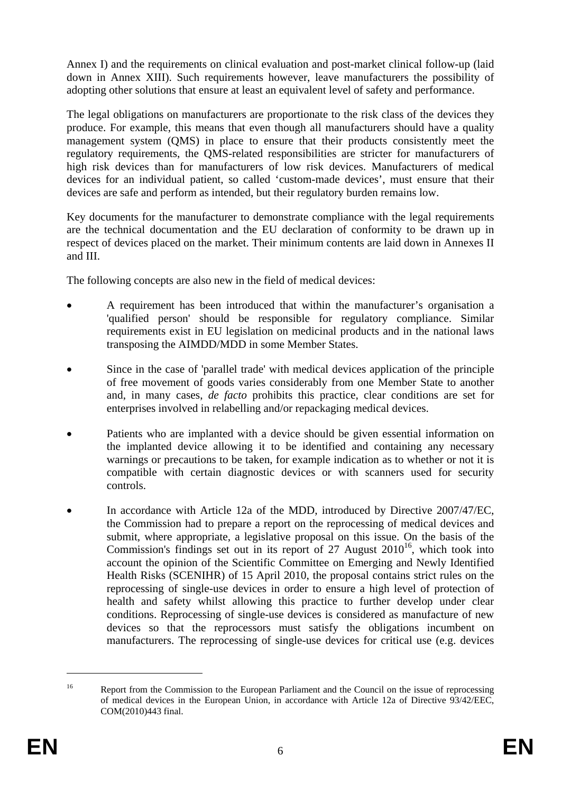Annex I) and the requirements on clinical evaluation and post-market clinical follow-up (laid down in Annex XIII). Such requirements however, leave manufacturers the possibility of adopting other solutions that ensure at least an equivalent level of safety and performance.

The legal obligations on manufacturers are proportionate to the risk class of the devices they produce. For example, this means that even though all manufacturers should have a quality management system (QMS) in place to ensure that their products consistently meet the regulatory requirements, the QMS-related responsibilities are stricter for manufacturers of high risk devices than for manufacturers of low risk devices. Manufacturers of medical devices for an individual patient, so called 'custom-made devices', must ensure that their devices are safe and perform as intended, but their regulatory burden remains low.

Key documents for the manufacturer to demonstrate compliance with the legal requirements are the technical documentation and the EU declaration of conformity to be drawn up in respect of devices placed on the market. Their minimum contents are laid down in Annexes II and III.

The following concepts are also new in the field of medical devices:

- A requirement has been introduced that within the manufacturer's organisation a 'qualified person' should be responsible for regulatory compliance. Similar requirements exist in EU legislation on medicinal products and in the national laws transposing the AIMDD/MDD in some Member States.
- Since in the case of 'parallel trade' with medical devices application of the principle of free movement of goods varies considerably from one Member State to another and, in many cases, *de facto* prohibits this practice, clear conditions are set for enterprises involved in relabelling and/or repackaging medical devices.
- Patients who are implanted with a device should be given essential information on the implanted device allowing it to be identified and containing any necessary warnings or precautions to be taken, for example indication as to whether or not it is compatible with certain diagnostic devices or with scanners used for security controls.
- In accordance with Article 12a of the MDD, introduced by Directive 2007/47/EC, the Commission had to prepare a report on the reprocessing of medical devices and submit, where appropriate, a legislative proposal on this issue. On the basis of the Commission's findings set out in its report of 27 August  $2010^{16}$ , which took into account the opinion of the Scientific Committee on Emerging and Newly Identified Health Risks (SCENIHR) of 15 April 2010, the proposal contains strict rules on the reprocessing of single-use devices in order to ensure a high level of protection of health and safety whilst allowing this practice to further develop under clear conditions. Reprocessing of single-use devices is considered as manufacture of new devices so that the reprocessors must satisfy the obligations incumbent on manufacturers. The reprocessing of single-use devices for critical use (e.g. devices

<sup>&</sup>lt;sup>16</sup> Report from the Commission to the European Parliament and the Council on the issue of reprocessing of medical devices in the European Union, in accordance with Article 12a of Directive 93/42/EEC, COM(2010)443 final.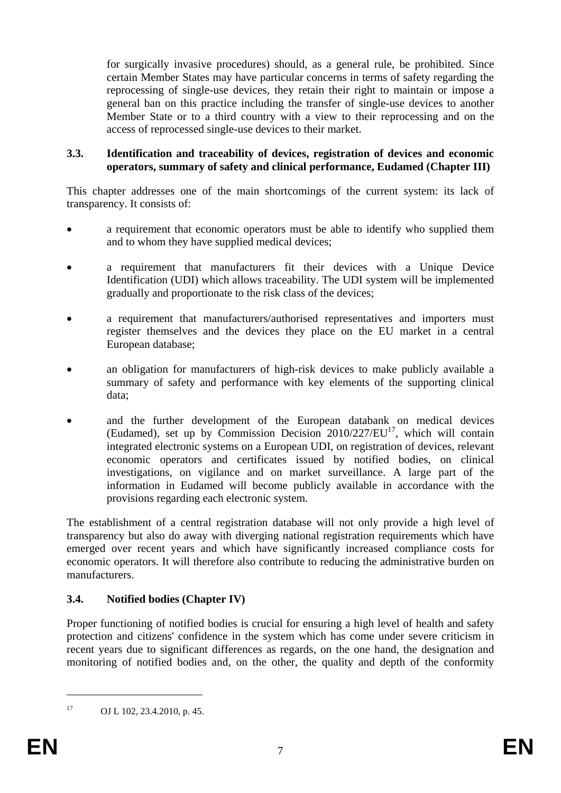for surgically invasive procedures) should, as a general rule, be prohibited. Since certain Member States may have particular concerns in terms of safety regarding the reprocessing of single-use devices, they retain their right to maintain or impose a general ban on this practice including the transfer of single-use devices to another Member State or to a third country with a view to their reprocessing and on the access of reprocessed single-use devices to their market.

#### **3.3. Identification and traceability of devices, registration of devices and economic operators, summary of safety and clinical performance, Eudamed (Chapter III)**

This chapter addresses one of the main shortcomings of the current system: its lack of transparency. It consists of:

- a requirement that economic operators must be able to identify who supplied them and to whom they have supplied medical devices;
- a requirement that manufacturers fit their devices with a Unique Device Identification (UDI) which allows traceability. The UDI system will be implemented gradually and proportionate to the risk class of the devices;
- a requirement that manufacturers/authorised representatives and importers must register themselves and the devices they place on the EU market in a central European database;
- an obligation for manufacturers of high-risk devices to make publicly available a summary of safety and performance with key elements of the supporting clinical data;
- and the further development of the European databank on medical devices (Eudamed), set up by Commission Decision  $2010/227/EU<sup>17</sup>$ , which will contain integrated electronic systems on a European UDI, on registration of devices, relevant economic operators and certificates issued by notified bodies, on clinical investigations, on vigilance and on market surveillance. A large part of the information in Eudamed will become publicly available in accordance with the provisions regarding each electronic system.

The establishment of a central registration database will not only provide a high level of transparency but also do away with diverging national registration requirements which have emerged over recent years and which have significantly increased compliance costs for economic operators. It will therefore also contribute to reducing the administrative burden on manufacturers.

### **3.4. Notified bodies (Chapter IV)**

Proper functioning of notified bodies is crucial for ensuring a high level of health and safety protection and citizens' confidence in the system which has come under severe criticism in recent years due to significant differences as regards, on the one hand, the designation and monitoring of notified bodies and, on the other, the quality and depth of the conformity

<sup>17</sup> OJ L 102, 23.4.2010, p. 45.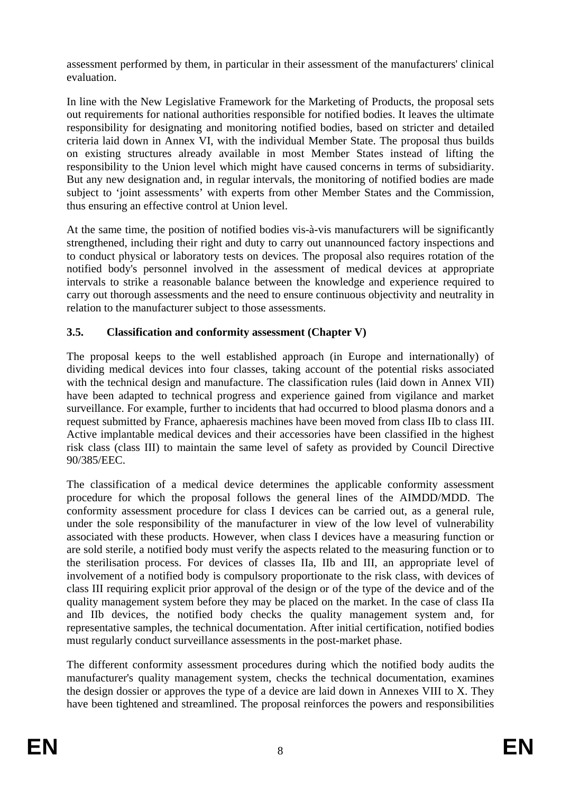assessment performed by them, in particular in their assessment of the manufacturers' clinical evaluation.

In line with the New Legislative Framework for the Marketing of Products, the proposal sets out requirements for national authorities responsible for notified bodies. It leaves the ultimate responsibility for designating and monitoring notified bodies, based on stricter and detailed criteria laid down in Annex VI, with the individual Member State. The proposal thus builds on existing structures already available in most Member States instead of lifting the responsibility to the Union level which might have caused concerns in terms of subsidiarity. But any new designation and, in regular intervals, the monitoring of notified bodies are made subject to 'joint assessments' with experts from other Member States and the Commission, thus ensuring an effective control at Union level.

At the same time, the position of notified bodies vis-à-vis manufacturers will be significantly strengthened, including their right and duty to carry out unannounced factory inspections and to conduct physical or laboratory tests on devices. The proposal also requires rotation of the notified body's personnel involved in the assessment of medical devices at appropriate intervals to strike a reasonable balance between the knowledge and experience required to carry out thorough assessments and the need to ensure continuous objectivity and neutrality in relation to the manufacturer subject to those assessments.

# **3.5. Classification and conformity assessment (Chapter V)**

The proposal keeps to the well established approach (in Europe and internationally) of dividing medical devices into four classes, taking account of the potential risks associated with the technical design and manufacture. The classification rules (laid down in Annex VII) have been adapted to technical progress and experience gained from vigilance and market surveillance. For example, further to incidents that had occurred to blood plasma donors and a request submitted by France, aphaeresis machines have been moved from class IIb to class III. Active implantable medical devices and their accessories have been classified in the highest risk class (class III) to maintain the same level of safety as provided by Council Directive 90/385/EEC.

The classification of a medical device determines the applicable conformity assessment procedure for which the proposal follows the general lines of the AIMDD/MDD. The conformity assessment procedure for class I devices can be carried out, as a general rule, under the sole responsibility of the manufacturer in view of the low level of vulnerability associated with these products. However, when class I devices have a measuring function or are sold sterile, a notified body must verify the aspects related to the measuring function or to the sterilisation process. For devices of classes IIa, IIb and III, an appropriate level of involvement of a notified body is compulsory proportionate to the risk class, with devices of class III requiring explicit prior approval of the design or of the type of the device and of the quality management system before they may be placed on the market. In the case of class IIa and IIb devices, the notified body checks the quality management system and, for representative samples, the technical documentation. After initial certification, notified bodies must regularly conduct surveillance assessments in the post-market phase.

The different conformity assessment procedures during which the notified body audits the manufacturer's quality management system, checks the technical documentation, examines the design dossier or approves the type of a device are laid down in Annexes VIII to X. They have been tightened and streamlined. The proposal reinforces the powers and responsibilities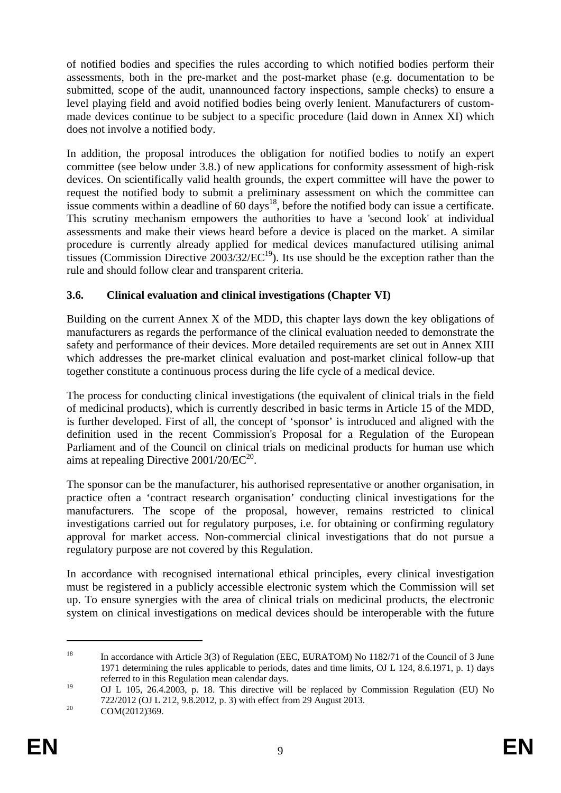of notified bodies and specifies the rules according to which notified bodies perform their assessments, both in the pre-market and the post-market phase (e.g. documentation to be submitted, scope of the audit, unannounced factory inspections, sample checks) to ensure a level playing field and avoid notified bodies being overly lenient. Manufacturers of custommade devices continue to be subject to a specific procedure (laid down in Annex XI) which does not involve a notified body.

In addition, the proposal introduces the obligation for notified bodies to notify an expert committee (see below under 3.8.) of new applications for conformity assessment of high-risk devices. On scientifically valid health grounds, the expert committee will have the power to request the notified body to submit a preliminary assessment on which the committee can issue comments within a deadline of  $60 \text{ days}^{18}$ , before the notified body can issue a certificate. This scrutiny mechanism empowers the authorities to have a 'second look' at individual assessments and make their views heard before a device is placed on the market. A similar procedure is currently already applied for medical devices manufactured utilising animal tissues (Commission Directive  $2003/32/EC^{19}$ ). Its use should be the exception rather than the rule and should follow clear and transparent criteria.

### **3.6. Clinical evaluation and clinical investigations (Chapter VI)**

Building on the current Annex X of the MDD, this chapter lays down the key obligations of manufacturers as regards the performance of the clinical evaluation needed to demonstrate the safety and performance of their devices. More detailed requirements are set out in Annex XIII which addresses the pre-market clinical evaluation and post-market clinical follow-up that together constitute a continuous process during the life cycle of a medical device.

The process for conducting clinical investigations (the equivalent of clinical trials in the field of medicinal products), which is currently described in basic terms in Article 15 of the MDD, is further developed. First of all, the concept of 'sponsor' is introduced and aligned with the definition used in the recent Commission's Proposal for a Regulation of the European Parliament and of the Council on clinical trials on medicinal products for human use which aims at repealing Directive  $2001/20/EC^{20}$ .

The sponsor can be the manufacturer, his authorised representative or another organisation, in practice often a 'contract research organisation' conducting clinical investigations for the manufacturers. The scope of the proposal, however, remains restricted to clinical investigations carried out for regulatory purposes, i.e. for obtaining or confirming regulatory approval for market access. Non-commercial clinical investigations that do not pursue a regulatory purpose are not covered by this Regulation.

In accordance with recognised international ethical principles, every clinical investigation must be registered in a publicly accessible electronic system which the Commission will set up. To ensure synergies with the area of clinical trials on medicinal products, the electronic system on clinical investigations on medical devices should be interoperable with the future

<sup>&</sup>lt;sup>18</sup> In accordance with Article 3(3) of Regulation (EEC, EURATOM) No 1182/71 of the Council of 3 June 1971 determining the rules applicable to periods, dates and time limits, OJ L 124, 8.6.1971, p. 1) days referred to in this Regulation mean calendar days.

<sup>&</sup>lt;sup>19</sup> OJ L 105, 26.4.2003, p. 18. This directive will be replaced by Commission Regulation (EU) No 722/2012 (OJ L 212, 9.8.2012, p. 3) with effect from 29 August 2013.<br>COM(2012)369.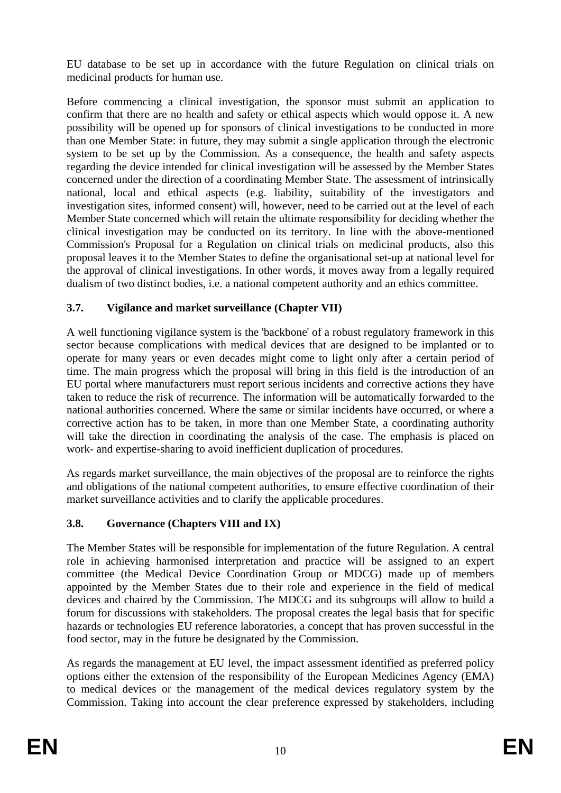EU database to be set up in accordance with the future Regulation on clinical trials on medicinal products for human use.

Before commencing a clinical investigation, the sponsor must submit an application to confirm that there are no health and safety or ethical aspects which would oppose it. A new possibility will be opened up for sponsors of clinical investigations to be conducted in more than one Member State: in future, they may submit a single application through the electronic system to be set up by the Commission. As a consequence, the health and safety aspects regarding the device intended for clinical investigation will be assessed by the Member States concerned under the direction of a coordinating Member State. The assessment of intrinsically national, local and ethical aspects (e.g. liability, suitability of the investigators and investigation sites, informed consent) will, however, need to be carried out at the level of each Member State concerned which will retain the ultimate responsibility for deciding whether the clinical investigation may be conducted on its territory. In line with the above-mentioned Commission's Proposal for a Regulation on clinical trials on medicinal products, also this proposal leaves it to the Member States to define the organisational set-up at national level for the approval of clinical investigations. In other words, it moves away from a legally required dualism of two distinct bodies, i.e. a national competent authority and an ethics committee.

# **3.7. Vigilance and market surveillance (Chapter VII)**

A well functioning vigilance system is the 'backbone' of a robust regulatory framework in this sector because complications with medical devices that are designed to be implanted or to operate for many years or even decades might come to light only after a certain period of time. The main progress which the proposal will bring in this field is the introduction of an EU portal where manufacturers must report serious incidents and corrective actions they have taken to reduce the risk of recurrence. The information will be automatically forwarded to the national authorities concerned. Where the same or similar incidents have occurred, or where a corrective action has to be taken, in more than one Member State, a coordinating authority will take the direction in coordinating the analysis of the case. The emphasis is placed on work- and expertise-sharing to avoid inefficient duplication of procedures.

As regards market surveillance, the main objectives of the proposal are to reinforce the rights and obligations of the national competent authorities, to ensure effective coordination of their market surveillance activities and to clarify the applicable procedures.

# **3.8. Governance (Chapters VIII and IX)**

The Member States will be responsible for implementation of the future Regulation. A central role in achieving harmonised interpretation and practice will be assigned to an expert committee (the Medical Device Coordination Group or MDCG) made up of members appointed by the Member States due to their role and experience in the field of medical devices and chaired by the Commission. The MDCG and its subgroups will allow to build a forum for discussions with stakeholders. The proposal creates the legal basis that for specific hazards or technologies EU reference laboratories, a concept that has proven successful in the food sector, may in the future be designated by the Commission.

As regards the management at EU level, the impact assessment identified as preferred policy options either the extension of the responsibility of the European Medicines Agency (EMA) to medical devices or the management of the medical devices regulatory system by the Commission. Taking into account the clear preference expressed by stakeholders, including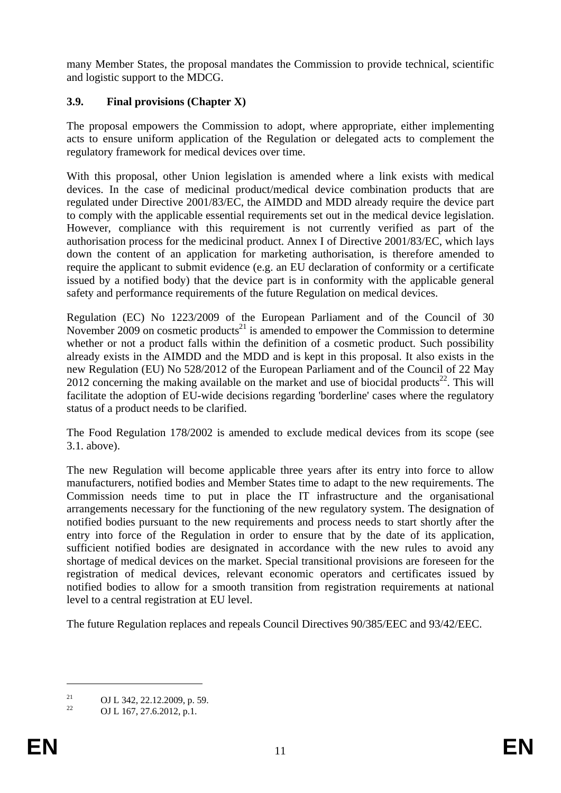many Member States, the proposal mandates the Commission to provide technical, scientific and logistic support to the MDCG.

# **3.9. Final provisions (Chapter X)**

The proposal empowers the Commission to adopt, where appropriate, either implementing acts to ensure uniform application of the Regulation or delegated acts to complement the regulatory framework for medical devices over time.

With this proposal, other Union legislation is amended where a link exists with medical devices. In the case of medicinal product/medical device combination products that are regulated under Directive 2001/83/EC, the AIMDD and MDD already require the device part to comply with the applicable essential requirements set out in the medical device legislation. However, compliance with this requirement is not currently verified as part of the authorisation process for the medicinal product. Annex I of Directive 2001/83/EC, which lays down the content of an application for marketing authorisation, is therefore amended to require the applicant to submit evidence (e.g. an EU declaration of conformity or a certificate issued by a notified body) that the device part is in conformity with the applicable general safety and performance requirements of the future Regulation on medical devices.

Regulation (EC) No 1223/2009 of the European Parliament and of the Council of 30 November 2009 on cosmetic products<sup>21</sup> is amended to empower the Commission to determine whether or not a product falls within the definition of a cosmetic product. Such possibility already exists in the AIMDD and the MDD and is kept in this proposal. It also exists in the new Regulation (EU) No 528/2012 of the European Parliament and of the Council of 22 May 2012 concerning the making available on the market and use of biocidal products<sup>22</sup>. This will facilitate the adoption of EU-wide decisions regarding 'borderline' cases where the regulatory status of a product needs to be clarified.

The Food Regulation 178/2002 is amended to exclude medical devices from its scope (see 3.1. above).

The new Regulation will become applicable three years after its entry into force to allow manufacturers, notified bodies and Member States time to adapt to the new requirements. The Commission needs time to put in place the IT infrastructure and the organisational arrangements necessary for the functioning of the new regulatory system. The designation of notified bodies pursuant to the new requirements and process needs to start shortly after the entry into force of the Regulation in order to ensure that by the date of its application, sufficient notified bodies are designated in accordance with the new rules to avoid any shortage of medical devices on the market. Special transitional provisions are foreseen for the registration of medical devices, relevant economic operators and certificates issued by notified bodies to allow for a smooth transition from registration requirements at national level to a central registration at EU level.

The future Regulation replaces and repeals Council Directives 90/385/EEC and 93/42/EEC.

<u>.</u>

<sup>&</sup>lt;sup>21</sup> OJ L 342, 22.12.2009, p. 59.<br>
OJ L 167, 27.6.2012, p. 1

<sup>22</sup> OJ L 167, 27.6.2012, p.1.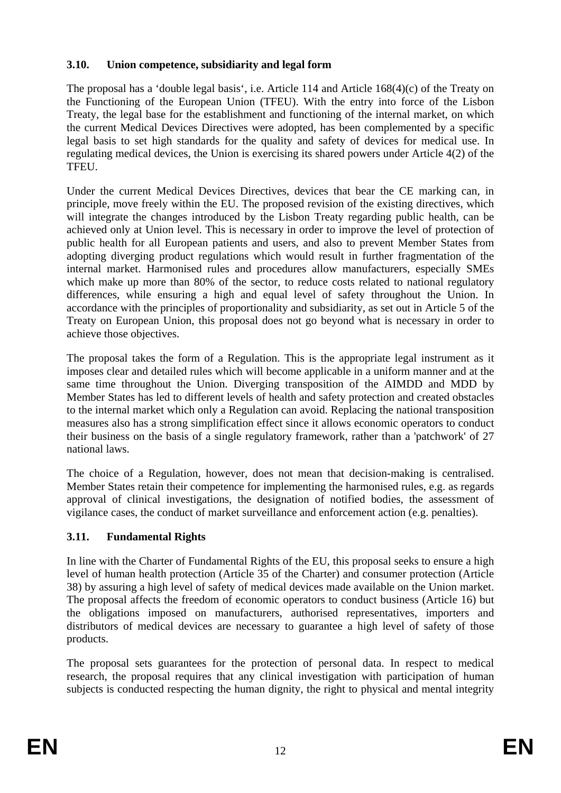### **3.10. Union competence, subsidiarity and legal form**

The proposal has a 'double legal basis', i.e. Article 114 and Article 168(4)(c) of the Treaty on the Functioning of the European Union (TFEU). With the entry into force of the Lisbon Treaty, the legal base for the establishment and functioning of the internal market, on which the current Medical Devices Directives were adopted, has been complemented by a specific legal basis to set high standards for the quality and safety of devices for medical use. In regulating medical devices, the Union is exercising its shared powers under Article 4(2) of the **TFEU** 

Under the current Medical Devices Directives, devices that bear the CE marking can, in principle, move freely within the EU. The proposed revision of the existing directives, which will integrate the changes introduced by the Lisbon Treaty regarding public health, can be achieved only at Union level. This is necessary in order to improve the level of protection of public health for all European patients and users, and also to prevent Member States from adopting diverging product regulations which would result in further fragmentation of the internal market. Harmonised rules and procedures allow manufacturers, especially SMEs which make up more than 80% of the sector, to reduce costs related to national regulatory differences, while ensuring a high and equal level of safety throughout the Union. In accordance with the principles of proportionality and subsidiarity, as set out in Article 5 of the Treaty on European Union, this proposal does not go beyond what is necessary in order to achieve those objectives.

The proposal takes the form of a Regulation. This is the appropriate legal instrument as it imposes clear and detailed rules which will become applicable in a uniform manner and at the same time throughout the Union. Diverging transposition of the AIMDD and MDD by Member States has led to different levels of health and safety protection and created obstacles to the internal market which only a Regulation can avoid. Replacing the national transposition measures also has a strong simplification effect since it allows economic operators to conduct their business on the basis of a single regulatory framework, rather than a 'patchwork' of 27 national laws.

The choice of a Regulation, however, does not mean that decision-making is centralised. Member States retain their competence for implementing the harmonised rules, e.g. as regards approval of clinical investigations, the designation of notified bodies, the assessment of vigilance cases, the conduct of market surveillance and enforcement action (e.g. penalties).

# **3.11. Fundamental Rights**

In line with the Charter of Fundamental Rights of the EU, this proposal seeks to ensure a high level of human health protection (Article 35 of the Charter) and consumer protection (Article 38) by assuring a high level of safety of medical devices made available on the Union market. The proposal affects the freedom of economic operators to conduct business (Article 16) but the obligations imposed on manufacturers, authorised representatives, importers and distributors of medical devices are necessary to guarantee a high level of safety of those products.

The proposal sets guarantees for the protection of personal data. In respect to medical research, the proposal requires that any clinical investigation with participation of human subjects is conducted respecting the human dignity, the right to physical and mental integrity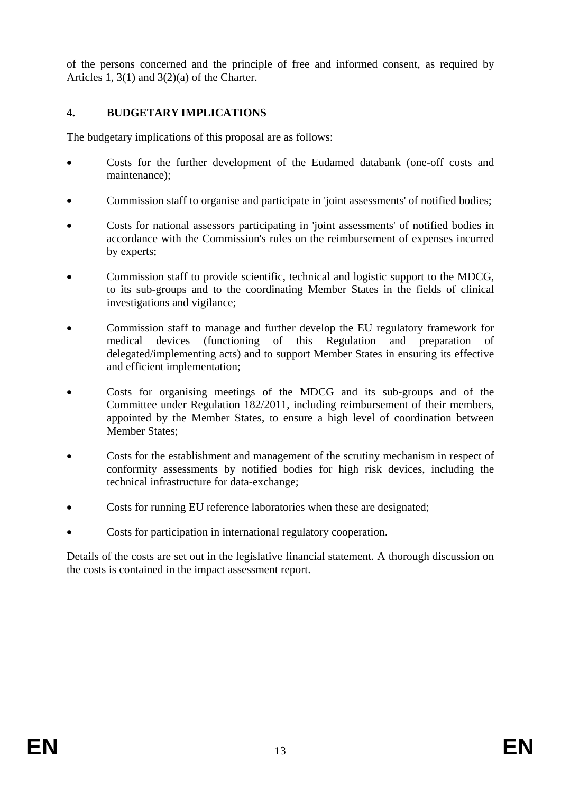of the persons concerned and the principle of free and informed consent, as required by Articles 1, 3(1) and 3(2)(a) of the Charter.

## **4. BUDGETARY IMPLICATIONS**

The budgetary implications of this proposal are as follows:

- Costs for the further development of the Eudamed databank (one-off costs and maintenance);
- Commission staff to organise and participate in 'joint assessments' of notified bodies;
- Costs for national assessors participating in 'joint assessments' of notified bodies in accordance with the Commission's rules on the reimbursement of expenses incurred by experts;
- Commission staff to provide scientific, technical and logistic support to the MDCG, to its sub-groups and to the coordinating Member States in the fields of clinical investigations and vigilance;
- Commission staff to manage and further develop the EU regulatory framework for medical devices (functioning of this Regulation and preparation of delegated/implementing acts) and to support Member States in ensuring its effective and efficient implementation;
- Costs for organising meetings of the MDCG and its sub-groups and of the Committee under Regulation 182/2011, including reimbursement of their members, appointed by the Member States, to ensure a high level of coordination between Member States:
- Costs for the establishment and management of the scrutiny mechanism in respect of conformity assessments by notified bodies for high risk devices, including the technical infrastructure for data-exchange;
- Costs for running EU reference laboratories when these are designated;
- Costs for participation in international regulatory cooperation.

Details of the costs are set out in the legislative financial statement. A thorough discussion on the costs is contained in the impact assessment report.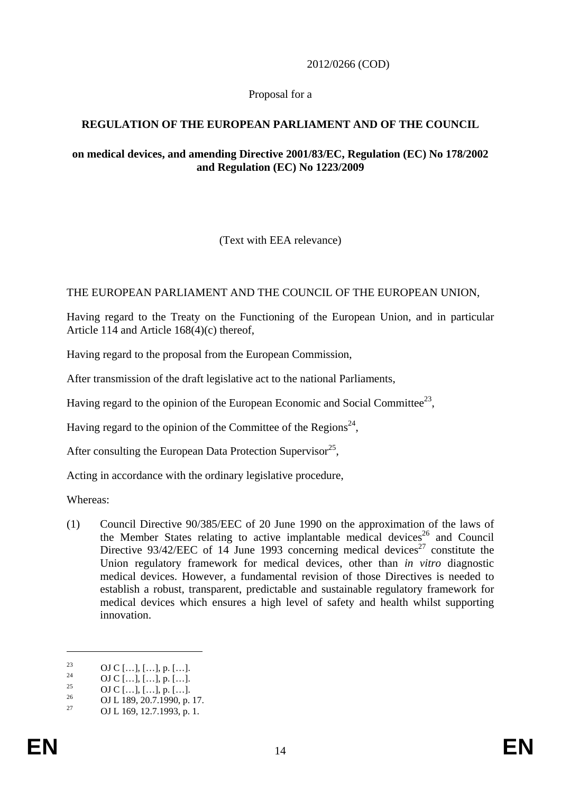2012/0266 (COD)

### Proposal for a

# **REGULATION OF THE EUROPEAN PARLIAMENT AND OF THE COUNCIL**

#### **on medical devices, and amending Directive 2001/83/EC, Regulation (EC) No 178/2002 and Regulation (EC) No 1223/2009**

### (Text with EEA relevance)

### THE EUROPEAN PARLIAMENT AND THE COUNCIL OF THE EUROPEAN UNION,

Having regard to the Treaty on the Functioning of the European Union, and in particular Article 114 and Article 168(4)(c) thereof,

Having regard to the proposal from the European Commission,

After transmission of the draft legislative act to the national Parliaments,

Having regard to the opinion of the European Economic and Social Committee<sup>23</sup>,

Having regard to the opinion of the Committee of the Regions<sup>24</sup>,

After consulting the European Data Protection Supervisor<sup>25</sup>,

Acting in accordance with the ordinary legislative procedure,

Whereas:

(1) Council Directive 90/385/EEC of 20 June 1990 on the approximation of the laws of the Member States relating to active implantable medical devices<sup>26</sup> and Council Directive 93/42/EEC of 14 June 1993 concerning medical devices<sup>27</sup> constitute the Union regulatory framework for medical devices, other than *in vitro* diagnostic medical devices. However, a fundamental revision of those Directives is needed to establish a robust, transparent, predictable and sustainable regulatory framework for medical devices which ensures a high level of safety and health whilst supporting innovation.

<u>.</u>

<sup>&</sup>lt;sup>23</sup> OJ C […], […], p. […].<br><sup>24</sup> OJ C […] […]

 $^{24}$  OJ C […], […], p. […].

 $\frac{25}{26}$  OJ C [...], [...], p. [...].

<sup>&</sup>lt;sup>26</sup> OJ L 189, 20.7.1990, p. 17.<br><sup>27</sup> OJ L 160, 12.7.1002, p. 1.

<sup>27</sup> OJ L 169, 12.7.1993, p. 1.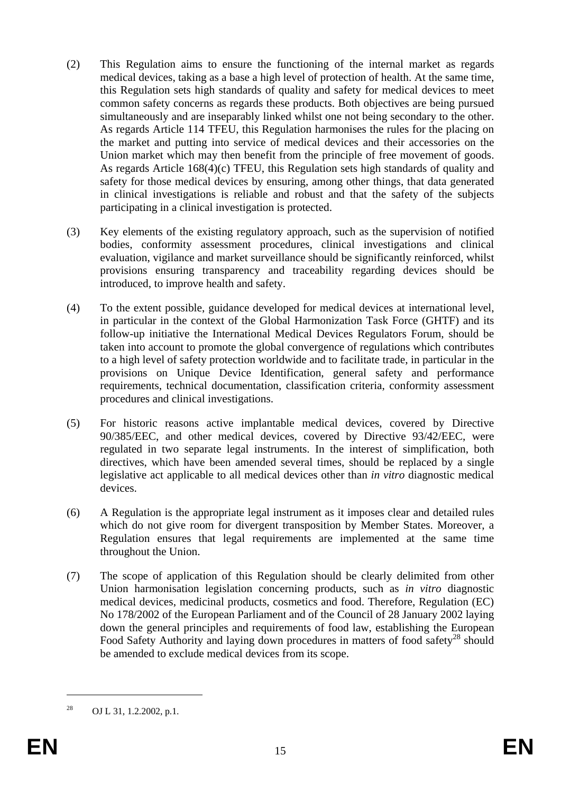- (2) This Regulation aims to ensure the functioning of the internal market as regards medical devices, taking as a base a high level of protection of health. At the same time, this Regulation sets high standards of quality and safety for medical devices to meet common safety concerns as regards these products. Both objectives are being pursued simultaneously and are inseparably linked whilst one not being secondary to the other. As regards Article 114 TFEU, this Regulation harmonises the rules for the placing on the market and putting into service of medical devices and their accessories on the Union market which may then benefit from the principle of free movement of goods. As regards Article 168(4)(c) TFEU, this Regulation sets high standards of quality and safety for those medical devices by ensuring, among other things, that data generated in clinical investigations is reliable and robust and that the safety of the subjects participating in a clinical investigation is protected.
- (3) Key elements of the existing regulatory approach, such as the supervision of notified bodies, conformity assessment procedures, clinical investigations and clinical evaluation, vigilance and market surveillance should be significantly reinforced, whilst provisions ensuring transparency and traceability regarding devices should be introduced, to improve health and safety.
- (4) To the extent possible, guidance developed for medical devices at international level, in particular in the context of the Global Harmonization Task Force (GHTF) and its follow-up initiative the International Medical Devices Regulators Forum, should be taken into account to promote the global convergence of regulations which contributes to a high level of safety protection worldwide and to facilitate trade, in particular in the provisions on Unique Device Identification, general safety and performance requirements, technical documentation, classification criteria, conformity assessment procedures and clinical investigations.
- (5) For historic reasons active implantable medical devices, covered by Directive 90/385/EEC, and other medical devices, covered by Directive 93/42/EEC, were regulated in two separate legal instruments. In the interest of simplification, both directives, which have been amended several times, should be replaced by a single legislative act applicable to all medical devices other than *in vitro* diagnostic medical devices.
- (6) A Regulation is the appropriate legal instrument as it imposes clear and detailed rules which do not give room for divergent transposition by Member States. Moreover, a Regulation ensures that legal requirements are implemented at the same time throughout the Union.
- (7) The scope of application of this Regulation should be clearly delimited from other Union harmonisation legislation concerning products, such as *in vitro* diagnostic medical devices, medicinal products, cosmetics and food. Therefore, Regulation (EC) No 178/2002 of the European Parliament and of the Council of 28 January 2002 laying down the general principles and requirements of food law, establishing the European Food Safety Authority and laying down procedures in matters of food safety<sup>28</sup> should be amended to exclude medical devices from its scope.

<sup>&</sup>lt;sup>28</sup> OJ L 31, 1.2.2002, p.1.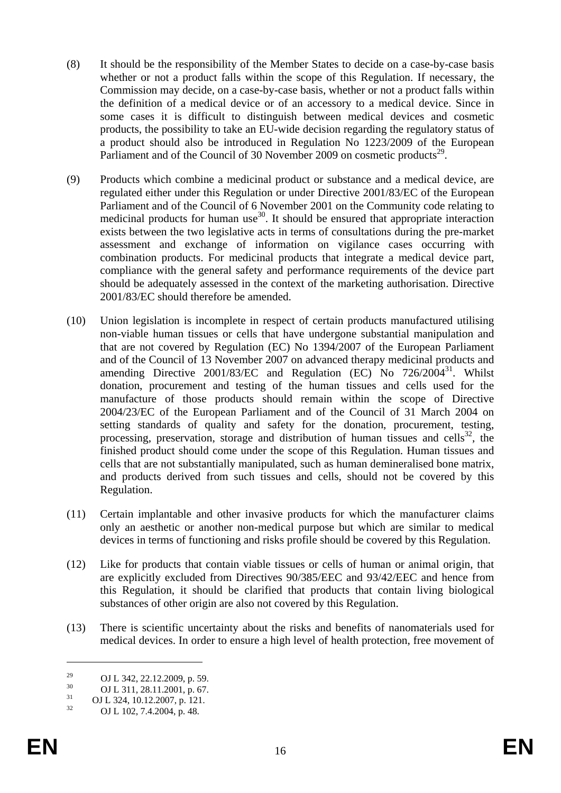- (8) It should be the responsibility of the Member States to decide on a case-by-case basis whether or not a product falls within the scope of this Regulation. If necessary, the Commission may decide, on a case-by-case basis, whether or not a product falls within the definition of a medical device or of an accessory to a medical device. Since in some cases it is difficult to distinguish between medical devices and cosmetic products, the possibility to take an EU-wide decision regarding the regulatory status of a product should also be introduced in Regulation No 1223/2009 of the European Parliament and of the Council of 30 November 2009 on cosmetic products<sup>29</sup>.
- (9) Products which combine a medicinal product or substance and a medical device, are regulated either under this Regulation or under Directive 2001/83/EC of the European Parliament and of the Council of 6 November 2001 on the Community code relating to medicinal products for human use<sup>30</sup>. It should be ensured that appropriate interaction exists between the two legislative acts in terms of consultations during the pre-market assessment and exchange of information on vigilance cases occurring with combination products. For medicinal products that integrate a medical device part, compliance with the general safety and performance requirements of the device part should be adequately assessed in the context of the marketing authorisation. Directive 2001/83/EC should therefore be amended.
- (10) Union legislation is incomplete in respect of certain products manufactured utilising non-viable human tissues or cells that have undergone substantial manipulation and that are not covered by Regulation (EC) No 1394/2007 of the European Parliament and of the Council of 13 November 2007 on advanced therapy medicinal products and amending Directive 2001/83/EC and Regulation (EC) No 726/2004<sup>31</sup>. Whilst donation, procurement and testing of the human tissues and cells used for the manufacture of those products should remain within the scope of Directive 2004/23/EC of the European Parliament and of the Council of 31 March 2004 on setting standards of quality and safety for the donation, procurement, testing, processing, preservation, storage and distribution of human tissues and cells<sup>32</sup>, the finished product should come under the scope of this Regulation. Human tissues and cells that are not substantially manipulated, such as human demineralised bone matrix, and products derived from such tissues and cells, should not be covered by this Regulation.
- (11) Certain implantable and other invasive products for which the manufacturer claims only an aesthetic or another non-medical purpose but which are similar to medical devices in terms of functioning and risks profile should be covered by this Regulation.
- (12) Like for products that contain viable tissues or cells of human or animal origin, that are explicitly excluded from Directives 90/385/EEC and 93/42/EEC and hence from this Regulation, it should be clarified that products that contain living biological substances of other origin are also not covered by this Regulation.
- (13) There is scientific uncertainty about the risks and benefits of nanomaterials used for medical devices. In order to ensure a high level of health protection, free movement of

<sup>&</sup>lt;sup>29</sup> OJ L 342, 22.12.2009, p. 59.<br>30

 $^{30}$  OJ L 311, 28.11.2001, p. 67.

 $^{31}_{32}$  OJ L 324, 10.12.2007, p. 121.

<sup>32</sup> OJ L 102, 7.4.2004, p. 48.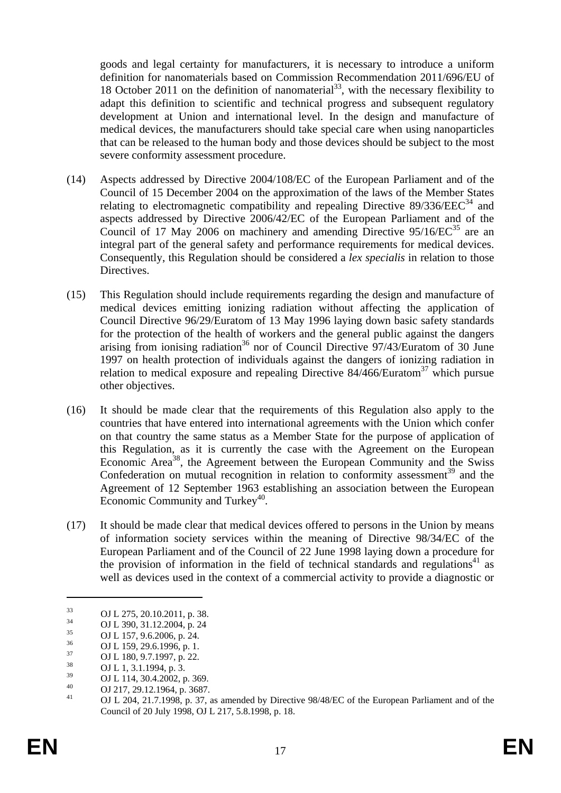goods and legal certainty for manufacturers, it is necessary to introduce a uniform definition for nanomaterials based on Commission Recommendation 2011/696/EU of 18 October 2011 on the definition of nanomaterial<sup>33</sup>, with the necessary flexibility to adapt this definition to scientific and technical progress and subsequent regulatory development at Union and international level. In the design and manufacture of medical devices, the manufacturers should take special care when using nanoparticles that can be released to the human body and those devices should be subject to the most severe conformity assessment procedure.

- (14) Aspects addressed by Directive 2004/108/EC of the European Parliament and of the Council of 15 December 2004 on the approximation of the laws of the Member States relating to electromagnetic compatibility and repealing Directive  $89/336/EEC<sup>34</sup>$  and aspects addressed by Directive 2006/42/EC of the European Parliament and of the Council of 17 May 2006 on machinery and amending Directive  $95/16/EC^{35}$  are an integral part of the general safety and performance requirements for medical devices. Consequently, this Regulation should be considered a *lex specialis* in relation to those Directives.
- (15) This Regulation should include requirements regarding the design and manufacture of medical devices emitting ionizing radiation without affecting the application of Council Directive 96/29/Euratom of 13 May 1996 laying down basic safety standards for the protection of the health of workers and the general public against the dangers arising from ionising radiation<sup>36</sup> nor of Council Directive  $97/43$ /Euratom of 30 June 1997 on health protection of individuals against the dangers of ionizing radiation in relation to medical exposure and repealing Directive  $84/466$ /Euratom<sup>37</sup> which pursue other objectives.
- (16) It should be made clear that the requirements of this Regulation also apply to the countries that have entered into international agreements with the Union which confer on that country the same status as a Member State for the purpose of application of this Regulation, as it is currently the case with the Agreement on the European Economic Area<sup>38</sup>, the Agreement between the European Community and the Swiss Confederation on mutual recognition in relation to conformity assessment<sup>39</sup> and the Agreement of 12 September 1963 establishing an association between the European Economic Community and Turkey<sup>40</sup>.
- (17) It should be made clear that medical devices offered to persons in the Union by means of information society services within the meaning of Directive 98/34/EC of the European Parliament and of the Council of 22 June 1998 laying down a procedure for the provision of information in the field of technical standards and regulations $41$  as well as devices used in the context of a commercial activity to provide a diagnostic or

 $\overline{OJ L}$  275, 20.10.2011, p. 38.

 $^{34}$  OJ L 390, 31.12.2004, p. 24

 $^{35}$  OJ L 157, 9.6.2006, p. 24.

 $^{36}$  OJ L 159, 29.6.1996, p. 1.<br> $^{37}$  OJ L 199, 2.7, 1997, 22

 $^{37}$  OJ L 180, 9.7.1997, p. 22.

 $^{38}$  OJ L 1, 3.1.1994, p. 3.<br>
OJ L 114, 20.4.2002.

 $\frac{39}{40}$  OJ L 114, 30.4.2002, p. 369.

 $^{40}$  OJ 217, 29.12.1964, p. 3687.

<sup>41</sup> OJ L 204, 21.7.1998, p. 37, as amended by Directive 98/48/EC of the European Parliament and of the Council of 20 July 1998, OJ L 217, 5.8.1998, p. 18.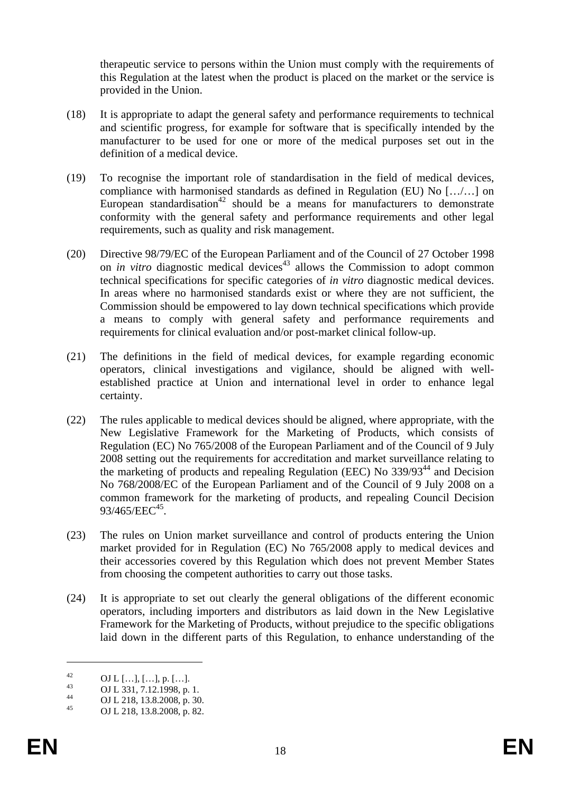therapeutic service to persons within the Union must comply with the requirements of this Regulation at the latest when the product is placed on the market or the service is provided in the Union.

- (18) It is appropriate to adapt the general safety and performance requirements to technical and scientific progress, for example for software that is specifically intended by the manufacturer to be used for one or more of the medical purposes set out in the definition of a medical device.
- (19) To recognise the important role of standardisation in the field of medical devices, compliance with harmonised standards as defined in Regulation (EU) No […/…] on European standardisation<sup>42</sup> should be a means for manufacturers to demonstrate conformity with the general safety and performance requirements and other legal requirements, such as quality and risk management.
- (20) Directive 98/79/EC of the European Parliament and of the Council of 27 October 1998 on *in vitro* diagnostic medical devices<sup>43</sup> allows the Commission to adopt common technical specifications for specific categories of *in vitro* diagnostic medical devices. In areas where no harmonised standards exist or where they are not sufficient, the Commission should be empowered to lay down technical specifications which provide a means to comply with general safety and performance requirements and requirements for clinical evaluation and/or post-market clinical follow-up.
- (21) The definitions in the field of medical devices, for example regarding economic operators, clinical investigations and vigilance, should be aligned with wellestablished practice at Union and international level in order to enhance legal certainty.
- (22) The rules applicable to medical devices should be aligned, where appropriate, with the New Legislative Framework for the Marketing of Products, which consists of Regulation (EC) No 765/2008 of the European Parliament and of the Council of 9 July 2008 setting out the requirements for accreditation and market surveillance relating to the marketing of products and repealing Regulation (EEC) No  $339/93^{44}$  and Decision No 768/2008/EC of the European Parliament and of the Council of 9 July 2008 on a common framework for the marketing of products, and repealing Council Decision  $93/465/EEC^{45}$ .
- (23) The rules on Union market surveillance and control of products entering the Union market provided for in Regulation (EC) No 765/2008 apply to medical devices and their accessories covered by this Regulation which does not prevent Member States from choosing the competent authorities to carry out those tasks.
- (24) It is appropriate to set out clearly the general obligations of the different economic operators, including importers and distributors as laid down in the New Legislative Framework for the Marketing of Products, without prejudice to the specific obligations laid down in the different parts of this Regulation, to enhance understanding of the

 $^{42}$  OJ L [...], [...], p. [...].

 $^{43}$  OJ L 331, 7.12.1998, p. 1.

<sup>44</sup> OJ L 218, 13.8.2008, p. 30.

OJ L 218, 13.8.2008, p. 82.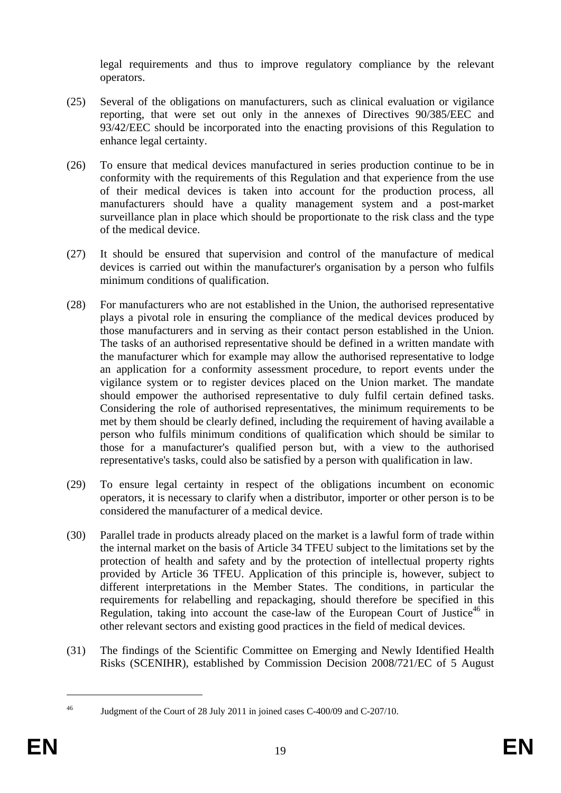legal requirements and thus to improve regulatory compliance by the relevant operators.

- (25) Several of the obligations on manufacturers, such as clinical evaluation or vigilance reporting, that were set out only in the annexes of Directives 90/385/EEC and 93/42/EEC should be incorporated into the enacting provisions of this Regulation to enhance legal certainty.
- (26) To ensure that medical devices manufactured in series production continue to be in conformity with the requirements of this Regulation and that experience from the use of their medical devices is taken into account for the production process, all manufacturers should have a quality management system and a post-market surveillance plan in place which should be proportionate to the risk class and the type of the medical device.
- (27) It should be ensured that supervision and control of the manufacture of medical devices is carried out within the manufacturer's organisation by a person who fulfils minimum conditions of qualification.
- (28) For manufacturers who are not established in the Union, the authorised representative plays a pivotal role in ensuring the compliance of the medical devices produced by those manufacturers and in serving as their contact person established in the Union. The tasks of an authorised representative should be defined in a written mandate with the manufacturer which for example may allow the authorised representative to lodge an application for a conformity assessment procedure, to report events under the vigilance system or to register devices placed on the Union market. The mandate should empower the authorised representative to duly fulfil certain defined tasks. Considering the role of authorised representatives, the minimum requirements to be met by them should be clearly defined, including the requirement of having available a person who fulfils minimum conditions of qualification which should be similar to those for a manufacturer's qualified person but, with a view to the authorised representative's tasks, could also be satisfied by a person with qualification in law.
- (29) To ensure legal certainty in respect of the obligations incumbent on economic operators, it is necessary to clarify when a distributor, importer or other person is to be considered the manufacturer of a medical device.
- (30) Parallel trade in products already placed on the market is a lawful form of trade within the internal market on the basis of Article 34 TFEU subject to the limitations set by the protection of health and safety and by the protection of intellectual property rights provided by Article 36 TFEU. Application of this principle is, however, subject to different interpretations in the Member States. The conditions, in particular the requirements for relabelling and repackaging, should therefore be specified in this Regulation, taking into account the case-law of the European Court of Justice<sup>46</sup> in other relevant sectors and existing good practices in the field of medical devices.
- (31) The findings of the Scientific Committee on Emerging and Newly Identified Health Risks (SCENIHR), established by Commission Decision 2008/721/EC of 5 August

<sup>46</sup> Judgment of the Court of 28 July 2011 in joined cases C-400/09 and C-207/10.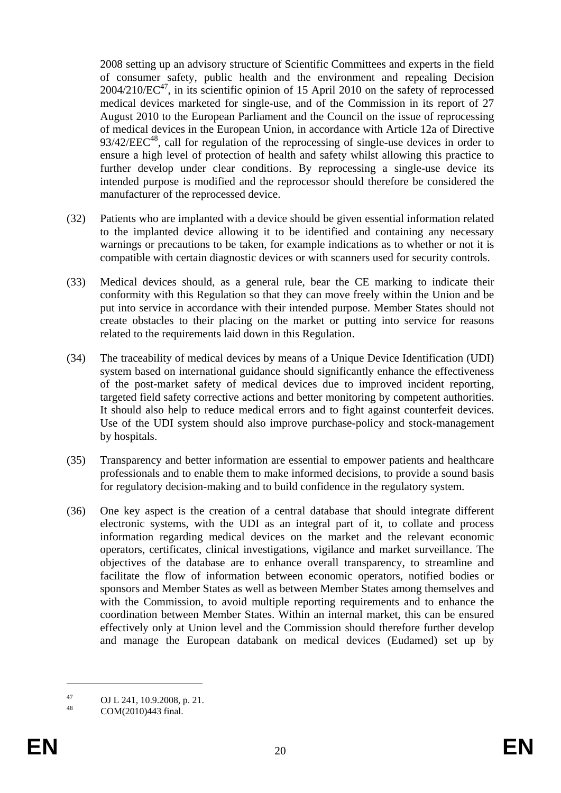2008 setting up an advisory structure of Scientific Committees and experts in the field of consumer safety, public health and the environment and repealing Decision  $2004/210$ /EC<sup>47</sup>, in its scientific opinion of 15 April 2010 on the safety of reprocessed medical devices marketed for single-use, and of the Commission in its report of 27 August 2010 to the European Parliament and the Council on the issue of reprocessing of medical devices in the European Union, in accordance with Article 12a of Directive  $93/42/EEC<sup>48</sup>$ , call for regulation of the reprocessing of single-use devices in order to ensure a high level of protection of health and safety whilst allowing this practice to further develop under clear conditions. By reprocessing a single-use device its intended purpose is modified and the reprocessor should therefore be considered the manufacturer of the reprocessed device.

- (32) Patients who are implanted with a device should be given essential information related to the implanted device allowing it to be identified and containing any necessary warnings or precautions to be taken, for example indications as to whether or not it is compatible with certain diagnostic devices or with scanners used for security controls.
- (33) Medical devices should, as a general rule, bear the CE marking to indicate their conformity with this Regulation so that they can move freely within the Union and be put into service in accordance with their intended purpose. Member States should not create obstacles to their placing on the market or putting into service for reasons related to the requirements laid down in this Regulation.
- (34) The traceability of medical devices by means of a Unique Device Identification (UDI) system based on international guidance should significantly enhance the effectiveness of the post-market safety of medical devices due to improved incident reporting, targeted field safety corrective actions and better monitoring by competent authorities. It should also help to reduce medical errors and to fight against counterfeit devices. Use of the UDI system should also improve purchase-policy and stock-management by hospitals.
- (35) Transparency and better information are essential to empower patients and healthcare professionals and to enable them to make informed decisions, to provide a sound basis for regulatory decision-making and to build confidence in the regulatory system.
- (36) One key aspect is the creation of a central database that should integrate different electronic systems, with the UDI as an integral part of it, to collate and process information regarding medical devices on the market and the relevant economic operators, certificates, clinical investigations, vigilance and market surveillance. The objectives of the database are to enhance overall transparency, to streamline and facilitate the flow of information between economic operators, notified bodies or sponsors and Member States as well as between Member States among themselves and with the Commission, to avoid multiple reporting requirements and to enhance the coordination between Member States. Within an internal market, this can be ensured effectively only at Union level and the Commission should therefore further develop and manage the European databank on medical devices (Eudamed) set up by

<u>.</u>

<sup>&</sup>lt;sup>47</sup> OJ L 241, 10.9.2008, p. 21.

COM(2010)443 final.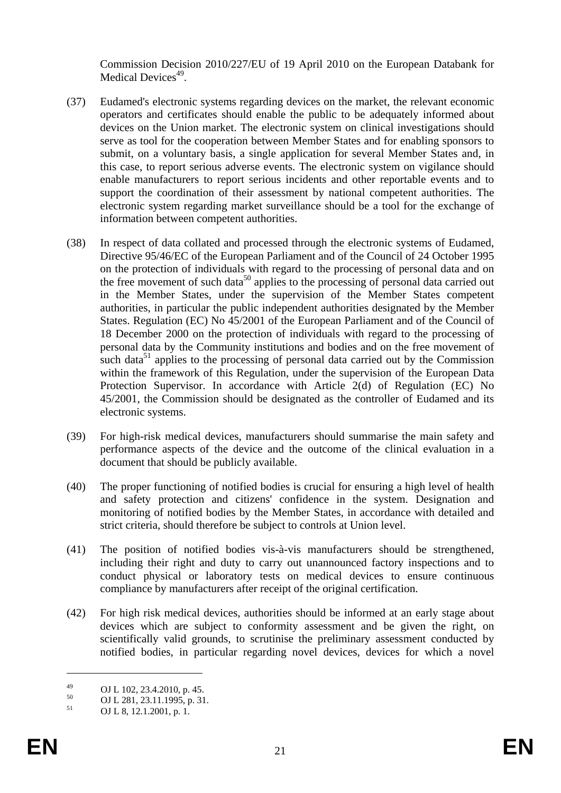Commission Decision 2010/227/EU of 19 April 2010 on the European Databank for Medical Devices<sup>49</sup>.

- (37) Eudamed's electronic systems regarding devices on the market, the relevant economic operators and certificates should enable the public to be adequately informed about devices on the Union market. The electronic system on clinical investigations should serve as tool for the cooperation between Member States and for enabling sponsors to submit, on a voluntary basis, a single application for several Member States and, in this case, to report serious adverse events. The electronic system on vigilance should enable manufacturers to report serious incidents and other reportable events and to support the coordination of their assessment by national competent authorities. The electronic system regarding market surveillance should be a tool for the exchange of information between competent authorities.
- (38) In respect of data collated and processed through the electronic systems of Eudamed, Directive 95/46/EC of the European Parliament and of the Council of 24 October 1995 on the protection of individuals with regard to the processing of personal data and on the free movement of such data<sup>50</sup> applies to the processing of personal data carried out in the Member States, under the supervision of the Member States competent authorities, in particular the public independent authorities designated by the Member States. Regulation (EC) No 45/2001 of the European Parliament and of the Council of 18 December 2000 on the protection of individuals with regard to the processing of personal data by the Community institutions and bodies and on the free movement of such data $51$  applies to the processing of personal data carried out by the Commission within the framework of this Regulation, under the supervision of the European Data Protection Supervisor. In accordance with Article 2(d) of Regulation (EC) No 45/2001, the Commission should be designated as the controller of Eudamed and its electronic systems.
- (39) For high-risk medical devices, manufacturers should summarise the main safety and performance aspects of the device and the outcome of the clinical evaluation in a document that should be publicly available.
- (40) The proper functioning of notified bodies is crucial for ensuring a high level of health and safety protection and citizens' confidence in the system. Designation and monitoring of notified bodies by the Member States, in accordance with detailed and strict criteria, should therefore be subject to controls at Union level.
- (41) The position of notified bodies vis-à-vis manufacturers should be strengthened, including their right and duty to carry out unannounced factory inspections and to conduct physical or laboratory tests on medical devices to ensure continuous compliance by manufacturers after receipt of the original certification.
- (42) For high risk medical devices, authorities should be informed at an early stage about devices which are subject to conformity assessment and be given the right, on scientifically valid grounds, to scrutinise the preliminary assessment conducted by notified bodies, in particular regarding novel devices, devices for which a novel

 $^{49}$  OJ L 102, 23.4.2010, p. 45.

 $^{50}$  OJ L 281, 23.11.1995, p. 31.

<sup>51</sup> OJ L 8, 12.1.2001, p. 1.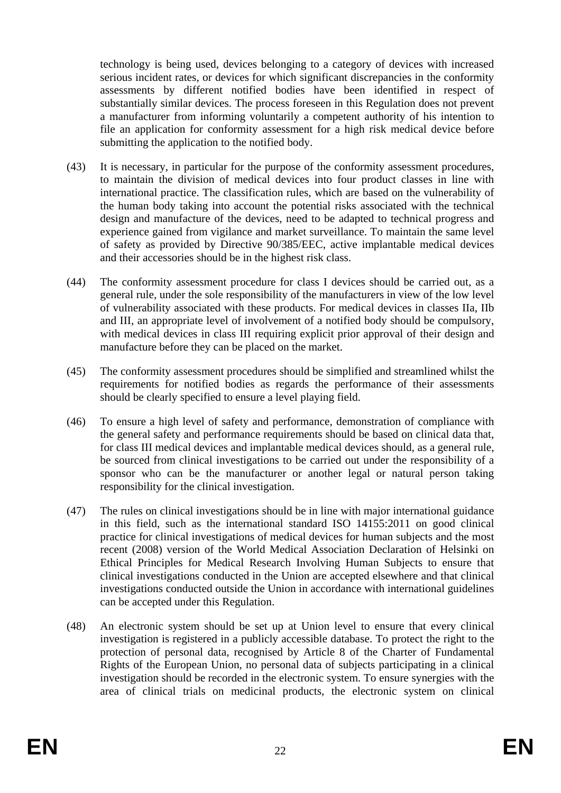technology is being used, devices belonging to a category of devices with increased serious incident rates, or devices for which significant discrepancies in the conformity assessments by different notified bodies have been identified in respect of substantially similar devices. The process foreseen in this Regulation does not prevent a manufacturer from informing voluntarily a competent authority of his intention to file an application for conformity assessment for a high risk medical device before submitting the application to the notified body.

- (43) It is necessary, in particular for the purpose of the conformity assessment procedures, to maintain the division of medical devices into four product classes in line with international practice. The classification rules, which are based on the vulnerability of the human body taking into account the potential risks associated with the technical design and manufacture of the devices, need to be adapted to technical progress and experience gained from vigilance and market surveillance. To maintain the same level of safety as provided by Directive 90/385/EEC, active implantable medical devices and their accessories should be in the highest risk class.
- (44) The conformity assessment procedure for class I devices should be carried out, as a general rule, under the sole responsibility of the manufacturers in view of the low level of vulnerability associated with these products. For medical devices in classes IIa, IIb and III, an appropriate level of involvement of a notified body should be compulsory, with medical devices in class III requiring explicit prior approval of their design and manufacture before they can be placed on the market.
- (45) The conformity assessment procedures should be simplified and streamlined whilst the requirements for notified bodies as regards the performance of their assessments should be clearly specified to ensure a level playing field.
- (46) To ensure a high level of safety and performance, demonstration of compliance with the general safety and performance requirements should be based on clinical data that, for class III medical devices and implantable medical devices should, as a general rule, be sourced from clinical investigations to be carried out under the responsibility of a sponsor who can be the manufacturer or another legal or natural person taking responsibility for the clinical investigation.
- (47) The rules on clinical investigations should be in line with major international guidance in this field, such as the international standard ISO 14155:2011 on good clinical practice for clinical investigations of medical devices for human subjects and the most recent (2008) version of the World Medical Association Declaration of Helsinki on Ethical Principles for Medical Research Involving Human Subjects to ensure that clinical investigations conducted in the Union are accepted elsewhere and that clinical investigations conducted outside the Union in accordance with international guidelines can be accepted under this Regulation.
- (48) An electronic system should be set up at Union level to ensure that every clinical investigation is registered in a publicly accessible database. To protect the right to the protection of personal data, recognised by Article 8 of the Charter of Fundamental Rights of the European Union, no personal data of subjects participating in a clinical investigation should be recorded in the electronic system. To ensure synergies with the area of clinical trials on medicinal products, the electronic system on clinical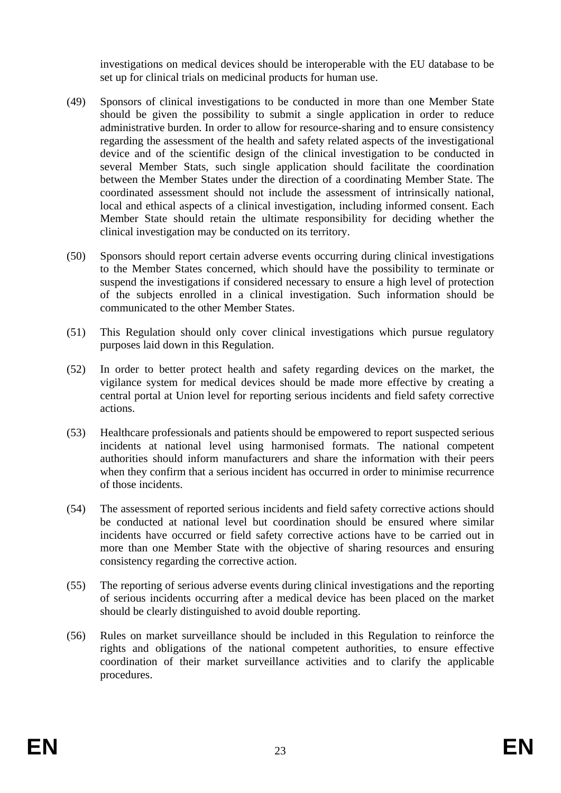investigations on medical devices should be interoperable with the EU database to be set up for clinical trials on medicinal products for human use.

- (49) Sponsors of clinical investigations to be conducted in more than one Member State should be given the possibility to submit a single application in order to reduce administrative burden. In order to allow for resource-sharing and to ensure consistency regarding the assessment of the health and safety related aspects of the investigational device and of the scientific design of the clinical investigation to be conducted in several Member Stats, such single application should facilitate the coordination between the Member States under the direction of a coordinating Member State. The coordinated assessment should not include the assessment of intrinsically national, local and ethical aspects of a clinical investigation, including informed consent. Each Member State should retain the ultimate responsibility for deciding whether the clinical investigation may be conducted on its territory.
- (50) Sponsors should report certain adverse events occurring during clinical investigations to the Member States concerned, which should have the possibility to terminate or suspend the investigations if considered necessary to ensure a high level of protection of the subjects enrolled in a clinical investigation. Such information should be communicated to the other Member States.
- (51) This Regulation should only cover clinical investigations which pursue regulatory purposes laid down in this Regulation.
- (52) In order to better protect health and safety regarding devices on the market, the vigilance system for medical devices should be made more effective by creating a central portal at Union level for reporting serious incidents and field safety corrective actions.
- (53) Healthcare professionals and patients should be empowered to report suspected serious incidents at national level using harmonised formats. The national competent authorities should inform manufacturers and share the information with their peers when they confirm that a serious incident has occurred in order to minimise recurrence of those incidents.
- (54) The assessment of reported serious incidents and field safety corrective actions should be conducted at national level but coordination should be ensured where similar incidents have occurred or field safety corrective actions have to be carried out in more than one Member State with the objective of sharing resources and ensuring consistency regarding the corrective action.
- (55) The reporting of serious adverse events during clinical investigations and the reporting of serious incidents occurring after a medical device has been placed on the market should be clearly distinguished to avoid double reporting.
- (56) Rules on market surveillance should be included in this Regulation to reinforce the rights and obligations of the national competent authorities, to ensure effective coordination of their market surveillance activities and to clarify the applicable procedures.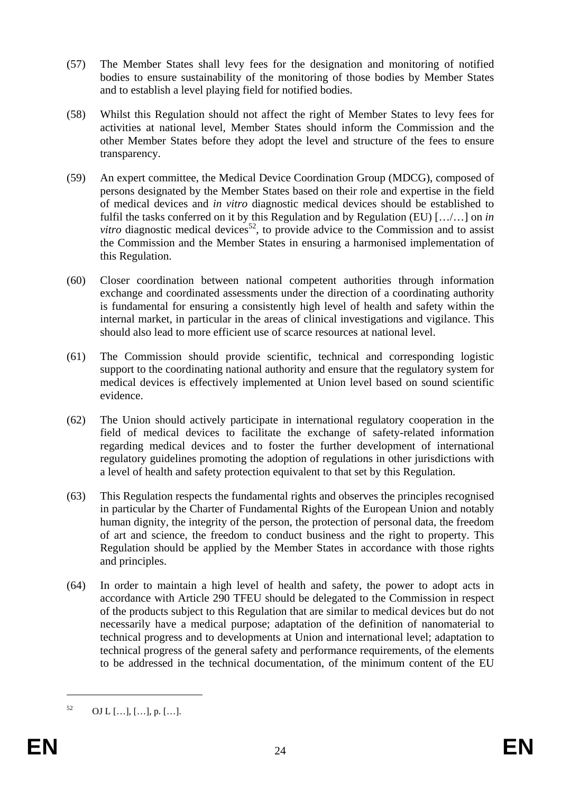- (57) The Member States shall levy fees for the designation and monitoring of notified bodies to ensure sustainability of the monitoring of those bodies by Member States and to establish a level playing field for notified bodies.
- (58) Whilst this Regulation should not affect the right of Member States to levy fees for activities at national level, Member States should inform the Commission and the other Member States before they adopt the level and structure of the fees to ensure transparency.
- (59) An expert committee, the Medical Device Coordination Group (MDCG), composed of persons designated by the Member States based on their role and expertise in the field of medical devices and *in vitro* diagnostic medical devices should be established to fulfil the tasks conferred on it by this Regulation and by Regulation (EU) […/…] on *in vitro* diagnostic medical devices<sup>52</sup>, to provide advice to the Commission and to assist the Commission and the Member States in ensuring a harmonised implementation of this Regulation.
- (60) Closer coordination between national competent authorities through information exchange and coordinated assessments under the direction of a coordinating authority is fundamental for ensuring a consistently high level of health and safety within the internal market, in particular in the areas of clinical investigations and vigilance. This should also lead to more efficient use of scarce resources at national level.
- (61) The Commission should provide scientific, technical and corresponding logistic support to the coordinating national authority and ensure that the regulatory system for medical devices is effectively implemented at Union level based on sound scientific evidence.
- (62) The Union should actively participate in international regulatory cooperation in the field of medical devices to facilitate the exchange of safety-related information regarding medical devices and to foster the further development of international regulatory guidelines promoting the adoption of regulations in other jurisdictions with a level of health and safety protection equivalent to that set by this Regulation.
- (63) This Regulation respects the fundamental rights and observes the principles recognised in particular by the Charter of Fundamental Rights of the European Union and notably human dignity, the integrity of the person, the protection of personal data, the freedom of art and science, the freedom to conduct business and the right to property. This Regulation should be applied by the Member States in accordance with those rights and principles.
- (64) In order to maintain a high level of health and safety, the power to adopt acts in accordance with Article 290 TFEU should be delegated to the Commission in respect of the products subject to this Regulation that are similar to medical devices but do not necessarily have a medical purpose; adaptation of the definition of nanomaterial to technical progress and to developments at Union and international level; adaptation to technical progress of the general safety and performance requirements, of the elements to be addressed in the technical documentation, of the minimum content of the EU

 $^{52}$  OJ L [...], [...], p. [...].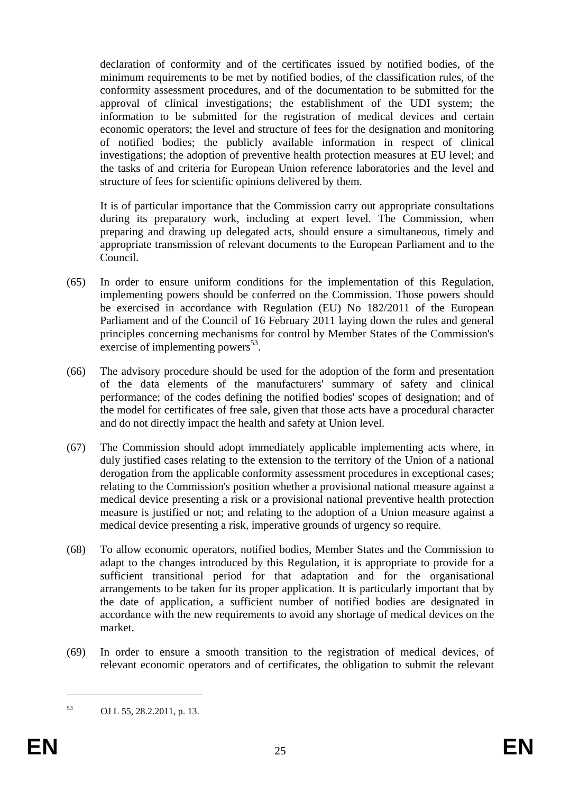declaration of conformity and of the certificates issued by notified bodies, of the minimum requirements to be met by notified bodies, of the classification rules, of the conformity assessment procedures, and of the documentation to be submitted for the approval of clinical investigations; the establishment of the UDI system; the information to be submitted for the registration of medical devices and certain economic operators; the level and structure of fees for the designation and monitoring of notified bodies; the publicly available information in respect of clinical investigations; the adoption of preventive health protection measures at EU level; and the tasks of and criteria for European Union reference laboratories and the level and structure of fees for scientific opinions delivered by them.

It is of particular importance that the Commission carry out appropriate consultations during its preparatory work, including at expert level. The Commission, when preparing and drawing up delegated acts, should ensure a simultaneous, timely and appropriate transmission of relevant documents to the European Parliament and to the Council.

- (65) In order to ensure uniform conditions for the implementation of this Regulation, implementing powers should be conferred on the Commission. Those powers should be exercised in accordance with Regulation (EU) No 182/2011 of the European Parliament and of the Council of 16 February 2011 laying down the rules and general principles concerning mechanisms for control by Member States of the Commission's exercise of implementing powers $^{53}$ .
- (66) The advisory procedure should be used for the adoption of the form and presentation of the data elements of the manufacturers' summary of safety and clinical performance; of the codes defining the notified bodies' scopes of designation; and of the model for certificates of free sale, given that those acts have a procedural character and do not directly impact the health and safety at Union level.
- (67) The Commission should adopt immediately applicable implementing acts where, in duly justified cases relating to the extension to the territory of the Union of a national derogation from the applicable conformity assessment procedures in exceptional cases; relating to the Commission's position whether a provisional national measure against a medical device presenting a risk or a provisional national preventive health protection measure is justified or not; and relating to the adoption of a Union measure against a medical device presenting a risk, imperative grounds of urgency so require.
- (68) To allow economic operators, notified bodies, Member States and the Commission to adapt to the changes introduced by this Regulation, it is appropriate to provide for a sufficient transitional period for that adaptation and for the organisational arrangements to be taken for its proper application. It is particularly important that by the date of application, a sufficient number of notified bodies are designated in accordance with the new requirements to avoid any shortage of medical devices on the market.
- (69) In order to ensure a smooth transition to the registration of medical devices, of relevant economic operators and of certificates, the obligation to submit the relevant

<sup>53</sup> OJ L 55, 28.2.2011, p. 13.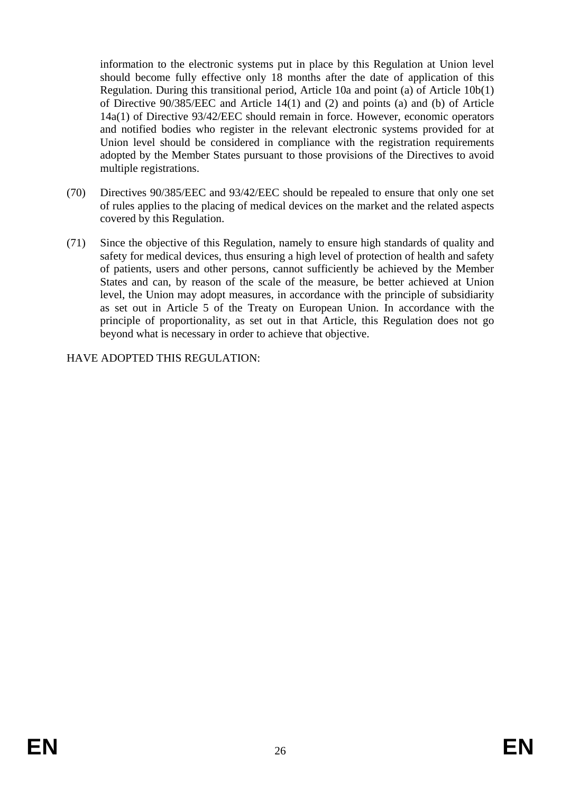information to the electronic systems put in place by this Regulation at Union level should become fully effective only 18 months after the date of application of this Regulation. During this transitional period, Article 10a and point (a) of Article 10b(1) of Directive 90/385/EEC and Article 14(1) and (2) and points (a) and (b) of Article 14a(1) of Directive 93/42/EEC should remain in force. However, economic operators and notified bodies who register in the relevant electronic systems provided for at Union level should be considered in compliance with the registration requirements adopted by the Member States pursuant to those provisions of the Directives to avoid multiple registrations.

- (70) Directives 90/385/EEC and 93/42/EEC should be repealed to ensure that only one set of rules applies to the placing of medical devices on the market and the related aspects covered by this Regulation.
- (71) Since the objective of this Regulation, namely to ensure high standards of quality and safety for medical devices, thus ensuring a high level of protection of health and safety of patients, users and other persons, cannot sufficiently be achieved by the Member States and can, by reason of the scale of the measure, be better achieved at Union level, the Union may adopt measures, in accordance with the principle of subsidiarity as set out in Article 5 of the Treaty on European Union. In accordance with the principle of proportionality, as set out in that Article, this Regulation does not go beyond what is necessary in order to achieve that objective.

HAVE ADOPTED THIS REGULATION: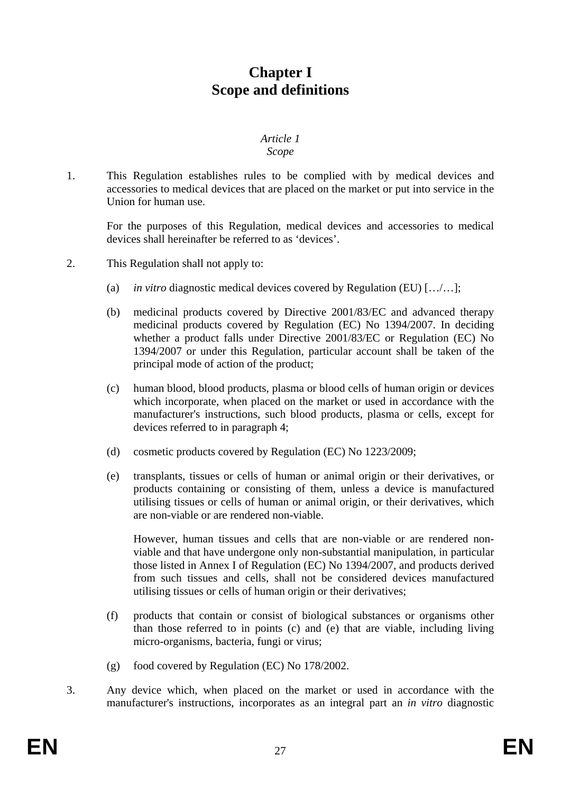# **Chapter I Scope and definitions**

#### *Article 1 Scope*

1. This Regulation establishes rules to be complied with by medical devices and accessories to medical devices that are placed on the market or put into service in the Union for human use.

For the purposes of this Regulation, medical devices and accessories to medical devices shall hereinafter be referred to as 'devices'.

- 2. This Regulation shall not apply to:
	- (a) *in vitro* diagnostic medical devices covered by Regulation (EU) […/…];
	- (b) medicinal products covered by Directive 2001/83/EC and advanced therapy medicinal products covered by Regulation (EC) No 1394/2007. In deciding whether a product falls under Directive 2001/83/EC or Regulation (EC) No 1394/2007 or under this Regulation, particular account shall be taken of the principal mode of action of the product;
	- (c) human blood, blood products, plasma or blood cells of human origin or devices which incorporate, when placed on the market or used in accordance with the manufacturer's instructions, such blood products, plasma or cells, except for devices referred to in paragraph 4;
	- (d) cosmetic products covered by Regulation (EC) No 1223/2009;
	- (e) transplants, tissues or cells of human or animal origin or their derivatives, or products containing or consisting of them, unless a device is manufactured utilising tissues or cells of human or animal origin, or their derivatives, which are non-viable or are rendered non-viable.

However, human tissues and cells that are non-viable or are rendered nonviable and that have undergone only non-substantial manipulation, in particular those listed in Annex I of Regulation (EC) No 1394/2007, and products derived from such tissues and cells, shall not be considered devices manufactured utilising tissues or cells of human origin or their derivatives;

- (f) products that contain or consist of biological substances or organisms other than those referred to in points (c) and (e) that are viable, including living micro-organisms, bacteria, fungi or virus;
- (g) food covered by Regulation (EC) No 178/2002.
- 3. Any device which, when placed on the market or used in accordance with the manufacturer's instructions, incorporates as an integral part an *in vitro* diagnostic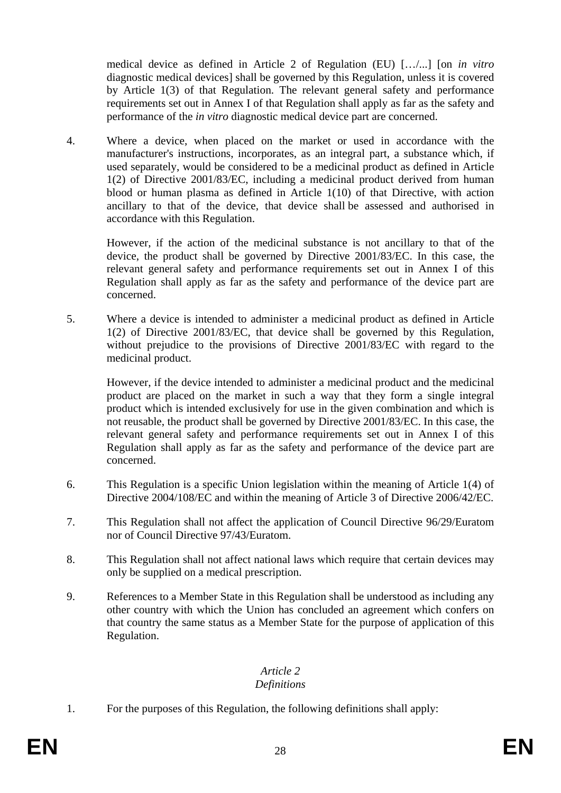medical device as defined in Article 2 of Regulation (EU) […/...] [on *in vitro* diagnostic medical devices] shall be governed by this Regulation, unless it is covered by Article 1(3) of that Regulation. The relevant general safety and performance requirements set out in Annex I of that Regulation shall apply as far as the safety and performance of the *in vitro* diagnostic medical device part are concerned.

4. Where a device, when placed on the market or used in accordance with the manufacturer's instructions, incorporates, as an integral part, a substance which, if used separately, would be considered to be a medicinal product as defined in Article 1(2) of Directive 2001/83/EC, including a medicinal product derived from human blood or human plasma as defined in Article 1(10) of that Directive, with action ancillary to that of the device, that device shall be assessed and authorised in accordance with this Regulation.

However, if the action of the medicinal substance is not ancillary to that of the device, the product shall be governed by Directive 2001/83/EC. In this case, the relevant general safety and performance requirements set out in Annex I of this Regulation shall apply as far as the safety and performance of the device part are concerned.

5. Where a device is intended to administer a medicinal product as defined in Article 1(2) of Directive 2001/83/EC, that device shall be governed by this Regulation, without prejudice to the provisions of Directive 2001/83/EC with regard to the medicinal product.

However, if the device intended to administer a medicinal product and the medicinal product are placed on the market in such a way that they form a single integral product which is intended exclusively for use in the given combination and which is not reusable, the product shall be governed by Directive 2001/83/EC. In this case, the relevant general safety and performance requirements set out in Annex I of this Regulation shall apply as far as the safety and performance of the device part are concerned.

- 6. This Regulation is a specific Union legislation within the meaning of Article 1(4) of Directive 2004/108/EC and within the meaning of Article 3 of Directive 2006/42/EC.
- 7. This Regulation shall not affect the application of Council Directive 96/29/Euratom nor of Council Directive 97/43/Euratom.
- 8. This Regulation shall not affect national laws which require that certain devices may only be supplied on a medical prescription.
- 9. References to a Member State in this Regulation shall be understood as including any other country with which the Union has concluded an agreement which confers on that country the same status as a Member State for the purpose of application of this Regulation.

#### *Article 2 Definitions*

1. For the purposes of this Regulation, the following definitions shall apply: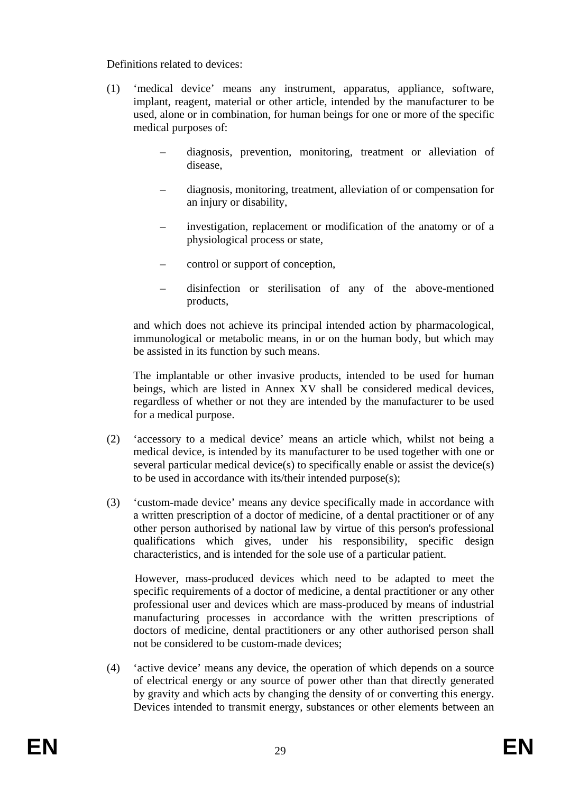#### Definitions related to devices:

- (1) 'medical device' means any instrument, apparatus, appliance, software, implant, reagent, material or other article, intended by the manufacturer to be used, alone or in combination, for human beings for one or more of the specific medical purposes of:
	- diagnosis, prevention, monitoring, treatment or alleviation of disease,
	- diagnosis, monitoring, treatment, alleviation of or compensation for an injury or disability,
	- investigation, replacement or modification of the anatomy or of a physiological process or state,
	- control or support of conception,
	- disinfection or sterilisation of any of the above-mentioned products,

and which does not achieve its principal intended action by pharmacological, immunological or metabolic means, in or on the human body, but which may be assisted in its function by such means.

The implantable or other invasive products, intended to be used for human beings, which are listed in Annex XV shall be considered medical devices, regardless of whether or not they are intended by the manufacturer to be used for a medical purpose.

- (2) 'accessory to a medical device' means an article which, whilst not being a medical device, is intended by its manufacturer to be used together with one or several particular medical device(s) to specifically enable or assist the device(s) to be used in accordance with its/their intended purpose(s);
- (3) 'custom-made device' means any device specifically made in accordance with a written prescription of a doctor of medicine, of a dental practitioner or of any other person authorised by national law by virtue of this person's professional qualifications which gives, under his responsibility, specific design characteristics, and is intended for the sole use of a particular patient.

 However, mass-produced devices which need to be adapted to meet the specific requirements of a doctor of medicine, a dental practitioner or any other professional user and devices which are mass-produced by means of industrial manufacturing processes in accordance with the written prescriptions of doctors of medicine, dental practitioners or any other authorised person shall not be considered to be custom-made devices;

(4) 'active device' means any device, the operation of which depends on a source of electrical energy or any source of power other than that directly generated by gravity and which acts by changing the density of or converting this energy. Devices intended to transmit energy, substances or other elements between an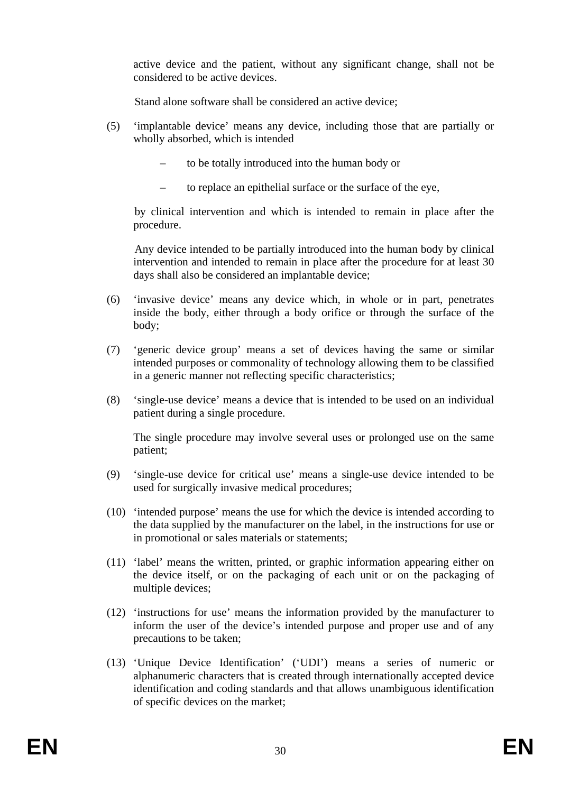active device and the patient, without any significant change, shall not be considered to be active devices.

Stand alone software shall be considered an active device;

- (5) 'implantable device' means any device, including those that are partially or wholly absorbed, which is intended
	- to be totally introduced into the human body or
	- to replace an epithelial surface or the surface of the eye,

 by clinical intervention and which is intended to remain in place after the procedure.

 Any device intended to be partially introduced into the human body by clinical intervention and intended to remain in place after the procedure for at least 30 days shall also be considered an implantable device;

- (6) 'invasive device' means any device which, in whole or in part, penetrates inside the body, either through a body orifice or through the surface of the body;
- (7) 'generic device group' means a set of devices having the same or similar intended purposes or commonality of technology allowing them to be classified in a generic manner not reflecting specific characteristics;
- (8) 'single-use device' means a device that is intended to be used on an individual patient during a single procedure.

The single procedure may involve several uses or prolonged use on the same patient;

- (9) 'single-use device for critical use' means a single-use device intended to be used for surgically invasive medical procedures;
- (10) 'intended purpose' means the use for which the device is intended according to the data supplied by the manufacturer on the label, in the instructions for use or in promotional or sales materials or statements;
- (11) 'label' means the written, printed, or graphic information appearing either on the device itself, or on the packaging of each unit or on the packaging of multiple devices;
- (12) 'instructions for use' means the information provided by the manufacturer to inform the user of the device's intended purpose and proper use and of any precautions to be taken;
- (13) 'Unique Device Identification' ('UDI') means a series of numeric or alphanumeric characters that is created through internationally accepted device identification and coding standards and that allows unambiguous identification of specific devices on the market;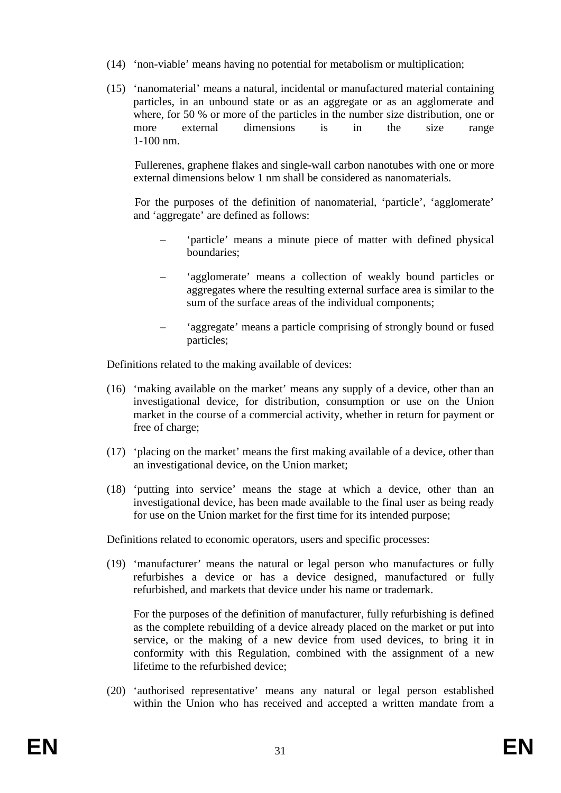- (14) 'non-viable' means having no potential for metabolism or multiplication;
- (15) 'nanomaterial' means a natural, incidental or manufactured material containing particles, in an unbound state or as an aggregate or as an agglomerate and where, for 50 % or more of the particles in the number size distribution, one or more external dimensions is in the size range 1-100 nm.

 Fullerenes, graphene flakes and single-wall carbon nanotubes with one or more external dimensions below 1 nm shall be considered as nanomaterials.

 For the purposes of the definition of nanomaterial, 'particle', 'agglomerate' and 'aggregate' are defined as follows:

- 'particle' means a minute piece of matter with defined physical boundaries;
- 'agglomerate' means a collection of weakly bound particles or aggregates where the resulting external surface area is similar to the sum of the surface areas of the individual components;
- 'aggregate' means a particle comprising of strongly bound or fused particles;

Definitions related to the making available of devices:

- (16) 'making available on the market' means any supply of a device, other than an investigational device, for distribution, consumption or use on the Union market in the course of a commercial activity, whether in return for payment or free of charge;
- (17) 'placing on the market' means the first making available of a device, other than an investigational device, on the Union market;
- (18) 'putting into service' means the stage at which a device, other than an investigational device, has been made available to the final user as being ready for use on the Union market for the first time for its intended purpose;

Definitions related to economic operators, users and specific processes:

(19) 'manufacturer' means the natural or legal person who manufactures or fully refurbishes a device or has a device designed, manufactured or fully refurbished, and markets that device under his name or trademark.

For the purposes of the definition of manufacturer, fully refurbishing is defined as the complete rebuilding of a device already placed on the market or put into service, or the making of a new device from used devices, to bring it in conformity with this Regulation, combined with the assignment of a new lifetime to the refurbished device;

(20) 'authorised representative' means any natural or legal person established within the Union who has received and accepted a written mandate from a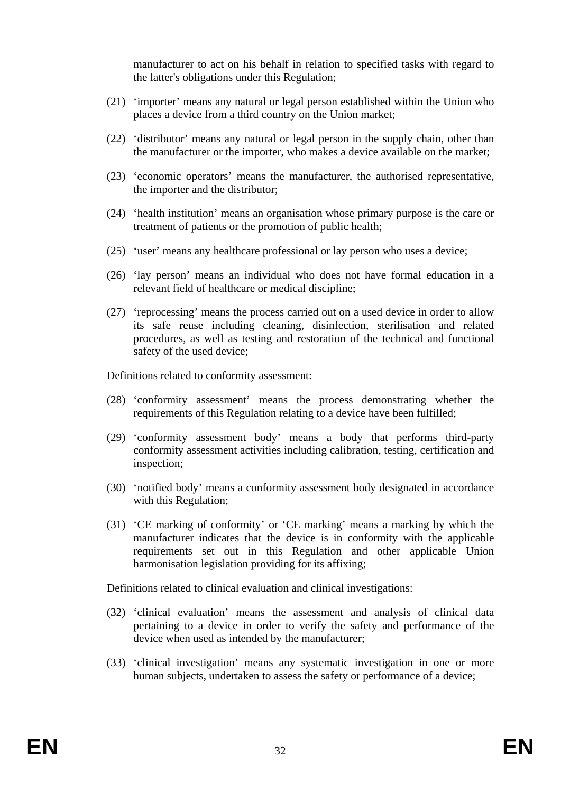manufacturer to act on his behalf in relation to specified tasks with regard to the latter's obligations under this Regulation;

- (21) 'importer' means any natural or legal person established within the Union who places a device from a third country on the Union market;
- (22) 'distributor' means any natural or legal person in the supply chain, other than the manufacturer or the importer, who makes a device available on the market;
- (23) 'economic operators' means the manufacturer, the authorised representative, the importer and the distributor;
- (24) 'health institution' means an organisation whose primary purpose is the care or treatment of patients or the promotion of public health;
- (25) 'user' means any healthcare professional or lay person who uses a device;
- (26) 'lay person' means an individual who does not have formal education in a relevant field of healthcare or medical discipline;
- (27) 'reprocessing' means the process carried out on a used device in order to allow its safe reuse including cleaning, disinfection, sterilisation and related procedures, as well as testing and restoration of the technical and functional safety of the used device;

Definitions related to conformity assessment:

- (28) 'conformity assessment' means the process demonstrating whether the requirements of this Regulation relating to a device have been fulfilled;
- (29) 'conformity assessment body' means a body that performs third-party conformity assessment activities including calibration, testing, certification and inspection;
- (30) 'notified body' means a conformity assessment body designated in accordance with this Regulation;
- (31) 'CE marking of conformity' or 'CE marking' means a marking by which the manufacturer indicates that the device is in conformity with the applicable requirements set out in this Regulation and other applicable Union harmonisation legislation providing for its affixing;

Definitions related to clinical evaluation and clinical investigations:

- (32) 'clinical evaluation' means the assessment and analysis of clinical data pertaining to a device in order to verify the safety and performance of the device when used as intended by the manufacturer;
- (33) 'clinical investigation' means any systematic investigation in one or more human subjects, undertaken to assess the safety or performance of a device;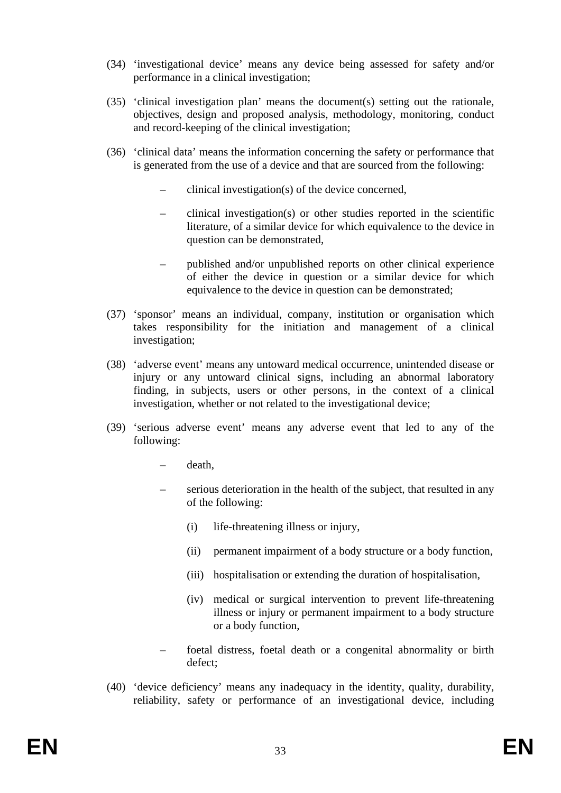- (34) 'investigational device' means any device being assessed for safety and/or performance in a clinical investigation;
- (35) 'clinical investigation plan' means the document(s) setting out the rationale, objectives, design and proposed analysis, methodology, monitoring, conduct and record-keeping of the clinical investigation;
- (36) 'clinical data' means the information concerning the safety or performance that is generated from the use of a device and that are sourced from the following:
	- clinical investigation(s) of the device concerned,
	- clinical investigation(s) or other studies reported in the scientific literature, of a similar device for which equivalence to the device in question can be demonstrated,
	- published and/or unpublished reports on other clinical experience of either the device in question or a similar device for which equivalence to the device in question can be demonstrated;
- (37) 'sponsor' means an individual, company, institution or organisation which takes responsibility for the initiation and management of a clinical investigation;
- (38) 'adverse event' means any untoward medical occurrence, unintended disease or injury or any untoward clinical signs, including an abnormal laboratory finding, in subjects, users or other persons, in the context of a clinical investigation, whether or not related to the investigational device;
- (39) 'serious adverse event' means any adverse event that led to any of the following:
	- death,
	- serious deterioration in the health of the subject, that resulted in any of the following:
		- (i) life-threatening illness or injury,
		- (ii) permanent impairment of a body structure or a body function,
		- (iii) hospitalisation or extending the duration of hospitalisation,
		- (iv) medical or surgical intervention to prevent life-threatening illness or injury or permanent impairment to a body structure or a body function,
	- foetal distress, foetal death or a congenital abnormality or birth defect;
- (40) 'device deficiency' means any inadequacy in the identity, quality, durability, reliability, safety or performance of an investigational device, including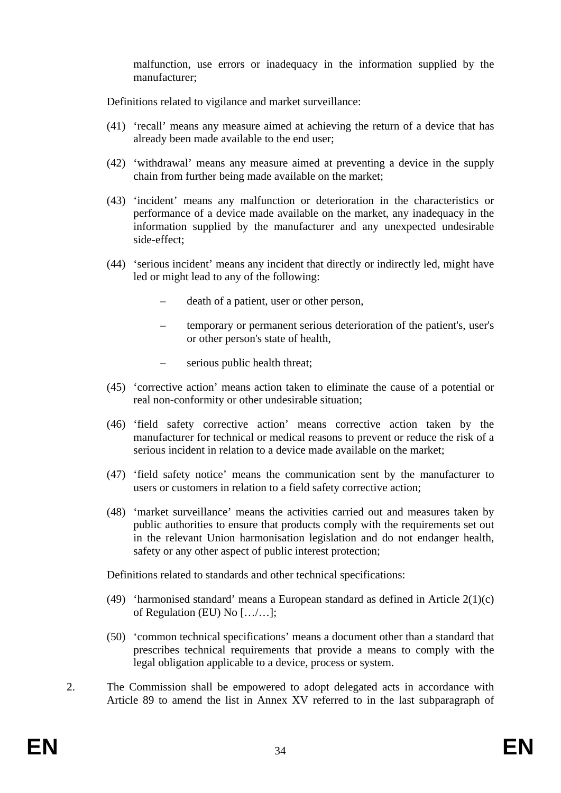malfunction, use errors or inadequacy in the information supplied by the manufacturer;

Definitions related to vigilance and market surveillance:

- (41) 'recall' means any measure aimed at achieving the return of a device that has already been made available to the end user;
- (42) 'withdrawal' means any measure aimed at preventing a device in the supply chain from further being made available on the market;
- (43) 'incident' means any malfunction or deterioration in the characteristics or performance of a device made available on the market, any inadequacy in the information supplied by the manufacturer and any unexpected undesirable side-effect;
- (44) 'serious incident' means any incident that directly or indirectly led, might have led or might lead to any of the following:
	- death of a patient, user or other person,
	- temporary or permanent serious deterioration of the patient's, user's or other person's state of health,
	- serious public health threat;
- (45) 'corrective action' means action taken to eliminate the cause of a potential or real non-conformity or other undesirable situation;
- (46) 'field safety corrective action' means corrective action taken by the manufacturer for technical or medical reasons to prevent or reduce the risk of a serious incident in relation to a device made available on the market;
- (47) 'field safety notice' means the communication sent by the manufacturer to users or customers in relation to a field safety corrective action;
- (48) 'market surveillance' means the activities carried out and measures taken by public authorities to ensure that products comply with the requirements set out in the relevant Union harmonisation legislation and do not endanger health, safety or any other aspect of public interest protection;

Definitions related to standards and other technical specifications:

- (49) 'harmonised standard' means a European standard as defined in Article 2(1)(c) of Regulation (EU) No […/…];
- (50) 'common technical specifications' means a document other than a standard that prescribes technical requirements that provide a means to comply with the legal obligation applicable to a device, process or system.
- 2. The Commission shall be empowered to adopt delegated acts in accordance with Article 89 to amend the list in Annex XV referred to in the last subparagraph of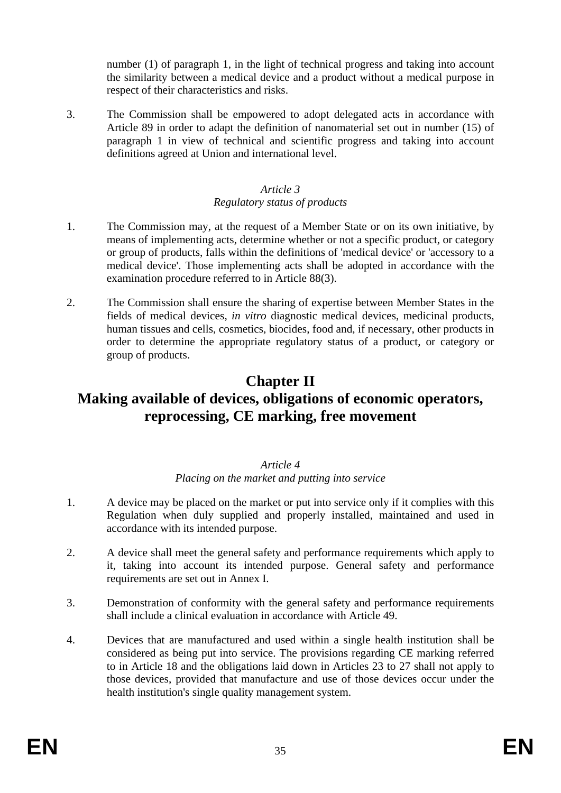number (1) of paragraph 1, in the light of technical progress and taking into account the similarity between a medical device and a product without a medical purpose in respect of their characteristics and risks.

3. The Commission shall be empowered to adopt delegated acts in accordance with Article 89 in order to adapt the definition of nanomaterial set out in number (15) of paragraph 1 in view of technical and scientific progress and taking into account definitions agreed at Union and international level.

#### *Article 3*

#### *Regulatory status of products*

- 1. The Commission may, at the request of a Member State or on its own initiative, by means of implementing acts, determine whether or not a specific product, or category or group of products, falls within the definitions of 'medical device' or 'accessory to a medical device'. Those implementing acts shall be adopted in accordance with the examination procedure referred to in Article 88(3).
- 2. The Commission shall ensure the sharing of expertise between Member States in the fields of medical devices, *in vitro* diagnostic medical devices, medicinal products, human tissues and cells, cosmetics, biocides, food and, if necessary, other products in order to determine the appropriate regulatory status of a product, or category or group of products.

# **Chapter II Making available of devices, obligations of economic operators, reprocessing, CE marking, free movement**

#### *Article 4 Placing on the market and putting into service*

- 1. A device may be placed on the market or put into service only if it complies with this Regulation when duly supplied and properly installed, maintained and used in accordance with its intended purpose.
- 2. A device shall meet the general safety and performance requirements which apply to it, taking into account its intended purpose. General safety and performance requirements are set out in Annex I.
- 3. Demonstration of conformity with the general safety and performance requirements shall include a clinical evaluation in accordance with Article 49.
- 4. Devices that are manufactured and used within a single health institution shall be considered as being put into service. The provisions regarding CE marking referred to in Article 18 and the obligations laid down in Articles 23 to 27 shall not apply to those devices, provided that manufacture and use of those devices occur under the health institution's single quality management system.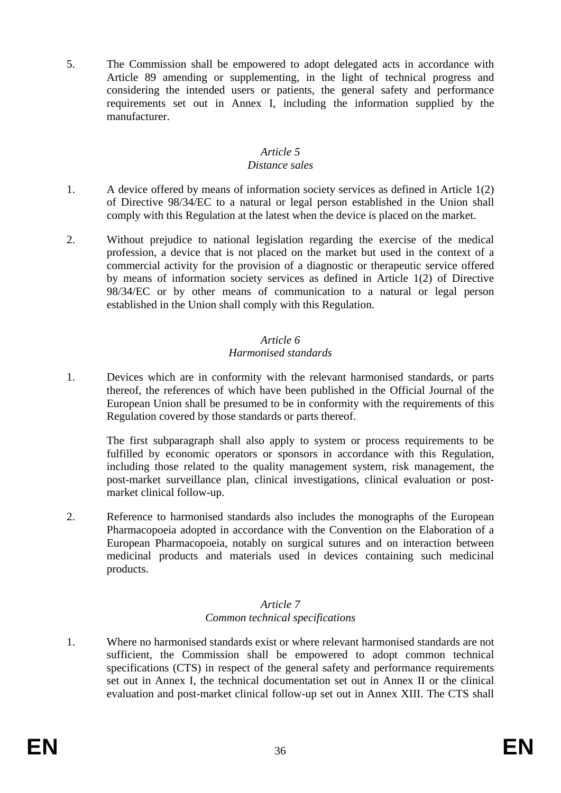5. The Commission shall be empowered to adopt delegated acts in accordance with Article 89 amending or supplementing, in the light of technical progress and considering the intended users or patients, the general safety and performance requirements set out in Annex I, including the information supplied by the manufacturer.

#### *Article 5*

#### *Distance sales*

- 1. A device offered by means of information society services as defined in Article 1(2) of Directive 98/34/EC to a natural or legal person established in the Union shall comply with this Regulation at the latest when the device is placed on the market.
- 2. Without prejudice to national legislation regarding the exercise of the medical profession, a device that is not placed on the market but used in the context of a commercial activity for the provision of a diagnostic or therapeutic service offered by means of information society services as defined in Article 1(2) of Directive 98/34/EC or by other means of communication to a natural or legal person established in the Union shall comply with this Regulation.

### *Article 6*

### *Harmonised standards*

1. Devices which are in conformity with the relevant harmonised standards, or parts thereof, the references of which have been published in the Official Journal of the European Union shall be presumed to be in conformity with the requirements of this Regulation covered by those standards or parts thereof.

The first subparagraph shall also apply to system or process requirements to be fulfilled by economic operators or sponsors in accordance with this Regulation, including those related to the quality management system, risk management, the post-market surveillance plan, clinical investigations, clinical evaluation or postmarket clinical follow-up.

2. Reference to harmonised standards also includes the monographs of the European Pharmacopoeia adopted in accordance with the Convention on the Elaboration of a European Pharmacopoeia, notably on surgical sutures and on interaction between medicinal products and materials used in devices containing such medicinal products.

#### *Article 7 Common technical specifications*

1. Where no harmonised standards exist or where relevant harmonised standards are not sufficient, the Commission shall be empowered to adopt common technical specifications (CTS) in respect of the general safety and performance requirements set out in Annex I, the technical documentation set out in Annex II or the clinical evaluation and post-market clinical follow-up set out in Annex XIII. The CTS shall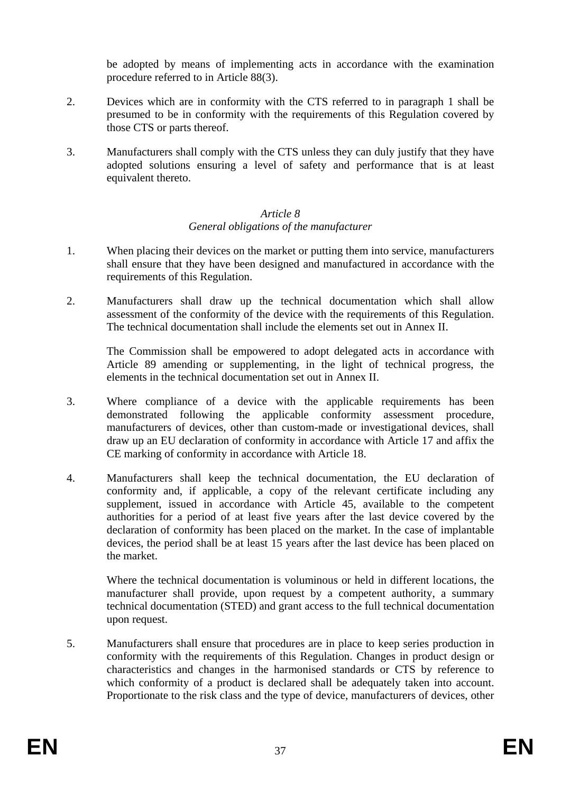be adopted by means of implementing acts in accordance with the examination procedure referred to in Article 88(3).

- 2. Devices which are in conformity with the CTS referred to in paragraph 1 shall be presumed to be in conformity with the requirements of this Regulation covered by those CTS or parts thereof.
- 3. Manufacturers shall comply with the CTS unless they can duly justify that they have adopted solutions ensuring a level of safety and performance that is at least equivalent thereto.

## *Article 8 General obligations of the manufacturer*

- 1. When placing their devices on the market or putting them into service, manufacturers shall ensure that they have been designed and manufactured in accordance with the requirements of this Regulation.
- 2. Manufacturers shall draw up the technical documentation which shall allow assessment of the conformity of the device with the requirements of this Regulation. The technical documentation shall include the elements set out in Annex II.

The Commission shall be empowered to adopt delegated acts in accordance with Article 89 amending or supplementing, in the light of technical progress, the elements in the technical documentation set out in Annex II.

- 3. Where compliance of a device with the applicable requirements has been demonstrated following the applicable conformity assessment procedure, manufacturers of devices, other than custom-made or investigational devices, shall draw up an EU declaration of conformity in accordance with Article 17 and affix the CE marking of conformity in accordance with Article 18.
- 4. Manufacturers shall keep the technical documentation, the EU declaration of conformity and, if applicable, a copy of the relevant certificate including any supplement, issued in accordance with Article 45, available to the competent authorities for a period of at least five years after the last device covered by the declaration of conformity has been placed on the market. In the case of implantable devices, the period shall be at least 15 years after the last device has been placed on the market.

Where the technical documentation is voluminous or held in different locations, the manufacturer shall provide, upon request by a competent authority, a summary technical documentation (STED) and grant access to the full technical documentation upon request.

5. Manufacturers shall ensure that procedures are in place to keep series production in conformity with the requirements of this Regulation. Changes in product design or characteristics and changes in the harmonised standards or CTS by reference to which conformity of a product is declared shall be adequately taken into account. Proportionate to the risk class and the type of device, manufacturers of devices, other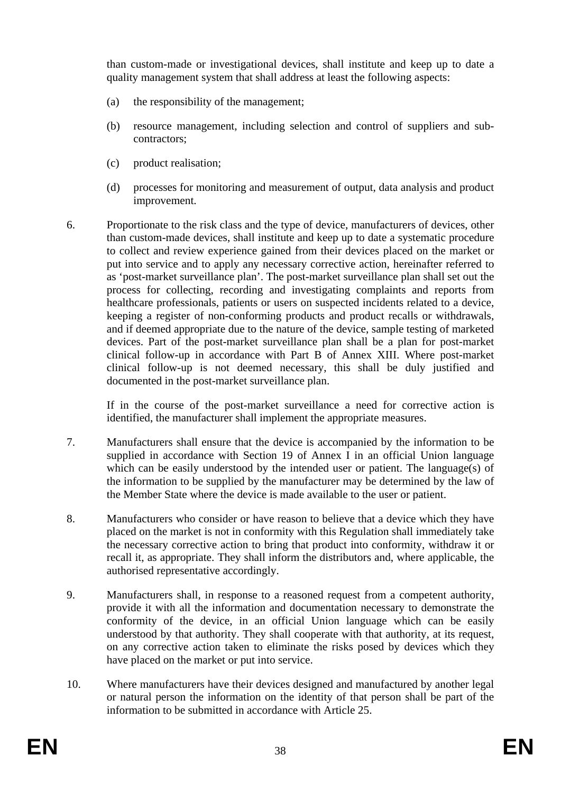than custom-made or investigational devices, shall institute and keep up to date a quality management system that shall address at least the following aspects:

- (a) the responsibility of the management;
- (b) resource management, including selection and control of suppliers and subcontractors;
- (c) product realisation;
- (d) processes for monitoring and measurement of output, data analysis and product improvement.
- 6. Proportionate to the risk class and the type of device, manufacturers of devices, other than custom-made devices, shall institute and keep up to date a systematic procedure to collect and review experience gained from their devices placed on the market or put into service and to apply any necessary corrective action, hereinafter referred to as 'post-market surveillance plan'. The post-market surveillance plan shall set out the process for collecting, recording and investigating complaints and reports from healthcare professionals, patients or users on suspected incidents related to a device, keeping a register of non-conforming products and product recalls or withdrawals, and if deemed appropriate due to the nature of the device, sample testing of marketed devices. Part of the post-market surveillance plan shall be a plan for post-market clinical follow-up in accordance with Part B of Annex XIII. Where post-market clinical follow-up is not deemed necessary, this shall be duly justified and documented in the post-market surveillance plan.

If in the course of the post-market surveillance a need for corrective action is identified, the manufacturer shall implement the appropriate measures.

- 7. Manufacturers shall ensure that the device is accompanied by the information to be supplied in accordance with Section 19 of Annex I in an official Union language which can be easily understood by the intended user or patient. The language(s) of the information to be supplied by the manufacturer may be determined by the law of the Member State where the device is made available to the user or patient.
- 8. Manufacturers who consider or have reason to believe that a device which they have placed on the market is not in conformity with this Regulation shall immediately take the necessary corrective action to bring that product into conformity, withdraw it or recall it, as appropriate. They shall inform the distributors and, where applicable, the authorised representative accordingly.
- 9. Manufacturers shall, in response to a reasoned request from a competent authority, provide it with all the information and documentation necessary to demonstrate the conformity of the device, in an official Union language which can be easily understood by that authority. They shall cooperate with that authority, at its request, on any corrective action taken to eliminate the risks posed by devices which they have placed on the market or put into service.
- 10. Where manufacturers have their devices designed and manufactured by another legal or natural person the information on the identity of that person shall be part of the information to be submitted in accordance with Article 25.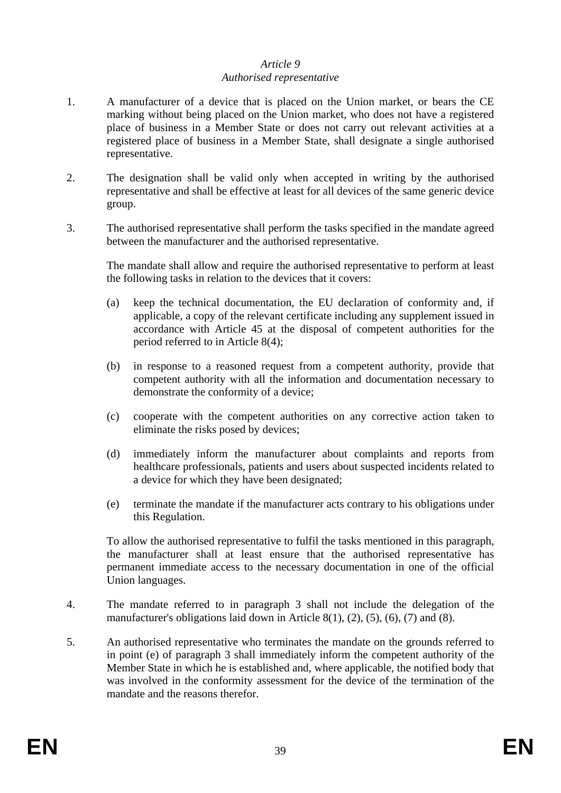## *Article 9 Authorised representative*

- 1. A manufacturer of a device that is placed on the Union market, or bears the CE marking without being placed on the Union market, who does not have a registered place of business in a Member State or does not carry out relevant activities at a registered place of business in a Member State, shall designate a single authorised representative.
- 2. The designation shall be valid only when accepted in writing by the authorised representative and shall be effective at least for all devices of the same generic device group.
- 3. The authorised representative shall perform the tasks specified in the mandate agreed between the manufacturer and the authorised representative.

The mandate shall allow and require the authorised representative to perform at least the following tasks in relation to the devices that it covers:

- (a) keep the technical documentation, the EU declaration of conformity and, if applicable, a copy of the relevant certificate including any supplement issued in accordance with Article 45 at the disposal of competent authorities for the period referred to in Article 8(4);
- (b) in response to a reasoned request from a competent authority, provide that competent authority with all the information and documentation necessary to demonstrate the conformity of a device;
- (c) cooperate with the competent authorities on any corrective action taken to eliminate the risks posed by devices;
- (d) immediately inform the manufacturer about complaints and reports from healthcare professionals, patients and users about suspected incidents related to a device for which they have been designated;
- (e) terminate the mandate if the manufacturer acts contrary to his obligations under this Regulation.

To allow the authorised representative to fulfil the tasks mentioned in this paragraph, the manufacturer shall at least ensure that the authorised representative has permanent immediate access to the necessary documentation in one of the official Union languages.

- 4. The mandate referred to in paragraph 3 shall not include the delegation of the manufacturer's obligations laid down in Article 8(1), (2), (5), (6), (7) and (8).
- 5. An authorised representative who terminates the mandate on the grounds referred to in point (e) of paragraph 3 shall immediately inform the competent authority of the Member State in which he is established and, where applicable, the notified body that was involved in the conformity assessment for the device of the termination of the mandate and the reasons therefor.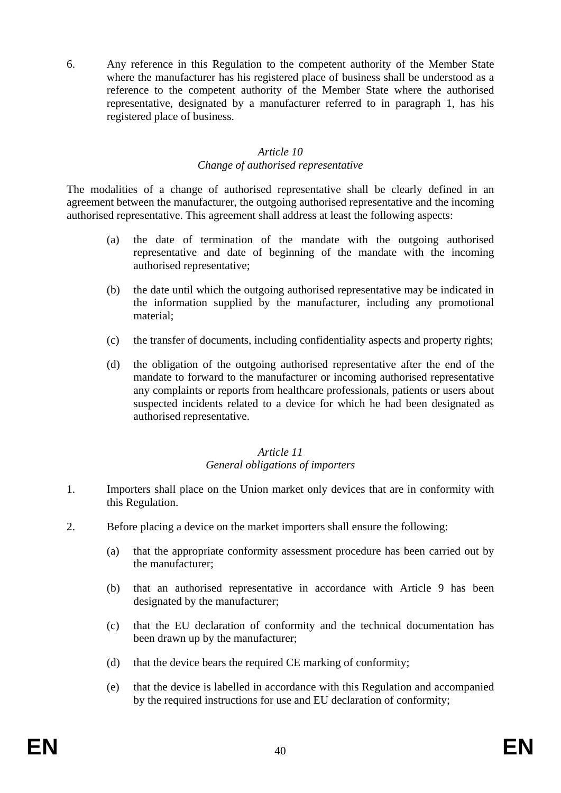6. Any reference in this Regulation to the competent authority of the Member State where the manufacturer has his registered place of business shall be understood as a reference to the competent authority of the Member State where the authorised representative, designated by a manufacturer referred to in paragraph 1, has his registered place of business.

#### *Article 10 Change of authorised representative*

The modalities of a change of authorised representative shall be clearly defined in an agreement between the manufacturer, the outgoing authorised representative and the incoming authorised representative. This agreement shall address at least the following aspects:

- (a) the date of termination of the mandate with the outgoing authorised representative and date of beginning of the mandate with the incoming authorised representative;
- (b) the date until which the outgoing authorised representative may be indicated in the information supplied by the manufacturer, including any promotional material;
- (c) the transfer of documents, including confidentiality aspects and property rights;
- (d) the obligation of the outgoing authorised representative after the end of the mandate to forward to the manufacturer or incoming authorised representative any complaints or reports from healthcare professionals, patients or users about suspected incidents related to a device for which he had been designated as authorised representative.

#### *Article 11 General obligations of importers*

- 1. Importers shall place on the Union market only devices that are in conformity with this Regulation.
- 2. Before placing a device on the market importers shall ensure the following:
	- (a) that the appropriate conformity assessment procedure has been carried out by the manufacturer;
	- (b) that an authorised representative in accordance with Article 9 has been designated by the manufacturer;
	- (c) that the EU declaration of conformity and the technical documentation has been drawn up by the manufacturer;
	- (d) that the device bears the required CE marking of conformity;
	- (e) that the device is labelled in accordance with this Regulation and accompanied by the required instructions for use and EU declaration of conformity;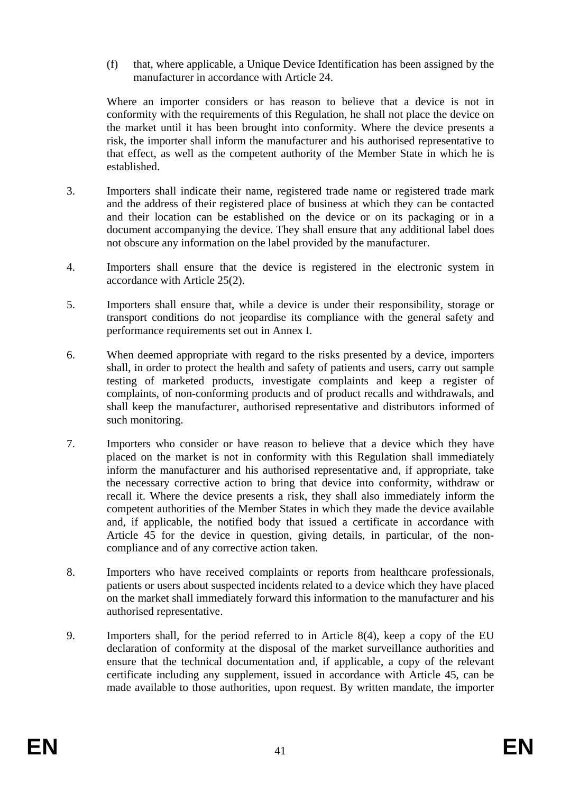(f) that, where applicable, a Unique Device Identification has been assigned by the manufacturer in accordance with Article 24.

Where an importer considers or has reason to believe that a device is not in conformity with the requirements of this Regulation, he shall not place the device on the market until it has been brought into conformity. Where the device presents a risk, the importer shall inform the manufacturer and his authorised representative to that effect, as well as the competent authority of the Member State in which he is established.

- 3. Importers shall indicate their name, registered trade name or registered trade mark and the address of their registered place of business at which they can be contacted and their location can be established on the device or on its packaging or in a document accompanying the device. They shall ensure that any additional label does not obscure any information on the label provided by the manufacturer.
- 4. Importers shall ensure that the device is registered in the electronic system in accordance with Article 25(2).
- 5. Importers shall ensure that, while a device is under their responsibility, storage or transport conditions do not jeopardise its compliance with the general safety and performance requirements set out in Annex I.
- 6. When deemed appropriate with regard to the risks presented by a device, importers shall, in order to protect the health and safety of patients and users, carry out sample testing of marketed products, investigate complaints and keep a register of complaints, of non-conforming products and of product recalls and withdrawals, and shall keep the manufacturer, authorised representative and distributors informed of such monitoring.
- 7. Importers who consider or have reason to believe that a device which they have placed on the market is not in conformity with this Regulation shall immediately inform the manufacturer and his authorised representative and, if appropriate, take the necessary corrective action to bring that device into conformity, withdraw or recall it. Where the device presents a risk, they shall also immediately inform the competent authorities of the Member States in which they made the device available and, if applicable, the notified body that issued a certificate in accordance with Article 45 for the device in question, giving details, in particular, of the noncompliance and of any corrective action taken.
- 8. Importers who have received complaints or reports from healthcare professionals, patients or users about suspected incidents related to a device which they have placed on the market shall immediately forward this information to the manufacturer and his authorised representative.
- 9. Importers shall, for the period referred to in Article 8(4), keep a copy of the EU declaration of conformity at the disposal of the market surveillance authorities and ensure that the technical documentation and, if applicable, a copy of the relevant certificate including any supplement, issued in accordance with Article 45, can be made available to those authorities, upon request. By written mandate, the importer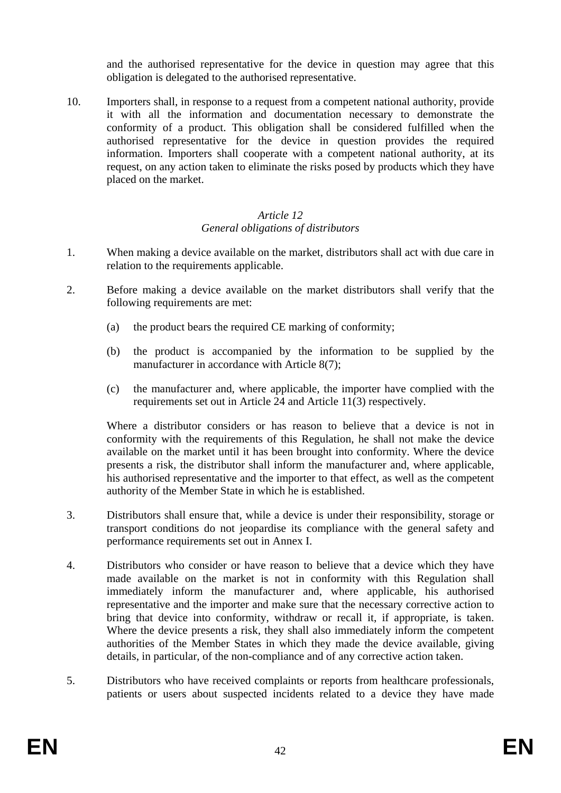and the authorised representative for the device in question may agree that this obligation is delegated to the authorised representative.

10. Importers shall, in response to a request from a competent national authority, provide it with all the information and documentation necessary to demonstrate the conformity of a product. This obligation shall be considered fulfilled when the authorised representative for the device in question provides the required information. Importers shall cooperate with a competent national authority, at its request, on any action taken to eliminate the risks posed by products which they have placed on the market.

## *Article 12 General obligations of distributors*

- 1. When making a device available on the market, distributors shall act with due care in relation to the requirements applicable.
- 2. Before making a device available on the market distributors shall verify that the following requirements are met:
	- (a) the product bears the required CE marking of conformity;
	- (b) the product is accompanied by the information to be supplied by the manufacturer in accordance with Article 8(7);
	- (c) the manufacturer and, where applicable, the importer have complied with the requirements set out in Article 24 and Article 11(3) respectively.

Where a distributor considers or has reason to believe that a device is not in conformity with the requirements of this Regulation, he shall not make the device available on the market until it has been brought into conformity. Where the device presents a risk, the distributor shall inform the manufacturer and, where applicable, his authorised representative and the importer to that effect, as well as the competent authority of the Member State in which he is established.

- 3. Distributors shall ensure that, while a device is under their responsibility, storage or transport conditions do not jeopardise its compliance with the general safety and performance requirements set out in Annex I.
- 4. Distributors who consider or have reason to believe that a device which they have made available on the market is not in conformity with this Regulation shall immediately inform the manufacturer and, where applicable, his authorised representative and the importer and make sure that the necessary corrective action to bring that device into conformity, withdraw or recall it, if appropriate, is taken. Where the device presents a risk, they shall also immediately inform the competent authorities of the Member States in which they made the device available, giving details, in particular, of the non-compliance and of any corrective action taken.
- 5. Distributors who have received complaints or reports from healthcare professionals, patients or users about suspected incidents related to a device they have made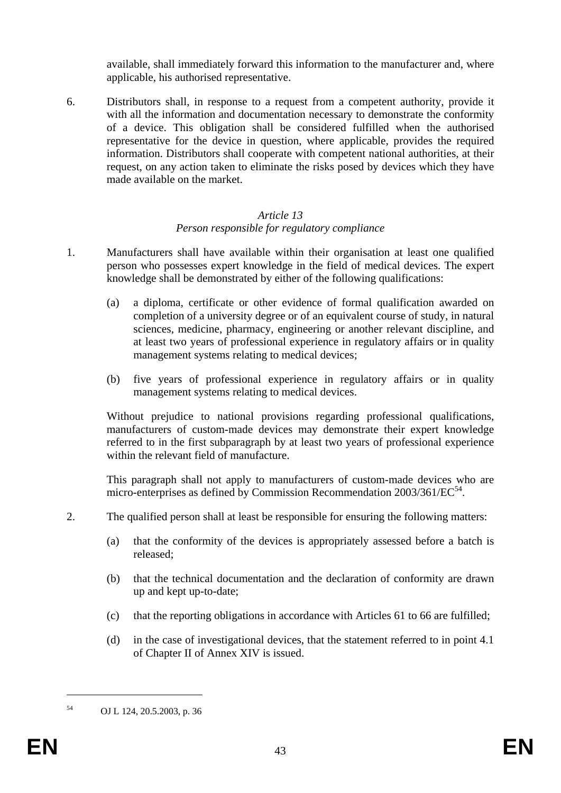available, shall immediately forward this information to the manufacturer and, where applicable, his authorised representative.

6. Distributors shall, in response to a request from a competent authority, provide it with all the information and documentation necessary to demonstrate the conformity of a device. This obligation shall be considered fulfilled when the authorised representative for the device in question, where applicable, provides the required information. Distributors shall cooperate with competent national authorities, at their request, on any action taken to eliminate the risks posed by devices which they have made available on the market.

## *Article 13 Person responsible for regulatory compliance*

- 1. Manufacturers shall have available within their organisation at least one qualified person who possesses expert knowledge in the field of medical devices. The expert knowledge shall be demonstrated by either of the following qualifications:
	- (a) a diploma, certificate or other evidence of formal qualification awarded on completion of a university degree or of an equivalent course of study, in natural sciences, medicine, pharmacy, engineering or another relevant discipline, and at least two years of professional experience in regulatory affairs or in quality management systems relating to medical devices;
	- (b) five years of professional experience in regulatory affairs or in quality management systems relating to medical devices.

Without prejudice to national provisions regarding professional qualifications, manufacturers of custom-made devices may demonstrate their expert knowledge referred to in the first subparagraph by at least two years of professional experience within the relevant field of manufacture.

This paragraph shall not apply to manufacturers of custom-made devices who are micro-enterprises as defined by Commission Recommendation  $2003/361/EC^{54}$ .

- 2. The qualified person shall at least be responsible for ensuring the following matters:
	- (a) that the conformity of the devices is appropriately assessed before a batch is released;
	- (b) that the technical documentation and the declaration of conformity are drawn up and kept up-to-date;
	- (c) that the reporting obligations in accordance with Articles 61 to 66 are fulfilled;
	- (d) in the case of investigational devices, that the statement referred to in point 4.1 of Chapter II of Annex XIV is issued.

1

<sup>54</sup> OJ L 124, 20.5.2003, p. 36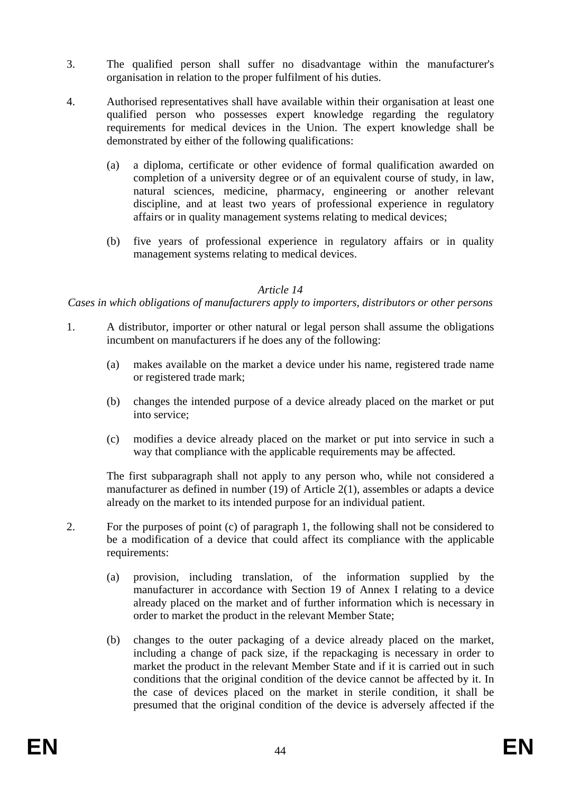- 3. The qualified person shall suffer no disadvantage within the manufacturer's organisation in relation to the proper fulfilment of his duties.
- 4. Authorised representatives shall have available within their organisation at least one qualified person who possesses expert knowledge regarding the regulatory requirements for medical devices in the Union. The expert knowledge shall be demonstrated by either of the following qualifications:
	- (a) a diploma, certificate or other evidence of formal qualification awarded on completion of a university degree or of an equivalent course of study, in law, natural sciences, medicine, pharmacy, engineering or another relevant discipline, and at least two years of professional experience in regulatory affairs or in quality management systems relating to medical devices;
	- (b) five years of professional experience in regulatory affairs or in quality management systems relating to medical devices.

### *Article 14*

## *Cases in which obligations of manufacturers apply to importers, distributors or other persons*

- 1. A distributor, importer or other natural or legal person shall assume the obligations incumbent on manufacturers if he does any of the following:
	- (a) makes available on the market a device under his name, registered trade name or registered trade mark;
	- (b) changes the intended purpose of a device already placed on the market or put into service;
	- (c) modifies a device already placed on the market or put into service in such a way that compliance with the applicable requirements may be affected.

The first subparagraph shall not apply to any person who, while not considered a manufacturer as defined in number (19) of Article 2(1), assembles or adapts a device already on the market to its intended purpose for an individual patient.

- 2. For the purposes of point (c) of paragraph 1, the following shall not be considered to be a modification of a device that could affect its compliance with the applicable requirements:
	- (a) provision, including translation, of the information supplied by the manufacturer in accordance with Section 19 of Annex I relating to a device already placed on the market and of further information which is necessary in order to market the product in the relevant Member State;
	- (b) changes to the outer packaging of a device already placed on the market, including a change of pack size, if the repackaging is necessary in order to market the product in the relevant Member State and if it is carried out in such conditions that the original condition of the device cannot be affected by it. In the case of devices placed on the market in sterile condition, it shall be presumed that the original condition of the device is adversely affected if the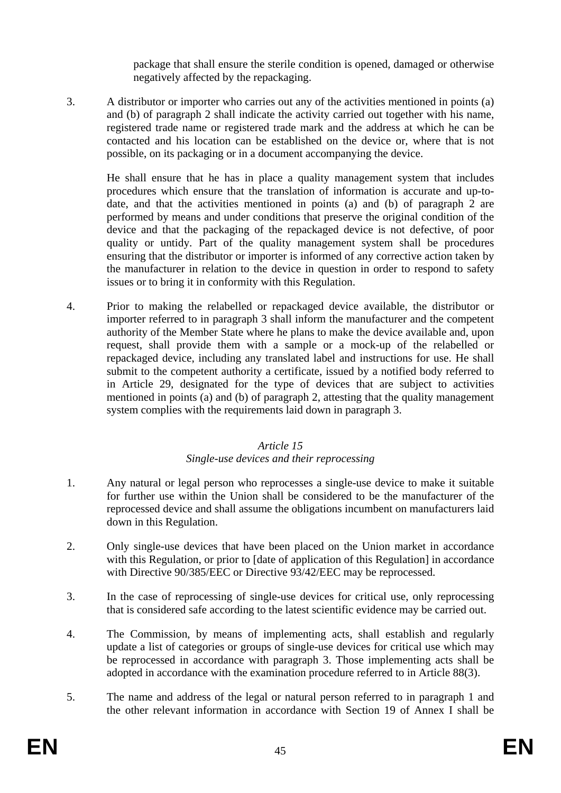package that shall ensure the sterile condition is opened, damaged or otherwise negatively affected by the repackaging.

3. A distributor or importer who carries out any of the activities mentioned in points (a) and (b) of paragraph 2 shall indicate the activity carried out together with his name, registered trade name or registered trade mark and the address at which he can be contacted and his location can be established on the device or, where that is not possible, on its packaging or in a document accompanying the device.

He shall ensure that he has in place a quality management system that includes procedures which ensure that the translation of information is accurate and up-todate, and that the activities mentioned in points (a) and (b) of paragraph 2 are performed by means and under conditions that preserve the original condition of the device and that the packaging of the repackaged device is not defective, of poor quality or untidy. Part of the quality management system shall be procedures ensuring that the distributor or importer is informed of any corrective action taken by the manufacturer in relation to the device in question in order to respond to safety issues or to bring it in conformity with this Regulation.

4. Prior to making the relabelled or repackaged device available, the distributor or importer referred to in paragraph 3 shall inform the manufacturer and the competent authority of the Member State where he plans to make the device available and, upon request, shall provide them with a sample or a mock-up of the relabelled or repackaged device, including any translated label and instructions for use. He shall submit to the competent authority a certificate, issued by a notified body referred to in Article 29, designated for the type of devices that are subject to activities mentioned in points (a) and (b) of paragraph 2, attesting that the quality management system complies with the requirements laid down in paragraph 3.

## *Article 15 Single-use devices and their reprocessing*

- 1. Any natural or legal person who reprocesses a single-use device to make it suitable for further use within the Union shall be considered to be the manufacturer of the reprocessed device and shall assume the obligations incumbent on manufacturers laid down in this Regulation.
- 2. Only single-use devices that have been placed on the Union market in accordance with this Regulation, or prior to [date of application of this Regulation] in accordance with Directive 90/385/EEC or Directive 93/42/EEC may be reprocessed.
- 3. In the case of reprocessing of single-use devices for critical use, only reprocessing that is considered safe according to the latest scientific evidence may be carried out.
- 4. The Commission, by means of implementing acts, shall establish and regularly update a list of categories or groups of single-use devices for critical use which may be reprocessed in accordance with paragraph 3. Those implementing acts shall be adopted in accordance with the examination procedure referred to in Article 88(3).
- 5. The name and address of the legal or natural person referred to in paragraph 1 and the other relevant information in accordance with Section 19 of Annex I shall be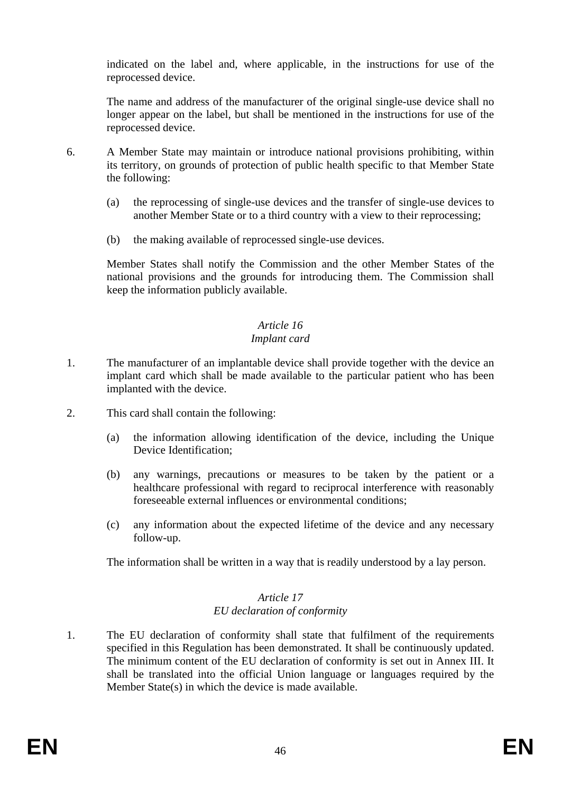indicated on the label and, where applicable, in the instructions for use of the reprocessed device.

The name and address of the manufacturer of the original single-use device shall no longer appear on the label, but shall be mentioned in the instructions for use of the reprocessed device.

- 6. A Member State may maintain or introduce national provisions prohibiting, within its territory, on grounds of protection of public health specific to that Member State the following:
	- (a) the reprocessing of single-use devices and the transfer of single-use devices to another Member State or to a third country with a view to their reprocessing;
	- (b) the making available of reprocessed single-use devices.

Member States shall notify the Commission and the other Member States of the national provisions and the grounds for introducing them. The Commission shall keep the information publicly available.

# *Article 16*

## *Implant card*

- 1. The manufacturer of an implantable device shall provide together with the device an implant card which shall be made available to the particular patient who has been implanted with the device.
- 2. This card shall contain the following:
	- (a) the information allowing identification of the device, including the Unique Device Identification;
	- (b) any warnings, precautions or measures to be taken by the patient or a healthcare professional with regard to reciprocal interference with reasonably foreseeable external influences or environmental conditions;
	- (c) any information about the expected lifetime of the device and any necessary follow-up.

The information shall be written in a way that is readily understood by a lay person.

#### *Article 17 EU declaration of conformity*

1. The EU declaration of conformity shall state that fulfilment of the requirements specified in this Regulation has been demonstrated. It shall be continuously updated. The minimum content of the EU declaration of conformity is set out in Annex III. It shall be translated into the official Union language or languages required by the Member State(s) in which the device is made available.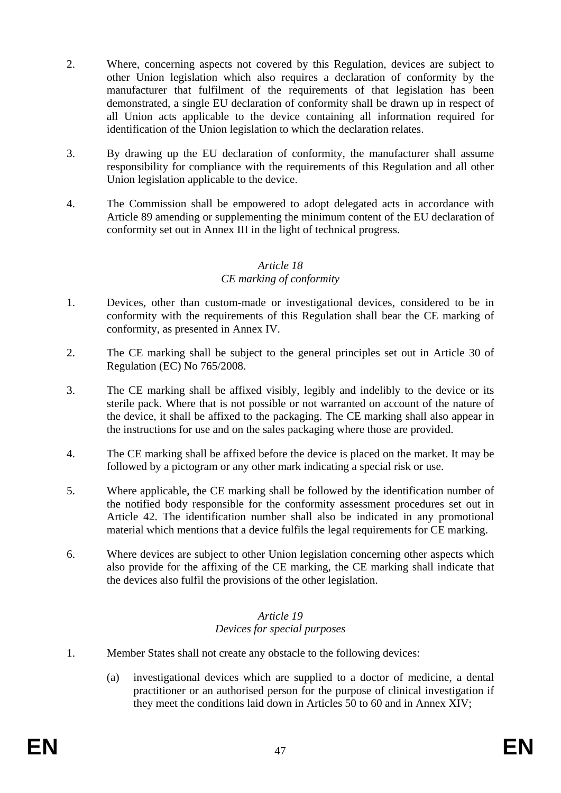- 2. Where, concerning aspects not covered by this Regulation, devices are subject to other Union legislation which also requires a declaration of conformity by the manufacturer that fulfilment of the requirements of that legislation has been demonstrated, a single EU declaration of conformity shall be drawn up in respect of all Union acts applicable to the device containing all information required for identification of the Union legislation to which the declaration relates.
- 3. By drawing up the EU declaration of conformity, the manufacturer shall assume responsibility for compliance with the requirements of this Regulation and all other Union legislation applicable to the device.
- 4. The Commission shall be empowered to adopt delegated acts in accordance with Article 89 amending or supplementing the minimum content of the EU declaration of conformity set out in Annex III in the light of technical progress.

## *Article 18 CE marking of conformity*

- 1. Devices, other than custom-made or investigational devices, considered to be in conformity with the requirements of this Regulation shall bear the CE marking of conformity, as presented in Annex IV.
- 2. The CE marking shall be subject to the general principles set out in Article 30 of Regulation (EC) No 765/2008.
- 3. The CE marking shall be affixed visibly, legibly and indelibly to the device or its sterile pack. Where that is not possible or not warranted on account of the nature of the device, it shall be affixed to the packaging. The CE marking shall also appear in the instructions for use and on the sales packaging where those are provided.
- 4. The CE marking shall be affixed before the device is placed on the market. It may be followed by a pictogram or any other mark indicating a special risk or use.
- 5. Where applicable, the CE marking shall be followed by the identification number of the notified body responsible for the conformity assessment procedures set out in Article 42. The identification number shall also be indicated in any promotional material which mentions that a device fulfils the legal requirements for CE marking.
- 6. Where devices are subject to other Union legislation concerning other aspects which also provide for the affixing of the CE marking, the CE marking shall indicate that the devices also fulfil the provisions of the other legislation.

## *Article 19 Devices for special purposes*

- 1. Member States shall not create any obstacle to the following devices:
	- (a) investigational devices which are supplied to a doctor of medicine, a dental practitioner or an authorised person for the purpose of clinical investigation if they meet the conditions laid down in Articles 50 to 60 and in Annex XIV;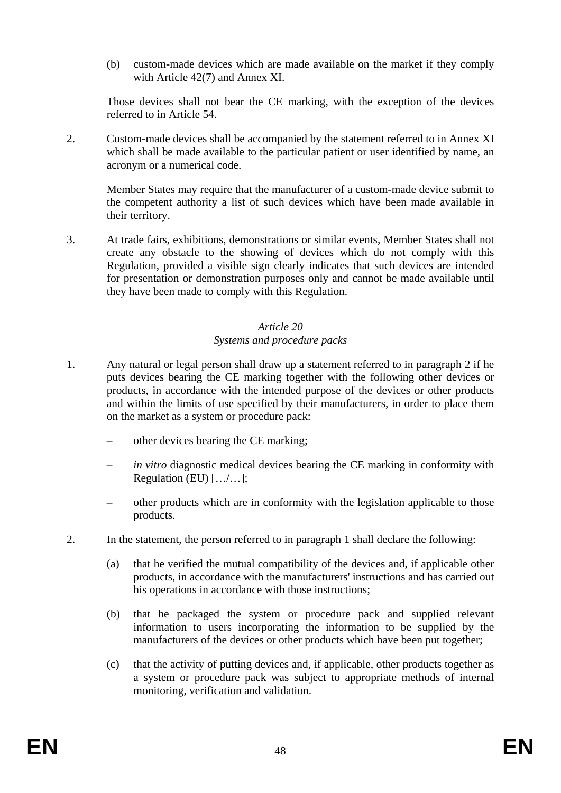(b) custom-made devices which are made available on the market if they comply with Article 42(7) and Annex XI.

Those devices shall not bear the CE marking, with the exception of the devices referred to in Article 54.

2. Custom-made devices shall be accompanied by the statement referred to in Annex XI which shall be made available to the particular patient or user identified by name, an acronym or a numerical code.

Member States may require that the manufacturer of a custom-made device submit to the competent authority a list of such devices which have been made available in their territory.

3. At trade fairs, exhibitions, demonstrations or similar events, Member States shall not create any obstacle to the showing of devices which do not comply with this Regulation, provided a visible sign clearly indicates that such devices are intended for presentation or demonstration purposes only and cannot be made available until they have been made to comply with this Regulation.

## *Article 20 Systems and procedure packs*

- 1. Any natural or legal person shall draw up a statement referred to in paragraph 2 if he puts devices bearing the CE marking together with the following other devices or products, in accordance with the intended purpose of the devices or other products and within the limits of use specified by their manufacturers, in order to place them on the market as a system or procedure pack:
	- other devices bearing the CE marking;
	- *in vitro* diagnostic medical devices bearing the CE marking in conformity with Regulation (EU) […/…];
	- other products which are in conformity with the legislation applicable to those products.
- 2. In the statement, the person referred to in paragraph 1 shall declare the following:
	- (a) that he verified the mutual compatibility of the devices and, if applicable other products, in accordance with the manufacturers' instructions and has carried out his operations in accordance with those instructions;
	- (b) that he packaged the system or procedure pack and supplied relevant information to users incorporating the information to be supplied by the manufacturers of the devices or other products which have been put together;
	- (c) that the activity of putting devices and, if applicable, other products together as a system or procedure pack was subject to appropriate methods of internal monitoring, verification and validation.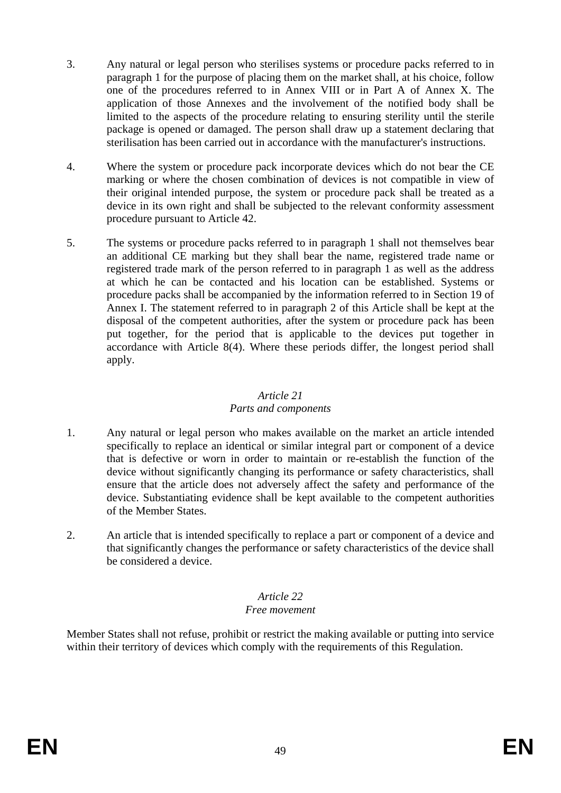- 3. Any natural or legal person who sterilises systems or procedure packs referred to in paragraph 1 for the purpose of placing them on the market shall, at his choice, follow one of the procedures referred to in Annex VIII or in Part A of Annex X. The application of those Annexes and the involvement of the notified body shall be limited to the aspects of the procedure relating to ensuring sterility until the sterile package is opened or damaged. The person shall draw up a statement declaring that sterilisation has been carried out in accordance with the manufacturer's instructions.
- 4. Where the system or procedure pack incorporate devices which do not bear the CE marking or where the chosen combination of devices is not compatible in view of their original intended purpose, the system or procedure pack shall be treated as a device in its own right and shall be subjected to the relevant conformity assessment procedure pursuant to Article 42.
- 5. The systems or procedure packs referred to in paragraph 1 shall not themselves bear an additional CE marking but they shall bear the name, registered trade name or registered trade mark of the person referred to in paragraph 1 as well as the address at which he can be contacted and his location can be established. Systems or procedure packs shall be accompanied by the information referred to in Section 19 of Annex I. The statement referred to in paragraph 2 of this Article shall be kept at the disposal of the competent authorities, after the system or procedure pack has been put together, for the period that is applicable to the devices put together in accordance with Article 8(4). Where these periods differ, the longest period shall apply.

## *Article 21 Parts and components*

- 1. Any natural or legal person who makes available on the market an article intended specifically to replace an identical or similar integral part or component of a device that is defective or worn in order to maintain or re-establish the function of the device without significantly changing its performance or safety characteristics, shall ensure that the article does not adversely affect the safety and performance of the device. Substantiating evidence shall be kept available to the competent authorities of the Member States.
- 2. An article that is intended specifically to replace a part or component of a device and that significantly changes the performance or safety characteristics of the device shall be considered a device.

## *Article 22*

## *Free movement*

Member States shall not refuse, prohibit or restrict the making available or putting into service within their territory of devices which comply with the requirements of this Regulation.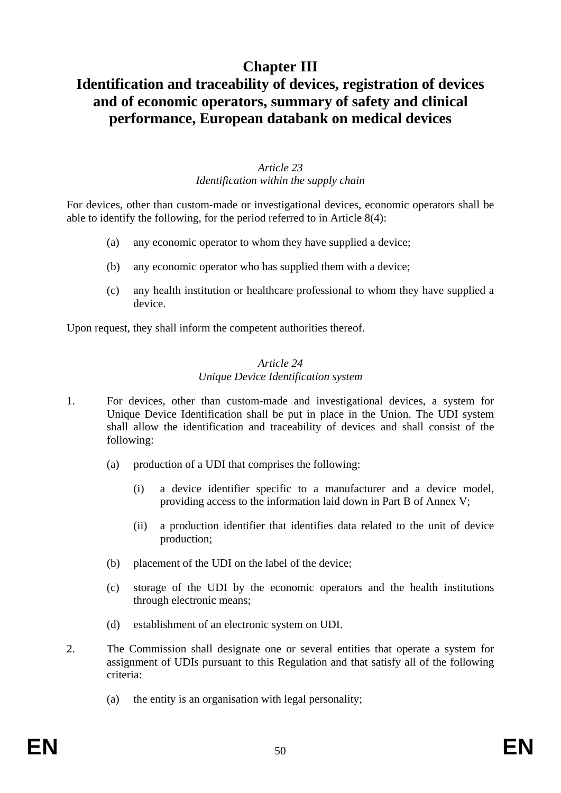## **Chapter III**

## **Identification and traceability of devices, registration of devices and of economic operators, summary of safety and clinical performance, European databank on medical devices**

## *Article 23 Identification within the supply chain*

For devices, other than custom-made or investigational devices, economic operators shall be able to identify the following, for the period referred to in Article 8(4):

- (a) any economic operator to whom they have supplied a device;
- (b) any economic operator who has supplied them with a device;
- (c) any health institution or healthcare professional to whom they have supplied a device.

Upon request, they shall inform the competent authorities thereof.

## *Article 24 Unique Device Identification system*

- 1. For devices, other than custom-made and investigational devices, a system for Unique Device Identification shall be put in place in the Union. The UDI system shall allow the identification and traceability of devices and shall consist of the following:
	- (a) production of a UDI that comprises the following:
		- (i) a device identifier specific to a manufacturer and a device model, providing access to the information laid down in Part B of Annex V;
		- (ii) a production identifier that identifies data related to the unit of device production;
	- (b) placement of the UDI on the label of the device;
	- (c) storage of the UDI by the economic operators and the health institutions through electronic means;
	- (d) establishment of an electronic system on UDI.
- 2. The Commission shall designate one or several entities that operate a system for assignment of UDIs pursuant to this Regulation and that satisfy all of the following criteria:
	- (a) the entity is an organisation with legal personality;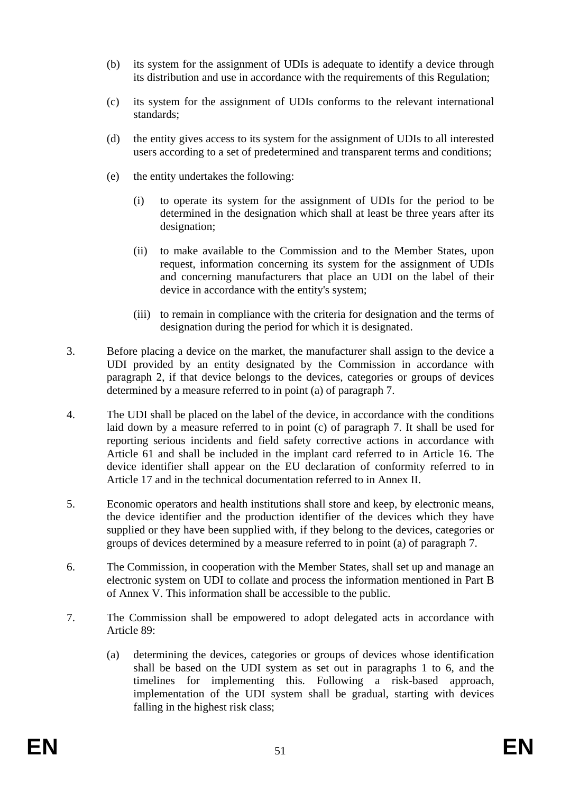- (b) its system for the assignment of UDIs is adequate to identify a device through its distribution and use in accordance with the requirements of this Regulation;
- (c) its system for the assignment of UDIs conforms to the relevant international standards;
- (d) the entity gives access to its system for the assignment of UDIs to all interested users according to a set of predetermined and transparent terms and conditions;
- (e) the entity undertakes the following:
	- (i) to operate its system for the assignment of UDIs for the period to be determined in the designation which shall at least be three years after its designation;
	- (ii) to make available to the Commission and to the Member States, upon request, information concerning its system for the assignment of UDIs and concerning manufacturers that place an UDI on the label of their device in accordance with the entity's system;
	- (iii) to remain in compliance with the criteria for designation and the terms of designation during the period for which it is designated.
- 3. Before placing a device on the market, the manufacturer shall assign to the device a UDI provided by an entity designated by the Commission in accordance with paragraph 2, if that device belongs to the devices, categories or groups of devices determined by a measure referred to in point (a) of paragraph 7.
- 4. The UDI shall be placed on the label of the device, in accordance with the conditions laid down by a measure referred to in point (c) of paragraph 7. It shall be used for reporting serious incidents and field safety corrective actions in accordance with Article 61 and shall be included in the implant card referred to in Article 16. The device identifier shall appear on the EU declaration of conformity referred to in Article 17 and in the technical documentation referred to in Annex II.
- 5. Economic operators and health institutions shall store and keep, by electronic means, the device identifier and the production identifier of the devices which they have supplied or they have been supplied with, if they belong to the devices, categories or groups of devices determined by a measure referred to in point (a) of paragraph 7.
- 6. The Commission, in cooperation with the Member States, shall set up and manage an electronic system on UDI to collate and process the information mentioned in Part B of Annex V. This information shall be accessible to the public.
- 7. The Commission shall be empowered to adopt delegated acts in accordance with Article 89:
	- (a) determining the devices, categories or groups of devices whose identification shall be based on the UDI system as set out in paragraphs 1 to 6, and the timelines for implementing this. Following a risk-based approach, implementation of the UDI system shall be gradual, starting with devices falling in the highest risk class;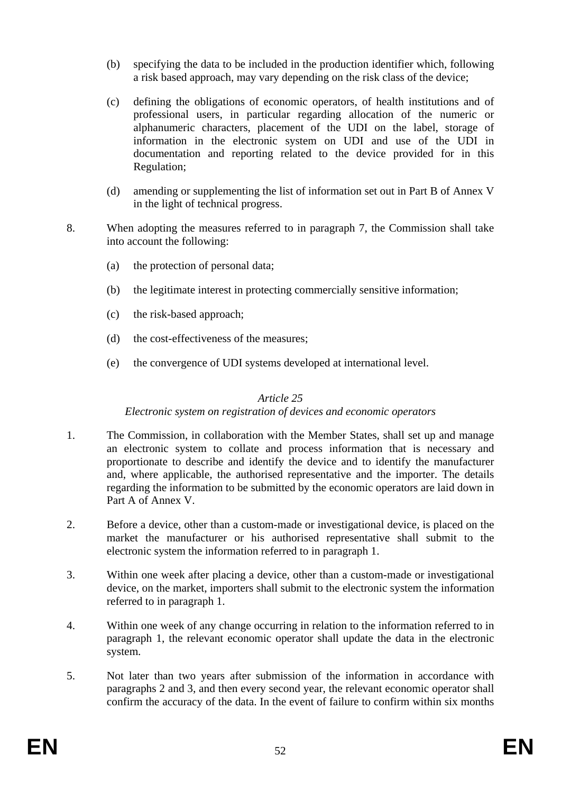- (b) specifying the data to be included in the production identifier which, following a risk based approach, may vary depending on the risk class of the device;
- (c) defining the obligations of economic operators, of health institutions and of professional users, in particular regarding allocation of the numeric or alphanumeric characters, placement of the UDI on the label, storage of information in the electronic system on UDI and use of the UDI in documentation and reporting related to the device provided for in this Regulation;
- (d) amending or supplementing the list of information set out in Part B of Annex V in the light of technical progress.
- 8. When adopting the measures referred to in paragraph 7, the Commission shall take into account the following:
	- (a) the protection of personal data;
	- (b) the legitimate interest in protecting commercially sensitive information;
	- (c) the risk-based approach;
	- (d) the cost-effectiveness of the measures;
	- (e) the convergence of UDI systems developed at international level.

### *Article 25*

### *Electronic system on registration of devices and economic operators*

- 1. The Commission, in collaboration with the Member States, shall set up and manage an electronic system to collate and process information that is necessary and proportionate to describe and identify the device and to identify the manufacturer and, where applicable, the authorised representative and the importer. The details regarding the information to be submitted by the economic operators are laid down in Part A of Annex V.
- 2. Before a device, other than a custom-made or investigational device, is placed on the market the manufacturer or his authorised representative shall submit to the electronic system the information referred to in paragraph 1.
- 3. Within one week after placing a device, other than a custom-made or investigational device, on the market, importers shall submit to the electronic system the information referred to in paragraph 1.
- 4. Within one week of any change occurring in relation to the information referred to in paragraph 1, the relevant economic operator shall update the data in the electronic system.
- 5. Not later than two years after submission of the information in accordance with paragraphs 2 and 3, and then every second year, the relevant economic operator shall confirm the accuracy of the data. In the event of failure to confirm within six months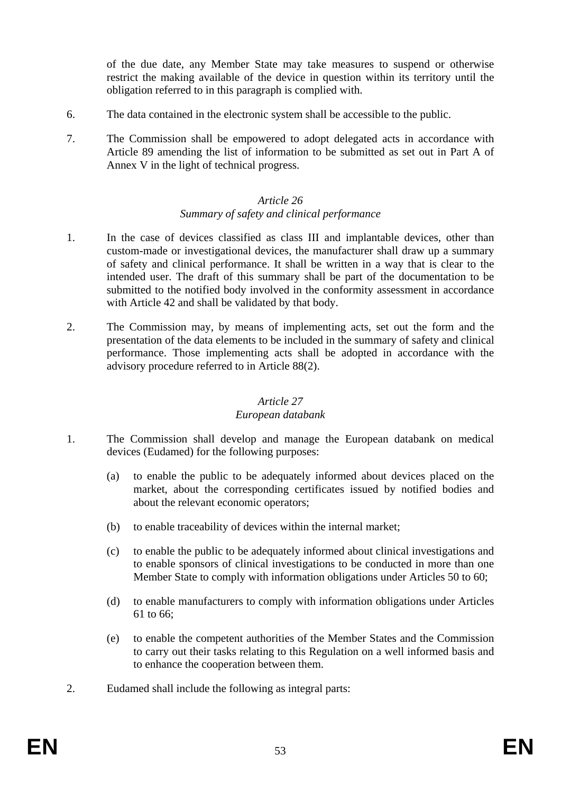of the due date, any Member State may take measures to suspend or otherwise restrict the making available of the device in question within its territory until the obligation referred to in this paragraph is complied with.

- 6. The data contained in the electronic system shall be accessible to the public.
- 7. The Commission shall be empowered to adopt delegated acts in accordance with Article 89 amending the list of information to be submitted as set out in Part A of Annex V in the light of technical progress.

### *Article 26 Summary of safety and clinical performance*

- 1. In the case of devices classified as class III and implantable devices, other than custom-made or investigational devices, the manufacturer shall draw up a summary of safety and clinical performance. It shall be written in a way that is clear to the intended user. The draft of this summary shall be part of the documentation to be submitted to the notified body involved in the conformity assessment in accordance with Article 42 and shall be validated by that body.
- 2. The Commission may, by means of implementing acts, set out the form and the presentation of the data elements to be included in the summary of safety and clinical performance. Those implementing acts shall be adopted in accordance with the advisory procedure referred to in Article 88(2).

## *Article 27*

### *European databank*

- 1. The Commission shall develop and manage the European databank on medical devices (Eudamed) for the following purposes:
	- (a) to enable the public to be adequately informed about devices placed on the market, about the corresponding certificates issued by notified bodies and about the relevant economic operators;
	- (b) to enable traceability of devices within the internal market;
	- (c) to enable the public to be adequately informed about clinical investigations and to enable sponsors of clinical investigations to be conducted in more than one Member State to comply with information obligations under Articles 50 to 60;
	- (d) to enable manufacturers to comply with information obligations under Articles 61 to 66;
	- (e) to enable the competent authorities of the Member States and the Commission to carry out their tasks relating to this Regulation on a well informed basis and to enhance the cooperation between them.
- 2. Eudamed shall include the following as integral parts: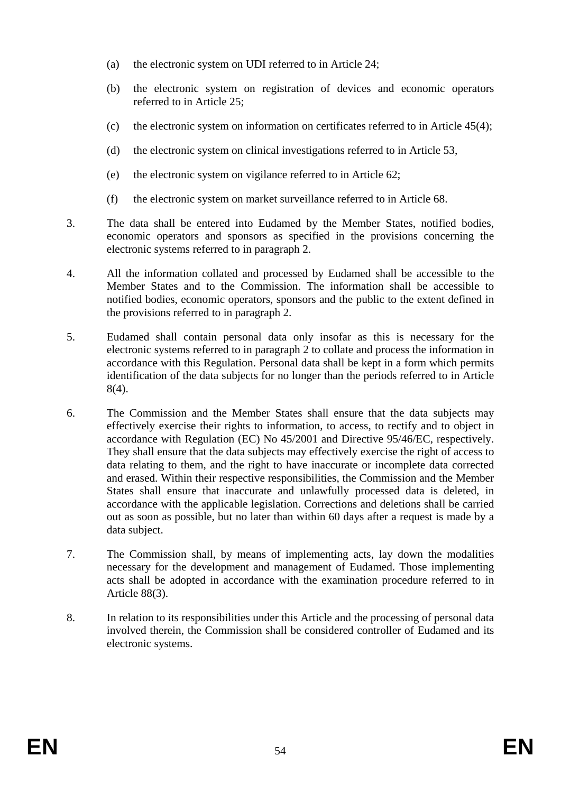- (a) the electronic system on UDI referred to in Article 24;
- (b) the electronic system on registration of devices and economic operators referred to in Article 25;
- (c) the electronic system on information on certificates referred to in Article 45(4);
- (d) the electronic system on clinical investigations referred to in Article 53,
- (e) the electronic system on vigilance referred to in Article 62;
- (f) the electronic system on market surveillance referred to in Article 68.
- 3. The data shall be entered into Eudamed by the Member States, notified bodies, economic operators and sponsors as specified in the provisions concerning the electronic systems referred to in paragraph 2.
- 4. All the information collated and processed by Eudamed shall be accessible to the Member States and to the Commission. The information shall be accessible to notified bodies, economic operators, sponsors and the public to the extent defined in the provisions referred to in paragraph 2.
- 5. Eudamed shall contain personal data only insofar as this is necessary for the electronic systems referred to in paragraph 2 to collate and process the information in accordance with this Regulation. Personal data shall be kept in a form which permits identification of the data subjects for no longer than the periods referred to in Article 8(4).
- 6. The Commission and the Member States shall ensure that the data subjects may effectively exercise their rights to information, to access, to rectify and to object in accordance with Regulation (EC) No 45/2001 and Directive 95/46/EC, respectively. They shall ensure that the data subjects may effectively exercise the right of access to data relating to them, and the right to have inaccurate or incomplete data corrected and erased. Within their respective responsibilities, the Commission and the Member States shall ensure that inaccurate and unlawfully processed data is deleted, in accordance with the applicable legislation. Corrections and deletions shall be carried out as soon as possible, but no later than within 60 days after a request is made by a data subject.
- 7. The Commission shall, by means of implementing acts, lay down the modalities necessary for the development and management of Eudamed. Those implementing acts shall be adopted in accordance with the examination procedure referred to in Article 88(3).
- 8. In relation to its responsibilities under this Article and the processing of personal data involved therein, the Commission shall be considered controller of Eudamed and its electronic systems.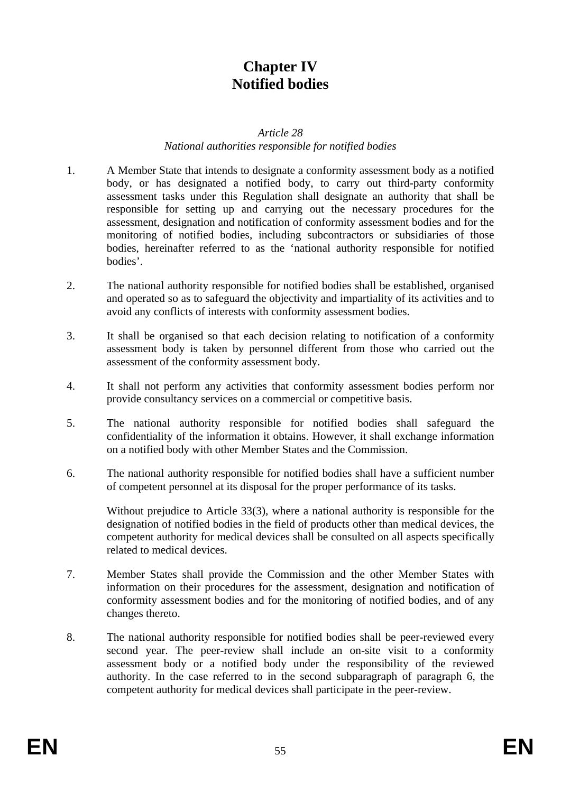## **Chapter IV Notified bodies**

#### *Article 28*

## *National authorities responsible for notified bodies*

- 1. A Member State that intends to designate a conformity assessment body as a notified body, or has designated a notified body, to carry out third-party conformity assessment tasks under this Regulation shall designate an authority that shall be responsible for setting up and carrying out the necessary procedures for the assessment, designation and notification of conformity assessment bodies and for the monitoring of notified bodies, including subcontractors or subsidiaries of those bodies, hereinafter referred to as the 'national authority responsible for notified bodies'.
- 2. The national authority responsible for notified bodies shall be established, organised and operated so as to safeguard the objectivity and impartiality of its activities and to avoid any conflicts of interests with conformity assessment bodies.
- 3. It shall be organised so that each decision relating to notification of a conformity assessment body is taken by personnel different from those who carried out the assessment of the conformity assessment body.
- 4. It shall not perform any activities that conformity assessment bodies perform nor provide consultancy services on a commercial or competitive basis.
- 5. The national authority responsible for notified bodies shall safeguard the confidentiality of the information it obtains. However, it shall exchange information on a notified body with other Member States and the Commission.
- 6. The national authority responsible for notified bodies shall have a sufficient number of competent personnel at its disposal for the proper performance of its tasks.

Without prejudice to Article 33(3), where a national authority is responsible for the designation of notified bodies in the field of products other than medical devices, the competent authority for medical devices shall be consulted on all aspects specifically related to medical devices.

- 7. Member States shall provide the Commission and the other Member States with information on their procedures for the assessment, designation and notification of conformity assessment bodies and for the monitoring of notified bodies, and of any changes thereto.
- 8. The national authority responsible for notified bodies shall be peer-reviewed every second year. The peer-review shall include an on-site visit to a conformity assessment body or a notified body under the responsibility of the reviewed authority. In the case referred to in the second subparagraph of paragraph 6, the competent authority for medical devices shall participate in the peer-review.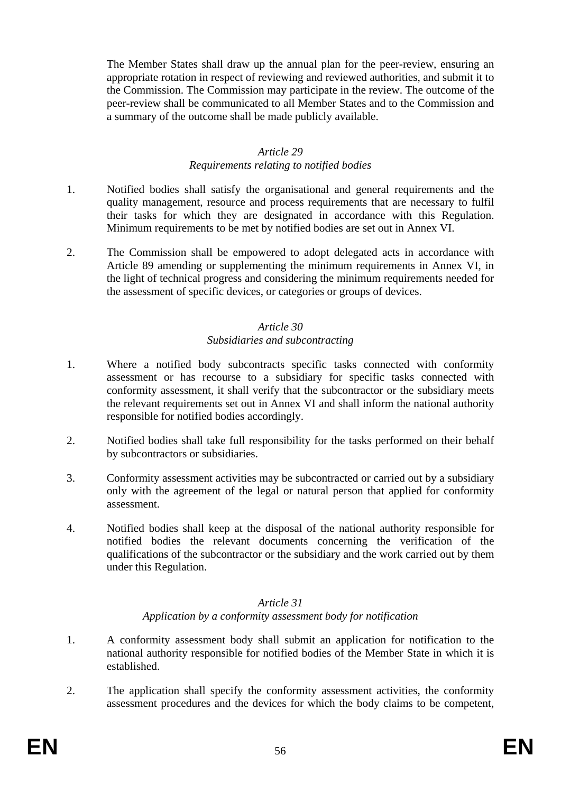The Member States shall draw up the annual plan for the peer-review, ensuring an appropriate rotation in respect of reviewing and reviewed authorities, and submit it to the Commission. The Commission may participate in the review. The outcome of the peer-review shall be communicated to all Member States and to the Commission and a summary of the outcome shall be made publicly available.

## *Article 29*

### *Requirements relating to notified bodies*

- 1. Notified bodies shall satisfy the organisational and general requirements and the quality management, resource and process requirements that are necessary to fulfil their tasks for which they are designated in accordance with this Regulation. Minimum requirements to be met by notified bodies are set out in Annex VI.
- 2. The Commission shall be empowered to adopt delegated acts in accordance with Article 89 amending or supplementing the minimum requirements in Annex VI, in the light of technical progress and considering the minimum requirements needed for the assessment of specific devices, or categories or groups of devices.

## *Article 30 Subsidiaries and subcontracting*

- 1. Where a notified body subcontracts specific tasks connected with conformity assessment or has recourse to a subsidiary for specific tasks connected with conformity assessment, it shall verify that the subcontractor or the subsidiary meets the relevant requirements set out in Annex VI and shall inform the national authority responsible for notified bodies accordingly.
- 2. Notified bodies shall take full responsibility for the tasks performed on their behalf by subcontractors or subsidiaries.
- 3. Conformity assessment activities may be subcontracted or carried out by a subsidiary only with the agreement of the legal or natural person that applied for conformity assessment.
- 4. Notified bodies shall keep at the disposal of the national authority responsible for notified bodies the relevant documents concerning the verification of the qualifications of the subcontractor or the subsidiary and the work carried out by them under this Regulation.

### *Article 31 Application by a conformity assessment body for notification*

- 1. A conformity assessment body shall submit an application for notification to the national authority responsible for notified bodies of the Member State in which it is established.
- 2. The application shall specify the conformity assessment activities, the conformity assessment procedures and the devices for which the body claims to be competent,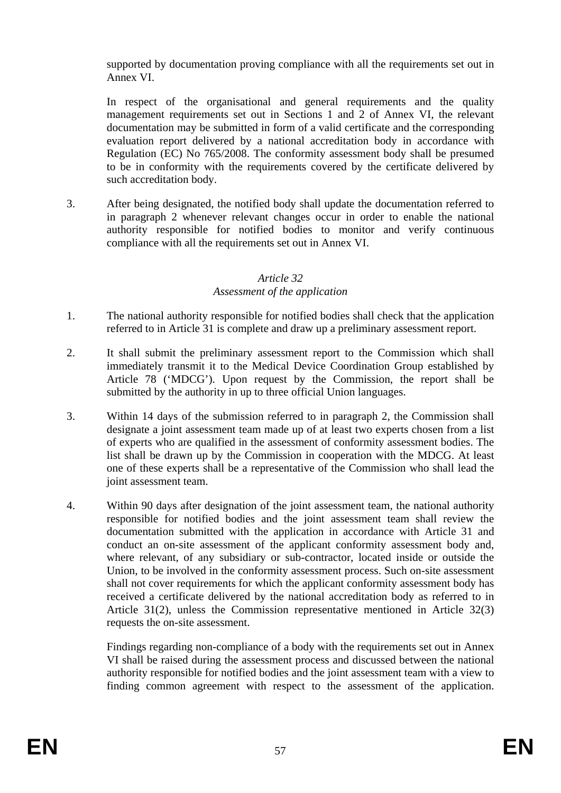supported by documentation proving compliance with all the requirements set out in Annex VI.

In respect of the organisational and general requirements and the quality management requirements set out in Sections 1 and 2 of Annex VI, the relevant documentation may be submitted in form of a valid certificate and the corresponding evaluation report delivered by a national accreditation body in accordance with Regulation (EC) No 765/2008. The conformity assessment body shall be presumed to be in conformity with the requirements covered by the certificate delivered by such accreditation body.

3. After being designated, the notified body shall update the documentation referred to in paragraph 2 whenever relevant changes occur in order to enable the national authority responsible for notified bodies to monitor and verify continuous compliance with all the requirements set out in Annex VI.

## *Article 32 Assessment of the application*

- 1. The national authority responsible for notified bodies shall check that the application referred to in Article 31 is complete and draw up a preliminary assessment report.
- 2. It shall submit the preliminary assessment report to the Commission which shall immediately transmit it to the Medical Device Coordination Group established by Article 78 ('MDCG'). Upon request by the Commission, the report shall be submitted by the authority in up to three official Union languages.
- 3. Within 14 days of the submission referred to in paragraph 2, the Commission shall designate a joint assessment team made up of at least two experts chosen from a list of experts who are qualified in the assessment of conformity assessment bodies. The list shall be drawn up by the Commission in cooperation with the MDCG. At least one of these experts shall be a representative of the Commission who shall lead the joint assessment team.
- 4. Within 90 days after designation of the joint assessment team, the national authority responsible for notified bodies and the joint assessment team shall review the documentation submitted with the application in accordance with Article 31 and conduct an on-site assessment of the applicant conformity assessment body and, where relevant, of any subsidiary or sub-contractor, located inside or outside the Union, to be involved in the conformity assessment process. Such on-site assessment shall not cover requirements for which the applicant conformity assessment body has received a certificate delivered by the national accreditation body as referred to in Article 31(2), unless the Commission representative mentioned in Article 32(3) requests the on-site assessment.

Findings regarding non-compliance of a body with the requirements set out in Annex VI shall be raised during the assessment process and discussed between the national authority responsible for notified bodies and the joint assessment team with a view to finding common agreement with respect to the assessment of the application.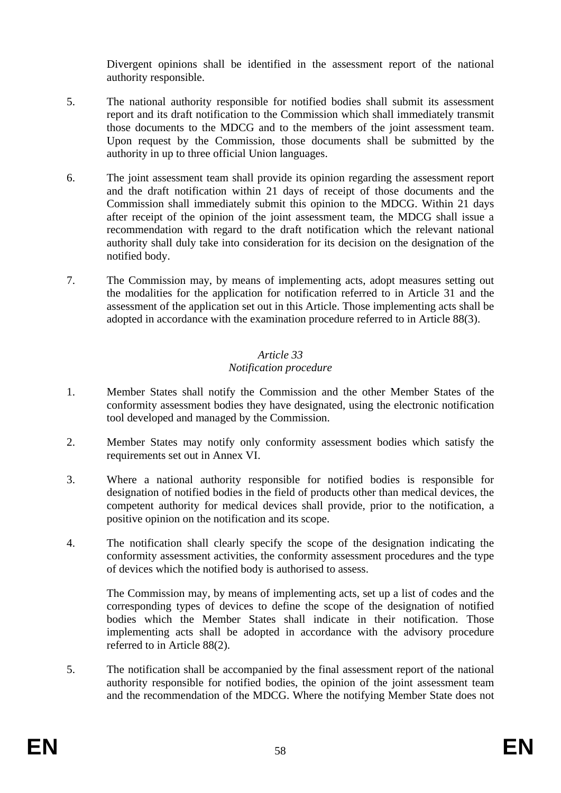Divergent opinions shall be identified in the assessment report of the national authority responsible.

- 5. The national authority responsible for notified bodies shall submit its assessment report and its draft notification to the Commission which shall immediately transmit those documents to the MDCG and to the members of the joint assessment team. Upon request by the Commission, those documents shall be submitted by the authority in up to three official Union languages.
- 6. The joint assessment team shall provide its opinion regarding the assessment report and the draft notification within 21 days of receipt of those documents and the Commission shall immediately submit this opinion to the MDCG. Within 21 days after receipt of the opinion of the joint assessment team, the MDCG shall issue a recommendation with regard to the draft notification which the relevant national authority shall duly take into consideration for its decision on the designation of the notified body.
- 7. The Commission may, by means of implementing acts, adopt measures setting out the modalities for the application for notification referred to in Article 31 and the assessment of the application set out in this Article. Those implementing acts shall be adopted in accordance with the examination procedure referred to in Article 88(3).

## *Article 33 Notification procedure*

- 1. Member States shall notify the Commission and the other Member States of the conformity assessment bodies they have designated, using the electronic notification tool developed and managed by the Commission.
- 2. Member States may notify only conformity assessment bodies which satisfy the requirements set out in Annex VI.
- 3. Where a national authority responsible for notified bodies is responsible for designation of notified bodies in the field of products other than medical devices, the competent authority for medical devices shall provide, prior to the notification, a positive opinion on the notification and its scope.
- 4. The notification shall clearly specify the scope of the designation indicating the conformity assessment activities, the conformity assessment procedures and the type of devices which the notified body is authorised to assess.

The Commission may, by means of implementing acts, set up a list of codes and the corresponding types of devices to define the scope of the designation of notified bodies which the Member States shall indicate in their notification. Those implementing acts shall be adopted in accordance with the advisory procedure referred to in Article 88(2).

5. The notification shall be accompanied by the final assessment report of the national authority responsible for notified bodies, the opinion of the joint assessment team and the recommendation of the MDCG. Where the notifying Member State does not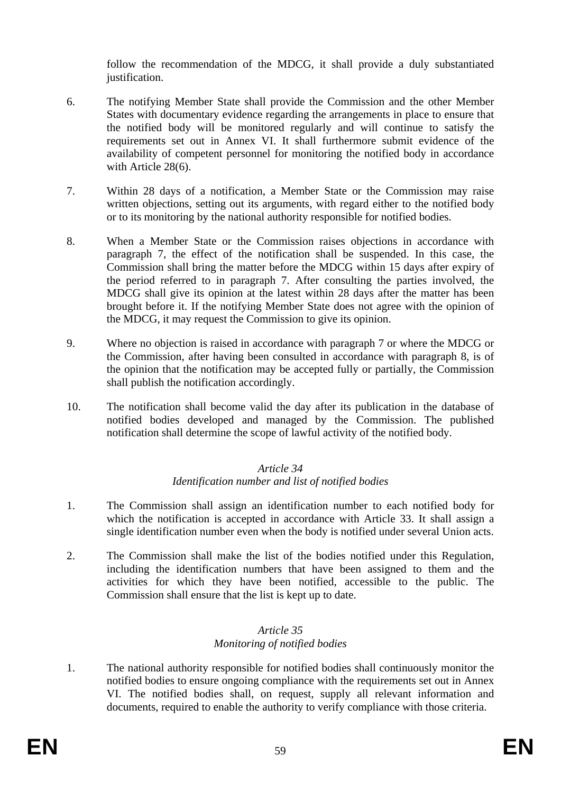follow the recommendation of the MDCG, it shall provide a duly substantiated justification.

- 6. The notifying Member State shall provide the Commission and the other Member States with documentary evidence regarding the arrangements in place to ensure that the notified body will be monitored regularly and will continue to satisfy the requirements set out in Annex VI. It shall furthermore submit evidence of the availability of competent personnel for monitoring the notified body in accordance with Article 28(6).
- 7. Within 28 days of a notification, a Member State or the Commission may raise written objections, setting out its arguments, with regard either to the notified body or to its monitoring by the national authority responsible for notified bodies.
- 8. When a Member State or the Commission raises objections in accordance with paragraph 7, the effect of the notification shall be suspended. In this case, the Commission shall bring the matter before the MDCG within 15 days after expiry of the period referred to in paragraph 7. After consulting the parties involved, the MDCG shall give its opinion at the latest within 28 days after the matter has been brought before it. If the notifying Member State does not agree with the opinion of the MDCG, it may request the Commission to give its opinion.
- 9. Where no objection is raised in accordance with paragraph 7 or where the MDCG or the Commission, after having been consulted in accordance with paragraph 8, is of the opinion that the notification may be accepted fully or partially, the Commission shall publish the notification accordingly.
- 10. The notification shall become valid the day after its publication in the database of notified bodies developed and managed by the Commission. The published notification shall determine the scope of lawful activity of the notified body.

### *Article 34 Identification number and list of notified bodies*

- 1. The Commission shall assign an identification number to each notified body for which the notification is accepted in accordance with Article 33. It shall assign a single identification number even when the body is notified under several Union acts.
- 2. The Commission shall make the list of the bodies notified under this Regulation, including the identification numbers that have been assigned to them and the activities for which they have been notified, accessible to the public. The Commission shall ensure that the list is kept up to date.

## *Article 35 Monitoring of notified bodies*

1. The national authority responsible for notified bodies shall continuously monitor the notified bodies to ensure ongoing compliance with the requirements set out in Annex VI. The notified bodies shall, on request, supply all relevant information and documents, required to enable the authority to verify compliance with those criteria.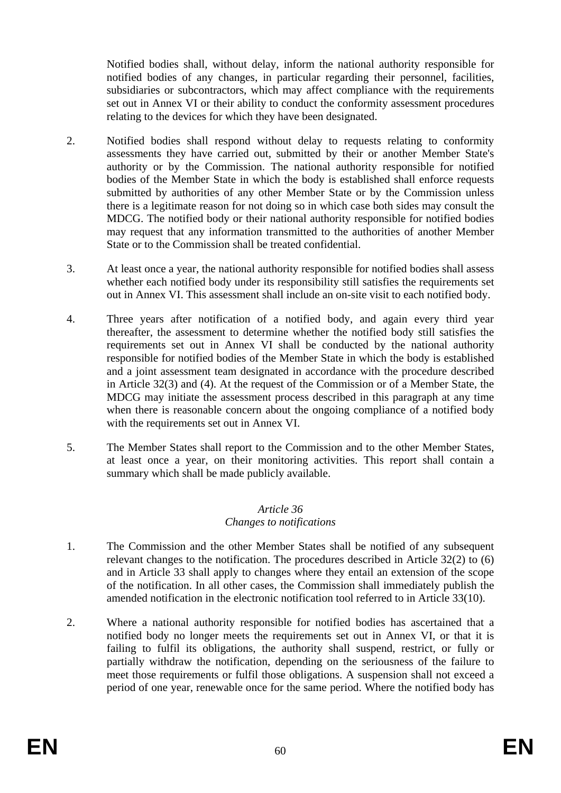Notified bodies shall, without delay, inform the national authority responsible for notified bodies of any changes, in particular regarding their personnel, facilities, subsidiaries or subcontractors, which may affect compliance with the requirements set out in Annex VI or their ability to conduct the conformity assessment procedures relating to the devices for which they have been designated.

- 2. Notified bodies shall respond without delay to requests relating to conformity assessments they have carried out, submitted by their or another Member State's authority or by the Commission. The national authority responsible for notified bodies of the Member State in which the body is established shall enforce requests submitted by authorities of any other Member State or by the Commission unless there is a legitimate reason for not doing so in which case both sides may consult the MDCG. The notified body or their national authority responsible for notified bodies may request that any information transmitted to the authorities of another Member State or to the Commission shall be treated confidential.
- 3. At least once a year, the national authority responsible for notified bodies shall assess whether each notified body under its responsibility still satisfies the requirements set out in Annex VI. This assessment shall include an on-site visit to each notified body.
- 4. Three years after notification of a notified body, and again every third year thereafter, the assessment to determine whether the notified body still satisfies the requirements set out in Annex VI shall be conducted by the national authority responsible for notified bodies of the Member State in which the body is established and a joint assessment team designated in accordance with the procedure described in Article 32(3) and (4). At the request of the Commission or of a Member State, the MDCG may initiate the assessment process described in this paragraph at any time when there is reasonable concern about the ongoing compliance of a notified body with the requirements set out in Annex VI.
- 5. The Member States shall report to the Commission and to the other Member States, at least once a year, on their monitoring activities. This report shall contain a summary which shall be made publicly available.

## *Article 36 Changes to notifications*

- 1. The Commission and the other Member States shall be notified of any subsequent relevant changes to the notification. The procedures described in Article 32(2) to (6) and in Article 33 shall apply to changes where they entail an extension of the scope of the notification. In all other cases, the Commission shall immediately publish the amended notification in the electronic notification tool referred to in Article 33(10).
- 2. Where a national authority responsible for notified bodies has ascertained that a notified body no longer meets the requirements set out in Annex VI, or that it is failing to fulfil its obligations, the authority shall suspend, restrict, or fully or partially withdraw the notification, depending on the seriousness of the failure to meet those requirements or fulfil those obligations. A suspension shall not exceed a period of one year, renewable once for the same period. Where the notified body has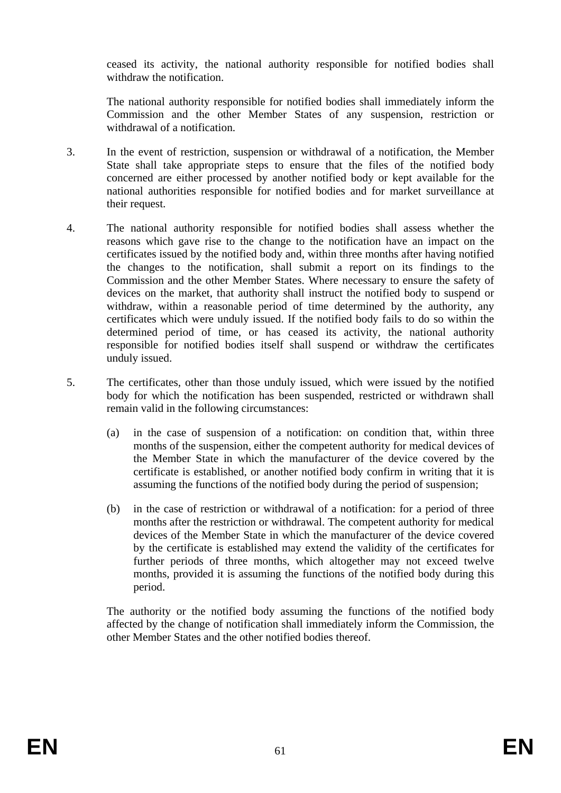ceased its activity, the national authority responsible for notified bodies shall withdraw the notification.

The national authority responsible for notified bodies shall immediately inform the Commission and the other Member States of any suspension, restriction or withdrawal of a notification.

- 3. In the event of restriction, suspension or withdrawal of a notification, the Member State shall take appropriate steps to ensure that the files of the notified body concerned are either processed by another notified body or kept available for the national authorities responsible for notified bodies and for market surveillance at their request.
- 4. The national authority responsible for notified bodies shall assess whether the reasons which gave rise to the change to the notification have an impact on the certificates issued by the notified body and, within three months after having notified the changes to the notification, shall submit a report on its findings to the Commission and the other Member States. Where necessary to ensure the safety of devices on the market, that authority shall instruct the notified body to suspend or withdraw, within a reasonable period of time determined by the authority, any certificates which were unduly issued. If the notified body fails to do so within the determined period of time, or has ceased its activity, the national authority responsible for notified bodies itself shall suspend or withdraw the certificates unduly issued.
- 5. The certificates, other than those unduly issued, which were issued by the notified body for which the notification has been suspended, restricted or withdrawn shall remain valid in the following circumstances:
	- (a) in the case of suspension of a notification: on condition that, within three months of the suspension, either the competent authority for medical devices of the Member State in which the manufacturer of the device covered by the certificate is established, or another notified body confirm in writing that it is assuming the functions of the notified body during the period of suspension;
	- (b) in the case of restriction or withdrawal of a notification: for a period of three months after the restriction or withdrawal. The competent authority for medical devices of the Member State in which the manufacturer of the device covered by the certificate is established may extend the validity of the certificates for further periods of three months, which altogether may not exceed twelve months, provided it is assuming the functions of the notified body during this period.

The authority or the notified body assuming the functions of the notified body affected by the change of notification shall immediately inform the Commission, the other Member States and the other notified bodies thereof.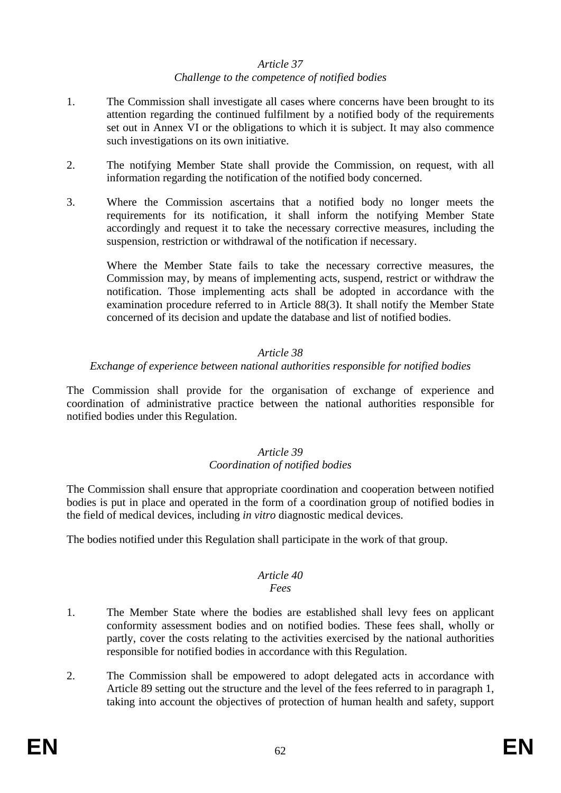### *Article 37 Challenge to the competence of notified bodies*

- 1. The Commission shall investigate all cases where concerns have been brought to its attention regarding the continued fulfilment by a notified body of the requirements set out in Annex VI or the obligations to which it is subject. It may also commence such investigations on its own initiative.
- 2. The notifying Member State shall provide the Commission, on request, with all information regarding the notification of the notified body concerned.
- 3. Where the Commission ascertains that a notified body no longer meets the requirements for its notification, it shall inform the notifying Member State accordingly and request it to take the necessary corrective measures, including the suspension, restriction or withdrawal of the notification if necessary.

Where the Member State fails to take the necessary corrective measures, the Commission may, by means of implementing acts, suspend, restrict or withdraw the notification. Those implementing acts shall be adopted in accordance with the examination procedure referred to in Article 88(3). It shall notify the Member State concerned of its decision and update the database and list of notified bodies.

### *Article 38*

### *Exchange of experience between national authorities responsible for notified bodies*

The Commission shall provide for the organisation of exchange of experience and coordination of administrative practice between the national authorities responsible for notified bodies under this Regulation.

#### *Article 39 Coordination of notified bodies*

The Commission shall ensure that appropriate coordination and cooperation between notified bodies is put in place and operated in the form of a coordination group of notified bodies in the field of medical devices, including *in vitro* diagnostic medical devices.

The bodies notified under this Regulation shall participate in the work of that group.

#### *Article 40 Fees*

- 1. The Member State where the bodies are established shall levy fees on applicant conformity assessment bodies and on notified bodies. These fees shall, wholly or partly, cover the costs relating to the activities exercised by the national authorities responsible for notified bodies in accordance with this Regulation.
- 2. The Commission shall be empowered to adopt delegated acts in accordance with Article 89 setting out the structure and the level of the fees referred to in paragraph 1, taking into account the objectives of protection of human health and safety, support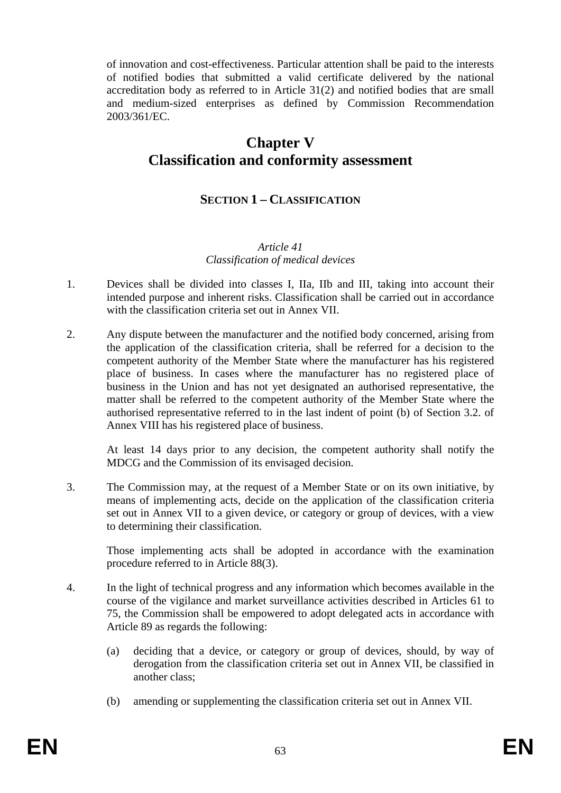of innovation and cost-effectiveness. Particular attention shall be paid to the interests of notified bodies that submitted a valid certificate delivered by the national accreditation body as referred to in Article 31(2) and notified bodies that are small and medium-sized enterprises as defined by Commission Recommendation 2003/361/EC.

## **Chapter V Classification and conformity assessment**

## **SECTION 1 – CLASSIFICATION**

### *Article 41 Classification of medical devices*

- 1. Devices shall be divided into classes I, IIa, IIb and III, taking into account their intended purpose and inherent risks. Classification shall be carried out in accordance with the classification criteria set out in Annex VII.
- 2. Any dispute between the manufacturer and the notified body concerned, arising from the application of the classification criteria, shall be referred for a decision to the competent authority of the Member State where the manufacturer has his registered place of business. In cases where the manufacturer has no registered place of business in the Union and has not yet designated an authorised representative, the matter shall be referred to the competent authority of the Member State where the authorised representative referred to in the last indent of point (b) of Section 3.2. of Annex VIII has his registered place of business.

At least 14 days prior to any decision, the competent authority shall notify the MDCG and the Commission of its envisaged decision.

3. The Commission may, at the request of a Member State or on its own initiative, by means of implementing acts, decide on the application of the classification criteria set out in Annex VII to a given device, or category or group of devices, with a view to determining their classification.

Those implementing acts shall be adopted in accordance with the examination procedure referred to in Article 88(3).

- 4. In the light of technical progress and any information which becomes available in the course of the vigilance and market surveillance activities described in Articles 61 to 75, the Commission shall be empowered to adopt delegated acts in accordance with Article 89 as regards the following:
	- (a) deciding that a device, or category or group of devices, should, by way of derogation from the classification criteria set out in Annex VII, be classified in another class;
	- (b) amending or supplementing the classification criteria set out in Annex VII.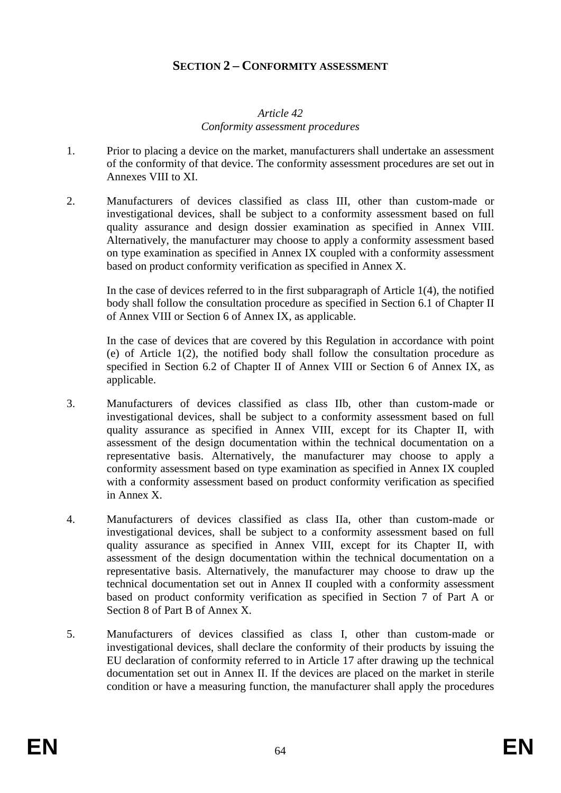## **SECTION 2 – CONFORMITY ASSESSMENT**

## *Article 42 Conformity assessment procedures*

- 1. Prior to placing a device on the market, manufacturers shall undertake an assessment of the conformity of that device. The conformity assessment procedures are set out in Annexes VIII to XI.
- 2. Manufacturers of devices classified as class III, other than custom-made or investigational devices, shall be subject to a conformity assessment based on full quality assurance and design dossier examination as specified in Annex VIII. Alternatively, the manufacturer may choose to apply a conformity assessment based on type examination as specified in Annex IX coupled with a conformity assessment based on product conformity verification as specified in Annex X.

In the case of devices referred to in the first subparagraph of Article 1(4), the notified body shall follow the consultation procedure as specified in Section 6.1 of Chapter II of Annex VIII or Section 6 of Annex IX, as applicable.

In the case of devices that are covered by this Regulation in accordance with point (e) of Article 1(2), the notified body shall follow the consultation procedure as specified in Section 6.2 of Chapter II of Annex VIII or Section 6 of Annex IX, as applicable.

- 3. Manufacturers of devices classified as class IIb, other than custom-made or investigational devices, shall be subject to a conformity assessment based on full quality assurance as specified in Annex VIII, except for its Chapter II, with assessment of the design documentation within the technical documentation on a representative basis. Alternatively, the manufacturer may choose to apply a conformity assessment based on type examination as specified in Annex IX coupled with a conformity assessment based on product conformity verification as specified in Annex X.
- 4. Manufacturers of devices classified as class IIa, other than custom-made or investigational devices, shall be subject to a conformity assessment based on full quality assurance as specified in Annex VIII, except for its Chapter II, with assessment of the design documentation within the technical documentation on a representative basis. Alternatively, the manufacturer may choose to draw up the technical documentation set out in Annex II coupled with a conformity assessment based on product conformity verification as specified in Section 7 of Part A or Section 8 of Part B of Annex X.
- 5. Manufacturers of devices classified as class I, other than custom-made or investigational devices, shall declare the conformity of their products by issuing the EU declaration of conformity referred to in Article 17 after drawing up the technical documentation set out in Annex II. If the devices are placed on the market in sterile condition or have a measuring function, the manufacturer shall apply the procedures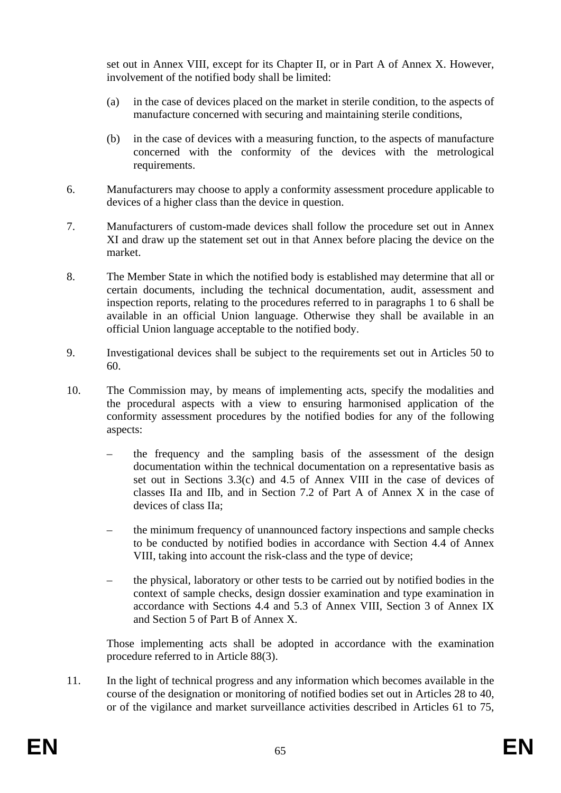set out in Annex VIII, except for its Chapter II, or in Part A of Annex X. However, involvement of the notified body shall be limited:

- (a) in the case of devices placed on the market in sterile condition, to the aspects of manufacture concerned with securing and maintaining sterile conditions,
- (b) in the case of devices with a measuring function, to the aspects of manufacture concerned with the conformity of the devices with the metrological requirements.
- 6. Manufacturers may choose to apply a conformity assessment procedure applicable to devices of a higher class than the device in question.
- 7. Manufacturers of custom-made devices shall follow the procedure set out in Annex XI and draw up the statement set out in that Annex before placing the device on the market.
- 8. The Member State in which the notified body is established may determine that all or certain documents, including the technical documentation, audit, assessment and inspection reports, relating to the procedures referred to in paragraphs 1 to 6 shall be available in an official Union language. Otherwise they shall be available in an official Union language acceptable to the notified body.
- 9. Investigational devices shall be subject to the requirements set out in Articles 50 to 60.
- 10. The Commission may, by means of implementing acts, specify the modalities and the procedural aspects with a view to ensuring harmonised application of the conformity assessment procedures by the notified bodies for any of the following aspects:
	- the frequency and the sampling basis of the assessment of the design documentation within the technical documentation on a representative basis as set out in Sections 3.3(c) and 4.5 of Annex VIII in the case of devices of classes IIa and IIb, and in Section 7.2 of Part A of Annex X in the case of devices of class IIa;
	- the minimum frequency of unannounced factory inspections and sample checks to be conducted by notified bodies in accordance with Section 4.4 of Annex VIII, taking into account the risk-class and the type of device;
	- the physical, laboratory or other tests to be carried out by notified bodies in the context of sample checks, design dossier examination and type examination in accordance with Sections 4.4 and 5.3 of Annex VIII, Section 3 of Annex IX and Section 5 of Part B of Annex X.

Those implementing acts shall be adopted in accordance with the examination procedure referred to in Article 88(3).

11. In the light of technical progress and any information which becomes available in the course of the designation or monitoring of notified bodies set out in Articles 28 to 40, or of the vigilance and market surveillance activities described in Articles 61 to 75,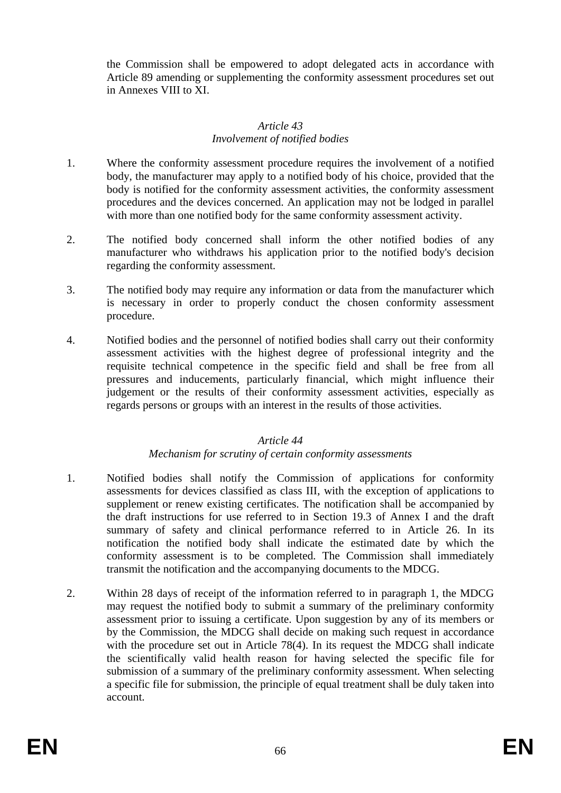the Commission shall be empowered to adopt delegated acts in accordance with Article 89 amending or supplementing the conformity assessment procedures set out in Annexes VIII to XI.

### *Article 43 Involvement of notified bodies*

- 1. Where the conformity assessment procedure requires the involvement of a notified body, the manufacturer may apply to a notified body of his choice, provided that the body is notified for the conformity assessment activities, the conformity assessment procedures and the devices concerned. An application may not be lodged in parallel with more than one notified body for the same conformity assessment activity.
- 2. The notified body concerned shall inform the other notified bodies of any manufacturer who withdraws his application prior to the notified body's decision regarding the conformity assessment.
- 3. The notified body may require any information or data from the manufacturer which is necessary in order to properly conduct the chosen conformity assessment procedure.
- 4. Notified bodies and the personnel of notified bodies shall carry out their conformity assessment activities with the highest degree of professional integrity and the requisite technical competence in the specific field and shall be free from all pressures and inducements, particularly financial, which might influence their judgement or the results of their conformity assessment activities, especially as regards persons or groups with an interest in the results of those activities.

## *Article 44*

### *Mechanism for scrutiny of certain conformity assessments*

- 1. Notified bodies shall notify the Commission of applications for conformity assessments for devices classified as class III, with the exception of applications to supplement or renew existing certificates. The notification shall be accompanied by the draft instructions for use referred to in Section 19.3 of Annex I and the draft summary of safety and clinical performance referred to in Article 26. In its notification the notified body shall indicate the estimated date by which the conformity assessment is to be completed. The Commission shall immediately transmit the notification and the accompanying documents to the MDCG.
- 2. Within 28 days of receipt of the information referred to in paragraph 1, the MDCG may request the notified body to submit a summary of the preliminary conformity assessment prior to issuing a certificate. Upon suggestion by any of its members or by the Commission, the MDCG shall decide on making such request in accordance with the procedure set out in Article 78(4). In its request the MDCG shall indicate the scientifically valid health reason for having selected the specific file for submission of a summary of the preliminary conformity assessment. When selecting a specific file for submission, the principle of equal treatment shall be duly taken into account.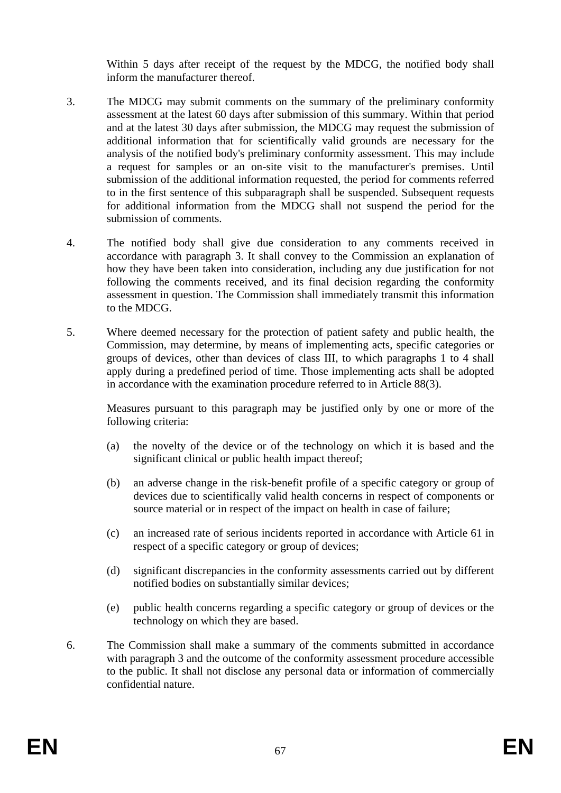Within 5 days after receipt of the request by the MDCG, the notified body shall inform the manufacturer thereof.

- 3. The MDCG may submit comments on the summary of the preliminary conformity assessment at the latest 60 days after submission of this summary. Within that period and at the latest 30 days after submission, the MDCG may request the submission of additional information that for scientifically valid grounds are necessary for the analysis of the notified body's preliminary conformity assessment. This may include a request for samples or an on-site visit to the manufacturer's premises. Until submission of the additional information requested, the period for comments referred to in the first sentence of this subparagraph shall be suspended. Subsequent requests for additional information from the MDCG shall not suspend the period for the submission of comments.
- 4. The notified body shall give due consideration to any comments received in accordance with paragraph 3. It shall convey to the Commission an explanation of how they have been taken into consideration, including any due justification for not following the comments received, and its final decision regarding the conformity assessment in question. The Commission shall immediately transmit this information to the MDCG.
- 5. Where deemed necessary for the protection of patient safety and public health, the Commission, may determine, by means of implementing acts, specific categories or groups of devices, other than devices of class III, to which paragraphs 1 to 4 shall apply during a predefined period of time. Those implementing acts shall be adopted in accordance with the examination procedure referred to in Article 88(3).

Measures pursuant to this paragraph may be justified only by one or more of the following criteria:

- (a) the novelty of the device or of the technology on which it is based and the significant clinical or public health impact thereof;
- (b) an adverse change in the risk-benefit profile of a specific category or group of devices due to scientifically valid health concerns in respect of components or source material or in respect of the impact on health in case of failure;
- (c) an increased rate of serious incidents reported in accordance with Article 61 in respect of a specific category or group of devices;
- (d) significant discrepancies in the conformity assessments carried out by different notified bodies on substantially similar devices;
- (e) public health concerns regarding a specific category or group of devices or the technology on which they are based.
- 6. The Commission shall make a summary of the comments submitted in accordance with paragraph 3 and the outcome of the conformity assessment procedure accessible to the public. It shall not disclose any personal data or information of commercially confidential nature.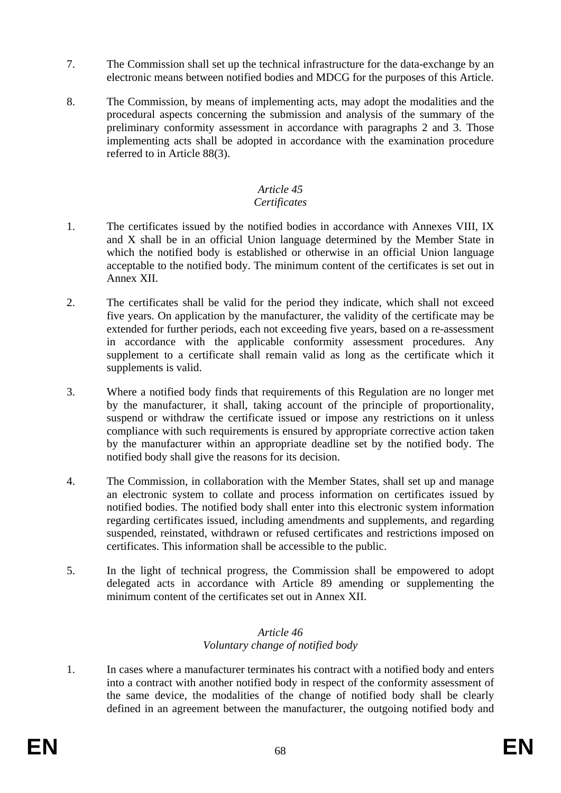- 7. The Commission shall set up the technical infrastructure for the data-exchange by an electronic means between notified bodies and MDCG for the purposes of this Article.
- 8. The Commission, by means of implementing acts, may adopt the modalities and the procedural aspects concerning the submission and analysis of the summary of the preliminary conformity assessment in accordance with paragraphs 2 and 3. Those implementing acts shall be adopted in accordance with the examination procedure referred to in Article 88(3).

# *Article 45*

## *Certificates*

- 1. The certificates issued by the notified bodies in accordance with Annexes VIII, IX and X shall be in an official Union language determined by the Member State in which the notified body is established or otherwise in an official Union language acceptable to the notified body. The minimum content of the certificates is set out in Annex XII.
- 2. The certificates shall be valid for the period they indicate, which shall not exceed five years. On application by the manufacturer, the validity of the certificate may be extended for further periods, each not exceeding five years, based on a re-assessment in accordance with the applicable conformity assessment procedures. Any supplement to a certificate shall remain valid as long as the certificate which it supplements is valid.
- 3. Where a notified body finds that requirements of this Regulation are no longer met by the manufacturer, it shall, taking account of the principle of proportionality, suspend or withdraw the certificate issued or impose any restrictions on it unless compliance with such requirements is ensured by appropriate corrective action taken by the manufacturer within an appropriate deadline set by the notified body. The notified body shall give the reasons for its decision.
- 4. The Commission, in collaboration with the Member States, shall set up and manage an electronic system to collate and process information on certificates issued by notified bodies. The notified body shall enter into this electronic system information regarding certificates issued, including amendments and supplements, and regarding suspended, reinstated, withdrawn or refused certificates and restrictions imposed on certificates. This information shall be accessible to the public.
- 5. In the light of technical progress, the Commission shall be empowered to adopt delegated acts in accordance with Article 89 amending or supplementing the minimum content of the certificates set out in Annex XII.

## *Article 46 Voluntary change of notified body*

1. In cases where a manufacturer terminates his contract with a notified body and enters into a contract with another notified body in respect of the conformity assessment of the same device, the modalities of the change of notified body shall be clearly defined in an agreement between the manufacturer, the outgoing notified body and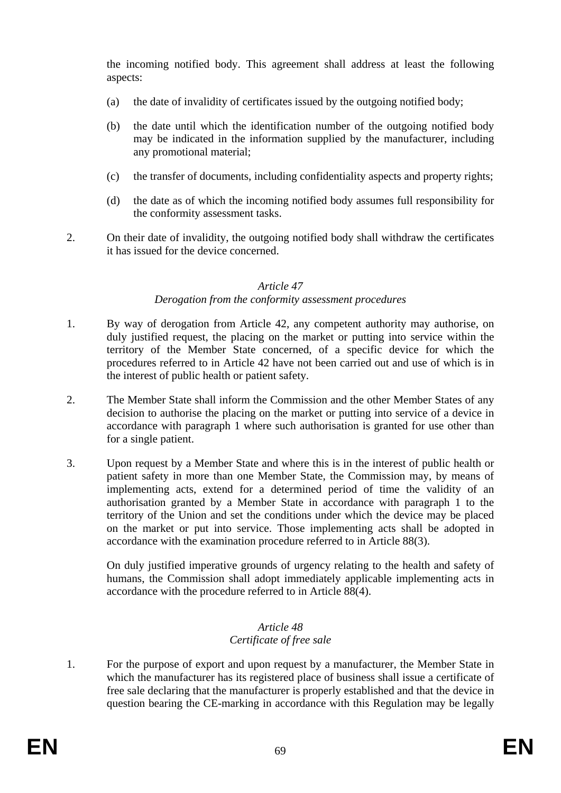the incoming notified body. This agreement shall address at least the following aspects:

- (a) the date of invalidity of certificates issued by the outgoing notified body;
- (b) the date until which the identification number of the outgoing notified body may be indicated in the information supplied by the manufacturer, including any promotional material;
- (c) the transfer of documents, including confidentiality aspects and property rights;
- (d) the date as of which the incoming notified body assumes full responsibility for the conformity assessment tasks.
- 2. On their date of invalidity, the outgoing notified body shall withdraw the certificates it has issued for the device concerned.

#### *Article 47*

### *Derogation from the conformity assessment procedures*

- 1. By way of derogation from Article 42, any competent authority may authorise, on duly justified request, the placing on the market or putting into service within the territory of the Member State concerned, of a specific device for which the procedures referred to in Article 42 have not been carried out and use of which is in the interest of public health or patient safety.
- 2. The Member State shall inform the Commission and the other Member States of any decision to authorise the placing on the market or putting into service of a device in accordance with paragraph 1 where such authorisation is granted for use other than for a single patient.
- 3. Upon request by a Member State and where this is in the interest of public health or patient safety in more than one Member State, the Commission may, by means of implementing acts, extend for a determined period of time the validity of an authorisation granted by a Member State in accordance with paragraph 1 to the territory of the Union and set the conditions under which the device may be placed on the market or put into service. Those implementing acts shall be adopted in accordance with the examination procedure referred to in Article 88(3).

On duly justified imperative grounds of urgency relating to the health and safety of humans, the Commission shall adopt immediately applicable implementing acts in accordance with the procedure referred to in Article 88(4).

## *Article 48 Certificate of free sale*

1. For the purpose of export and upon request by a manufacturer, the Member State in which the manufacturer has its registered place of business shall issue a certificate of free sale declaring that the manufacturer is properly established and that the device in question bearing the CE-marking in accordance with this Regulation may be legally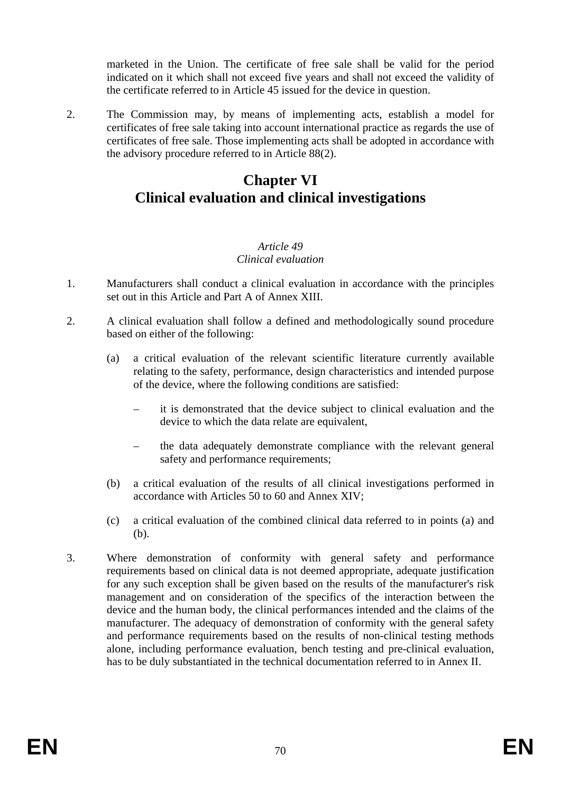marketed in the Union. The certificate of free sale shall be valid for the period indicated on it which shall not exceed five years and shall not exceed the validity of the certificate referred to in Article 45 issued for the device in question.

2. The Commission may, by means of implementing acts, establish a model for certificates of free sale taking into account international practice as regards the use of certificates of free sale. Those implementing acts shall be adopted in accordance with the advisory procedure referred to in Article 88(2).

## **Chapter VI Clinical evaluation and clinical investigations**

## *Article 49 Clinical evaluation*

- 1. Manufacturers shall conduct a clinical evaluation in accordance with the principles set out in this Article and Part A of Annex XIII.
- 2. A clinical evaluation shall follow a defined and methodologically sound procedure based on either of the following:
	- (a) a critical evaluation of the relevant scientific literature currently available relating to the safety, performance, design characteristics and intended purpose of the device, where the following conditions are satisfied:
		- it is demonstrated that the device subject to clinical evaluation and the device to which the data relate are equivalent,
		- the data adequately demonstrate compliance with the relevant general safety and performance requirements;
	- (b) a critical evaluation of the results of all clinical investigations performed in accordance with Articles 50 to 60 and Annex XIV;
	- (c) a critical evaluation of the combined clinical data referred to in points (a) and (b).
- 3. Where demonstration of conformity with general safety and performance requirements based on clinical data is not deemed appropriate, adequate justification for any such exception shall be given based on the results of the manufacturer's risk management and on consideration of the specifics of the interaction between the device and the human body, the clinical performances intended and the claims of the manufacturer. The adequacy of demonstration of conformity with the general safety and performance requirements based on the results of non-clinical testing methods alone, including performance evaluation, bench testing and pre-clinical evaluation, has to be duly substantiated in the technical documentation referred to in Annex II.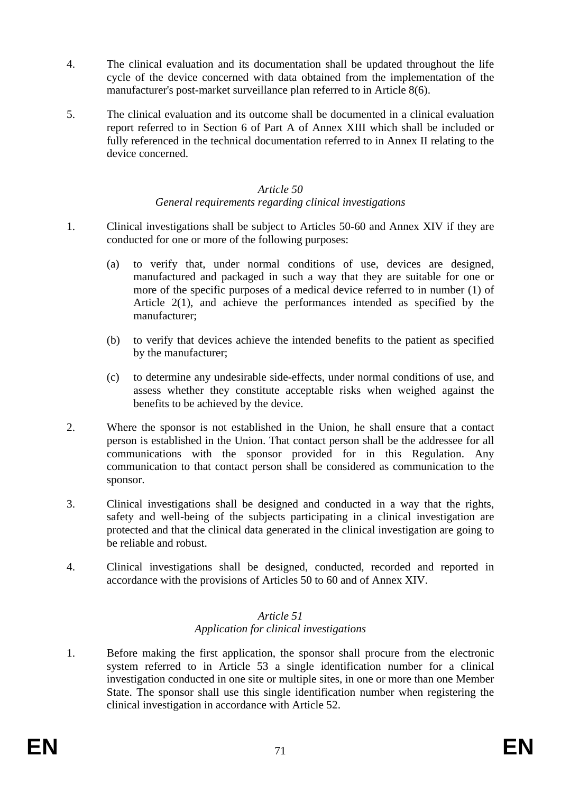- 4. The clinical evaluation and its documentation shall be updated throughout the life cycle of the device concerned with data obtained from the implementation of the manufacturer's post-market surveillance plan referred to in Article 8(6).
- 5. The clinical evaluation and its outcome shall be documented in a clinical evaluation report referred to in Section 6 of Part A of Annex XIII which shall be included or fully referenced in the technical documentation referred to in Annex II relating to the device concerned.

## *Article 50*

## *General requirements regarding clinical investigations*

- 1. Clinical investigations shall be subject to Articles 50-60 and Annex XIV if they are conducted for one or more of the following purposes:
	- (a) to verify that, under normal conditions of use, devices are designed, manufactured and packaged in such a way that they are suitable for one or more of the specific purposes of a medical device referred to in number (1) of Article 2(1), and achieve the performances intended as specified by the manufacturer;
	- (b) to verify that devices achieve the intended benefits to the patient as specified by the manufacturer;
	- (c) to determine any undesirable side-effects, under normal conditions of use, and assess whether they constitute acceptable risks when weighed against the benefits to be achieved by the device.
- 2. Where the sponsor is not established in the Union, he shall ensure that a contact person is established in the Union. That contact person shall be the addressee for all communications with the sponsor provided for in this Regulation. Any communication to that contact person shall be considered as communication to the sponsor.
- 3. Clinical investigations shall be designed and conducted in a way that the rights, safety and well-being of the subjects participating in a clinical investigation are protected and that the clinical data generated in the clinical investigation are going to be reliable and robust.
- 4. Clinical investigations shall be designed, conducted, recorded and reported in accordance with the provisions of Articles 50 to 60 and of Annex XIV.

## *Article 51 Application for clinical investigations*

1. Before making the first application, the sponsor shall procure from the electronic system referred to in Article 53 a single identification number for a clinical investigation conducted in one site or multiple sites, in one or more than one Member State. The sponsor shall use this single identification number when registering the clinical investigation in accordance with Article 52.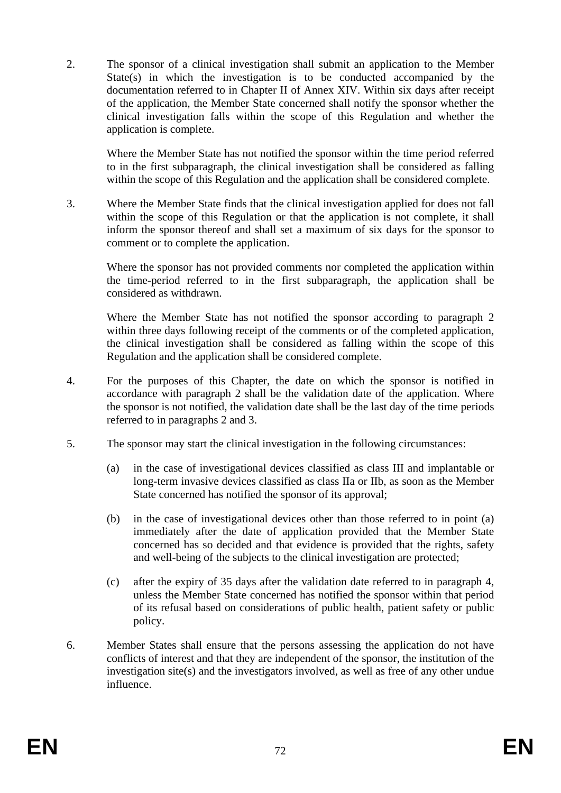2. The sponsor of a clinical investigation shall submit an application to the Member State(s) in which the investigation is to be conducted accompanied by the documentation referred to in Chapter II of Annex XIV. Within six days after receipt of the application, the Member State concerned shall notify the sponsor whether the clinical investigation falls within the scope of this Regulation and whether the application is complete.

Where the Member State has not notified the sponsor within the time period referred to in the first subparagraph, the clinical investigation shall be considered as falling within the scope of this Regulation and the application shall be considered complete.

3. Where the Member State finds that the clinical investigation applied for does not fall within the scope of this Regulation or that the application is not complete, it shall inform the sponsor thereof and shall set a maximum of six days for the sponsor to comment or to complete the application.

Where the sponsor has not provided comments nor completed the application within the time-period referred to in the first subparagraph, the application shall be considered as withdrawn.

Where the Member State has not notified the sponsor according to paragraph 2 within three days following receipt of the comments or of the completed application, the clinical investigation shall be considered as falling within the scope of this Regulation and the application shall be considered complete.

- 4. For the purposes of this Chapter, the date on which the sponsor is notified in accordance with paragraph 2 shall be the validation date of the application. Where the sponsor is not notified, the validation date shall be the last day of the time periods referred to in paragraphs 2 and 3.
- 5. The sponsor may start the clinical investigation in the following circumstances:
	- (a) in the case of investigational devices classified as class III and implantable or long-term invasive devices classified as class IIa or IIb, as soon as the Member State concerned has notified the sponsor of its approval;
	- (b) in the case of investigational devices other than those referred to in point (a) immediately after the date of application provided that the Member State concerned has so decided and that evidence is provided that the rights, safety and well-being of the subjects to the clinical investigation are protected;
	- (c) after the expiry of 35 days after the validation date referred to in paragraph 4, unless the Member State concerned has notified the sponsor within that period of its refusal based on considerations of public health, patient safety or public policy.
- 6. Member States shall ensure that the persons assessing the application do not have conflicts of interest and that they are independent of the sponsor, the institution of the investigation site(s) and the investigators involved, as well as free of any other undue influence.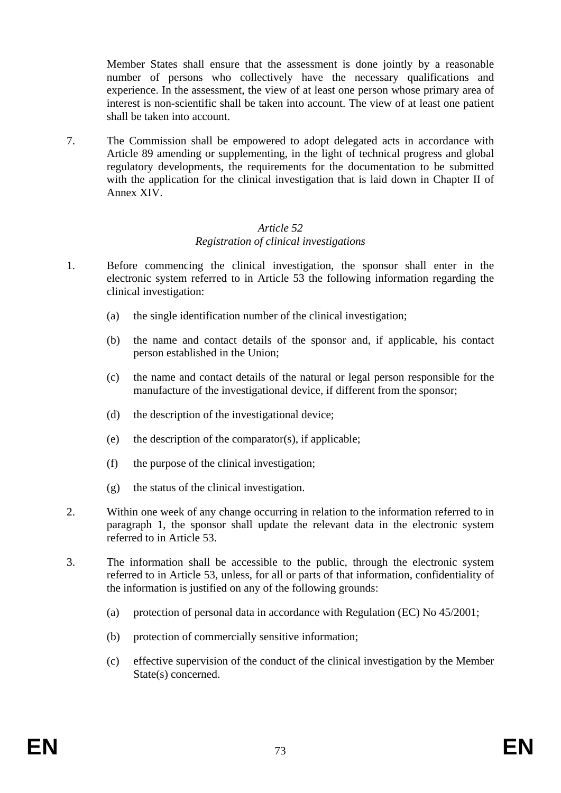Member States shall ensure that the assessment is done jointly by a reasonable number of persons who collectively have the necessary qualifications and experience. In the assessment, the view of at least one person whose primary area of interest is non-scientific shall be taken into account. The view of at least one patient shall be taken into account.

7. The Commission shall be empowered to adopt delegated acts in accordance with Article 89 amending or supplementing, in the light of technical progress and global regulatory developments, the requirements for the documentation to be submitted with the application for the clinical investigation that is laid down in Chapter II of Annex XIV.

#### *Article 52 Registration of clinical investigations*

- 1. Before commencing the clinical investigation, the sponsor shall enter in the electronic system referred to in Article 53 the following information regarding the clinical investigation:
	- (a) the single identification number of the clinical investigation;
	- (b) the name and contact details of the sponsor and, if applicable, his contact person established in the Union;
	- (c) the name and contact details of the natural or legal person responsible for the manufacture of the investigational device, if different from the sponsor;
	- (d) the description of the investigational device;
	- (e) the description of the comparator(s), if applicable;
	- (f) the purpose of the clinical investigation;
	- (g) the status of the clinical investigation.
- 2. Within one week of any change occurring in relation to the information referred to in paragraph 1, the sponsor shall update the relevant data in the electronic system referred to in Article 53.
- 3. The information shall be accessible to the public, through the electronic system referred to in Article 53, unless, for all or parts of that information, confidentiality of the information is justified on any of the following grounds:
	- (a) protection of personal data in accordance with Regulation (EC) No 45/2001;
	- (b) protection of commercially sensitive information;
	- (c) effective supervision of the conduct of the clinical investigation by the Member State(s) concerned.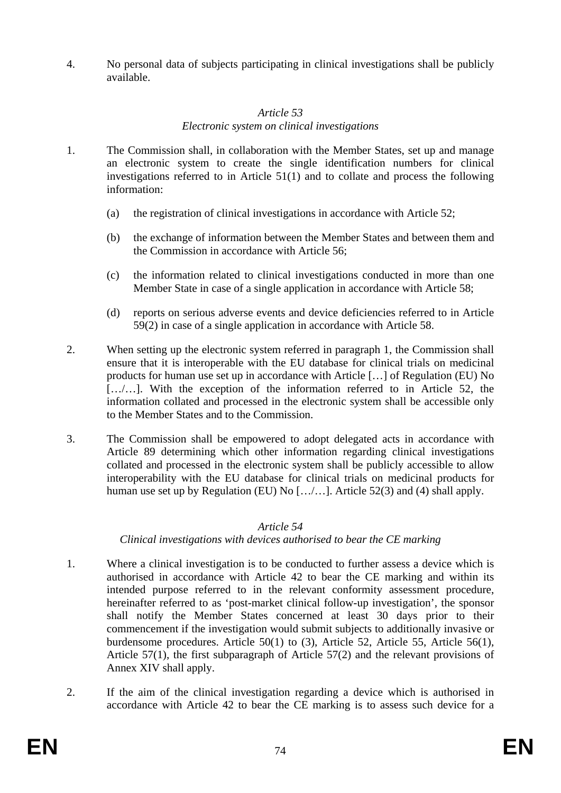4. No personal data of subjects participating in clinical investigations shall be publicly available.

# *Article 53*

# *Electronic system on clinical investigations*

- 1. The Commission shall, in collaboration with the Member States, set up and manage an electronic system to create the single identification numbers for clinical investigations referred to in Article 51(1) and to collate and process the following information:
	- (a) the registration of clinical investigations in accordance with Article 52;
	- (b) the exchange of information between the Member States and between them and the Commission in accordance with Article 56;
	- (c) the information related to clinical investigations conducted in more than one Member State in case of a single application in accordance with Article 58;
	- (d) reports on serious adverse events and device deficiencies referred to in Article 59(2) in case of a single application in accordance with Article 58.
- 2. When setting up the electronic system referred in paragraph 1, the Commission shall ensure that it is interoperable with the EU database for clinical trials on medicinal products for human use set up in accordance with Article […] of Regulation (EU) No [.../...]. With the exception of the information referred to in Article 52, the information collated and processed in the electronic system shall be accessible only to the Member States and to the Commission.
- 3. The Commission shall be empowered to adopt delegated acts in accordance with Article 89 determining which other information regarding clinical investigations collated and processed in the electronic system shall be publicly accessible to allow interoperability with the EU database for clinical trials on medicinal products for human use set up by Regulation (EU) No  $[\ldots]$ ......]. Article 52(3) and (4) shall apply.

# *Article 54*

# *Clinical investigations with devices authorised to bear the CE marking*

- 1. Where a clinical investigation is to be conducted to further assess a device which is authorised in accordance with Article 42 to bear the CE marking and within its intended purpose referred to in the relevant conformity assessment procedure, hereinafter referred to as 'post-market clinical follow-up investigation', the sponsor shall notify the Member States concerned at least 30 days prior to their commencement if the investigation would submit subjects to additionally invasive or burdensome procedures. Article 50(1) to (3), Article 52, Article 55, Article 56(1), Article 57(1), the first subparagraph of Article 57(2) and the relevant provisions of Annex XIV shall apply.
- 2. If the aim of the clinical investigation regarding a device which is authorised in accordance with Article 42 to bear the CE marking is to assess such device for a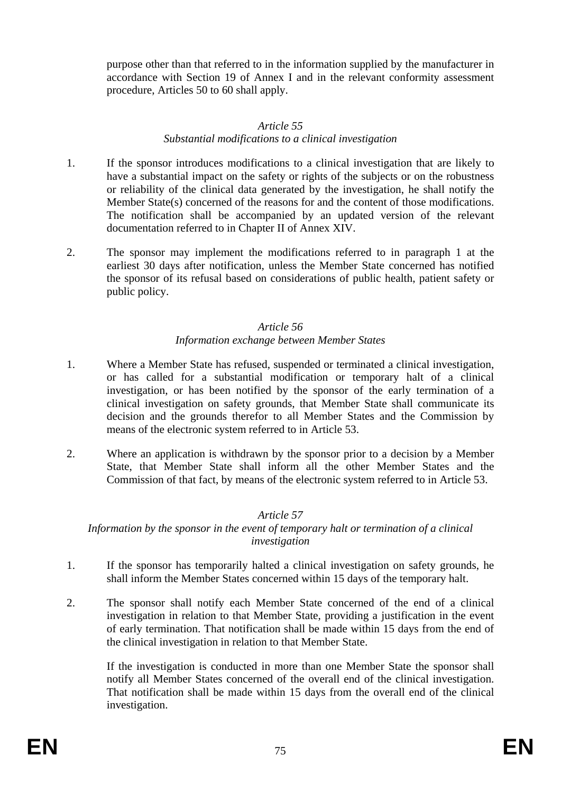purpose other than that referred to in the information supplied by the manufacturer in accordance with Section 19 of Annex I and in the relevant conformity assessment procedure, Articles 50 to 60 shall apply.

#### *Article 55*

# *Substantial modifications to a clinical investigation*

- 1. If the sponsor introduces modifications to a clinical investigation that are likely to have a substantial impact on the safety or rights of the subjects or on the robustness or reliability of the clinical data generated by the investigation, he shall notify the Member State(s) concerned of the reasons for and the content of those modifications. The notification shall be accompanied by an updated version of the relevant documentation referred to in Chapter II of Annex XIV.
- 2. The sponsor may implement the modifications referred to in paragraph 1 at the earliest 30 days after notification, unless the Member State concerned has notified the sponsor of its refusal based on considerations of public health, patient safety or public policy.

# *Article 56 Information exchange between Member States*

- 1. Where a Member State has refused, suspended or terminated a clinical investigation, or has called for a substantial modification or temporary halt of a clinical investigation, or has been notified by the sponsor of the early termination of a clinical investigation on safety grounds, that Member State shall communicate its decision and the grounds therefor to all Member States and the Commission by means of the electronic system referred to in Article 53.
- 2. Where an application is withdrawn by the sponsor prior to a decision by a Member State, that Member State shall inform all the other Member States and the Commission of that fact, by means of the electronic system referred to in Article 53.

# *Article 57*

*Information by the sponsor in the event of temporary halt or termination of a clinical investigation* 

- 1. If the sponsor has temporarily halted a clinical investigation on safety grounds, he shall inform the Member States concerned within 15 days of the temporary halt.
- 2. The sponsor shall notify each Member State concerned of the end of a clinical investigation in relation to that Member State, providing a justification in the event of early termination. That notification shall be made within 15 days from the end of the clinical investigation in relation to that Member State.

If the investigation is conducted in more than one Member State the sponsor shall notify all Member States concerned of the overall end of the clinical investigation. That notification shall be made within 15 days from the overall end of the clinical investigation.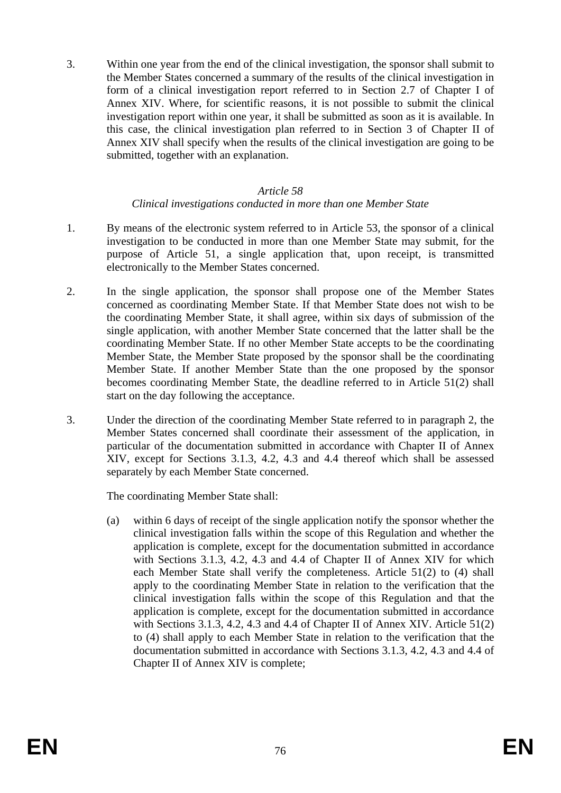3. Within one year from the end of the clinical investigation, the sponsor shall submit to the Member States concerned a summary of the results of the clinical investigation in form of a clinical investigation report referred to in Section 2.7 of Chapter I of Annex XIV. Where, for scientific reasons, it is not possible to submit the clinical investigation report within one year, it shall be submitted as soon as it is available. In this case, the clinical investigation plan referred to in Section 3 of Chapter II of Annex XIV shall specify when the results of the clinical investigation are going to be submitted, together with an explanation.

#### *Article 58*

# *Clinical investigations conducted in more than one Member State*

- 1. By means of the electronic system referred to in Article 53, the sponsor of a clinical investigation to be conducted in more than one Member State may submit, for the purpose of Article 51, a single application that, upon receipt, is transmitted electronically to the Member States concerned.
- 2. In the single application, the sponsor shall propose one of the Member States concerned as coordinating Member State. If that Member State does not wish to be the coordinating Member State, it shall agree, within six days of submission of the single application, with another Member State concerned that the latter shall be the coordinating Member State. If no other Member State accepts to be the coordinating Member State, the Member State proposed by the sponsor shall be the coordinating Member State. If another Member State than the one proposed by the sponsor becomes coordinating Member State, the deadline referred to in Article 51(2) shall start on the day following the acceptance.
- 3. Under the direction of the coordinating Member State referred to in paragraph 2, the Member States concerned shall coordinate their assessment of the application, in particular of the documentation submitted in accordance with Chapter II of Annex XIV, except for Sections 3.1.3, 4.2, 4.3 and 4.4 thereof which shall be assessed separately by each Member State concerned.

The coordinating Member State shall:

(a) within 6 days of receipt of the single application notify the sponsor whether the clinical investigation falls within the scope of this Regulation and whether the application is complete, except for the documentation submitted in accordance with Sections 3.1.3, 4.2, 4.3 and 4.4 of Chapter II of Annex XIV for which each Member State shall verify the completeness. Article 51(2) to (4) shall apply to the coordinating Member State in relation to the verification that the clinical investigation falls within the scope of this Regulation and that the application is complete, except for the documentation submitted in accordance with Sections 3.1.3, 4.2, 4.3 and 4.4 of Chapter II of Annex XIV. Article 51(2) to (4) shall apply to each Member State in relation to the verification that the documentation submitted in accordance with Sections 3.1.3, 4.2, 4.3 and 4.4 of Chapter II of Annex XIV is complete;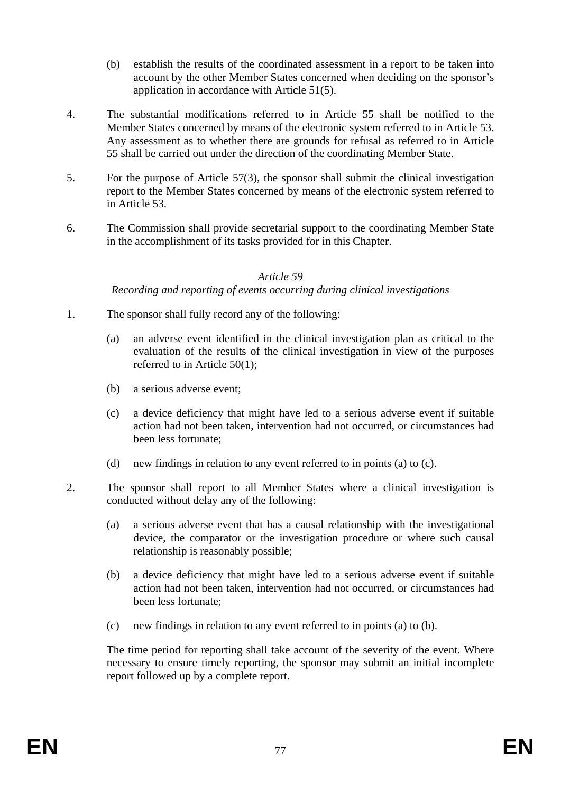- (b) establish the results of the coordinated assessment in a report to be taken into account by the other Member States concerned when deciding on the sponsor's application in accordance with Article 51(5).
- 4. The substantial modifications referred to in Article 55 shall be notified to the Member States concerned by means of the electronic system referred to in Article 53. Any assessment as to whether there are grounds for refusal as referred to in Article 55 shall be carried out under the direction of the coordinating Member State.
- 5. For the purpose of Article 57(3), the sponsor shall submit the clinical investigation report to the Member States concerned by means of the electronic system referred to in Article 53.
- 6. The Commission shall provide secretarial support to the coordinating Member State in the accomplishment of its tasks provided for in this Chapter.

#### *Article 59*

#### *Recording and reporting of events occurring during clinical investigations*

- 1. The sponsor shall fully record any of the following:
	- (a) an adverse event identified in the clinical investigation plan as critical to the evaluation of the results of the clinical investigation in view of the purposes referred to in Article 50(1);
	- (b) a serious adverse event;
	- (c) a device deficiency that might have led to a serious adverse event if suitable action had not been taken, intervention had not occurred, or circumstances had been less fortunate;
	- (d) new findings in relation to any event referred to in points (a) to (c).
- 2. The sponsor shall report to all Member States where a clinical investigation is conducted without delay any of the following:
	- (a) a serious adverse event that has a causal relationship with the investigational device, the comparator or the investigation procedure or where such causal relationship is reasonably possible;
	- (b) a device deficiency that might have led to a serious adverse event if suitable action had not been taken, intervention had not occurred, or circumstances had been less fortunate;
	- (c) new findings in relation to any event referred to in points (a) to (b).

The time period for reporting shall take account of the severity of the event. Where necessary to ensure timely reporting, the sponsor may submit an initial incomplete report followed up by a complete report.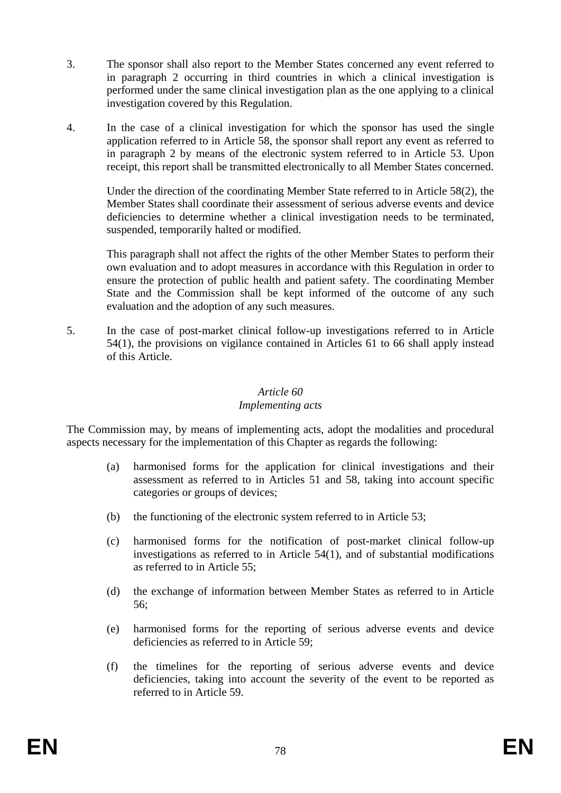- 3. The sponsor shall also report to the Member States concerned any event referred to in paragraph 2 occurring in third countries in which a clinical investigation is performed under the same clinical investigation plan as the one applying to a clinical investigation covered by this Regulation.
- 4. In the case of a clinical investigation for which the sponsor has used the single application referred to in Article 58, the sponsor shall report any event as referred to in paragraph 2 by means of the electronic system referred to in Article 53. Upon receipt, this report shall be transmitted electronically to all Member States concerned.

Under the direction of the coordinating Member State referred to in Article 58(2), the Member States shall coordinate their assessment of serious adverse events and device deficiencies to determine whether a clinical investigation needs to be terminated, suspended, temporarily halted or modified.

This paragraph shall not affect the rights of the other Member States to perform their own evaluation and to adopt measures in accordance with this Regulation in order to ensure the protection of public health and patient safety. The coordinating Member State and the Commission shall be kept informed of the outcome of any such evaluation and the adoption of any such measures.

5. In the case of post-market clinical follow-up investigations referred to in Article 54(1), the provisions on vigilance contained in Articles 61 to 66 shall apply instead of this Article.

# *Article 60*

# *Implementing acts*

The Commission may, by means of implementing acts, adopt the modalities and procedural aspects necessary for the implementation of this Chapter as regards the following:

- (a) harmonised forms for the application for clinical investigations and their assessment as referred to in Articles 51 and 58, taking into account specific categories or groups of devices;
- (b) the functioning of the electronic system referred to in Article 53;
- (c) harmonised forms for the notification of post-market clinical follow-up investigations as referred to in Article 54(1), and of substantial modifications as referred to in Article 55;
- (d) the exchange of information between Member States as referred to in Article 56;
- (e) harmonised forms for the reporting of serious adverse events and device deficiencies as referred to in Article 59;
- (f) the timelines for the reporting of serious adverse events and device deficiencies, taking into account the severity of the event to be reported as referred to in Article 59.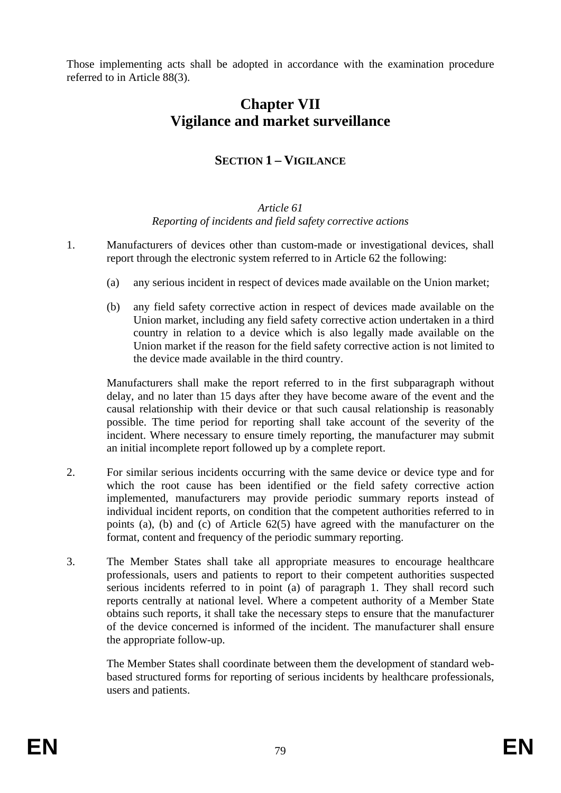Those implementing acts shall be adopted in accordance with the examination procedure referred to in Article 88(3).

# **Chapter VII Vigilance and market surveillance**

# **SECTION 1 – VIGILANCE**

#### *Article 61 Reporting of incidents and field safety corrective actions*

- 1. Manufacturers of devices other than custom-made or investigational devices, shall report through the electronic system referred to in Article 62 the following:
	- (a) any serious incident in respect of devices made available on the Union market;
	- (b) any field safety corrective action in respect of devices made available on the Union market, including any field safety corrective action undertaken in a third country in relation to a device which is also legally made available on the Union market if the reason for the field safety corrective action is not limited to the device made available in the third country.

Manufacturers shall make the report referred to in the first subparagraph without delay, and no later than 15 days after they have become aware of the event and the causal relationship with their device or that such causal relationship is reasonably possible. The time period for reporting shall take account of the severity of the incident. Where necessary to ensure timely reporting, the manufacturer may submit an initial incomplete report followed up by a complete report.

- 2. For similar serious incidents occurring with the same device or device type and for which the root cause has been identified or the field safety corrective action implemented, manufacturers may provide periodic summary reports instead of individual incident reports, on condition that the competent authorities referred to in points (a), (b) and (c) of Article 62(5) have agreed with the manufacturer on the format, content and frequency of the periodic summary reporting.
- 3. The Member States shall take all appropriate measures to encourage healthcare professionals, users and patients to report to their competent authorities suspected serious incidents referred to in point (a) of paragraph 1. They shall record such reports centrally at national level. Where a competent authority of a Member State obtains such reports, it shall take the necessary steps to ensure that the manufacturer of the device concerned is informed of the incident. The manufacturer shall ensure the appropriate follow-up.

The Member States shall coordinate between them the development of standard webbased structured forms for reporting of serious incidents by healthcare professionals, users and patients.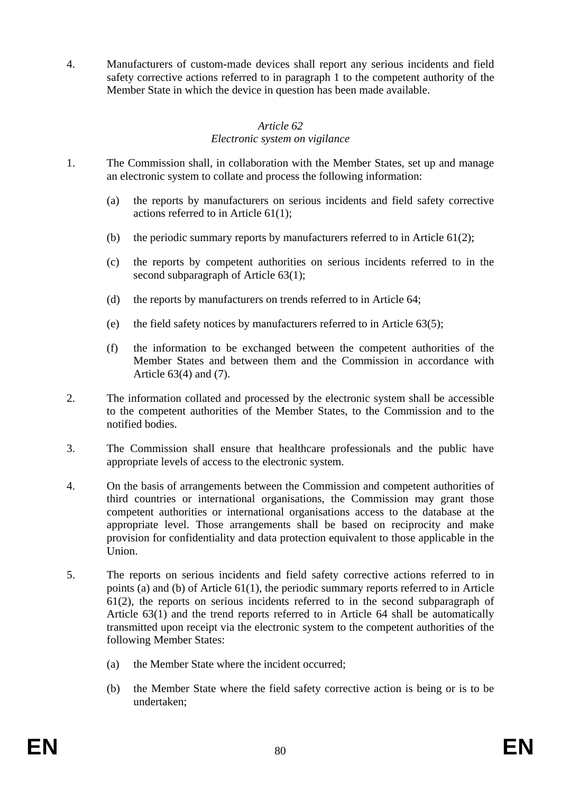4. Manufacturers of custom-made devices shall report any serious incidents and field safety corrective actions referred to in paragraph 1 to the competent authority of the Member State in which the device in question has been made available.

# *Article 62*

# *Electronic system on vigilance*

- 1. The Commission shall, in collaboration with the Member States, set up and manage an electronic system to collate and process the following information:
	- (a) the reports by manufacturers on serious incidents and field safety corrective actions referred to in Article 61(1);
	- (b) the periodic summary reports by manufacturers referred to in Article 61(2);
	- (c) the reports by competent authorities on serious incidents referred to in the second subparagraph of Article 63(1);
	- (d) the reports by manufacturers on trends referred to in Article 64;
	- (e) the field safety notices by manufacturers referred to in Article 63(5);
	- (f) the information to be exchanged between the competent authorities of the Member States and between them and the Commission in accordance with Article 63(4) and (7).
- 2. The information collated and processed by the electronic system shall be accessible to the competent authorities of the Member States, to the Commission and to the notified bodies.
- 3. The Commission shall ensure that healthcare professionals and the public have appropriate levels of access to the electronic system.
- 4. On the basis of arrangements between the Commission and competent authorities of third countries or international organisations, the Commission may grant those competent authorities or international organisations access to the database at the appropriate level. Those arrangements shall be based on reciprocity and make provision for confidentiality and data protection equivalent to those applicable in the Union.
- 5. The reports on serious incidents and field safety corrective actions referred to in points (a) and (b) of Article 61(1), the periodic summary reports referred to in Article 61(2), the reports on serious incidents referred to in the second subparagraph of Article 63(1) and the trend reports referred to in Article 64 shall be automatically transmitted upon receipt via the electronic system to the competent authorities of the following Member States:
	- (a) the Member State where the incident occurred;
	- (b) the Member State where the field safety corrective action is being or is to be undertaken;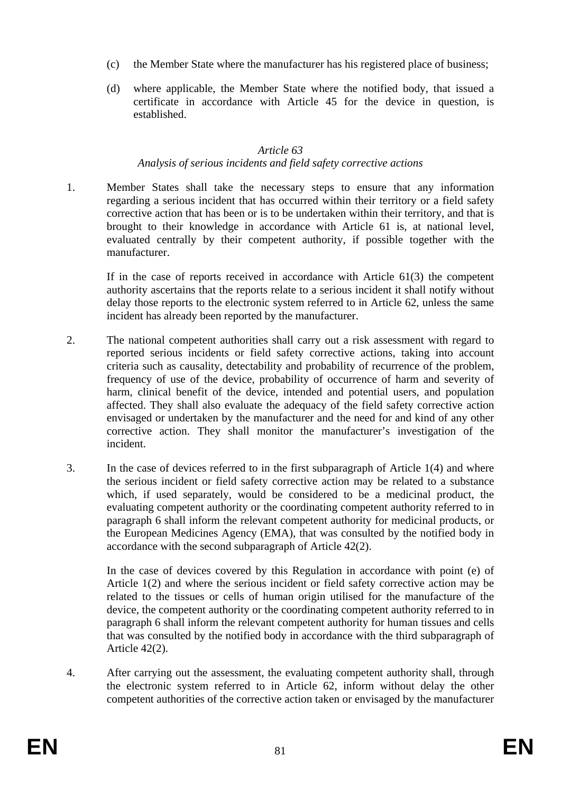- (c) the Member State where the manufacturer has his registered place of business;
- (d) where applicable, the Member State where the notified body, that issued a certificate in accordance with Article 45 for the device in question, is established.

#### *Article 63*

#### *Analysis of serious incidents and field safety corrective actions*

1. Member States shall take the necessary steps to ensure that any information regarding a serious incident that has occurred within their territory or a field safety corrective action that has been or is to be undertaken within their territory, and that is brought to their knowledge in accordance with Article 61 is, at national level, evaluated centrally by their competent authority, if possible together with the manufacturer.

If in the case of reports received in accordance with Article 61(3) the competent authority ascertains that the reports relate to a serious incident it shall notify without delay those reports to the electronic system referred to in Article 62, unless the same incident has already been reported by the manufacturer.

- 2. The national competent authorities shall carry out a risk assessment with regard to reported serious incidents or field safety corrective actions, taking into account criteria such as causality, detectability and probability of recurrence of the problem, frequency of use of the device, probability of occurrence of harm and severity of harm, clinical benefit of the device, intended and potential users, and population affected. They shall also evaluate the adequacy of the field safety corrective action envisaged or undertaken by the manufacturer and the need for and kind of any other corrective action. They shall monitor the manufacturer's investigation of the incident.
- 3. In the case of devices referred to in the first subparagraph of Article 1(4) and where the serious incident or field safety corrective action may be related to a substance which, if used separately, would be considered to be a medicinal product, the evaluating competent authority or the coordinating competent authority referred to in paragraph 6 shall inform the relevant competent authority for medicinal products, or the European Medicines Agency (EMA), that was consulted by the notified body in accordance with the second subparagraph of Article 42(2).

In the case of devices covered by this Regulation in accordance with point (e) of Article 1(2) and where the serious incident or field safety corrective action may be related to the tissues or cells of human origin utilised for the manufacture of the device, the competent authority or the coordinating competent authority referred to in paragraph 6 shall inform the relevant competent authority for human tissues and cells that was consulted by the notified body in accordance with the third subparagraph of Article 42(2).

4. After carrying out the assessment, the evaluating competent authority shall, through the electronic system referred to in Article 62, inform without delay the other competent authorities of the corrective action taken or envisaged by the manufacturer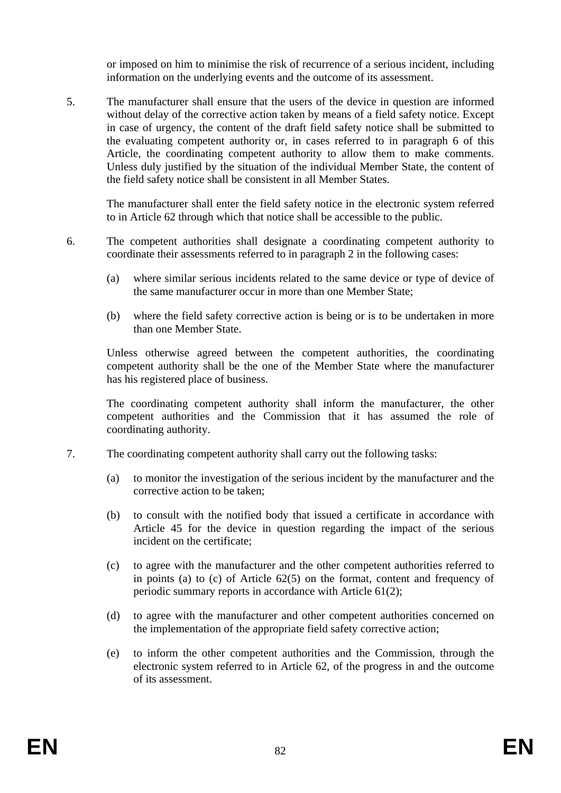or imposed on him to minimise the risk of recurrence of a serious incident, including information on the underlying events and the outcome of its assessment.

5. The manufacturer shall ensure that the users of the device in question are informed without delay of the corrective action taken by means of a field safety notice. Except in case of urgency, the content of the draft field safety notice shall be submitted to the evaluating competent authority or, in cases referred to in paragraph 6 of this Article, the coordinating competent authority to allow them to make comments. Unless duly justified by the situation of the individual Member State, the content of the field safety notice shall be consistent in all Member States.

The manufacturer shall enter the field safety notice in the electronic system referred to in Article 62 through which that notice shall be accessible to the public.

- 6. The competent authorities shall designate a coordinating competent authority to coordinate their assessments referred to in paragraph 2 in the following cases:
	- (a) where similar serious incidents related to the same device or type of device of the same manufacturer occur in more than one Member State;
	- (b) where the field safety corrective action is being or is to be undertaken in more than one Member State.

Unless otherwise agreed between the competent authorities, the coordinating competent authority shall be the one of the Member State where the manufacturer has his registered place of business.

The coordinating competent authority shall inform the manufacturer, the other competent authorities and the Commission that it has assumed the role of coordinating authority.

- 7. The coordinating competent authority shall carry out the following tasks:
	- (a) to monitor the investigation of the serious incident by the manufacturer and the corrective action to be taken;
	- (b) to consult with the notified body that issued a certificate in accordance with Article 45 for the device in question regarding the impact of the serious incident on the certificate;
	- (c) to agree with the manufacturer and the other competent authorities referred to in points (a) to (c) of Article 62(5) on the format, content and frequency of periodic summary reports in accordance with Article 61(2);
	- (d) to agree with the manufacturer and other competent authorities concerned on the implementation of the appropriate field safety corrective action;
	- (e) to inform the other competent authorities and the Commission, through the electronic system referred to in Article 62, of the progress in and the outcome of its assessment.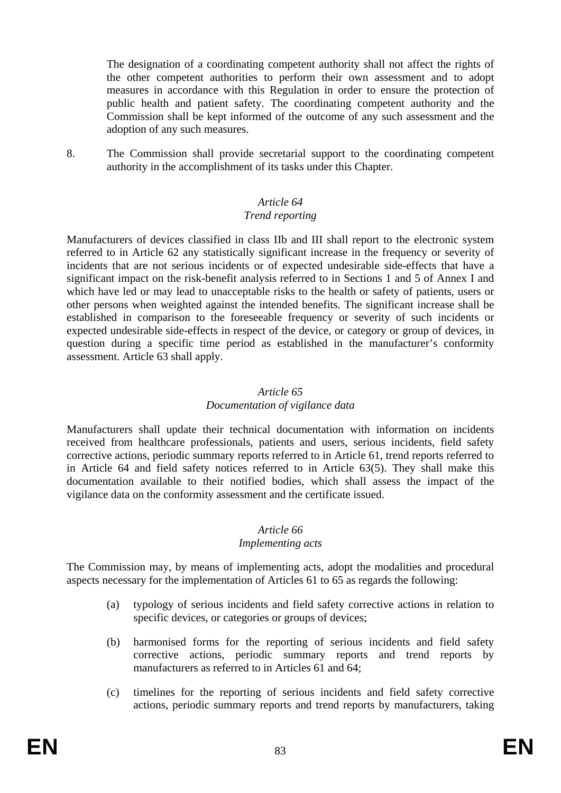The designation of a coordinating competent authority shall not affect the rights of the other competent authorities to perform their own assessment and to adopt measures in accordance with this Regulation in order to ensure the protection of public health and patient safety. The coordinating competent authority and the Commission shall be kept informed of the outcome of any such assessment and the adoption of any such measures.

8. The Commission shall provide secretarial support to the coordinating competent authority in the accomplishment of its tasks under this Chapter.

# *Article 64*

#### *Trend reporting*

Manufacturers of devices classified in class IIb and III shall report to the electronic system referred to in Article 62 any statistically significant increase in the frequency or severity of incidents that are not serious incidents or of expected undesirable side-effects that have a significant impact on the risk-benefit analysis referred to in Sections 1 and 5 of Annex I and which have led or may lead to unacceptable risks to the health or safety of patients, users or other persons when weighted against the intended benefits. The significant increase shall be established in comparison to the foreseeable frequency or severity of such incidents or expected undesirable side-effects in respect of the device, or category or group of devices, in question during a specific time period as established in the manufacturer's conformity assessment. Article 63 shall apply.

#### *Article 65*

#### *Documentation of vigilance data*

Manufacturers shall update their technical documentation with information on incidents received from healthcare professionals, patients and users, serious incidents, field safety corrective actions, periodic summary reports referred to in Article 61, trend reports referred to in Article 64 and field safety notices referred to in Article 63(5). They shall make this documentation available to their notified bodies, which shall assess the impact of the vigilance data on the conformity assessment and the certificate issued.

# *Article 66*

#### *Implementing acts*

The Commission may, by means of implementing acts, adopt the modalities and procedural aspects necessary for the implementation of Articles 61 to 65 as regards the following:

- (a) typology of serious incidents and field safety corrective actions in relation to specific devices, or categories or groups of devices;
- (b) harmonised forms for the reporting of serious incidents and field safety corrective actions, periodic summary reports and trend reports by manufacturers as referred to in Articles 61 and 64;
- (c) timelines for the reporting of serious incidents and field safety corrective actions, periodic summary reports and trend reports by manufacturers, taking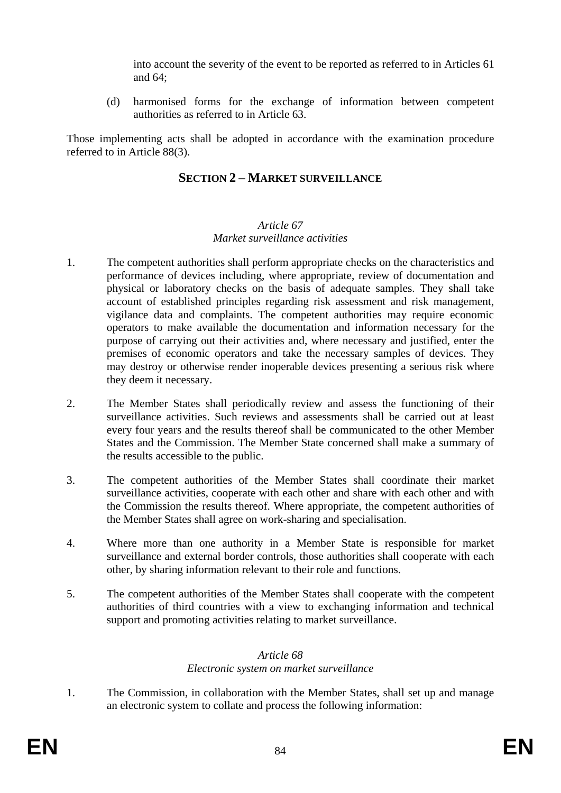into account the severity of the event to be reported as referred to in Articles 61 and 64;

(d) harmonised forms for the exchange of information between competent authorities as referred to in Article 63.

Those implementing acts shall be adopted in accordance with the examination procedure referred to in Article 88(3).

# **SECTION 2 – MARKET SURVEILLANCE**

# *Article 67 Market surveillance activities*

- 1. The competent authorities shall perform appropriate checks on the characteristics and performance of devices including, where appropriate, review of documentation and physical or laboratory checks on the basis of adequate samples. They shall take account of established principles regarding risk assessment and risk management, vigilance data and complaints. The competent authorities may require economic operators to make available the documentation and information necessary for the purpose of carrying out their activities and, where necessary and justified, enter the premises of economic operators and take the necessary samples of devices. They may destroy or otherwise render inoperable devices presenting a serious risk where they deem it necessary.
- 2. The Member States shall periodically review and assess the functioning of their surveillance activities. Such reviews and assessments shall be carried out at least every four years and the results thereof shall be communicated to the other Member States and the Commission. The Member State concerned shall make a summary of the results accessible to the public.
- 3. The competent authorities of the Member States shall coordinate their market surveillance activities, cooperate with each other and share with each other and with the Commission the results thereof. Where appropriate, the competent authorities of the Member States shall agree on work-sharing and specialisation.
- 4. Where more than one authority in a Member State is responsible for market surveillance and external border controls, those authorities shall cooperate with each other, by sharing information relevant to their role and functions.
- 5. The competent authorities of the Member States shall cooperate with the competent authorities of third countries with a view to exchanging information and technical support and promoting activities relating to market surveillance.

# *Article 68*

# *Electronic system on market surveillance*

1. The Commission, in collaboration with the Member States, shall set up and manage an electronic system to collate and process the following information: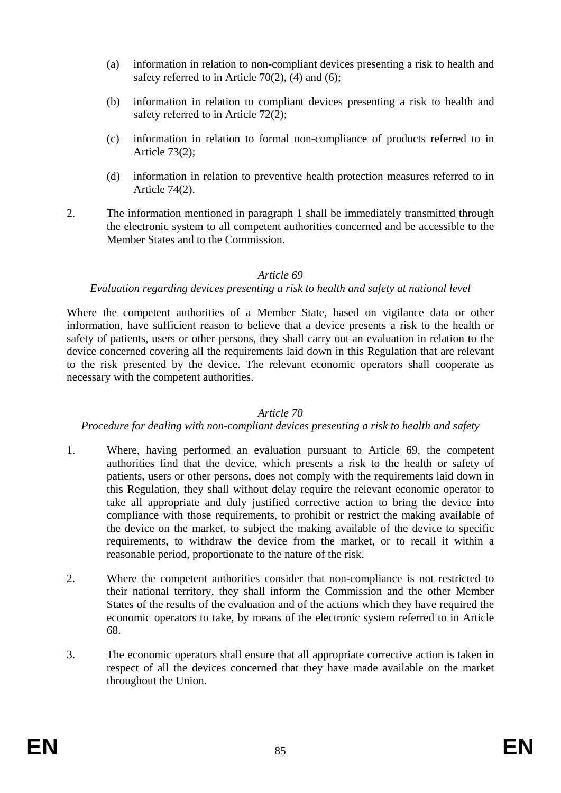- (a) information in relation to non-compliant devices presenting a risk to health and safety referred to in Article 70(2), (4) and (6);
- (b) information in relation to compliant devices presenting a risk to health and safety referred to in Article 72(2);
- (c) information in relation to formal non-compliance of products referred to in Article 73(2);
- (d) information in relation to preventive health protection measures referred to in Article 74(2).
- 2. The information mentioned in paragraph 1 shall be immediately transmitted through the electronic system to all competent authorities concerned and be accessible to the Member States and to the Commission.

#### *Article 69*

#### *Evaluation regarding devices presenting a risk to health and safety at national level*

Where the competent authorities of a Member State, based on vigilance data or other information, have sufficient reason to believe that a device presents a risk to the health or safety of patients, users or other persons, they shall carry out an evaluation in relation to the device concerned covering all the requirements laid down in this Regulation that are relevant to the risk presented by the device. The relevant economic operators shall cooperate as necessary with the competent authorities.

#### *Article 70*

#### *Procedure for dealing with non-compliant devices presenting a risk to health and safety*

- 1. Where, having performed an evaluation pursuant to Article 69, the competent authorities find that the device, which presents a risk to the health or safety of patients, users or other persons, does not comply with the requirements laid down in this Regulation, they shall without delay require the relevant economic operator to take all appropriate and duly justified corrective action to bring the device into compliance with those requirements, to prohibit or restrict the making available of the device on the market, to subject the making available of the device to specific requirements, to withdraw the device from the market, or to recall it within a reasonable period, proportionate to the nature of the risk.
- 2. Where the competent authorities consider that non-compliance is not restricted to their national territory, they shall inform the Commission and the other Member States of the results of the evaluation and of the actions which they have required the economic operators to take, by means of the electronic system referred to in Article 68.
- 3. The economic operators shall ensure that all appropriate corrective action is taken in respect of all the devices concerned that they have made available on the market throughout the Union.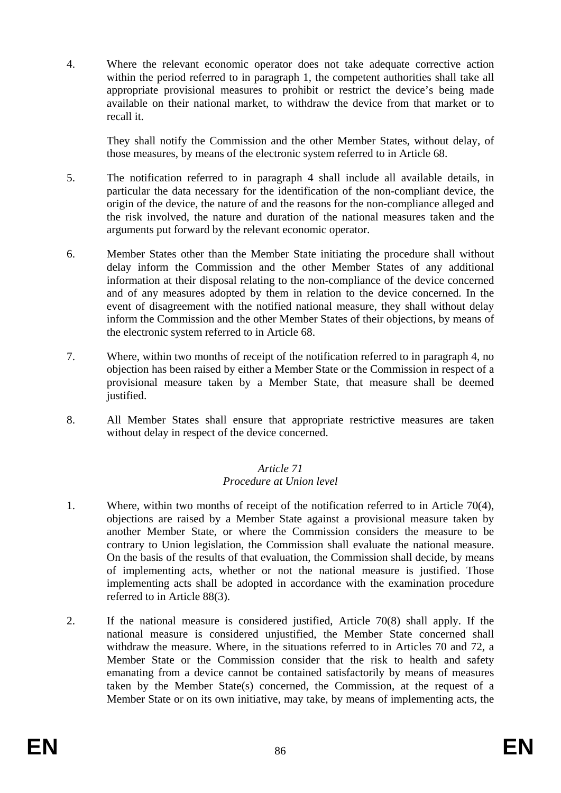4. Where the relevant economic operator does not take adequate corrective action within the period referred to in paragraph 1, the competent authorities shall take all appropriate provisional measures to prohibit or restrict the device's being made available on their national market, to withdraw the device from that market or to recall it.

They shall notify the Commission and the other Member States, without delay, of those measures, by means of the electronic system referred to in Article 68.

- 5. The notification referred to in paragraph 4 shall include all available details, in particular the data necessary for the identification of the non-compliant device, the origin of the device, the nature of and the reasons for the non-compliance alleged and the risk involved, the nature and duration of the national measures taken and the arguments put forward by the relevant economic operator.
- 6. Member States other than the Member State initiating the procedure shall without delay inform the Commission and the other Member States of any additional information at their disposal relating to the non-compliance of the device concerned and of any measures adopted by them in relation to the device concerned. In the event of disagreement with the notified national measure, they shall without delay inform the Commission and the other Member States of their objections, by means of the electronic system referred to in Article 68.
- 7. Where, within two months of receipt of the notification referred to in paragraph 4, no objection has been raised by either a Member State or the Commission in respect of a provisional measure taken by a Member State, that measure shall be deemed justified.
- 8. All Member States shall ensure that appropriate restrictive measures are taken without delay in respect of the device concerned.

#### *Article 71 Procedure at Union level*

- 1. Where, within two months of receipt of the notification referred to in Article 70(4), objections are raised by a Member State against a provisional measure taken by another Member State, or where the Commission considers the measure to be contrary to Union legislation, the Commission shall evaluate the national measure. On the basis of the results of that evaluation, the Commission shall decide, by means of implementing acts, whether or not the national measure is justified. Those implementing acts shall be adopted in accordance with the examination procedure referred to in Article 88(3).
- 2. If the national measure is considered justified, Article 70(8) shall apply. If the national measure is considered unjustified, the Member State concerned shall withdraw the measure. Where, in the situations referred to in Articles 70 and 72, a Member State or the Commission consider that the risk to health and safety emanating from a device cannot be contained satisfactorily by means of measures taken by the Member State(s) concerned, the Commission, at the request of a Member State or on its own initiative, may take, by means of implementing acts, the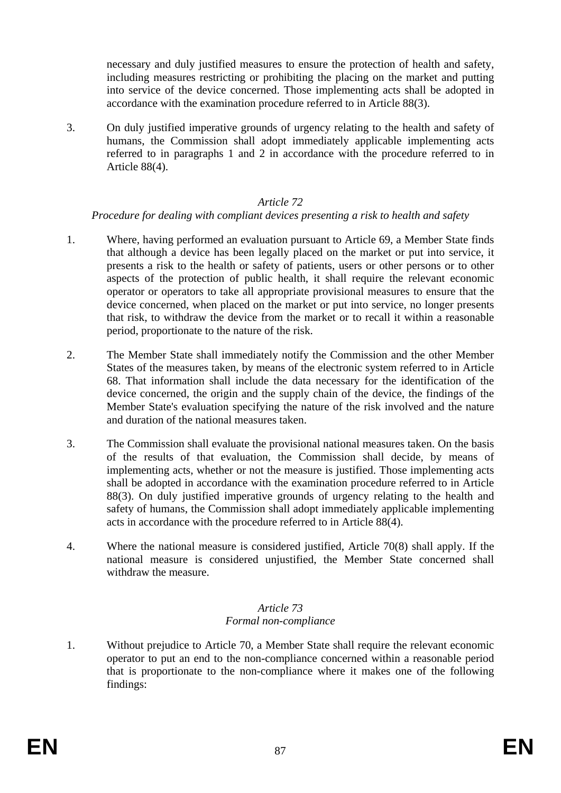necessary and duly justified measures to ensure the protection of health and safety, including measures restricting or prohibiting the placing on the market and putting into service of the device concerned. Those implementing acts shall be adopted in accordance with the examination procedure referred to in Article 88(3).

3. On duly justified imperative grounds of urgency relating to the health and safety of humans, the Commission shall adopt immediately applicable implementing acts referred to in paragraphs 1 and 2 in accordance with the procedure referred to in Article 88(4).

#### *Article 72*

#### *Procedure for dealing with compliant devices presenting a risk to health and safety*

- 1. Where, having performed an evaluation pursuant to Article 69, a Member State finds that although a device has been legally placed on the market or put into service, it presents a risk to the health or safety of patients, users or other persons or to other aspects of the protection of public health, it shall require the relevant economic operator or operators to take all appropriate provisional measures to ensure that the device concerned, when placed on the market or put into service, no longer presents that risk, to withdraw the device from the market or to recall it within a reasonable period, proportionate to the nature of the risk.
- 2. The Member State shall immediately notify the Commission and the other Member States of the measures taken, by means of the electronic system referred to in Article 68. That information shall include the data necessary for the identification of the device concerned, the origin and the supply chain of the device, the findings of the Member State's evaluation specifying the nature of the risk involved and the nature and duration of the national measures taken.
- 3. The Commission shall evaluate the provisional national measures taken. On the basis of the results of that evaluation, the Commission shall decide, by means of implementing acts, whether or not the measure is justified. Those implementing acts shall be adopted in accordance with the examination procedure referred to in Article 88(3). On duly justified imperative grounds of urgency relating to the health and safety of humans, the Commission shall adopt immediately applicable implementing acts in accordance with the procedure referred to in Article 88(4).
- 4. Where the national measure is considered justified, Article 70(8) shall apply. If the national measure is considered unjustified, the Member State concerned shall withdraw the measure.

#### *Article 73 Formal non-compliance*

1. Without prejudice to Article 70, a Member State shall require the relevant economic operator to put an end to the non-compliance concerned within a reasonable period that is proportionate to the non-compliance where it makes one of the following findings: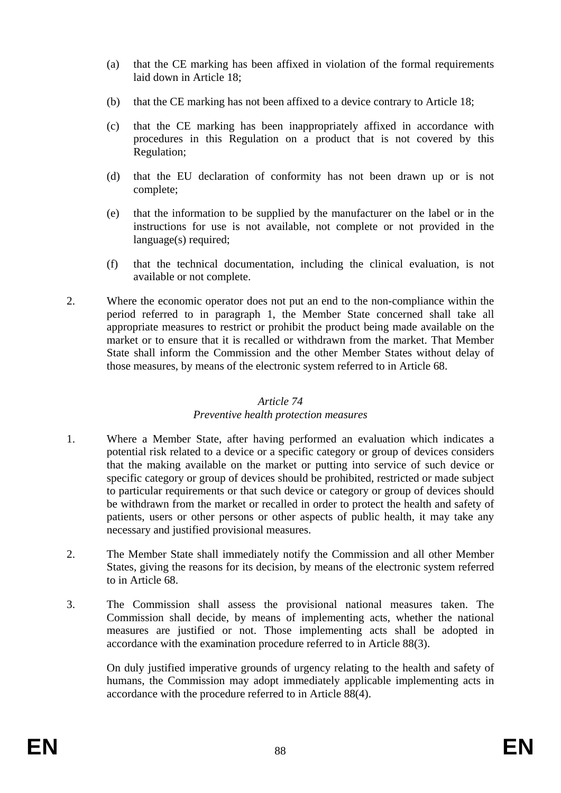- (a) that the CE marking has been affixed in violation of the formal requirements laid down in Article 18;
- (b) that the CE marking has not been affixed to a device contrary to Article 18;
- (c) that the CE marking has been inappropriately affixed in accordance with procedures in this Regulation on a product that is not covered by this Regulation;
- (d) that the EU declaration of conformity has not been drawn up or is not complete;
- (e) that the information to be supplied by the manufacturer on the label or in the instructions for use is not available, not complete or not provided in the language(s) required;
- (f) that the technical documentation, including the clinical evaluation, is not available or not complete.
- 2. Where the economic operator does not put an end to the non-compliance within the period referred to in paragraph 1, the Member State concerned shall take all appropriate measures to restrict or prohibit the product being made available on the market or to ensure that it is recalled or withdrawn from the market. That Member State shall inform the Commission and the other Member States without delay of those measures, by means of the electronic system referred to in Article 68.

#### *Article 74*

# *Preventive health protection measures*

- 1. Where a Member State, after having performed an evaluation which indicates a potential risk related to a device or a specific category or group of devices considers that the making available on the market or putting into service of such device or specific category or group of devices should be prohibited, restricted or made subject to particular requirements or that such device or category or group of devices should be withdrawn from the market or recalled in order to protect the health and safety of patients, users or other persons or other aspects of public health, it may take any necessary and justified provisional measures.
- 2. The Member State shall immediately notify the Commission and all other Member States, giving the reasons for its decision, by means of the electronic system referred to in Article 68.
- 3. The Commission shall assess the provisional national measures taken. The Commission shall decide, by means of implementing acts, whether the national measures are justified or not. Those implementing acts shall be adopted in accordance with the examination procedure referred to in Article 88(3).

On duly justified imperative grounds of urgency relating to the health and safety of humans, the Commission may adopt immediately applicable implementing acts in accordance with the procedure referred to in Article 88(4).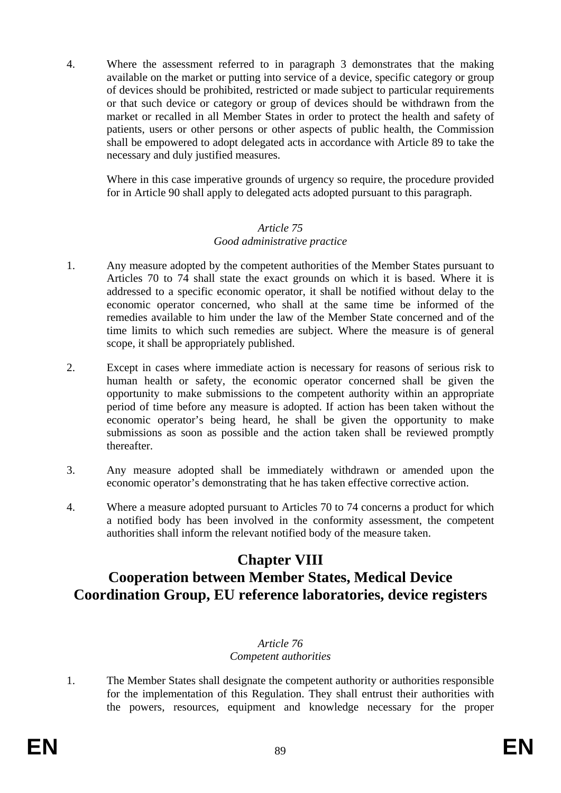4. Where the assessment referred to in paragraph 3 demonstrates that the making available on the market or putting into service of a device, specific category or group of devices should be prohibited, restricted or made subject to particular requirements or that such device or category or group of devices should be withdrawn from the market or recalled in all Member States in order to protect the health and safety of patients, users or other persons or other aspects of public health, the Commission shall be empowered to adopt delegated acts in accordance with Article 89 to take the necessary and duly justified measures.

Where in this case imperative grounds of urgency so require, the procedure provided for in Article 90 shall apply to delegated acts adopted pursuant to this paragraph.

#### *Article 75 Good administrative practice*

- 1. Any measure adopted by the competent authorities of the Member States pursuant to Articles 70 to 74 shall state the exact grounds on which it is based. Where it is addressed to a specific economic operator, it shall be notified without delay to the economic operator concerned, who shall at the same time be informed of the remedies available to him under the law of the Member State concerned and of the time limits to which such remedies are subject. Where the measure is of general scope, it shall be appropriately published.
- 2. Except in cases where immediate action is necessary for reasons of serious risk to human health or safety, the economic operator concerned shall be given the opportunity to make submissions to the competent authority within an appropriate period of time before any measure is adopted. If action has been taken without the economic operator's being heard, he shall be given the opportunity to make submissions as soon as possible and the action taken shall be reviewed promptly thereafter.
- 3. Any measure adopted shall be immediately withdrawn or amended upon the economic operator's demonstrating that he has taken effective corrective action.
- 4. Where a measure adopted pursuant to Articles 70 to 74 concerns a product for which a notified body has been involved in the conformity assessment, the competent authorities shall inform the relevant notified body of the measure taken.

# **Chapter VIII**

# **Cooperation between Member States, Medical Device Coordination Group, EU reference laboratories, device registers**

# *Article 76*

# *Competent authorities*

1. The Member States shall designate the competent authority or authorities responsible for the implementation of this Regulation. They shall entrust their authorities with the powers, resources, equipment and knowledge necessary for the proper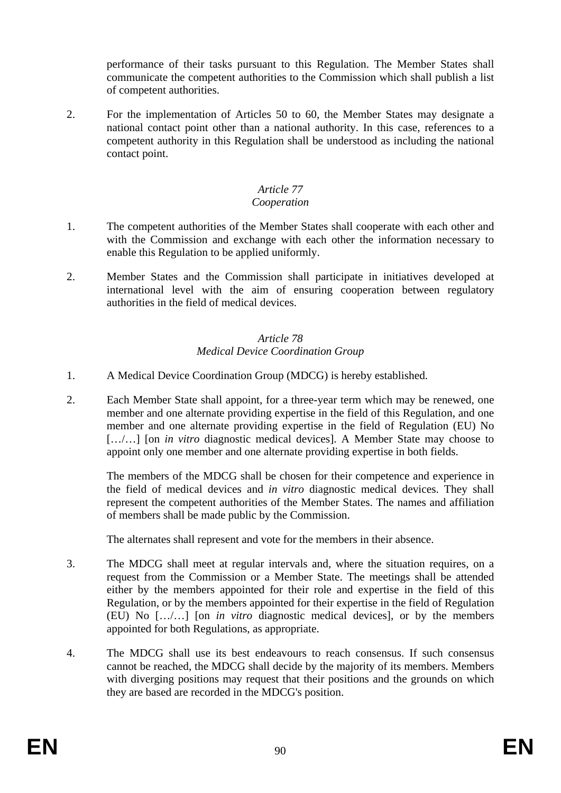performance of their tasks pursuant to this Regulation. The Member States shall communicate the competent authorities to the Commission which shall publish a list of competent authorities.

2. For the implementation of Articles 50 to 60, the Member States may designate a national contact point other than a national authority. In this case, references to a competent authority in this Regulation shall be understood as including the national contact point.

### *Article 77*

### *Cooperation*

- 1. The competent authorities of the Member States shall cooperate with each other and with the Commission and exchange with each other the information necessary to enable this Regulation to be applied uniformly.
- 2. Member States and the Commission shall participate in initiatives developed at international level with the aim of ensuring cooperation between regulatory authorities in the field of medical devices.

#### *Article 78 Medical Device Coordination Group*

- 1. A Medical Device Coordination Group (MDCG) is hereby established.
- 2. Each Member State shall appoint, for a three-year term which may be renewed, one member and one alternate providing expertise in the field of this Regulation, and one member and one alternate providing expertise in the field of Regulation (EU) No [.../...] [on *in vitro* diagnostic medical devices]. A Member State may choose to appoint only one member and one alternate providing expertise in both fields.

The members of the MDCG shall be chosen for their competence and experience in the field of medical devices and *in vitro* diagnostic medical devices. They shall represent the competent authorities of the Member States. The names and affiliation of members shall be made public by the Commission.

The alternates shall represent and vote for the members in their absence.

- 3. The MDCG shall meet at regular intervals and, where the situation requires, on a request from the Commission or a Member State. The meetings shall be attended either by the members appointed for their role and expertise in the field of this Regulation, or by the members appointed for their expertise in the field of Regulation (EU) No […/…] [on *in vitro* diagnostic medical devices], or by the members appointed for both Regulations, as appropriate.
- 4. The MDCG shall use its best endeavours to reach consensus. If such consensus cannot be reached, the MDCG shall decide by the majority of its members. Members with diverging positions may request that their positions and the grounds on which they are based are recorded in the MDCG's position.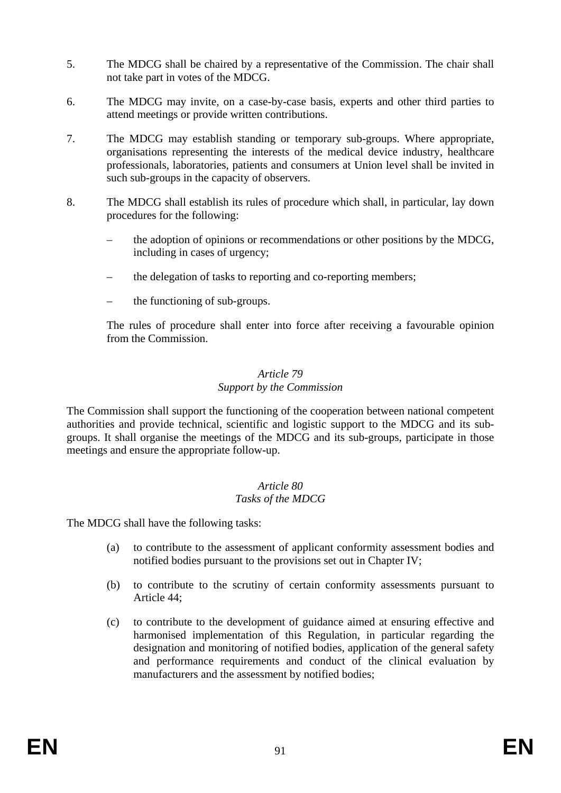- 5. The MDCG shall be chaired by a representative of the Commission. The chair shall not take part in votes of the MDCG.
- 6. The MDCG may invite, on a case-by-case basis, experts and other third parties to attend meetings or provide written contributions.
- 7. The MDCG may establish standing or temporary sub-groups. Where appropriate, organisations representing the interests of the medical device industry, healthcare professionals, laboratories, patients and consumers at Union level shall be invited in such sub-groups in the capacity of observers.
- 8. The MDCG shall establish its rules of procedure which shall, in particular, lay down procedures for the following:
	- the adoption of opinions or recommendations or other positions by the MDCG, including in cases of urgency;
	- the delegation of tasks to reporting and co-reporting members;
	- the functioning of sub-groups.

The rules of procedure shall enter into force after receiving a favourable opinion from the Commission.

#### *Article 79 Support by the Commission*

The Commission shall support the functioning of the cooperation between national competent authorities and provide technical, scientific and logistic support to the MDCG and its subgroups. It shall organise the meetings of the MDCG and its sub-groups, participate in those meetings and ensure the appropriate follow-up.

#### *Article 80 Tasks of the MDCG*

The MDCG shall have the following tasks:

- (a) to contribute to the assessment of applicant conformity assessment bodies and notified bodies pursuant to the provisions set out in Chapter IV;
- (b) to contribute to the scrutiny of certain conformity assessments pursuant to Article 44;
- (c) to contribute to the development of guidance aimed at ensuring effective and harmonised implementation of this Regulation, in particular regarding the designation and monitoring of notified bodies, application of the general safety and performance requirements and conduct of the clinical evaluation by manufacturers and the assessment by notified bodies;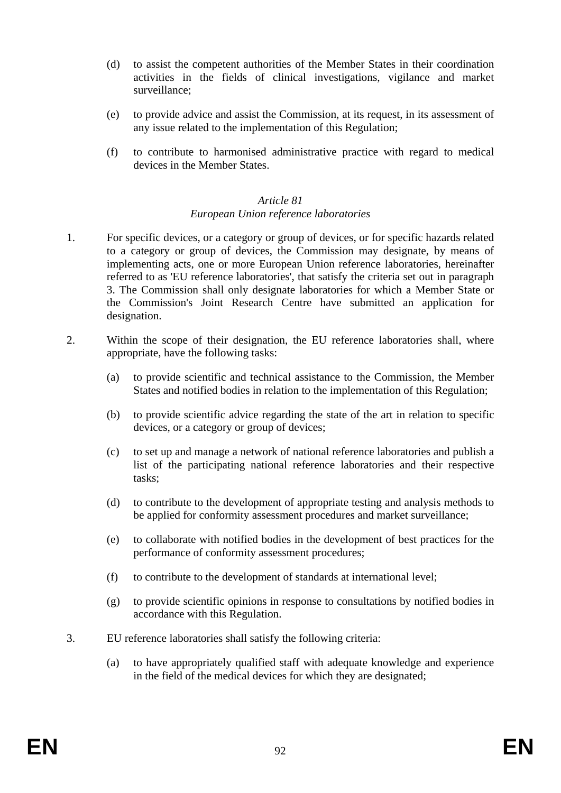- (d) to assist the competent authorities of the Member States in their coordination activities in the fields of clinical investigations, vigilance and market surveillance;
- (e) to provide advice and assist the Commission, at its request, in its assessment of any issue related to the implementation of this Regulation;
- (f) to contribute to harmonised administrative practice with regard to medical devices in the Member States.

#### *Article 81 European Union reference laboratories*

- 1. For specific devices, or a category or group of devices, or for specific hazards related to a category or group of devices, the Commission may designate, by means of implementing acts, one or more European Union reference laboratories, hereinafter referred to as 'EU reference laboratories', that satisfy the criteria set out in paragraph 3. The Commission shall only designate laboratories for which a Member State or the Commission's Joint Research Centre have submitted an application for designation.
- 2. Within the scope of their designation, the EU reference laboratories shall, where appropriate, have the following tasks:
	- (a) to provide scientific and technical assistance to the Commission, the Member States and notified bodies in relation to the implementation of this Regulation;
	- (b) to provide scientific advice regarding the state of the art in relation to specific devices, or a category or group of devices;
	- (c) to set up and manage a network of national reference laboratories and publish a list of the participating national reference laboratories and their respective tasks;
	- (d) to contribute to the development of appropriate testing and analysis methods to be applied for conformity assessment procedures and market surveillance;
	- (e) to collaborate with notified bodies in the development of best practices for the performance of conformity assessment procedures;
	- (f) to contribute to the development of standards at international level;
	- (g) to provide scientific opinions in response to consultations by notified bodies in accordance with this Regulation.
- 3. EU reference laboratories shall satisfy the following criteria:
	- (a) to have appropriately qualified staff with adequate knowledge and experience in the field of the medical devices for which they are designated;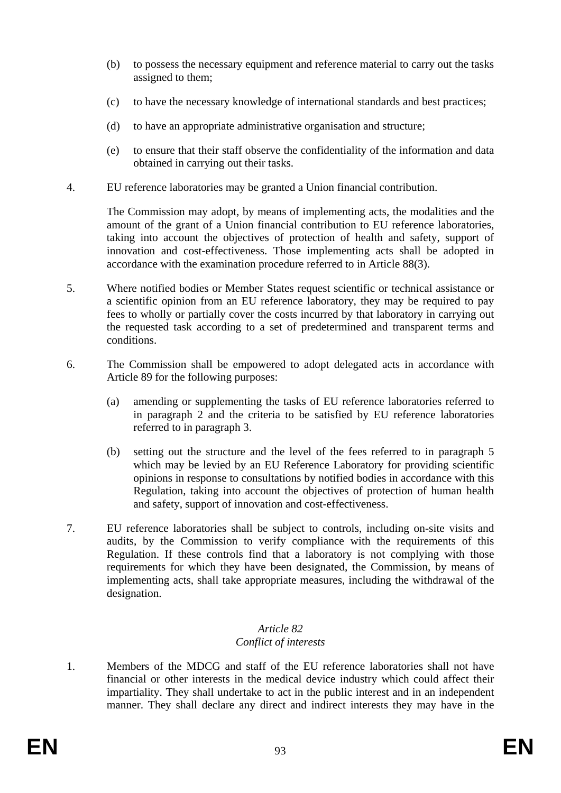- (b) to possess the necessary equipment and reference material to carry out the tasks assigned to them;
- (c) to have the necessary knowledge of international standards and best practices;
- (d) to have an appropriate administrative organisation and structure;
- (e) to ensure that their staff observe the confidentiality of the information and data obtained in carrying out their tasks.
- 4. EU reference laboratories may be granted a Union financial contribution.

The Commission may adopt, by means of implementing acts, the modalities and the amount of the grant of a Union financial contribution to EU reference laboratories, taking into account the objectives of protection of health and safety, support of innovation and cost-effectiveness. Those implementing acts shall be adopted in accordance with the examination procedure referred to in Article 88(3).

- 5. Where notified bodies or Member States request scientific or technical assistance or a scientific opinion from an EU reference laboratory, they may be required to pay fees to wholly or partially cover the costs incurred by that laboratory in carrying out the requested task according to a set of predetermined and transparent terms and conditions.
- 6. The Commission shall be empowered to adopt delegated acts in accordance with Article 89 for the following purposes:
	- (a) amending or supplementing the tasks of EU reference laboratories referred to in paragraph 2 and the criteria to be satisfied by EU reference laboratories referred to in paragraph 3.
	- (b) setting out the structure and the level of the fees referred to in paragraph 5 which may be levied by an EU Reference Laboratory for providing scientific opinions in response to consultations by notified bodies in accordance with this Regulation, taking into account the objectives of protection of human health and safety, support of innovation and cost-effectiveness.
- 7. EU reference laboratories shall be subject to controls, including on-site visits and audits, by the Commission to verify compliance with the requirements of this Regulation. If these controls find that a laboratory is not complying with those requirements for which they have been designated, the Commission, by means of implementing acts, shall take appropriate measures, including the withdrawal of the designation.

#### *Article 82 Conflict of interests*

1. Members of the MDCG and staff of the EU reference laboratories shall not have financial or other interests in the medical device industry which could affect their impartiality. They shall undertake to act in the public interest and in an independent manner. They shall declare any direct and indirect interests they may have in the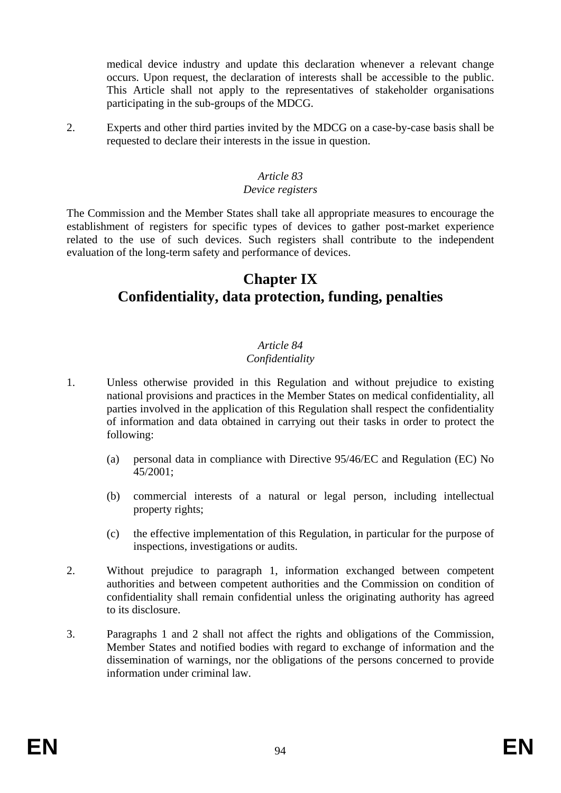medical device industry and update this declaration whenever a relevant change occurs. Upon request, the declaration of interests shall be accessible to the public. This Article shall not apply to the representatives of stakeholder organisations participating in the sub-groups of the MDCG.

2. Experts and other third parties invited by the MDCG on a case-by-case basis shall be requested to declare their interests in the issue in question.

### *Article 83*

#### *Device registers*

The Commission and the Member States shall take all appropriate measures to encourage the establishment of registers for specific types of devices to gather post-market experience related to the use of such devices. Such registers shall contribute to the independent evaluation of the long-term safety and performance of devices.

# **Chapter IX Confidentiality, data protection, funding, penalties**

# *Article 84*

# *Confidentiality*

- 1. Unless otherwise provided in this Regulation and without prejudice to existing national provisions and practices in the Member States on medical confidentiality, all parties involved in the application of this Regulation shall respect the confidentiality of information and data obtained in carrying out their tasks in order to protect the following:
	- (a) personal data in compliance with Directive 95/46/EC and Regulation (EC) No 45/2001;
	- (b) commercial interests of a natural or legal person, including intellectual property rights;
	- (c) the effective implementation of this Regulation, in particular for the purpose of inspections, investigations or audits.
- 2. Without prejudice to paragraph 1, information exchanged between competent authorities and between competent authorities and the Commission on condition of confidentiality shall remain confidential unless the originating authority has agreed to its disclosure.
- 3. Paragraphs 1 and 2 shall not affect the rights and obligations of the Commission, Member States and notified bodies with regard to exchange of information and the dissemination of warnings, nor the obligations of the persons concerned to provide information under criminal law.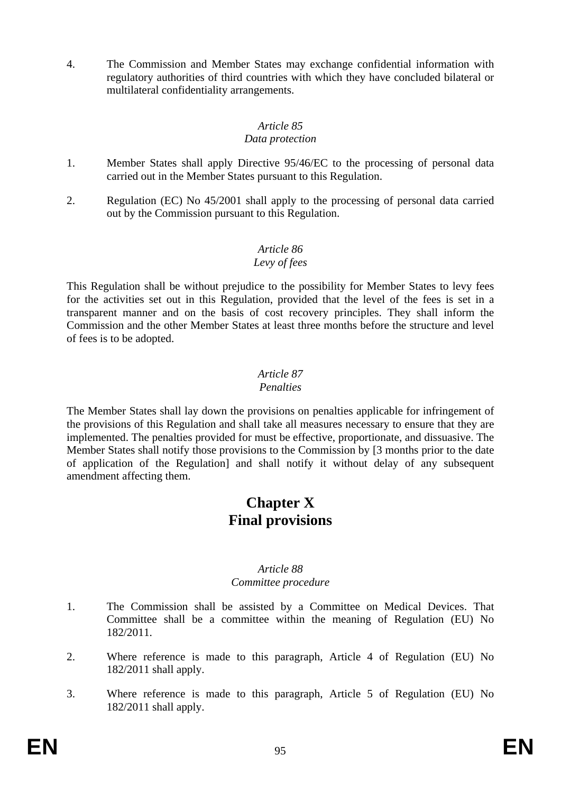4. The Commission and Member States may exchange confidential information with regulatory authorities of third countries with which they have concluded bilateral or multilateral confidentiality arrangements.

# *Article 85*

### *Data protection*

- 1. Member States shall apply Directive 95/46/EC to the processing of personal data carried out in the Member States pursuant to this Regulation.
- 2. Regulation (EC) No 45/2001 shall apply to the processing of personal data carried out by the Commission pursuant to this Regulation.

# *Article 86*

# *Levy of fees*

This Regulation shall be without prejudice to the possibility for Member States to levy fees for the activities set out in this Regulation, provided that the level of the fees is set in a transparent manner and on the basis of cost recovery principles. They shall inform the Commission and the other Member States at least three months before the structure and level of fees is to be adopted.

#### *Article 87 Penalties*

The Member States shall lay down the provisions on penalties applicable for infringement of the provisions of this Regulation and shall take all measures necessary to ensure that they are implemented. The penalties provided for must be effective, proportionate, and dissuasive. The Member States shall notify those provisions to the Commission by [3 months prior to the date of application of the Regulation] and shall notify it without delay of any subsequent amendment affecting them.

# **Chapter X Final provisions**

#### *Article 88 Committee procedure*

- 1. The Commission shall be assisted by a Committee on Medical Devices. That Committee shall be a committee within the meaning of Regulation (EU) No 182/2011.
- 2. Where reference is made to this paragraph, Article 4 of Regulation (EU) No 182/2011 shall apply.
- 3. Where reference is made to this paragraph, Article 5 of Regulation (EU) No 182/2011 shall apply.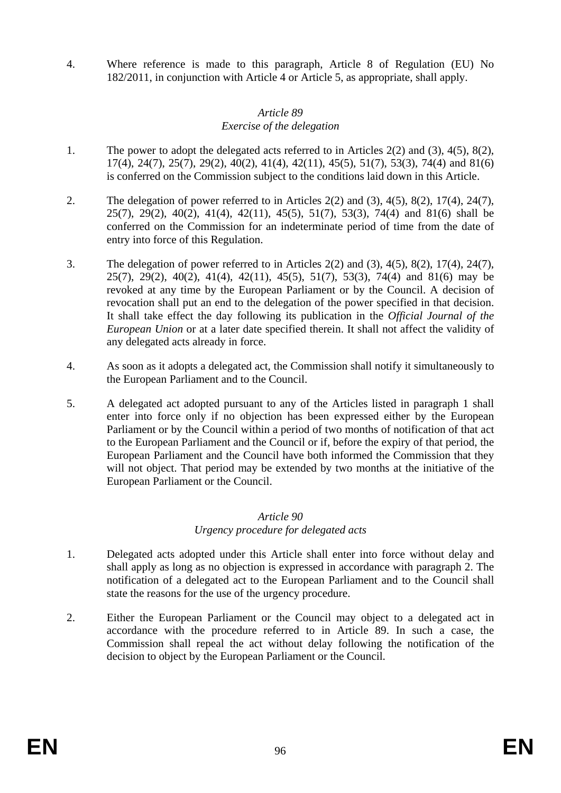4. Where reference is made to this paragraph, Article 8 of Regulation (EU) No 182/2011, in conjunction with Article 4 or Article 5, as appropriate, shall apply.

#### *Article 89 Exercise of the delegation*

- 1. The power to adopt the delegated acts referred to in Articles 2(2) and (3), 4(5), 8(2), 17(4), 24(7), 25(7), 29(2), 40(2), 41(4), 42(11), 45(5), 51(7), 53(3), 74(4) and 81(6) is conferred on the Commission subject to the conditions laid down in this Article.
- 2. The delegation of power referred to in Articles  $2(2)$  and  $(3)$ ,  $4(5)$ ,  $8(2)$ ,  $17(4)$ ,  $24(7)$ , 25(7), 29(2), 40(2), 41(4), 42(11), 45(5), 51(7), 53(3), 74(4) and 81(6) shall be conferred on the Commission for an indeterminate period of time from the date of entry into force of this Regulation.
- 3. The delegation of power referred to in Articles 2(2) and (3), 4(5), 8(2), 17(4), 24(7), 25(7), 29(2), 40(2), 41(4), 42(11), 45(5), 51(7), 53(3), 74(4) and 81(6) may be revoked at any time by the European Parliament or by the Council. A decision of revocation shall put an end to the delegation of the power specified in that decision. It shall take effect the day following its publication in the *Official Journal of the European Union* or at a later date specified therein. It shall not affect the validity of any delegated acts already in force.
- 4. As soon as it adopts a delegated act, the Commission shall notify it simultaneously to the European Parliament and to the Council.
- 5. A delegated act adopted pursuant to any of the Articles listed in paragraph 1 shall enter into force only if no objection has been expressed either by the European Parliament or by the Council within a period of two months of notification of that act to the European Parliament and the Council or if, before the expiry of that period, the European Parliament and the Council have both informed the Commission that they will not object. That period may be extended by two months at the initiative of the European Parliament or the Council.

#### *Article 90*

# *Urgency procedure for delegated acts*

- 1. Delegated acts adopted under this Article shall enter into force without delay and shall apply as long as no objection is expressed in accordance with paragraph 2. The notification of a delegated act to the European Parliament and to the Council shall state the reasons for the use of the urgency procedure.
- 2. Either the European Parliament or the Council may object to a delegated act in accordance with the procedure referred to in Article 89. In such a case, the Commission shall repeal the act without delay following the notification of the decision to object by the European Parliament or the Council.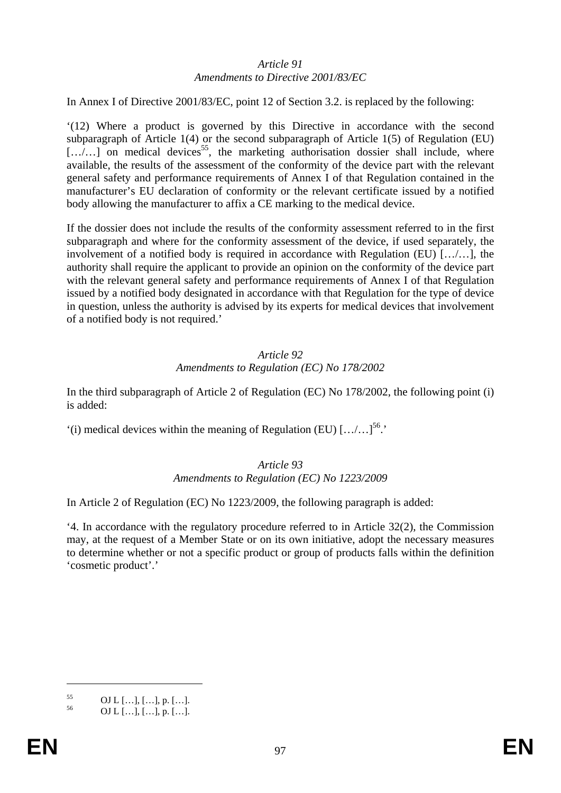#### *Article 91 Amendments to Directive 2001/83/EC*

In Annex I of Directive 2001/83/EC, point 12 of Section 3.2. is replaced by the following:

'(12) Where a product is governed by this Directive in accordance with the second subparagraph of Article 1(4) or the second subparagraph of Article 1(5) of Regulation (EU)  $[\ldots]$  on medical devices<sup>55</sup>, the marketing authorisation dossier shall include, where available, the results of the assessment of the conformity of the device part with the relevant general safety and performance requirements of Annex I of that Regulation contained in the manufacturer's EU declaration of conformity or the relevant certificate issued by a notified body allowing the manufacturer to affix a CE marking to the medical device.

If the dossier does not include the results of the conformity assessment referred to in the first subparagraph and where for the conformity assessment of the device, if used separately, the involvement of a notified body is required in accordance with Regulation (EU) […/…], the authority shall require the applicant to provide an opinion on the conformity of the device part with the relevant general safety and performance requirements of Annex I of that Regulation issued by a notified body designated in accordance with that Regulation for the type of device in question, unless the authority is advised by its experts for medical devices that involvement of a notified body is not required.'

#### *Article 92 Amendments to Regulation (EC) No 178/2002*

In the third subparagraph of Article 2 of Regulation (EC) No 178/2002, the following point (i) is added:

 $'(i)$  medical devices within the meaning of Regulation (EU)  $[\ldots] \ldots]^{56}$ .

#### *Article 93 Amendments to Regulation (EC) No 1223/2009*

In Article 2 of Regulation (EC) No 1223/2009, the following paragraph is added:

'4. In accordance with the regulatory procedure referred to in Article 32(2), the Commission may, at the request of a Member State or on its own initiative, adopt the necessary measures to determine whether or not a specific product or group of products falls within the definition 'cosmetic product'.'

<u>.</u>

 $\frac{55}{56}$  OJ L [...], [...], p. [...].

<sup>56</sup> OJ L […], […], p. […].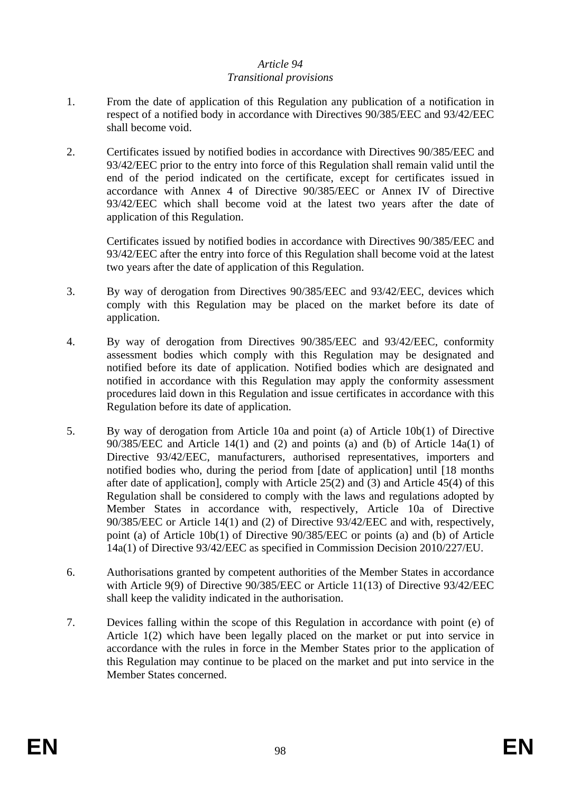#### *Article 94 Transitional provisions*

- 1. From the date of application of this Regulation any publication of a notification in respect of a notified body in accordance with Directives 90/385/EEC and 93/42/EEC shall become void.
- 2. Certificates issued by notified bodies in accordance with Directives 90/385/EEC and 93/42/EEC prior to the entry into force of this Regulation shall remain valid until the end of the period indicated on the certificate, except for certificates issued in accordance with Annex 4 of Directive 90/385/EEC or Annex IV of Directive 93/42/EEC which shall become void at the latest two years after the date of application of this Regulation.

Certificates issued by notified bodies in accordance with Directives 90/385/EEC and 93/42/EEC after the entry into force of this Regulation shall become void at the latest two years after the date of application of this Regulation.

- 3. By way of derogation from Directives 90/385/EEC and 93/42/EEC, devices which comply with this Regulation may be placed on the market before its date of application.
- 4. By way of derogation from Directives 90/385/EEC and 93/42/EEC, conformity assessment bodies which comply with this Regulation may be designated and notified before its date of application. Notified bodies which are designated and notified in accordance with this Regulation may apply the conformity assessment procedures laid down in this Regulation and issue certificates in accordance with this Regulation before its date of application.
- 5. By way of derogation from Article 10a and point (a) of Article 10b(1) of Directive 90/385/EEC and Article 14(1) and (2) and points (a) and (b) of Article 14a(1) of Directive 93/42/EEC, manufacturers, authorised representatives, importers and notified bodies who, during the period from [date of application] until [18 months after date of application], comply with Article 25(2) and (3) and Article 45(4) of this Regulation shall be considered to comply with the laws and regulations adopted by Member States in accordance with, respectively, Article 10a of Directive 90/385/EEC or Article 14(1) and (2) of Directive 93/42/EEC and with, respectively, point (a) of Article 10b(1) of Directive 90/385/EEC or points (a) and (b) of Article 14a(1) of Directive 93/42/EEC as specified in Commission Decision 2010/227/EU.
- 6. Authorisations granted by competent authorities of the Member States in accordance with Article 9(9) of Directive 90/385/EEC or Article 11(13) of Directive 93/42/EEC shall keep the validity indicated in the authorisation.
- 7. Devices falling within the scope of this Regulation in accordance with point (e) of Article 1(2) which have been legally placed on the market or put into service in accordance with the rules in force in the Member States prior to the application of this Regulation may continue to be placed on the market and put into service in the Member States concerned.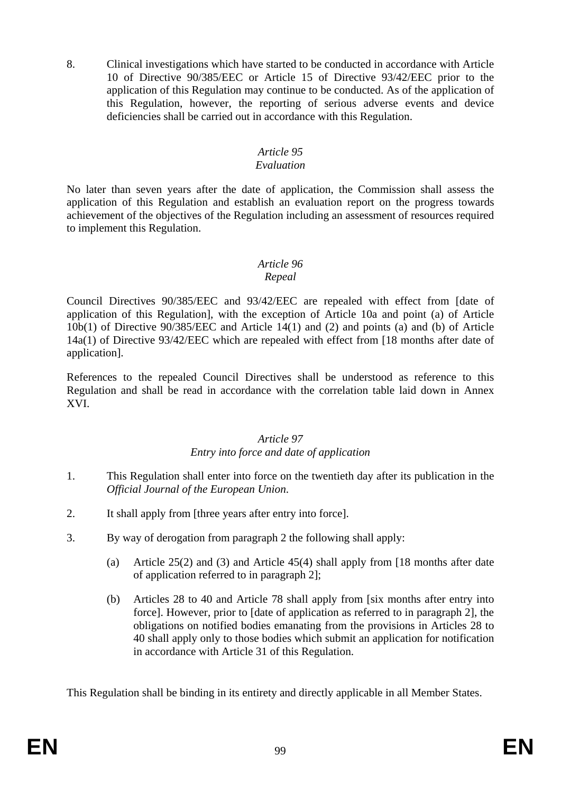8. Clinical investigations which have started to be conducted in accordance with Article 10 of Directive 90/385/EEC or Article 15 of Directive 93/42/EEC prior to the application of this Regulation may continue to be conducted. As of the application of this Regulation, however, the reporting of serious adverse events and device deficiencies shall be carried out in accordance with this Regulation.

# *Article 95*

### *Evaluation*

No later than seven years after the date of application, the Commission shall assess the application of this Regulation and establish an evaluation report on the progress towards achievement of the objectives of the Regulation including an assessment of resources required to implement this Regulation.

# *Article 96*

#### *Repeal*

Council Directives 90/385/EEC and 93/42/EEC are repealed with effect from [date of application of this Regulation], with the exception of Article 10a and point (a) of Article 10b(1) of Directive 90/385/EEC and Article 14(1) and (2) and points (a) and (b) of Article 14a(1) of Directive 93/42/EEC which are repealed with effect from [18 months after date of application].

References to the repealed Council Directives shall be understood as reference to this Regulation and shall be read in accordance with the correlation table laid down in Annex XVI.

# *Article 97*

# *Entry into force and date of application*

- 1. This Regulation shall enter into force on the twentieth day after its publication in the *Official Journal of the European Union*.
- 2. It shall apply from [three years after entry into force].
- 3. By way of derogation from paragraph 2 the following shall apply:
	- (a) Article 25(2) and (3) and Article 45(4) shall apply from [18 months after date of application referred to in paragraph 2];
	- (b) Articles 28 to 40 and Article 78 shall apply from [six months after entry into force]. However, prior to [date of application as referred to in paragraph 2], the obligations on notified bodies emanating from the provisions in Articles 28 to 40 shall apply only to those bodies which submit an application for notification in accordance with Article 31 of this Regulation.

This Regulation shall be binding in its entirety and directly applicable in all Member States.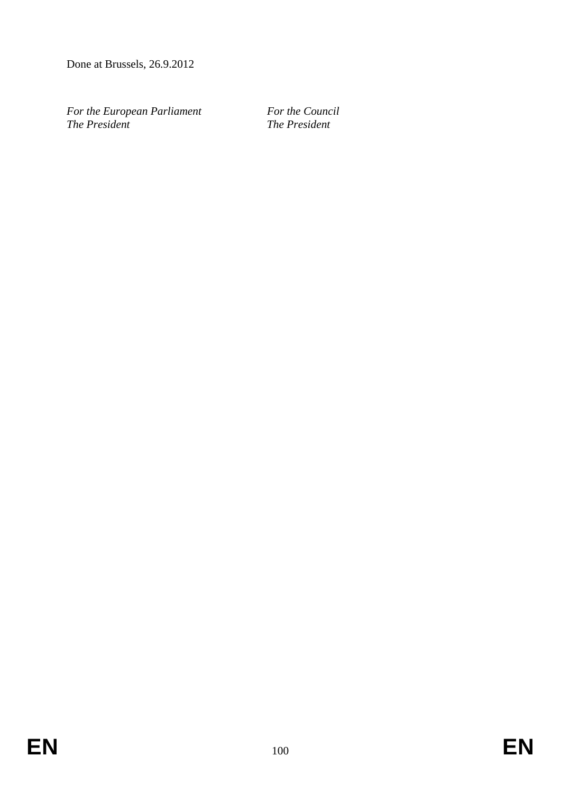Done at Brussels, 26.9.2012

*For the European Parliament For the Council*<br>*The President The President The President*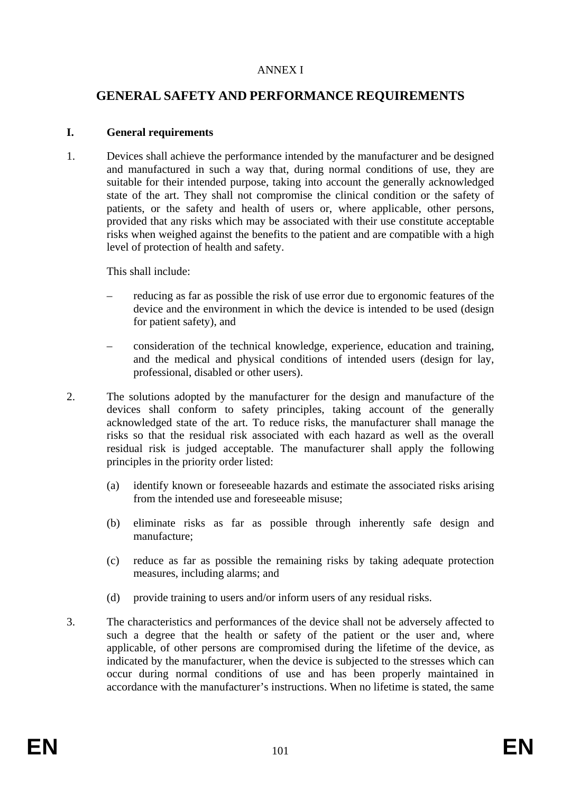# ANNEX I

# **GENERAL SAFETY AND PERFORMANCE REQUIREMENTS**

#### **I. General requirements**

1. Devices shall achieve the performance intended by the manufacturer and be designed and manufactured in such a way that, during normal conditions of use, they are suitable for their intended purpose, taking into account the generally acknowledged state of the art. They shall not compromise the clinical condition or the safety of patients, or the safety and health of users or, where applicable, other persons, provided that any risks which may be associated with their use constitute acceptable risks when weighed against the benefits to the patient and are compatible with a high level of protection of health and safety.

This shall include:

- reducing as far as possible the risk of use error due to ergonomic features of the device and the environment in which the device is intended to be used (design for patient safety), and
- consideration of the technical knowledge, experience, education and training, and the medical and physical conditions of intended users (design for lay, professional, disabled or other users).
- 2. The solutions adopted by the manufacturer for the design and manufacture of the devices shall conform to safety principles, taking account of the generally acknowledged state of the art. To reduce risks, the manufacturer shall manage the risks so that the residual risk associated with each hazard as well as the overall residual risk is judged acceptable. The manufacturer shall apply the following principles in the priority order listed:
	- (a) identify known or foreseeable hazards and estimate the associated risks arising from the intended use and foreseeable misuse;
	- (b) eliminate risks as far as possible through inherently safe design and manufacture;
	- (c) reduce as far as possible the remaining risks by taking adequate protection measures, including alarms; and
	- (d) provide training to users and/or inform users of any residual risks.
- 3. The characteristics and performances of the device shall not be adversely affected to such a degree that the health or safety of the patient or the user and, where applicable, of other persons are compromised during the lifetime of the device, as indicated by the manufacturer, when the device is subjected to the stresses which can occur during normal conditions of use and has been properly maintained in accordance with the manufacturer's instructions. When no lifetime is stated, the same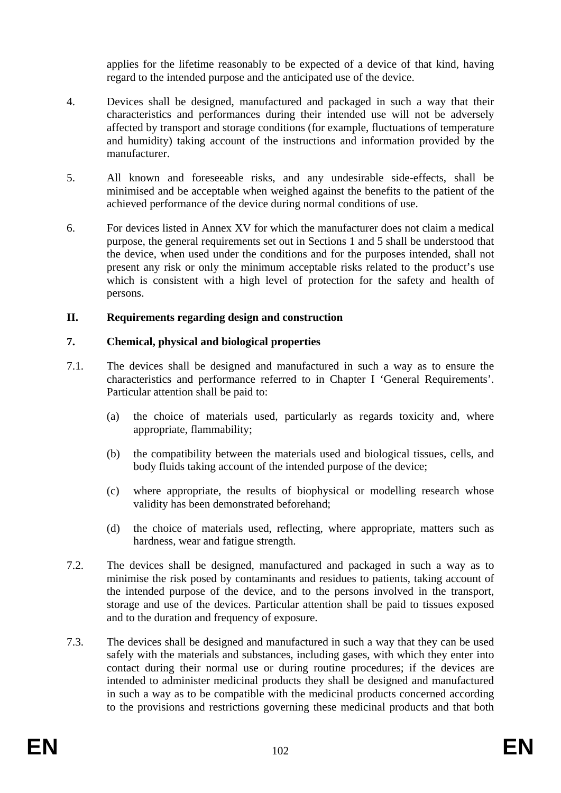applies for the lifetime reasonably to be expected of a device of that kind, having regard to the intended purpose and the anticipated use of the device.

- 4. Devices shall be designed, manufactured and packaged in such a way that their characteristics and performances during their intended use will not be adversely affected by transport and storage conditions (for example, fluctuations of temperature and humidity) taking account of the instructions and information provided by the manufacturer.
- 5. All known and foreseeable risks, and any undesirable side-effects, shall be minimised and be acceptable when weighed against the benefits to the patient of the achieved performance of the device during normal conditions of use.
- 6. For devices listed in Annex XV for which the manufacturer does not claim a medical purpose, the general requirements set out in Sections 1 and 5 shall be understood that the device, when used under the conditions and for the purposes intended, shall not present any risk or only the minimum acceptable risks related to the product's use which is consistent with a high level of protection for the safety and health of persons.

#### **II. Requirements regarding design and construction**

#### **7. Chemical, physical and biological properties**

- 7.1. The devices shall be designed and manufactured in such a way as to ensure the characteristics and performance referred to in Chapter I 'General Requirements'. Particular attention shall be paid to:
	- (a) the choice of materials used, particularly as regards toxicity and, where appropriate, flammability;
	- (b) the compatibility between the materials used and biological tissues, cells, and body fluids taking account of the intended purpose of the device;
	- (c) where appropriate, the results of biophysical or modelling research whose validity has been demonstrated beforehand;
	- (d) the choice of materials used, reflecting, where appropriate, matters such as hardness, wear and fatigue strength.
- 7.2. The devices shall be designed, manufactured and packaged in such a way as to minimise the risk posed by contaminants and residues to patients, taking account of the intended purpose of the device, and to the persons involved in the transport, storage and use of the devices. Particular attention shall be paid to tissues exposed and to the duration and frequency of exposure.
- 7.3. The devices shall be designed and manufactured in such a way that they can be used safely with the materials and substances, including gases, with which they enter into contact during their normal use or during routine procedures; if the devices are intended to administer medicinal products they shall be designed and manufactured in such a way as to be compatible with the medicinal products concerned according to the provisions and restrictions governing these medicinal products and that both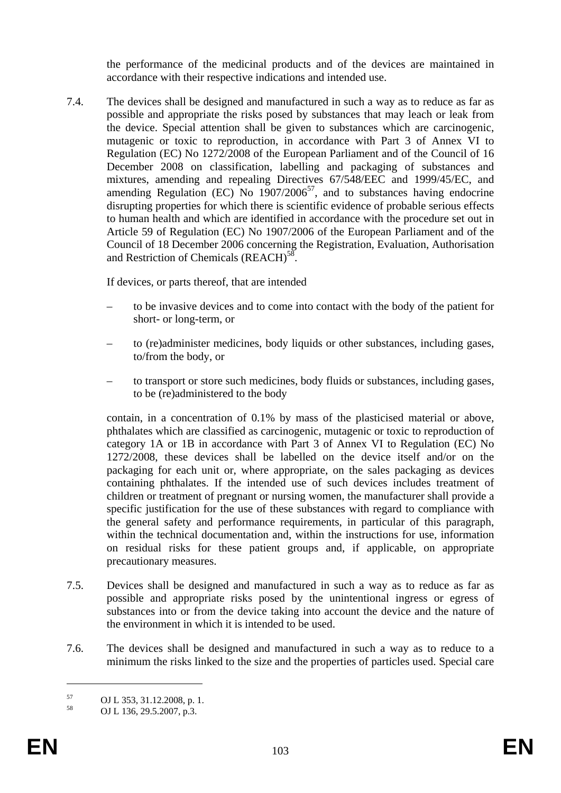the performance of the medicinal products and of the devices are maintained in accordance with their respective indications and intended use.

7.4. The devices shall be designed and manufactured in such a way as to reduce as far as possible and appropriate the risks posed by substances that may leach or leak from the device. Special attention shall be given to substances which are carcinogenic, mutagenic or toxic to reproduction, in accordance with Part 3 of Annex VI to Regulation (EC) No 1272/2008 of the European Parliament and of the Council of 16 December 2008 on classification, labelling and packaging of substances and mixtures, amending and repealing Directives 67/548/EEC and 1999/45/EC, and amending Regulation (EC) No  $1907/2006^{57}$ , and to substances having endocrine disrupting properties for which there is scientific evidence of probable serious effects to human health and which are identified in accordance with the procedure set out in Article 59 of Regulation (EC) No 1907/2006 of the European Parliament and of the Council of 18 December 2006 concerning the Registration, Evaluation, Authorisation and Restriction of Chemicals (REACH)<sup>58</sup>.

If devices, or parts thereof, that are intended

- to be invasive devices and to come into contact with the body of the patient for short- or long-term, or
- to (re)administer medicines, body liquids or other substances, including gases, to/from the body, or
- to transport or store such medicines, body fluids or substances, including gases, to be (re)administered to the body

contain, in a concentration of 0.1% by mass of the plasticised material or above, phthalates which are classified as carcinogenic, mutagenic or toxic to reproduction of category 1A or 1B in accordance with Part 3 of Annex VI to Regulation (EC) No 1272/2008, these devices shall be labelled on the device itself and/or on the packaging for each unit or, where appropriate, on the sales packaging as devices containing phthalates. If the intended use of such devices includes treatment of children or treatment of pregnant or nursing women, the manufacturer shall provide a specific justification for the use of these substances with regard to compliance with the general safety and performance requirements, in particular of this paragraph, within the technical documentation and, within the instructions for use, information on residual risks for these patient groups and, if applicable, on appropriate precautionary measures.

- 7.5. Devices shall be designed and manufactured in such a way as to reduce as far as possible and appropriate risks posed by the unintentional ingress or egress of substances into or from the device taking into account the device and the nature of the environment in which it is intended to be used.
- 7.6. The devices shall be designed and manufactured in such a way as to reduce to a minimum the risks linked to the size and the properties of particles used. Special care

<u>.</u>

 $^{57}$  OJ L 353, 31.12.2008, p. 1.<br> $^{58}$  OJ L 126, 20.5, 2007, p. 2.

OJ L 136, 29.5.2007, p.3.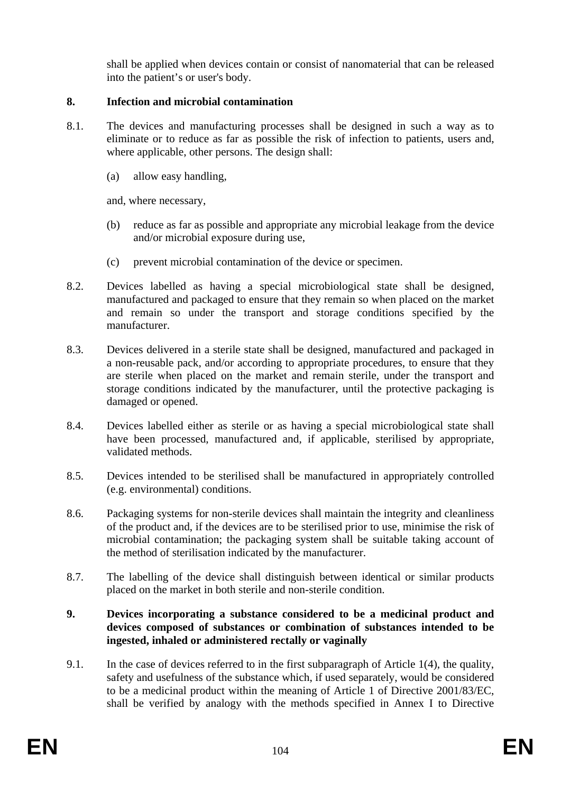shall be applied when devices contain or consist of nanomaterial that can be released into the patient's or user's body.

# **8. Infection and microbial contamination**

- 8.1. The devices and manufacturing processes shall be designed in such a way as to eliminate or to reduce as far as possible the risk of infection to patients, users and, where applicable, other persons. The design shall:
	- (a) allow easy handling,

and, where necessary,

- (b) reduce as far as possible and appropriate any microbial leakage from the device and/or microbial exposure during use,
- (c) prevent microbial contamination of the device or specimen.
- 8.2. Devices labelled as having a special microbiological state shall be designed, manufactured and packaged to ensure that they remain so when placed on the market and remain so under the transport and storage conditions specified by the manufacturer.
- 8.3. Devices delivered in a sterile state shall be designed, manufactured and packaged in a non-reusable pack, and/or according to appropriate procedures, to ensure that they are sterile when placed on the market and remain sterile, under the transport and storage conditions indicated by the manufacturer, until the protective packaging is damaged or opened.
- 8.4. Devices labelled either as sterile or as having a special microbiological state shall have been processed, manufactured and, if applicable, sterilised by appropriate, validated methods.
- 8.5. Devices intended to be sterilised shall be manufactured in appropriately controlled (e.g. environmental) conditions.
- 8.6. Packaging systems for non-sterile devices shall maintain the integrity and cleanliness of the product and, if the devices are to be sterilised prior to use, minimise the risk of microbial contamination; the packaging system shall be suitable taking account of the method of sterilisation indicated by the manufacturer.
- 8.7. The labelling of the device shall distinguish between identical or similar products placed on the market in both sterile and non-sterile condition.

#### **9. Devices incorporating a substance considered to be a medicinal product and devices composed of substances or combination of substances intended to be ingested, inhaled or administered rectally or vaginally**

9.1. In the case of devices referred to in the first subparagraph of Article 1(4), the quality, safety and usefulness of the substance which, if used separately, would be considered to be a medicinal product within the meaning of Article 1 of Directive 2001/83/EC, shall be verified by analogy with the methods specified in Annex I to Directive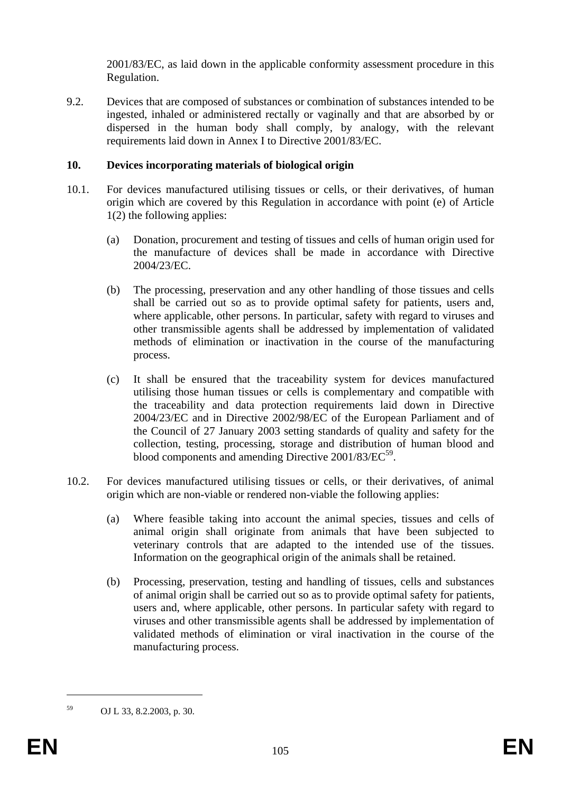2001/83/EC, as laid down in the applicable conformity assessment procedure in this Regulation.

9.2. Devices that are composed of substances or combination of substances intended to be ingested, inhaled or administered rectally or vaginally and that are absorbed by or dispersed in the human body shall comply, by analogy, with the relevant requirements laid down in Annex I to Directive 2001/83/EC.

### **10. Devices incorporating materials of biological origin**

- 10.1. For devices manufactured utilising tissues or cells, or their derivatives, of human origin which are covered by this Regulation in accordance with point (e) of Article 1(2) the following applies:
	- (a) Donation, procurement and testing of tissues and cells of human origin used for the manufacture of devices shall be made in accordance with Directive 2004/23/EC.
	- (b) The processing, preservation and any other handling of those tissues and cells shall be carried out so as to provide optimal safety for patients, users and, where applicable, other persons. In particular, safety with regard to viruses and other transmissible agents shall be addressed by implementation of validated methods of elimination or inactivation in the course of the manufacturing process.
	- (c) It shall be ensured that the traceability system for devices manufactured utilising those human tissues or cells is complementary and compatible with the traceability and data protection requirements laid down in Directive 2004/23/EC and in Directive 2002/98/EC of the European Parliament and of the Council of 27 January 2003 setting standards of quality and safety for the collection, testing, processing, storage and distribution of human blood and blood components and amending Directive  $2001/83/EC^{59}$ .
- 10.2. For devices manufactured utilising tissues or cells, or their derivatives, of animal origin which are non-viable or rendered non-viable the following applies:
	- (a) Where feasible taking into account the animal species, tissues and cells of animal origin shall originate from animals that have been subjected to veterinary controls that are adapted to the intended use of the tissues. Information on the geographical origin of the animals shall be retained.
	- (b) Processing, preservation, testing and handling of tissues, cells and substances of animal origin shall be carried out so as to provide optimal safety for patients, users and, where applicable, other persons. In particular safety with regard to viruses and other transmissible agents shall be addressed by implementation of validated methods of elimination or viral inactivation in the course of the manufacturing process.

1

<sup>59</sup> OJ L 33, 8.2.2003, p. 30.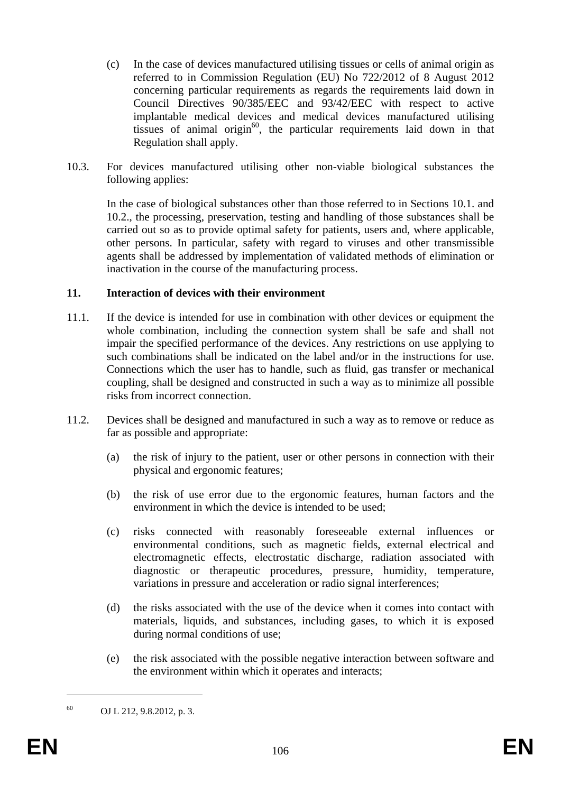- (c) In the case of devices manufactured utilising tissues or cells of animal origin as referred to in Commission Regulation (EU) No 722/2012 of 8 August 2012 concerning particular requirements as regards the requirements laid down in Council Directives 90/385/EEC and 93/42/EEC with respect to active implantable medical devices and medical devices manufactured utilising tissues of animal origin $^{60}$ , the particular requirements laid down in that Regulation shall apply.
- 10.3. For devices manufactured utilising other non-viable biological substances the following applies:

In the case of biological substances other than those referred to in Sections 10.1. and 10.2., the processing, preservation, testing and handling of those substances shall be carried out so as to provide optimal safety for patients, users and, where applicable, other persons. In particular, safety with regard to viruses and other transmissible agents shall be addressed by implementation of validated methods of elimination or inactivation in the course of the manufacturing process.

#### **11. Interaction of devices with their environment**

- 11.1. If the device is intended for use in combination with other devices or equipment the whole combination, including the connection system shall be safe and shall not impair the specified performance of the devices. Any restrictions on use applying to such combinations shall be indicated on the label and/or in the instructions for use. Connections which the user has to handle, such as fluid, gas transfer or mechanical coupling, shall be designed and constructed in such a way as to minimize all possible risks from incorrect connection.
- 11.2. Devices shall be designed and manufactured in such a way as to remove or reduce as far as possible and appropriate:
	- (a) the risk of injury to the patient, user or other persons in connection with their physical and ergonomic features;
	- (b) the risk of use error due to the ergonomic features, human factors and the environment in which the device is intended to be used;
	- (c) risks connected with reasonably foreseeable external influences or environmental conditions, such as magnetic fields, external electrical and electromagnetic effects, electrostatic discharge, radiation associated with diagnostic or therapeutic procedures, pressure, humidity, temperature, variations in pressure and acceleration or radio signal interferences;
	- (d) the risks associated with the use of the device when it comes into contact with materials, liquids, and substances, including gases, to which it is exposed during normal conditions of use;
	- (e) the risk associated with the possible negative interaction between software and the environment within which it operates and interacts;

1

<sup>60</sup> OJ L 212, 9.8.2012, p. 3.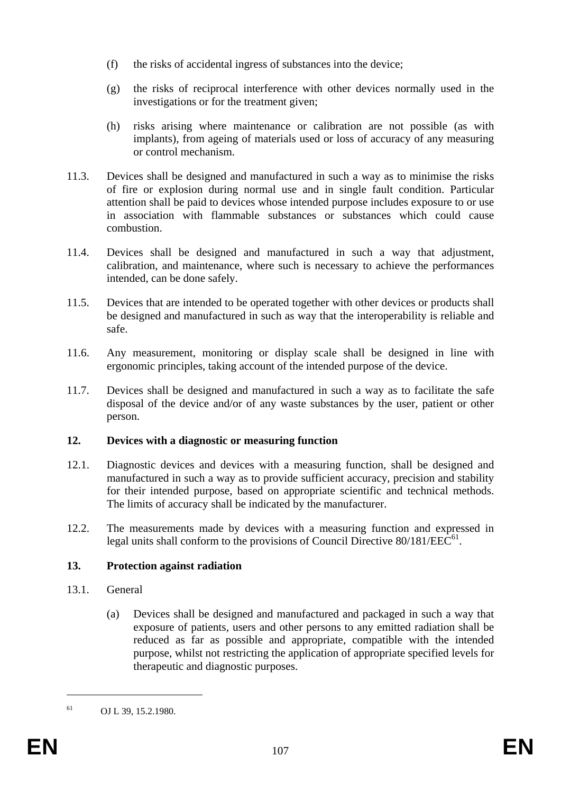- (f) the risks of accidental ingress of substances into the device;
- (g) the risks of reciprocal interference with other devices normally used in the investigations or for the treatment given;
- (h) risks arising where maintenance or calibration are not possible (as with implants), from ageing of materials used or loss of accuracy of any measuring or control mechanism.
- 11.3. Devices shall be designed and manufactured in such a way as to minimise the risks of fire or explosion during normal use and in single fault condition. Particular attention shall be paid to devices whose intended purpose includes exposure to or use in association with flammable substances or substances which could cause combustion.
- 11.4. Devices shall be designed and manufactured in such a way that adjustment, calibration, and maintenance, where such is necessary to achieve the performances intended, can be done safely.
- 11.5. Devices that are intended to be operated together with other devices or products shall be designed and manufactured in such as way that the interoperability is reliable and safe.
- 11.6. Any measurement, monitoring or display scale shall be designed in line with ergonomic principles, taking account of the intended purpose of the device.
- 11.7. Devices shall be designed and manufactured in such a way as to facilitate the safe disposal of the device and/or of any waste substances by the user, patient or other person.

#### **12. Devices with a diagnostic or measuring function**

- 12.1. Diagnostic devices and devices with a measuring function, shall be designed and manufactured in such a way as to provide sufficient accuracy, precision and stability for their intended purpose, based on appropriate scientific and technical methods. The limits of accuracy shall be indicated by the manufacturer.
- 12.2. The measurements made by devices with a measuring function and expressed in legal units shall conform to the provisions of Council Directive  $80/181/EEC^{61}$ .

# **13. Protection against radiation**

- 13.1. General
	- (a) Devices shall be designed and manufactured and packaged in such a way that exposure of patients, users and other persons to any emitted radiation shall be reduced as far as possible and appropriate, compatible with the intended purpose, whilst not restricting the application of appropriate specified levels for therapeutic and diagnostic purposes.

1

 $61$  OJ L 39, 15.2.1980.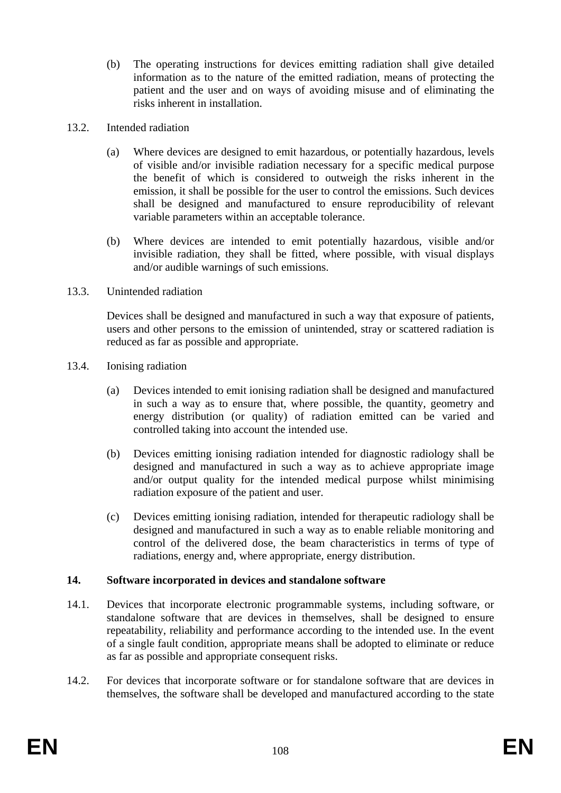- (b) The operating instructions for devices emitting radiation shall give detailed information as to the nature of the emitted radiation, means of protecting the patient and the user and on ways of avoiding misuse and of eliminating the risks inherent in installation.
- 13.2. Intended radiation
	- (a) Where devices are designed to emit hazardous, or potentially hazardous, levels of visible and/or invisible radiation necessary for a specific medical purpose the benefit of which is considered to outweigh the risks inherent in the emission, it shall be possible for the user to control the emissions. Such devices shall be designed and manufactured to ensure reproducibility of relevant variable parameters within an acceptable tolerance.
	- (b) Where devices are intended to emit potentially hazardous, visible and/or invisible radiation, they shall be fitted, where possible, with visual displays and/or audible warnings of such emissions.
- 13.3. Unintended radiation

Devices shall be designed and manufactured in such a way that exposure of patients, users and other persons to the emission of unintended, stray or scattered radiation is reduced as far as possible and appropriate.

- 13.4. Ionising radiation
	- (a) Devices intended to emit ionising radiation shall be designed and manufactured in such a way as to ensure that, where possible, the quantity, geometry and energy distribution (or quality) of radiation emitted can be varied and controlled taking into account the intended use.
	- (b) Devices emitting ionising radiation intended for diagnostic radiology shall be designed and manufactured in such a way as to achieve appropriate image and/or output quality for the intended medical purpose whilst minimising radiation exposure of the patient and user.
	- (c) Devices emitting ionising radiation, intended for therapeutic radiology shall be designed and manufactured in such a way as to enable reliable monitoring and control of the delivered dose, the beam characteristics in terms of type of radiations, energy and, where appropriate, energy distribution.

# **14. Software incorporated in devices and standalone software**

- 14.1. Devices that incorporate electronic programmable systems, including software, or standalone software that are devices in themselves, shall be designed to ensure repeatability, reliability and performance according to the intended use. In the event of a single fault condition, appropriate means shall be adopted to eliminate or reduce as far as possible and appropriate consequent risks.
- 14.2. For devices that incorporate software or for standalone software that are devices in themselves, the software shall be developed and manufactured according to the state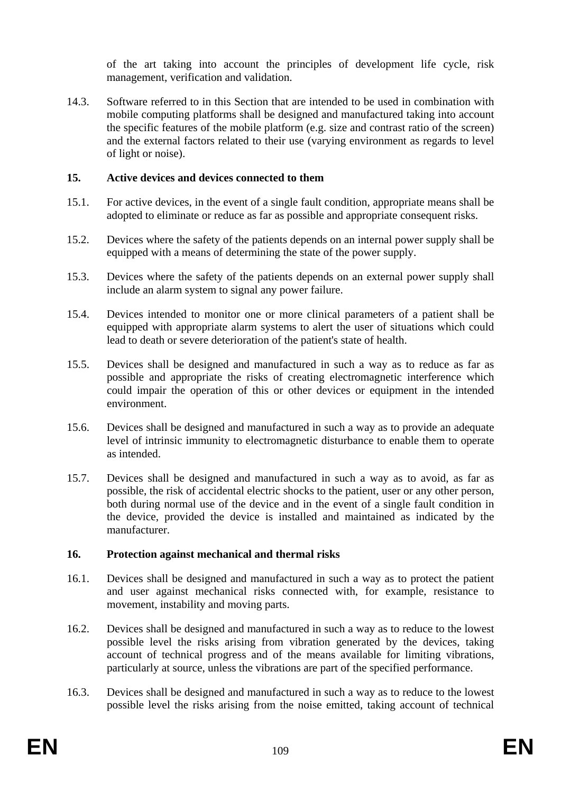of the art taking into account the principles of development life cycle, risk management, verification and validation.

14.3. Software referred to in this Section that are intended to be used in combination with mobile computing platforms shall be designed and manufactured taking into account the specific features of the mobile platform (e.g. size and contrast ratio of the screen) and the external factors related to their use (varying environment as regards to level of light or noise).

# **15. Active devices and devices connected to them**

- 15.1. For active devices, in the event of a single fault condition, appropriate means shall be adopted to eliminate or reduce as far as possible and appropriate consequent risks.
- 15.2. Devices where the safety of the patients depends on an internal power supply shall be equipped with a means of determining the state of the power supply.
- 15.3. Devices where the safety of the patients depends on an external power supply shall include an alarm system to signal any power failure.
- 15.4. Devices intended to monitor one or more clinical parameters of a patient shall be equipped with appropriate alarm systems to alert the user of situations which could lead to death or severe deterioration of the patient's state of health.
- 15.5. Devices shall be designed and manufactured in such a way as to reduce as far as possible and appropriate the risks of creating electromagnetic interference which could impair the operation of this or other devices or equipment in the intended environment.
- 15.6. Devices shall be designed and manufactured in such a way as to provide an adequate level of intrinsic immunity to electromagnetic disturbance to enable them to operate as intended.
- 15.7. Devices shall be designed and manufactured in such a way as to avoid, as far as possible, the risk of accidental electric shocks to the patient, user or any other person, both during normal use of the device and in the event of a single fault condition in the device, provided the device is installed and maintained as indicated by the manufacturer.

#### **16. Protection against mechanical and thermal risks**

- 16.1. Devices shall be designed and manufactured in such a way as to protect the patient and user against mechanical risks connected with, for example, resistance to movement, instability and moving parts.
- 16.2. Devices shall be designed and manufactured in such a way as to reduce to the lowest possible level the risks arising from vibration generated by the devices, taking account of technical progress and of the means available for limiting vibrations, particularly at source, unless the vibrations are part of the specified performance.
- 16.3. Devices shall be designed and manufactured in such a way as to reduce to the lowest possible level the risks arising from the noise emitted, taking account of technical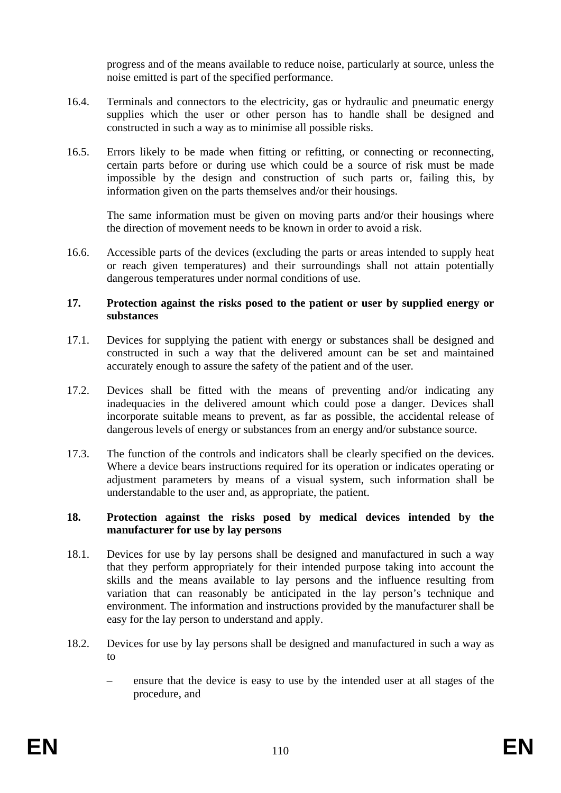progress and of the means available to reduce noise, particularly at source, unless the noise emitted is part of the specified performance.

- 16.4. Terminals and connectors to the electricity, gas or hydraulic and pneumatic energy supplies which the user or other person has to handle shall be designed and constructed in such a way as to minimise all possible risks.
- 16.5. Errors likely to be made when fitting or refitting, or connecting or reconnecting, certain parts before or during use which could be a source of risk must be made impossible by the design and construction of such parts or, failing this, by information given on the parts themselves and/or their housings.

The same information must be given on moving parts and/or their housings where the direction of movement needs to be known in order to avoid a risk.

16.6. Accessible parts of the devices (excluding the parts or areas intended to supply heat or reach given temperatures) and their surroundings shall not attain potentially dangerous temperatures under normal conditions of use.

#### **17. Protection against the risks posed to the patient or user by supplied energy or substances**

- 17.1. Devices for supplying the patient with energy or substances shall be designed and constructed in such a way that the delivered amount can be set and maintained accurately enough to assure the safety of the patient and of the user.
- 17.2. Devices shall be fitted with the means of preventing and/or indicating any inadequacies in the delivered amount which could pose a danger. Devices shall incorporate suitable means to prevent, as far as possible, the accidental release of dangerous levels of energy or substances from an energy and/or substance source.
- 17.3. The function of the controls and indicators shall be clearly specified on the devices. Where a device bears instructions required for its operation or indicates operating or adjustment parameters by means of a visual system, such information shall be understandable to the user and, as appropriate, the patient.

### **18. Protection against the risks posed by medical devices intended by the manufacturer for use by lay persons**

- 18.1. Devices for use by lay persons shall be designed and manufactured in such a way that they perform appropriately for their intended purpose taking into account the skills and the means available to lay persons and the influence resulting from variation that can reasonably be anticipated in the lay person's technique and environment. The information and instructions provided by the manufacturer shall be easy for the lay person to understand and apply.
- 18.2. Devices for use by lay persons shall be designed and manufactured in such a way as to
	- ensure that the device is easy to use by the intended user at all stages of the procedure, and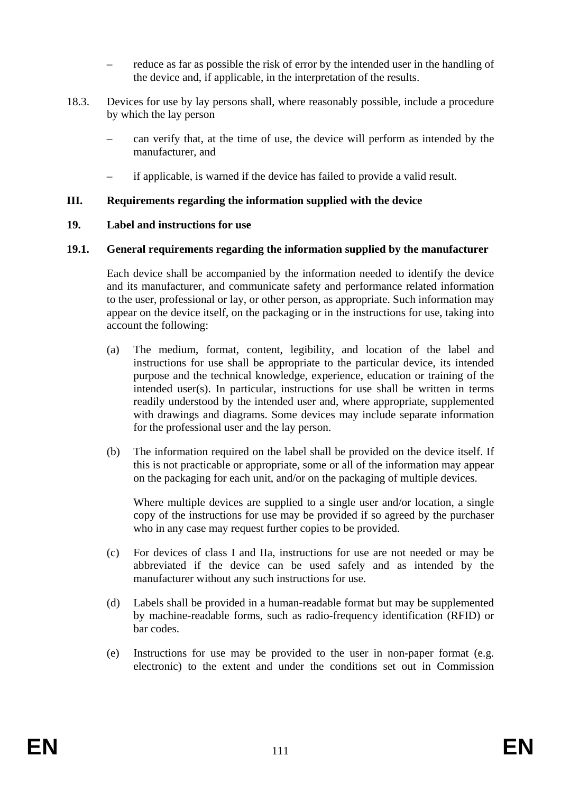- reduce as far as possible the risk of error by the intended user in the handling of the device and, if applicable, in the interpretation of the results.
- 18.3. Devices for use by lay persons shall, where reasonably possible, include a procedure by which the lay person
	- can verify that, at the time of use, the device will perform as intended by the manufacturer, and
	- if applicable, is warned if the device has failed to provide a valid result.

### **III. Requirements regarding the information supplied with the device**

#### **19. Label and instructions for use**

### **19.1. General requirements regarding the information supplied by the manufacturer**

Each device shall be accompanied by the information needed to identify the device and its manufacturer, and communicate safety and performance related information to the user, professional or lay, or other person, as appropriate. Such information may appear on the device itself, on the packaging or in the instructions for use, taking into account the following:

- (a) The medium, format, content, legibility, and location of the label and instructions for use shall be appropriate to the particular device, its intended purpose and the technical knowledge, experience, education or training of the intended user(s). In particular, instructions for use shall be written in terms readily understood by the intended user and, where appropriate, supplemented with drawings and diagrams. Some devices may include separate information for the professional user and the lay person.
- (b) The information required on the label shall be provided on the device itself. If this is not practicable or appropriate, some or all of the information may appear on the packaging for each unit, and/or on the packaging of multiple devices.

Where multiple devices are supplied to a single user and/or location, a single copy of the instructions for use may be provided if so agreed by the purchaser who in any case may request further copies to be provided.

- (c) For devices of class I and IIa, instructions for use are not needed or may be abbreviated if the device can be used safely and as intended by the manufacturer without any such instructions for use.
- (d) Labels shall be provided in a human-readable format but may be supplemented by machine-readable forms, such as radio-frequency identification (RFID) or bar codes.
- (e) Instructions for use may be provided to the user in non-paper format (e.g. electronic) to the extent and under the conditions set out in Commission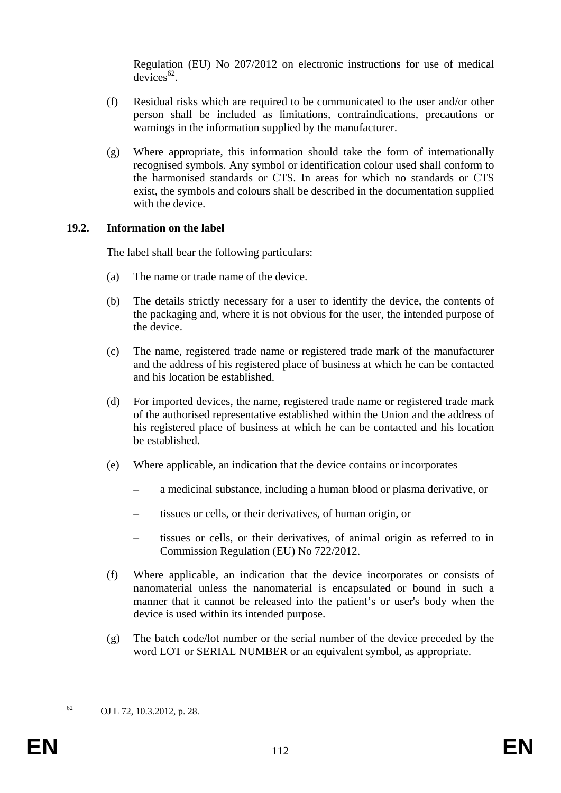Regulation (EU) No 207/2012 on electronic instructions for use of medical  $devices^{62}$ 

- (f) Residual risks which are required to be communicated to the user and/or other person shall be included as limitations, contraindications, precautions or warnings in the information supplied by the manufacturer.
- (g) Where appropriate, this information should take the form of internationally recognised symbols. Any symbol or identification colour used shall conform to the harmonised standards or CTS. In areas for which no standards or CTS exist, the symbols and colours shall be described in the documentation supplied with the device.

# **19.2. Information on the label**

The label shall bear the following particulars:

- (a) The name or trade name of the device.
- (b) The details strictly necessary for a user to identify the device, the contents of the packaging and, where it is not obvious for the user, the intended purpose of the device.
- (c) The name, registered trade name or registered trade mark of the manufacturer and the address of his registered place of business at which he can be contacted and his location be established.
- (d) For imported devices, the name, registered trade name or registered trade mark of the authorised representative established within the Union and the address of his registered place of business at which he can be contacted and his location be established.
- (e) Where applicable, an indication that the device contains or incorporates
	- a medicinal substance, including a human blood or plasma derivative, or
	- tissues or cells, or their derivatives, of human origin, or
	- tissues or cells, or their derivatives, of animal origin as referred to in Commission Regulation (EU) No 722/2012.
- (f) Where applicable, an indication that the device incorporates or consists of nanomaterial unless the nanomaterial is encapsulated or bound in such a manner that it cannot be released into the patient's or user's body when the device is used within its intended purpose.
- (g) The batch code/lot number or the serial number of the device preceded by the word LOT or SERIAL NUMBER or an equivalent symbol, as appropriate.

1

<sup>62</sup> OJ L 72, 10.3.2012, p. 28.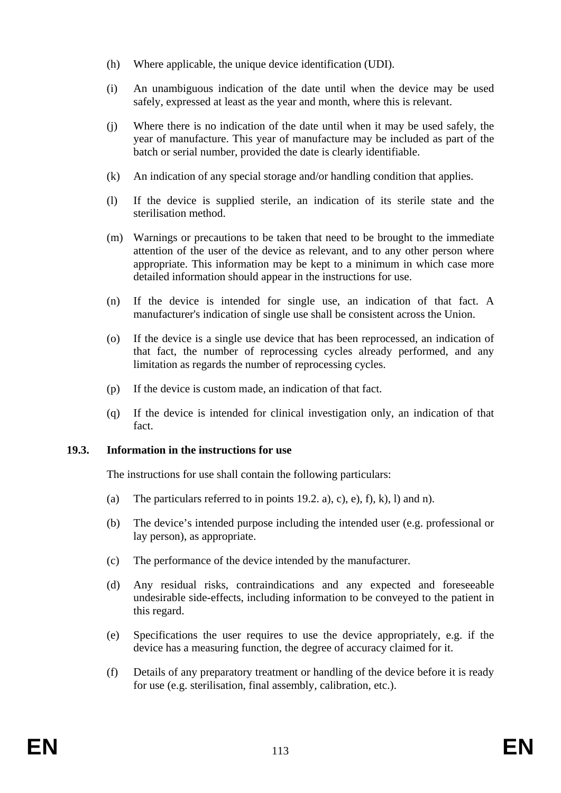- (h) Where applicable, the unique device identification (UDI).
- (i) An unambiguous indication of the date until when the device may be used safely, expressed at least as the year and month, where this is relevant.
- (j) Where there is no indication of the date until when it may be used safely, the year of manufacture. This year of manufacture may be included as part of the batch or serial number, provided the date is clearly identifiable.
- (k) An indication of any special storage and/or handling condition that applies.
- (l) If the device is supplied sterile, an indication of its sterile state and the sterilisation method.
- (m) Warnings or precautions to be taken that need to be brought to the immediate attention of the user of the device as relevant, and to any other person where appropriate. This information may be kept to a minimum in which case more detailed information should appear in the instructions for use.
- (n) If the device is intended for single use, an indication of that fact. A manufacturer's indication of single use shall be consistent across the Union.
- (o) If the device is a single use device that has been reprocessed, an indication of that fact, the number of reprocessing cycles already performed, and any limitation as regards the number of reprocessing cycles.
- (p) If the device is custom made, an indication of that fact.
- (q) If the device is intended for clinical investigation only, an indication of that fact.

# **19.3. Information in the instructions for use**

The instructions for use shall contain the following particulars:

- (a) The particulars referred to in points 19.2. a), c), e), f), k), l) and n).
- (b) The device's intended purpose including the intended user (e.g. professional or lay person), as appropriate.
- (c) The performance of the device intended by the manufacturer.
- (d) Any residual risks, contraindications and any expected and foreseeable undesirable side-effects, including information to be conveyed to the patient in this regard.
- (e) Specifications the user requires to use the device appropriately, e.g. if the device has a measuring function, the degree of accuracy claimed for it.
- (f) Details of any preparatory treatment or handling of the device before it is ready for use (e.g. sterilisation, final assembly, calibration, etc.).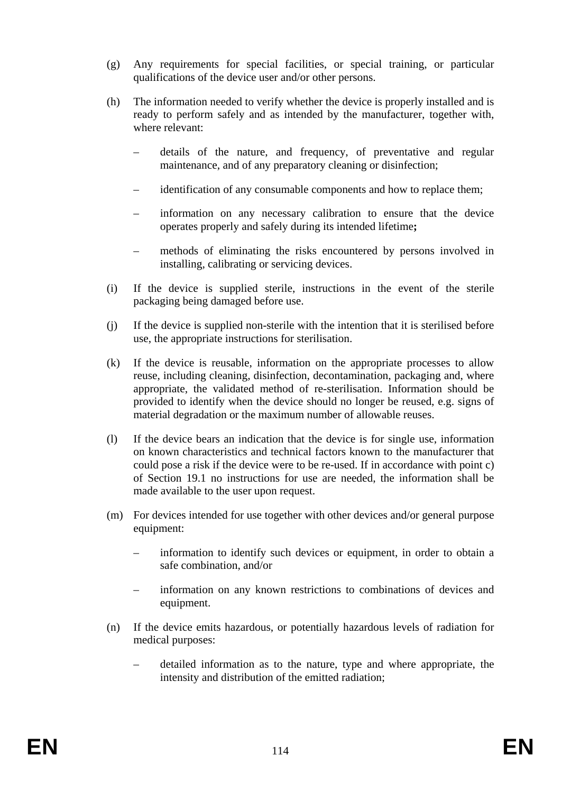- (g) Any requirements for special facilities, or special training, or particular qualifications of the device user and/or other persons.
- (h) The information needed to verify whether the device is properly installed and is ready to perform safely and as intended by the manufacturer, together with, where relevant:
	- details of the nature, and frequency, of preventative and regular maintenance, and of any preparatory cleaning or disinfection;
	- identification of any consumable components and how to replace them;
	- information on any necessary calibration to ensure that the device operates properly and safely during its intended lifetime**;**
	- methods of eliminating the risks encountered by persons involved in installing, calibrating or servicing devices.
- (i) If the device is supplied sterile, instructions in the event of the sterile packaging being damaged before use.
- (j) If the device is supplied non-sterile with the intention that it is sterilised before use, the appropriate instructions for sterilisation.
- (k) If the device is reusable, information on the appropriate processes to allow reuse, including cleaning, disinfection, decontamination, packaging and, where appropriate, the validated method of re-sterilisation. Information should be provided to identify when the device should no longer be reused, e.g. signs of material degradation or the maximum number of allowable reuses.
- (l) If the device bears an indication that the device is for single use, information on known characteristics and technical factors known to the manufacturer that could pose a risk if the device were to be re-used. If in accordance with point c) of Section 19.1 no instructions for use are needed, the information shall be made available to the user upon request.
- (m) For devices intended for use together with other devices and/or general purpose equipment:
	- information to identify such devices or equipment, in order to obtain a safe combination, and/or
	- information on any known restrictions to combinations of devices and equipment.
- (n) If the device emits hazardous, or potentially hazardous levels of radiation for medical purposes:
	- detailed information as to the nature, type and where appropriate, the intensity and distribution of the emitted radiation;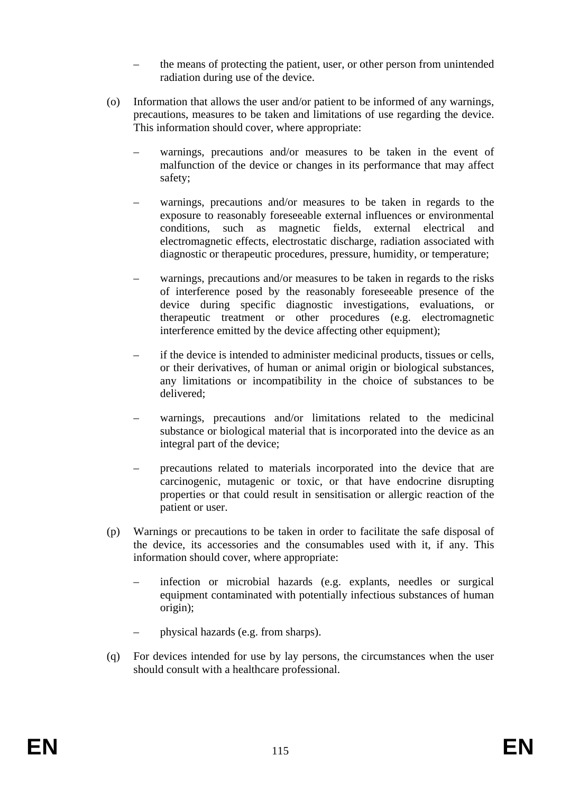- the means of protecting the patient, user, or other person from unintended radiation during use of the device.
- (o) Information that allows the user and/or patient to be informed of any warnings, precautions, measures to be taken and limitations of use regarding the device. This information should cover, where appropriate:
	- warnings, precautions and/or measures to be taken in the event of malfunction of the device or changes in its performance that may affect safety;
	- warnings, precautions and/or measures to be taken in regards to the exposure to reasonably foreseeable external influences or environmental conditions, such as magnetic fields, external electrical and electromagnetic effects, electrostatic discharge, radiation associated with diagnostic or therapeutic procedures, pressure, humidity, or temperature;
	- warnings, precautions and/or measures to be taken in regards to the risks of interference posed by the reasonably foreseeable presence of the device during specific diagnostic investigations, evaluations, or therapeutic treatment or other procedures (e.g. electromagnetic interference emitted by the device affecting other equipment);
	- if the device is intended to administer medicinal products, tissues or cells, or their derivatives, of human or animal origin or biological substances, any limitations or incompatibility in the choice of substances to be delivered;
	- warnings, precautions and/or limitations related to the medicinal substance or biological material that is incorporated into the device as an integral part of the device;
	- precautions related to materials incorporated into the device that are carcinogenic, mutagenic or toxic, or that have endocrine disrupting properties or that could result in sensitisation or allergic reaction of the patient or user.
- (p) Warnings or precautions to be taken in order to facilitate the safe disposal of the device, its accessories and the consumables used with it, if any. This information should cover, where appropriate:
	- infection or microbial hazards (e.g. explants, needles or surgical equipment contaminated with potentially infectious substances of human origin);
	- physical hazards (e.g. from sharps).
- (q) For devices intended for use by lay persons, the circumstances when the user should consult with a healthcare professional.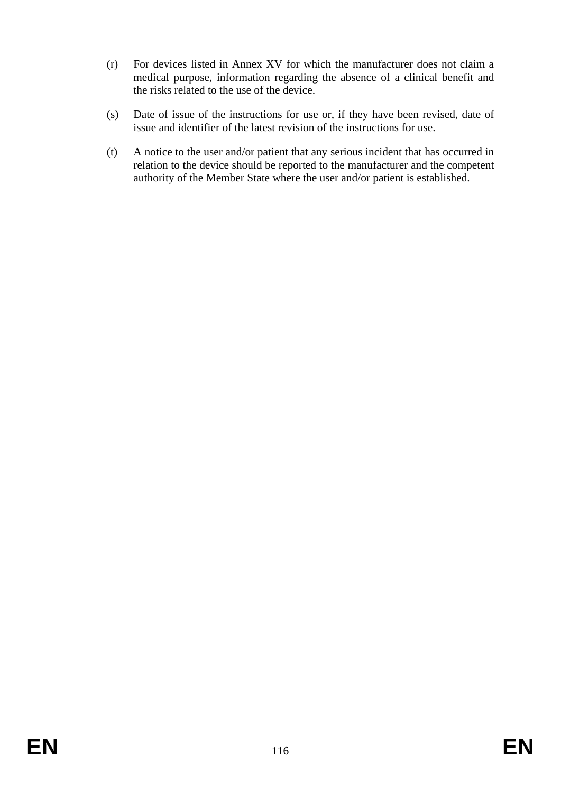- (r) For devices listed in Annex XV for which the manufacturer does not claim a medical purpose, information regarding the absence of a clinical benefit and the risks related to the use of the device.
- (s) Date of issue of the instructions for use or, if they have been revised, date of issue and identifier of the latest revision of the instructions for use.
- (t) A notice to the user and/or patient that any serious incident that has occurred in relation to the device should be reported to the manufacturer and the competent authority of the Member State where the user and/or patient is established.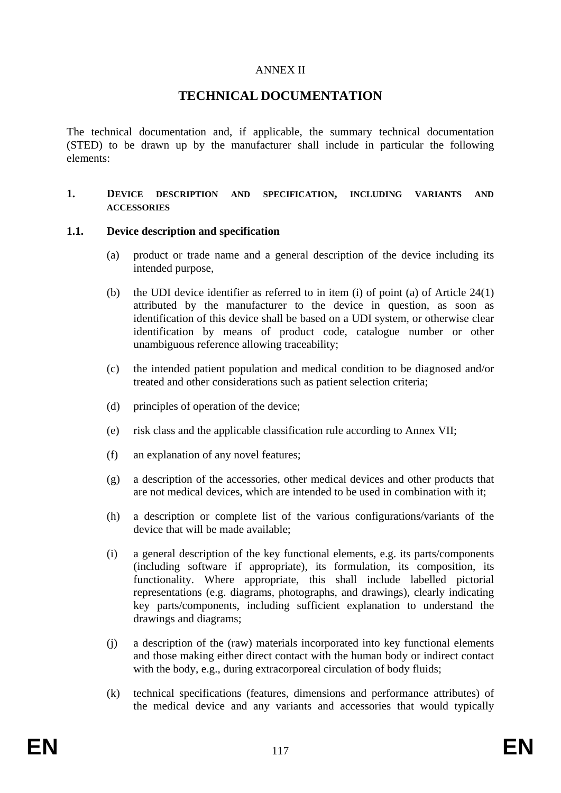### ANNEX II

# **TECHNICAL DOCUMENTATION**

The technical documentation and, if applicable, the summary technical documentation (STED) to be drawn up by the manufacturer shall include in particular the following elements:

#### **1. DEVICE DESCRIPTION AND SPECIFICATION, INCLUDING VARIANTS AND ACCESSORIES**

#### **1.1. Device description and specification**

- (a) product or trade name and a general description of the device including its intended purpose,
- (b) the UDI device identifier as referred to in item (i) of point (a) of Article 24(1) attributed by the manufacturer to the device in question, as soon as identification of this device shall be based on a UDI system, or otherwise clear identification by means of product code, catalogue number or other unambiguous reference allowing traceability;
- (c) the intended patient population and medical condition to be diagnosed and/or treated and other considerations such as patient selection criteria;
- (d) principles of operation of the device;
- (e) risk class and the applicable classification rule according to Annex VII;
- (f) an explanation of any novel features;
- (g) a description of the accessories, other medical devices and other products that are not medical devices, which are intended to be used in combination with it;
- (h) a description or complete list of the various configurations/variants of the device that will be made available;
- (i) a general description of the key functional elements, e.g. its parts/components (including software if appropriate), its formulation, its composition, its functionality. Where appropriate, this shall include labelled pictorial representations (e.g. diagrams, photographs, and drawings), clearly indicating key parts/components, including sufficient explanation to understand the drawings and diagrams;
- (j) a description of the (raw) materials incorporated into key functional elements and those making either direct contact with the human body or indirect contact with the body, e.g., during extracorporeal circulation of body fluids;
- (k) technical specifications (features, dimensions and performance attributes) of the medical device and any variants and accessories that would typically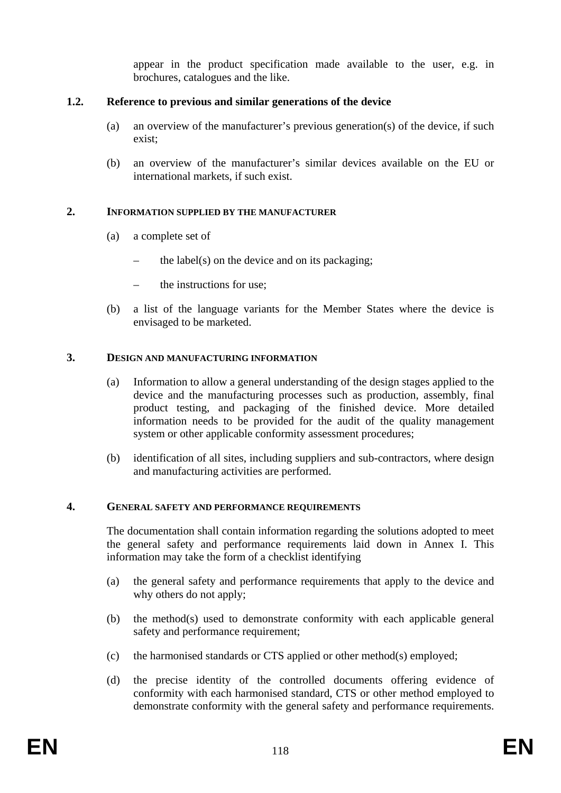appear in the product specification made available to the user, e.g. in brochures, catalogues and the like.

### **1.2. Reference to previous and similar generations of the device**

- (a) an overview of the manufacturer's previous generation(s) of the device, if such exist;
- (b) an overview of the manufacturer's similar devices available on the EU or international markets, if such exist.

### **2. INFORMATION SUPPLIED BY THE MANUFACTURER**

- (a) a complete set of
	- the label(s) on the device and on its packaging;
	- the instructions for use:
- (b) a list of the language variants for the Member States where the device is envisaged to be marketed.

#### **3. DESIGN AND MANUFACTURING INFORMATION**

- (a) Information to allow a general understanding of the design stages applied to the device and the manufacturing processes such as production, assembly, final product testing, and packaging of the finished device. More detailed information needs to be provided for the audit of the quality management system or other applicable conformity assessment procedures;
- (b) identification of all sites, including suppliers and sub-contractors, where design and manufacturing activities are performed.

#### **4. GENERAL SAFETY AND PERFORMANCE REQUIREMENTS**

The documentation shall contain information regarding the solutions adopted to meet the general safety and performance requirements laid down in Annex I. This information may take the form of a checklist identifying

- (a) the general safety and performance requirements that apply to the device and why others do not apply;
- (b) the method(s) used to demonstrate conformity with each applicable general safety and performance requirement;
- (c) the harmonised standards or CTS applied or other method(s) employed;
- (d) the precise identity of the controlled documents offering evidence of conformity with each harmonised standard, CTS or other method employed to demonstrate conformity with the general safety and performance requirements.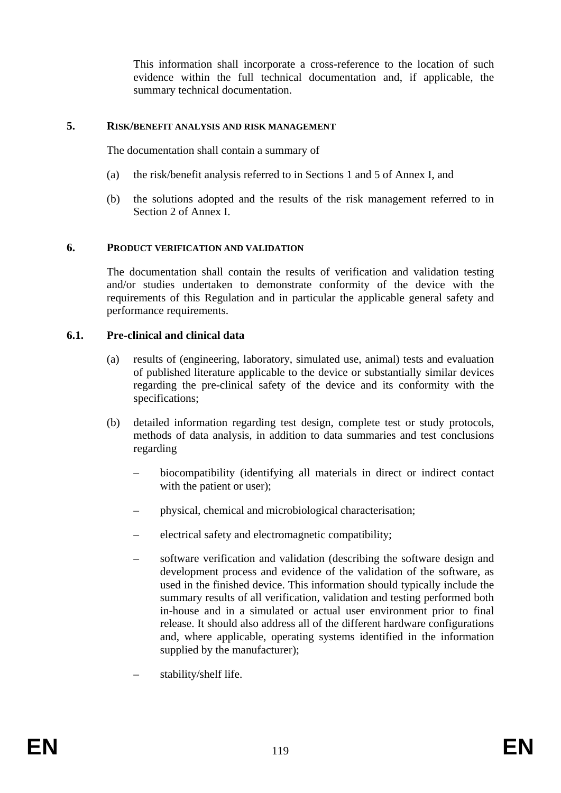This information shall incorporate a cross-reference to the location of such evidence within the full technical documentation and, if applicable, the summary technical documentation.

#### **5. RISK/BENEFIT ANALYSIS AND RISK MANAGEMENT**

The documentation shall contain a summary of

- (a) the risk/benefit analysis referred to in Sections 1 and 5 of Annex I, and
- (b) the solutions adopted and the results of the risk management referred to in Section 2 of Annex I.

#### **6. PRODUCT VERIFICATION AND VALIDATION**

The documentation shall contain the results of verification and validation testing and/or studies undertaken to demonstrate conformity of the device with the requirements of this Regulation and in particular the applicable general safety and performance requirements.

#### **6.1. Pre-clinical and clinical data**

- (a) results of (engineering, laboratory, simulated use, animal) tests and evaluation of published literature applicable to the device or substantially similar devices regarding the pre-clinical safety of the device and its conformity with the specifications;
- (b) detailed information regarding test design, complete test or study protocols, methods of data analysis, in addition to data summaries and test conclusions regarding
	- biocompatibility (identifying all materials in direct or indirect contact with the patient or user);
	- physical, chemical and microbiological characterisation;
	- electrical safety and electromagnetic compatibility;
	- software verification and validation (describing the software design and development process and evidence of the validation of the software, as used in the finished device. This information should typically include the summary results of all verification, validation and testing performed both in-house and in a simulated or actual user environment prior to final release. It should also address all of the different hardware configurations and, where applicable, operating systems identified in the information supplied by the manufacturer);
	- stability/shelf life.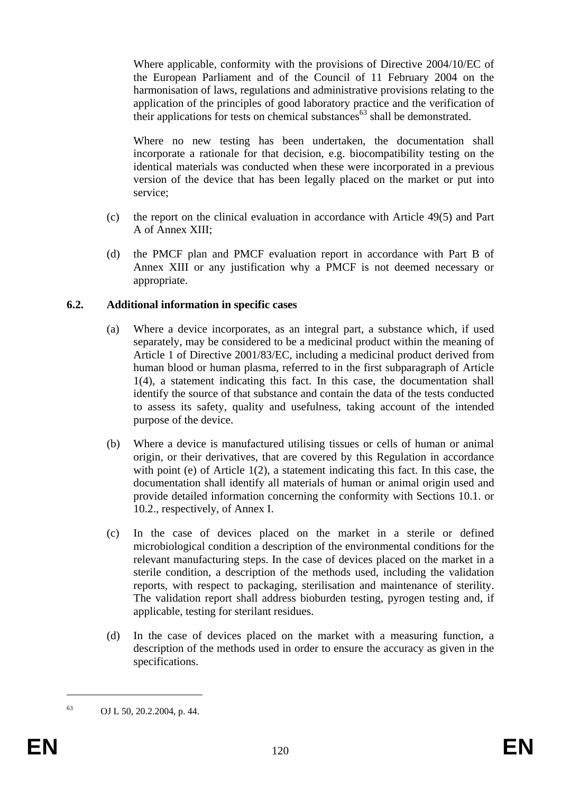Where applicable, conformity with the provisions of Directive 2004/10/EC of the European Parliament and of the Council of 11 February 2004 on the harmonisation of laws, regulations and administrative provisions relating to the application of the principles of good laboratory practice and the verification of their applications for tests on chemical substances<sup>63</sup> shall be demonstrated.

Where no new testing has been undertaken, the documentation shall incorporate a rationale for that decision, e.g. biocompatibility testing on the identical materials was conducted when these were incorporated in a previous version of the device that has been legally placed on the market or put into service;

- (c) the report on the clinical evaluation in accordance with Article 49(5) and Part A of Annex XIII;
- (d) the PMCF plan and PMCF evaluation report in accordance with Part B of Annex XIII or any justification why a PMCF is not deemed necessary or appropriate.

### **6.2. Additional information in specific cases**

- (a) Where a device incorporates, as an integral part, a substance which, if used separately, may be considered to be a medicinal product within the meaning of Article 1 of Directive 2001/83/EC, including a medicinal product derived from human blood or human plasma, referred to in the first subparagraph of Article 1(4), a statement indicating this fact. In this case, the documentation shall identify the source of that substance and contain the data of the tests conducted to assess its safety, quality and usefulness, taking account of the intended purpose of the device.
- (b) Where a device is manufactured utilising tissues or cells of human or animal origin, or their derivatives, that are covered by this Regulation in accordance with point (e) of Article 1(2), a statement indicating this fact. In this case, the documentation shall identify all materials of human or animal origin used and provide detailed information concerning the conformity with Sections 10.1. or 10.2., respectively, of Annex I.
- (c) In the case of devices placed on the market in a sterile or defined microbiological condition a description of the environmental conditions for the relevant manufacturing steps. In the case of devices placed on the market in a sterile condition, a description of the methods used, including the validation reports, with respect to packaging, sterilisation and maintenance of sterility. The validation report shall address bioburden testing, pyrogen testing and, if applicable, testing for sterilant residues.
- (d) In the case of devices placed on the market with a measuring function, a description of the methods used in order to ensure the accuracy as given in the specifications.

1

<sup>63</sup> OJ L 50, 20.2.2004, p. 44.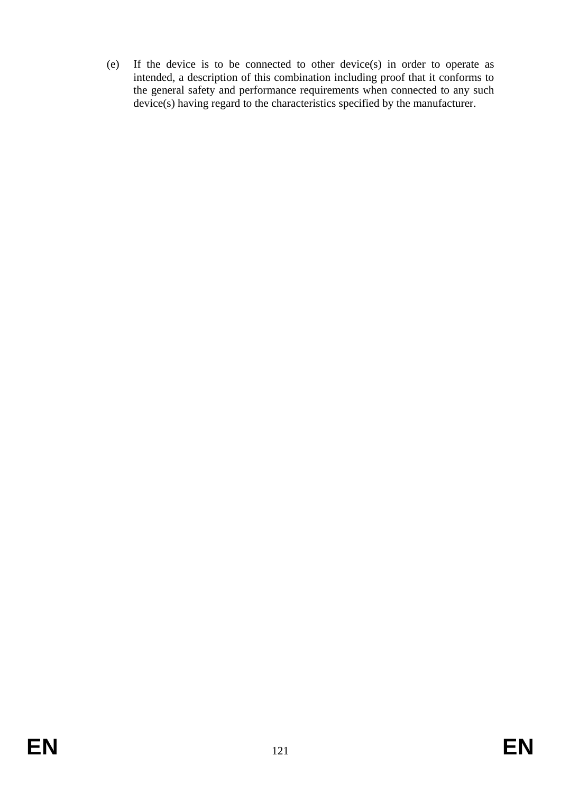(e) If the device is to be connected to other device(s) in order to operate as intended, a description of this combination including proof that it conforms to the general safety and performance requirements when connected to any such device(s) having regard to the characteristics specified by the manufacturer.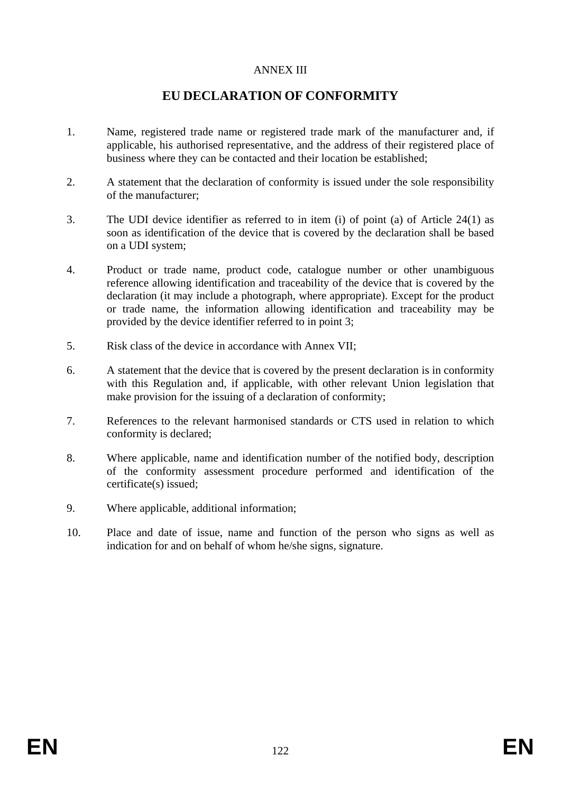# ANNEX III

# **EU DECLARATION OF CONFORMITY**

- 1. Name, registered trade name or registered trade mark of the manufacturer and, if applicable, his authorised representative, and the address of their registered place of business where they can be contacted and their location be established;
- 2. A statement that the declaration of conformity is issued under the sole responsibility of the manufacturer;
- 3. The UDI device identifier as referred to in item (i) of point (a) of Article 24(1) as soon as identification of the device that is covered by the declaration shall be based on a UDI system;
- 4. Product or trade name, product code, catalogue number or other unambiguous reference allowing identification and traceability of the device that is covered by the declaration (it may include a photograph, where appropriate). Except for the product or trade name, the information allowing identification and traceability may be provided by the device identifier referred to in point 3;
- 5. Risk class of the device in accordance with Annex VII;
- 6. A statement that the device that is covered by the present declaration is in conformity with this Regulation and, if applicable, with other relevant Union legislation that make provision for the issuing of a declaration of conformity;
- 7. References to the relevant harmonised standards or CTS used in relation to which conformity is declared;
- 8. Where applicable, name and identification number of the notified body, description of the conformity assessment procedure performed and identification of the certificate(s) issued;
- 9. Where applicable, additional information;
- 10. Place and date of issue, name and function of the person who signs as well as indication for and on behalf of whom he/she signs, signature.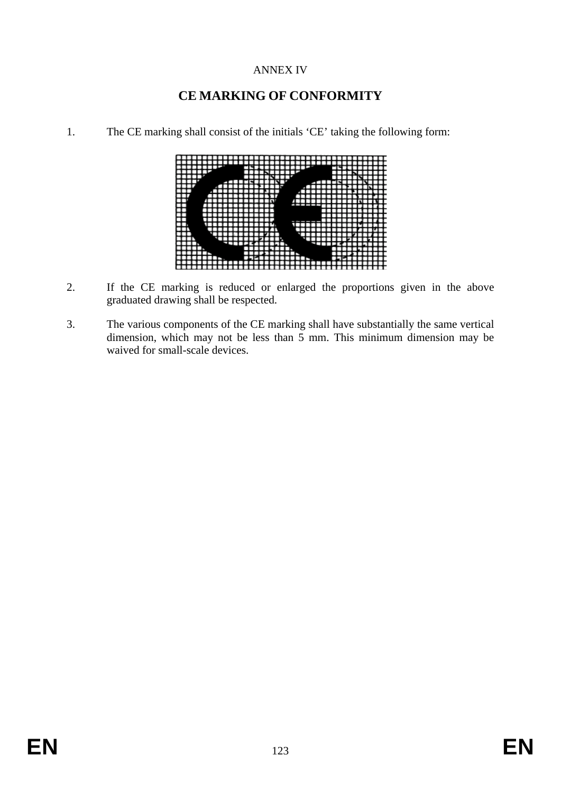# ANNEX IV

# **CE MARKING OF CONFORMITY**

1. The CE marking shall consist of the initials 'CE' taking the following form:



- 2. If the CE marking is reduced or enlarged the proportions given in the above graduated drawing shall be respected.
- 3. The various components of the CE marking shall have substantially the same vertical dimension, which may not be less than  $\frac{3}{5}$  mm. This minimum dimension may be waived for small-scale devices.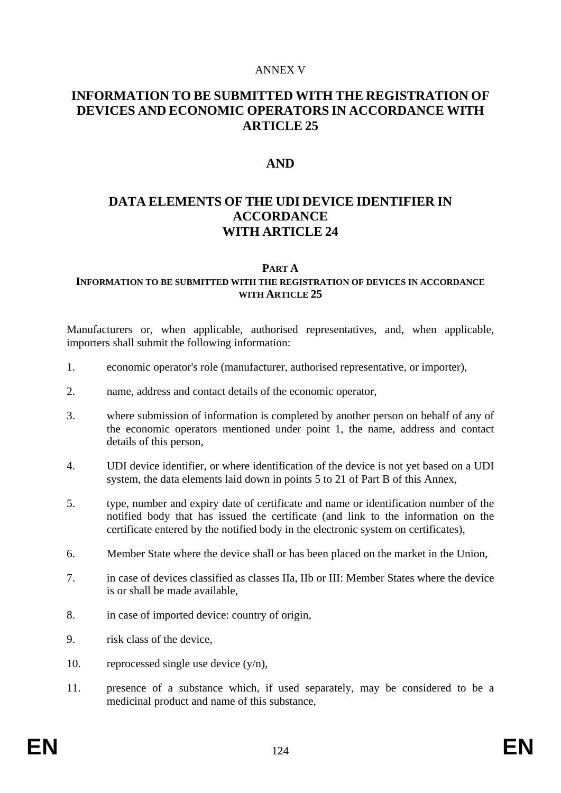#### ANNEX V

# **INFORMATION TO BE SUBMITTED WITH THE REGISTRATION OF DEVICES AND ECONOMIC OPERATORS IN ACCORDANCE WITH ARTICLE 25**

# **AND**

# **DATA ELEMENTS OF THE UDI DEVICE IDENTIFIER IN ACCORDANCE WITH ARTICLE 24**

#### **PART A**

### **INFORMATION TO BE SUBMITTED WITH THE REGISTRATION OF DEVICES IN ACCORDANCE WITH ARTICLE 25**

Manufacturers or, when applicable, authorised representatives, and, when applicable, importers shall submit the following information:

- 1. economic operator's role (manufacturer, authorised representative, or importer),
- 2. name, address and contact details of the economic operator,
- 3. where submission of information is completed by another person on behalf of any of the economic operators mentioned under point 1, the name, address and contact details of this person,
- 4. UDI device identifier, or where identification of the device is not yet based on a UDI system, the data elements laid down in points 5 to 21 of Part B of this Annex,
- 5. type, number and expiry date of certificate and name or identification number of the notified body that has issued the certificate (and link to the information on the certificate entered by the notified body in the electronic system on certificates),
- 6. Member State where the device shall or has been placed on the market in the Union,
- 7. in case of devices classified as classes IIa, IIb or III: Member States where the device is or shall be made available,
- 8. in case of imported device: country of origin,
- 9. risk class of the device,
- 10. reprocessed single use device  $(y/n)$ ,
- 11. presence of a substance which, if used separately, may be considered to be a medicinal product and name of this substance,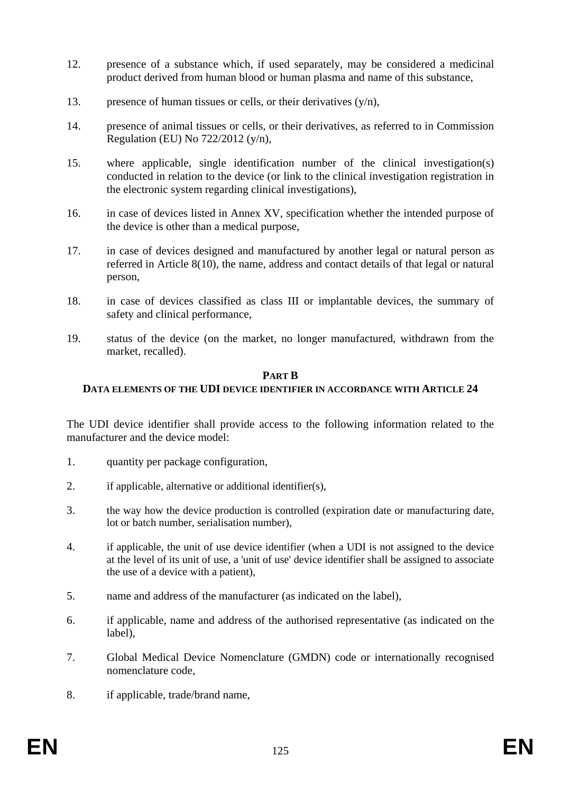- 12. presence of a substance which, if used separately, may be considered a medicinal product derived from human blood or human plasma and name of this substance,
- 13. presence of human tissues or cells, or their derivatives  $(y/n)$ ,
- 14. presence of animal tissues or cells, or their derivatives, as referred to in Commission Regulation (EU) No 722/2012 (y/n),
- 15. where applicable, single identification number of the clinical investigation(s) conducted in relation to the device (or link to the clinical investigation registration in the electronic system regarding clinical investigations),
- 16. in case of devices listed in Annex XV, specification whether the intended purpose of the device is other than a medical purpose,
- 17. in case of devices designed and manufactured by another legal or natural person as referred in Article 8(10), the name, address and contact details of that legal or natural person,
- 18. in case of devices classified as class III or implantable devices, the summary of safety and clinical performance,
- 19. status of the device (on the market, no longer manufactured, withdrawn from the market, recalled).

#### **PART B**

### **DATA ELEMENTS OF THE UDI DEVICE IDENTIFIER IN ACCORDANCE WITH ARTICLE 24**

The UDI device identifier shall provide access to the following information related to the manufacturer and the device model:

- 1. quantity per package configuration,
- 2. if applicable, alternative or additional identifier(s),
- 3. the way how the device production is controlled (expiration date or manufacturing date, lot or batch number, serialisation number),
- 4. if applicable, the unit of use device identifier (when a UDI is not assigned to the device at the level of its unit of use, a 'unit of use' device identifier shall be assigned to associate the use of a device with a patient),
- 5. name and address of the manufacturer (as indicated on the label),
- 6. if applicable, name and address of the authorised representative (as indicated on the label),
- 7. Global Medical Device Nomenclature (GMDN) code or internationally recognised nomenclature code,
- 8. if applicable, trade/brand name,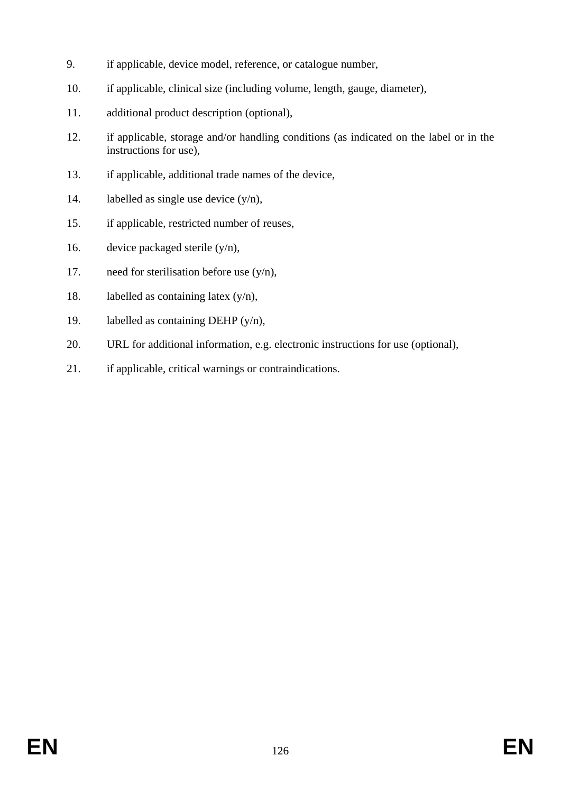- 9. if applicable, device model, reference, or catalogue number,
- 10. if applicable, clinical size (including volume, length, gauge, diameter),
- 11. additional product description (optional),
- 12. if applicable, storage and/or handling conditions (as indicated on the label or in the instructions for use),
- 13. if applicable, additional trade names of the device,
- 14. labelled as single use device  $(y/n)$ ,
- 15. if applicable, restricted number of reuses,
- 16. device packaged sterile  $(y/n)$ ,
- 17. need for sterilisation before use (y/n),
- 18. labelled as containing latex  $(y/n)$ ,
- 19. labelled as containing DEHP (y/n),
- 20. URL for additional information, e.g. electronic instructions for use (optional),
- 21. if applicable, critical warnings or contraindications.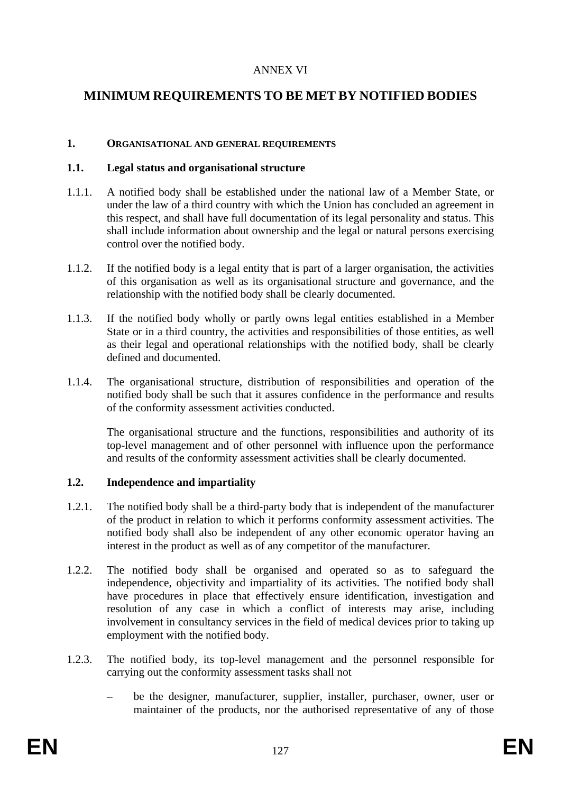# ANNEX VI

# **MINIMUM REQUIREMENTS TO BE MET BY NOTIFIED BODIES**

#### **1. ORGANISATIONAL AND GENERAL REQUIREMENTS**

#### **1.1. Legal status and organisational structure**

- 1.1.1. A notified body shall be established under the national law of a Member State, or under the law of a third country with which the Union has concluded an agreement in this respect, and shall have full documentation of its legal personality and status. This shall include information about ownership and the legal or natural persons exercising control over the notified body.
- 1.1.2. If the notified body is a legal entity that is part of a larger organisation, the activities of this organisation as well as its organisational structure and governance, and the relationship with the notified body shall be clearly documented.
- 1.1.3. If the notified body wholly or partly owns legal entities established in a Member State or in a third country, the activities and responsibilities of those entities, as well as their legal and operational relationships with the notified body, shall be clearly defined and documented.
- 1.1.4. The organisational structure, distribution of responsibilities and operation of the notified body shall be such that it assures confidence in the performance and results of the conformity assessment activities conducted.

The organisational structure and the functions, responsibilities and authority of its top-level management and of other personnel with influence upon the performance and results of the conformity assessment activities shall be clearly documented.

# **1.2. Independence and impartiality**

- 1.2.1. The notified body shall be a third-party body that is independent of the manufacturer of the product in relation to which it performs conformity assessment activities. The notified body shall also be independent of any other economic operator having an interest in the product as well as of any competitor of the manufacturer.
- 1.2.2. The notified body shall be organised and operated so as to safeguard the independence, objectivity and impartiality of its activities. The notified body shall have procedures in place that effectively ensure identification, investigation and resolution of any case in which a conflict of interests may arise, including involvement in consultancy services in the field of medical devices prior to taking up employment with the notified body.
- 1.2.3. The notified body, its top-level management and the personnel responsible for carrying out the conformity assessment tasks shall not
	- be the designer, manufacturer, supplier, installer, purchaser, owner, user or maintainer of the products, nor the authorised representative of any of those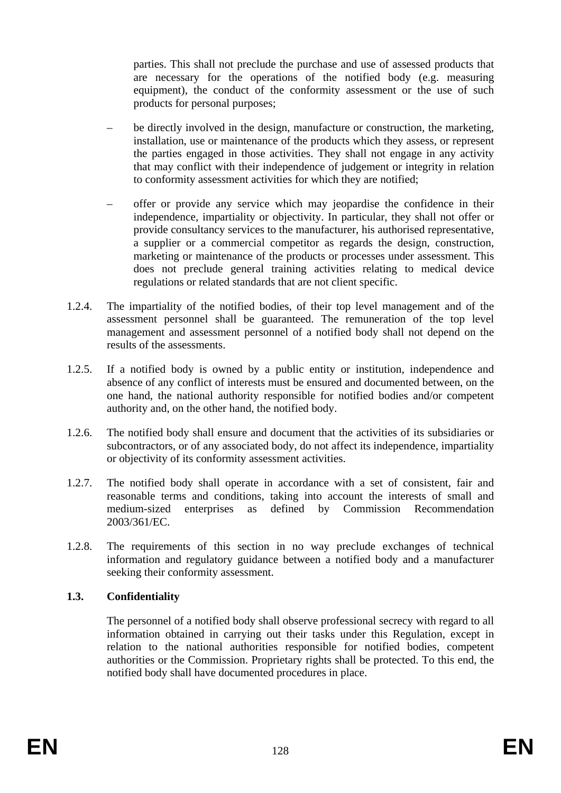parties. This shall not preclude the purchase and use of assessed products that are necessary for the operations of the notified body (e.g. measuring equipment), the conduct of the conformity assessment or the use of such products for personal purposes;

- be directly involved in the design, manufacture or construction, the marketing, installation, use or maintenance of the products which they assess, or represent the parties engaged in those activities. They shall not engage in any activity that may conflict with their independence of judgement or integrity in relation to conformity assessment activities for which they are notified;
- offer or provide any service which may jeopardise the confidence in their independence, impartiality or objectivity. In particular, they shall not offer or provide consultancy services to the manufacturer, his authorised representative, a supplier or a commercial competitor as regards the design, construction, marketing or maintenance of the products or processes under assessment. This does not preclude general training activities relating to medical device regulations or related standards that are not client specific.
- 1.2.4. The impartiality of the notified bodies, of their top level management and of the assessment personnel shall be guaranteed. The remuneration of the top level management and assessment personnel of a notified body shall not depend on the results of the assessments.
- 1.2.5. If a notified body is owned by a public entity or institution, independence and absence of any conflict of interests must be ensured and documented between, on the one hand, the national authority responsible for notified bodies and/or competent authority and, on the other hand, the notified body.
- 1.2.6. The notified body shall ensure and document that the activities of its subsidiaries or subcontractors, or of any associated body, do not affect its independence, impartiality or objectivity of its conformity assessment activities.
- 1.2.7. The notified body shall operate in accordance with a set of consistent, fair and reasonable terms and conditions, taking into account the interests of small and medium-sized enterprises as defined by Commission Recommendation 2003/361/EC.
- 1.2.8. The requirements of this section in no way preclude exchanges of technical information and regulatory guidance between a notified body and a manufacturer seeking their conformity assessment.

# **1.3. Confidentiality**

The personnel of a notified body shall observe professional secrecy with regard to all information obtained in carrying out their tasks under this Regulation, except in relation to the national authorities responsible for notified bodies, competent authorities or the Commission. Proprietary rights shall be protected. To this end, the notified body shall have documented procedures in place.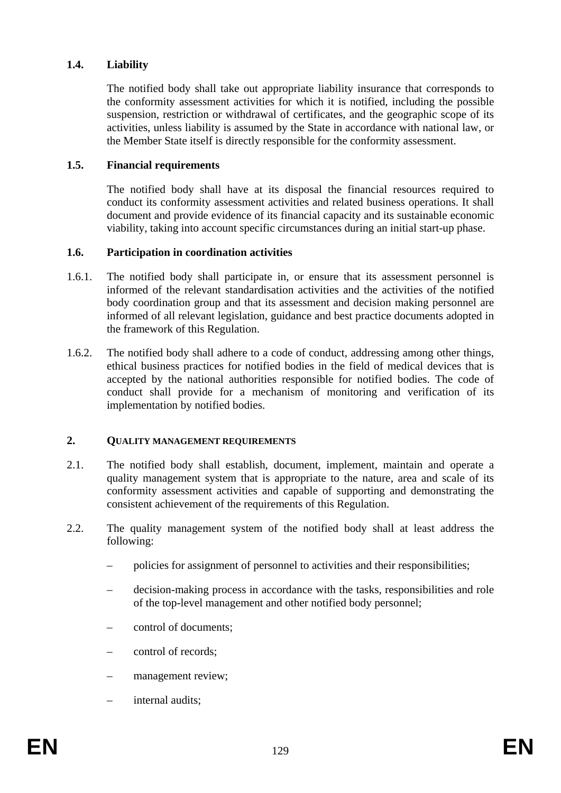### **1.4. Liability**

The notified body shall take out appropriate liability insurance that corresponds to the conformity assessment activities for which it is notified, including the possible suspension, restriction or withdrawal of certificates, and the geographic scope of its activities, unless liability is assumed by the State in accordance with national law, or the Member State itself is directly responsible for the conformity assessment.

#### **1.5. Financial requirements**

The notified body shall have at its disposal the financial resources required to conduct its conformity assessment activities and related business operations. It shall document and provide evidence of its financial capacity and its sustainable economic viability, taking into account specific circumstances during an initial start-up phase.

#### **1.6. Participation in coordination activities**

- 1.6.1. The notified body shall participate in, or ensure that its assessment personnel is informed of the relevant standardisation activities and the activities of the notified body coordination group and that its assessment and decision making personnel are informed of all relevant legislation, guidance and best practice documents adopted in the framework of this Regulation.
- 1.6.2. The notified body shall adhere to a code of conduct, addressing among other things, ethical business practices for notified bodies in the field of medical devices that is accepted by the national authorities responsible for notified bodies. The code of conduct shall provide for a mechanism of monitoring and verification of its implementation by notified bodies.

#### **2. QUALITY MANAGEMENT REQUIREMENTS**

- 2.1. The notified body shall establish, document, implement, maintain and operate a quality management system that is appropriate to the nature, area and scale of its conformity assessment activities and capable of supporting and demonstrating the consistent achievement of the requirements of this Regulation.
- 2.2. The quality management system of the notified body shall at least address the following:
	- policies for assignment of personnel to activities and their responsibilities;
	- decision-making process in accordance with the tasks, responsibilities and role of the top-level management and other notified body personnel;
	- control of documents;
	- control of records;
	- management review;
	- internal audits;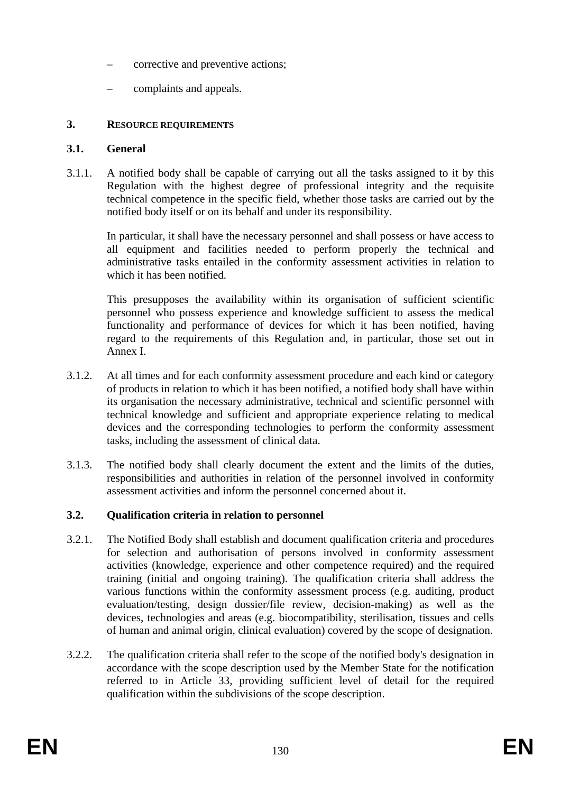- corrective and preventive actions;
- complaints and appeals.

# **3. RESOURCE REQUIREMENTS**

# **3.1. General**

3.1.1. A notified body shall be capable of carrying out all the tasks assigned to it by this Regulation with the highest degree of professional integrity and the requisite technical competence in the specific field, whether those tasks are carried out by the notified body itself or on its behalf and under its responsibility.

In particular, it shall have the necessary personnel and shall possess or have access to all equipment and facilities needed to perform properly the technical and administrative tasks entailed in the conformity assessment activities in relation to which it has been notified.

This presupposes the availability within its organisation of sufficient scientific personnel who possess experience and knowledge sufficient to assess the medical functionality and performance of devices for which it has been notified, having regard to the requirements of this Regulation and, in particular, those set out in Annex I.

- 3.1.2. At all times and for each conformity assessment procedure and each kind or category of products in relation to which it has been notified, a notified body shall have within its organisation the necessary administrative, technical and scientific personnel with technical knowledge and sufficient and appropriate experience relating to medical devices and the corresponding technologies to perform the conformity assessment tasks, including the assessment of clinical data.
- 3.1.3. The notified body shall clearly document the extent and the limits of the duties, responsibilities and authorities in relation of the personnel involved in conformity assessment activities and inform the personnel concerned about it.

# **3.2. Qualification criteria in relation to personnel**

- 3.2.1. The Notified Body shall establish and document qualification criteria and procedures for selection and authorisation of persons involved in conformity assessment activities (knowledge, experience and other competence required) and the required training (initial and ongoing training). The qualification criteria shall address the various functions within the conformity assessment process (e.g. auditing, product evaluation/testing, design dossier/file review, decision-making) as well as the devices, technologies and areas (e.g. biocompatibility, sterilisation, tissues and cells of human and animal origin, clinical evaluation) covered by the scope of designation.
- 3.2.2. The qualification criteria shall refer to the scope of the notified body's designation in accordance with the scope description used by the Member State for the notification referred to in Article 33, providing sufficient level of detail for the required qualification within the subdivisions of the scope description.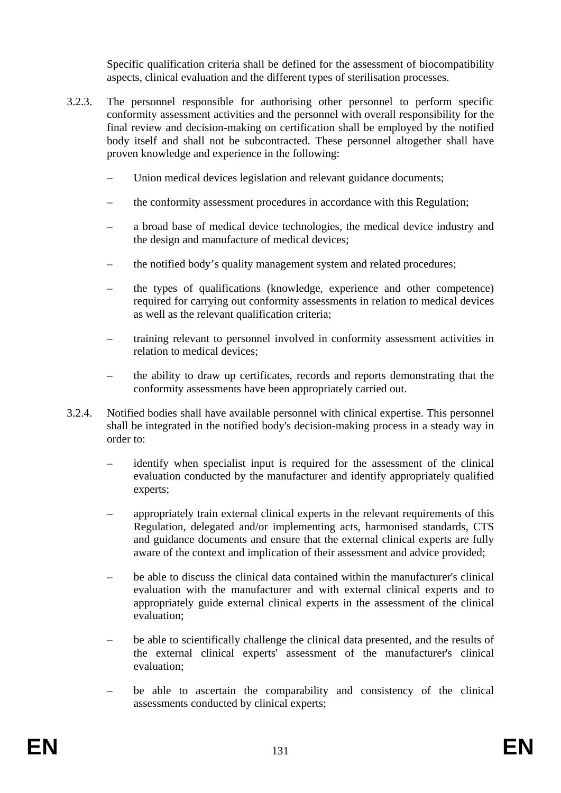Specific qualification criteria shall be defined for the assessment of biocompatibility aspects, clinical evaluation and the different types of sterilisation processes.

- 3.2.3. The personnel responsible for authorising other personnel to perform specific conformity assessment activities and the personnel with overall responsibility for the final review and decision-making on certification shall be employed by the notified body itself and shall not be subcontracted. These personnel altogether shall have proven knowledge and experience in the following:
	- Union medical devices legislation and relevant guidance documents;
	- the conformity assessment procedures in accordance with this Regulation;
	- a broad base of medical device technologies, the medical device industry and the design and manufacture of medical devices;
	- the notified body's quality management system and related procedures;
	- the types of qualifications (knowledge, experience and other competence) required for carrying out conformity assessments in relation to medical devices as well as the relevant qualification criteria;
	- training relevant to personnel involved in conformity assessment activities in relation to medical devices;
	- the ability to draw up certificates, records and reports demonstrating that the conformity assessments have been appropriately carried out.
- 3.2.4. Notified bodies shall have available personnel with clinical expertise. This personnel shall be integrated in the notified body's decision-making process in a steady way in order to:
	- identify when specialist input is required for the assessment of the clinical evaluation conducted by the manufacturer and identify appropriately qualified experts;
	- appropriately train external clinical experts in the relevant requirements of this Regulation, delegated and/or implementing acts, harmonised standards, CTS and guidance documents and ensure that the external clinical experts are fully aware of the context and implication of their assessment and advice provided;
	- be able to discuss the clinical data contained within the manufacturer's clinical evaluation with the manufacturer and with external clinical experts and to appropriately guide external clinical experts in the assessment of the clinical evaluation;
	- be able to scientifically challenge the clinical data presented, and the results of the external clinical experts' assessment of the manufacturer's clinical evaluation;
	- be able to ascertain the comparability and consistency of the clinical assessments conducted by clinical experts;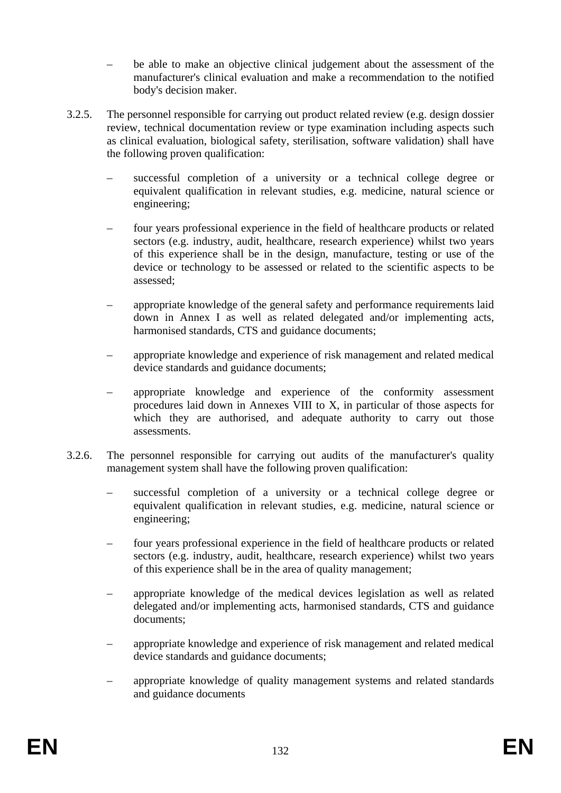- be able to make an objective clinical judgement about the assessment of the manufacturer's clinical evaluation and make a recommendation to the notified body's decision maker.
- 3.2.5. The personnel responsible for carrying out product related review (e.g. design dossier review, technical documentation review or type examination including aspects such as clinical evaluation, biological safety, sterilisation, software validation) shall have the following proven qualification:
	- successful completion of a university or a technical college degree or equivalent qualification in relevant studies, e.g. medicine, natural science or engineering;
	- four years professional experience in the field of healthcare products or related sectors (e.g. industry, audit, healthcare, research experience) whilst two years of this experience shall be in the design, manufacture, testing or use of the device or technology to be assessed or related to the scientific aspects to be assessed;
	- appropriate knowledge of the general safety and performance requirements laid down in Annex I as well as related delegated and/or implementing acts, harmonised standards, CTS and guidance documents;
	- appropriate knowledge and experience of risk management and related medical device standards and guidance documents;
	- appropriate knowledge and experience of the conformity assessment procedures laid down in Annexes VIII to X, in particular of those aspects for which they are authorised, and adequate authority to carry out those assessments.
- 3.2.6. The personnel responsible for carrying out audits of the manufacturer's quality management system shall have the following proven qualification:
	- successful completion of a university or a technical college degree or equivalent qualification in relevant studies, e.g. medicine, natural science or engineering;
	- four years professional experience in the field of healthcare products or related sectors (e.g. industry, audit, healthcare, research experience) whilst two years of this experience shall be in the area of quality management;
	- appropriate knowledge of the medical devices legislation as well as related delegated and/or implementing acts, harmonised standards, CTS and guidance documents;
	- appropriate knowledge and experience of risk management and related medical device standards and guidance documents;
	- appropriate knowledge of quality management systems and related standards and guidance documents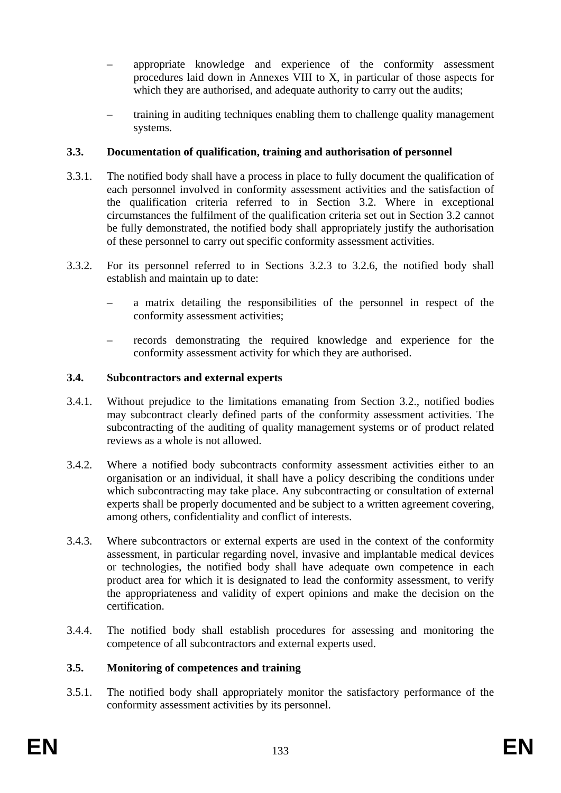- appropriate knowledge and experience of the conformity assessment procedures laid down in Annexes VIII to X, in particular of those aspects for which they are authorised, and adequate authority to carry out the audits;
- training in auditing techniques enabling them to challenge quality management systems.

### **3.3. Documentation of qualification, training and authorisation of personnel**

- 3.3.1. The notified body shall have a process in place to fully document the qualification of each personnel involved in conformity assessment activities and the satisfaction of the qualification criteria referred to in Section 3.2. Where in exceptional circumstances the fulfilment of the qualification criteria set out in Section 3.2 cannot be fully demonstrated, the notified body shall appropriately justify the authorisation of these personnel to carry out specific conformity assessment activities.
- 3.3.2. For its personnel referred to in Sections 3.2.3 to 3.2.6, the notified body shall establish and maintain up to date:
	- a matrix detailing the responsibilities of the personnel in respect of the conformity assessment activities;
	- records demonstrating the required knowledge and experience for the conformity assessment activity for which they are authorised.

#### **3.4. Subcontractors and external experts**

- 3.4.1. Without prejudice to the limitations emanating from Section 3.2., notified bodies may subcontract clearly defined parts of the conformity assessment activities. The subcontracting of the auditing of quality management systems or of product related reviews as a whole is not allowed.
- 3.4.2. Where a notified body subcontracts conformity assessment activities either to an organisation or an individual, it shall have a policy describing the conditions under which subcontracting may take place. Any subcontracting or consultation of external experts shall be properly documented and be subject to a written agreement covering, among others, confidentiality and conflict of interests.
- 3.4.3. Where subcontractors or external experts are used in the context of the conformity assessment, in particular regarding novel, invasive and implantable medical devices or technologies, the notified body shall have adequate own competence in each product area for which it is designated to lead the conformity assessment, to verify the appropriateness and validity of expert opinions and make the decision on the certification.
- 3.4.4. The notified body shall establish procedures for assessing and monitoring the competence of all subcontractors and external experts used.

#### **3.5. Monitoring of competences and training**

3.5.1. The notified body shall appropriately monitor the satisfactory performance of the conformity assessment activities by its personnel.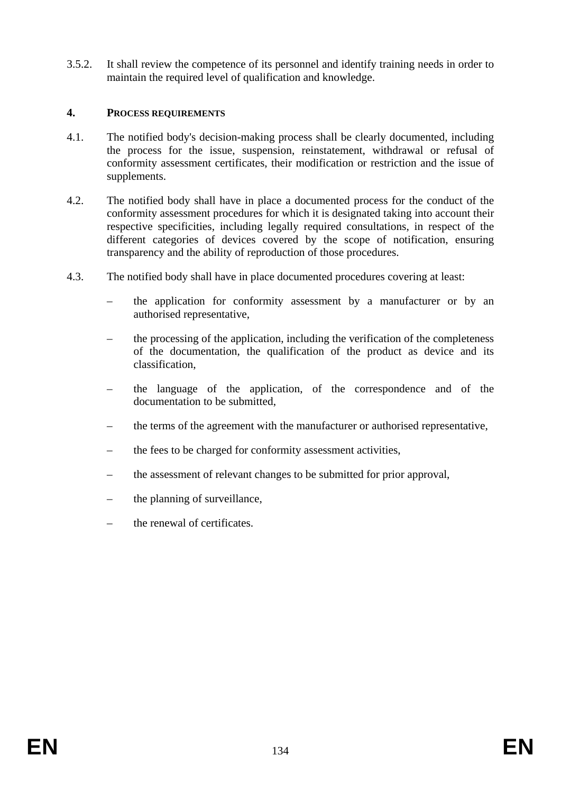3.5.2. It shall review the competence of its personnel and identify training needs in order to maintain the required level of qualification and knowledge.

### **4. PROCESS REQUIREMENTS**

- 4.1. The notified body's decision-making process shall be clearly documented, including the process for the issue, suspension, reinstatement, withdrawal or refusal of conformity assessment certificates, their modification or restriction and the issue of supplements.
- 4.2. The notified body shall have in place a documented process for the conduct of the conformity assessment procedures for which it is designated taking into account their respective specificities, including legally required consultations, in respect of the different categories of devices covered by the scope of notification, ensuring transparency and the ability of reproduction of those procedures.
- 4.3. The notified body shall have in place documented procedures covering at least:
	- the application for conformity assessment by a manufacturer or by an authorised representative,
	- the processing of the application, including the verification of the completeness of the documentation, the qualification of the product as device and its classification,
	- the language of the application, of the correspondence and of the documentation to be submitted,
	- the terms of the agreement with the manufacturer or authorised representative,
	- the fees to be charged for conformity assessment activities,
	- the assessment of relevant changes to be submitted for prior approval,
	- the planning of surveillance,
	- the renewal of certificates.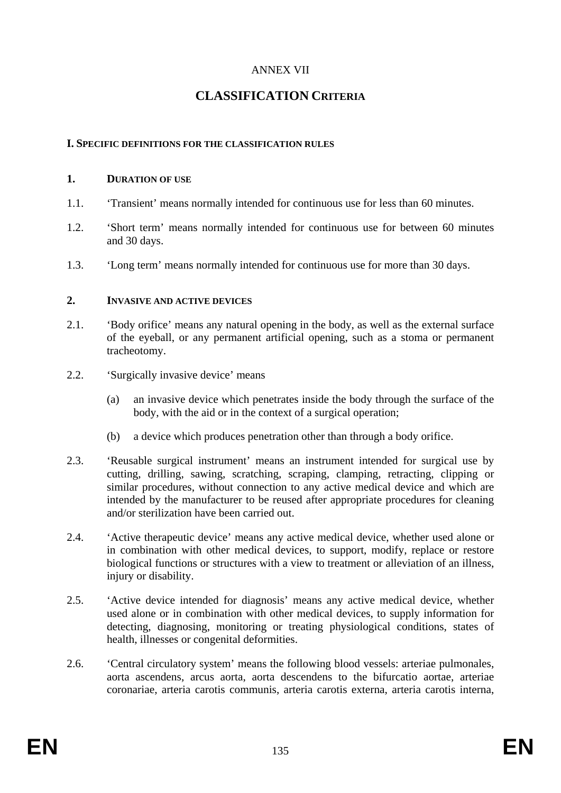# ANNEX VII

# **CLASSIFICATION CRITERIA**

#### **I. SPECIFIC DEFINITIONS FOR THE CLASSIFICATION RULES**

#### **1. DURATION OF USE**

- 1.1. 'Transient' means normally intended for continuous use for less than 60 minutes.
- 1.2. 'Short term' means normally intended for continuous use for between 60 minutes and 30 days.
- 1.3. 'Long term' means normally intended for continuous use for more than 30 days.

#### **2. INVASIVE AND ACTIVE DEVICES**

- 2.1. 'Body orifice' means any natural opening in the body, as well as the external surface of the eyeball, or any permanent artificial opening, such as a stoma or permanent tracheotomy.
- 2.2. 'Surgically invasive device' means
	- (a) an invasive device which penetrates inside the body through the surface of the body, with the aid or in the context of a surgical operation;
	- (b) a device which produces penetration other than through a body orifice.
- 2.3. 'Reusable surgical instrument' means an instrument intended for surgical use by cutting, drilling, sawing, scratching, scraping, clamping, retracting, clipping or similar procedures, without connection to any active medical device and which are intended by the manufacturer to be reused after appropriate procedures for cleaning and/or sterilization have been carried out.
- 2.4. 'Active therapeutic device' means any active medical device, whether used alone or in combination with other medical devices, to support, modify, replace or restore biological functions or structures with a view to treatment or alleviation of an illness, injury or disability.
- 2.5. 'Active device intended for diagnosis' means any active medical device, whether used alone or in combination with other medical devices, to supply information for detecting, diagnosing, monitoring or treating physiological conditions, states of health, illnesses or congenital deformities.
- 2.6. 'Central circulatory system' means the following blood vessels: arteriae pulmonales, aorta ascendens, arcus aorta, aorta descendens to the bifurcatio aortae, arteriae coronariae, arteria carotis communis, arteria carotis externa, arteria carotis interna,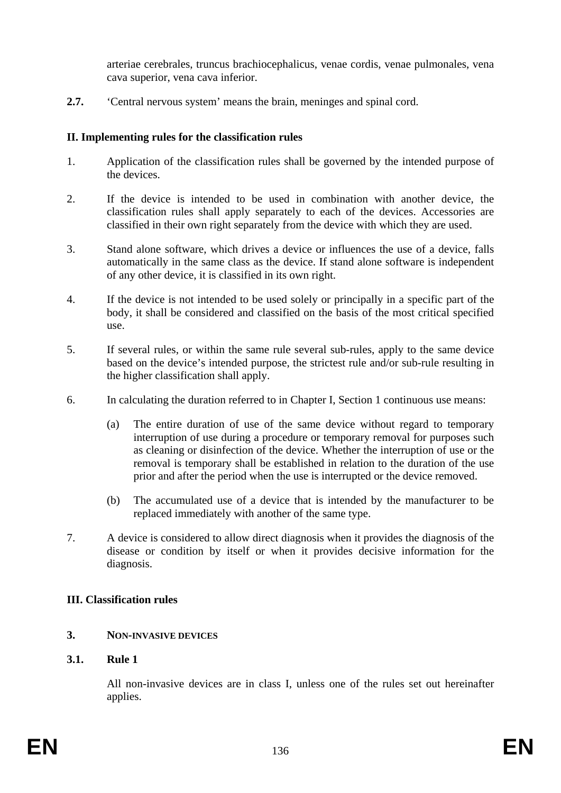arteriae cerebrales, truncus brachiocephalicus, venae cordis, venae pulmonales, vena cava superior, vena cava inferior.

**2.7.** 'Central nervous system' means the brain, meninges and spinal cord.

# **II. Implementing rules for the classification rules**

- 1. Application of the classification rules shall be governed by the intended purpose of the devices.
- 2. If the device is intended to be used in combination with another device, the classification rules shall apply separately to each of the devices. Accessories are classified in their own right separately from the device with which they are used.
- 3. Stand alone software, which drives a device or influences the use of a device, falls automatically in the same class as the device. If stand alone software is independent of any other device, it is classified in its own right.
- 4. If the device is not intended to be used solely or principally in a specific part of the body, it shall be considered and classified on the basis of the most critical specified use.
- 5. If several rules, or within the same rule several sub-rules, apply to the same device based on the device's intended purpose, the strictest rule and/or sub-rule resulting in the higher classification shall apply.
- 6. In calculating the duration referred to in Chapter I, Section 1 continuous use means:
	- (a) The entire duration of use of the same device without regard to temporary interruption of use during a procedure or temporary removal for purposes such as cleaning or disinfection of the device. Whether the interruption of use or the removal is temporary shall be established in relation to the duration of the use prior and after the period when the use is interrupted or the device removed.
	- (b) The accumulated use of a device that is intended by the manufacturer to be replaced immediately with another of the same type.
- 7. A device is considered to allow direct diagnosis when it provides the diagnosis of the disease or condition by itself or when it provides decisive information for the diagnosis.

# **III. Classification rules**

# **3. NON-INVASIVE DEVICES**

# **3.1. Rule 1**

All non-invasive devices are in class I, unless one of the rules set out hereinafter applies.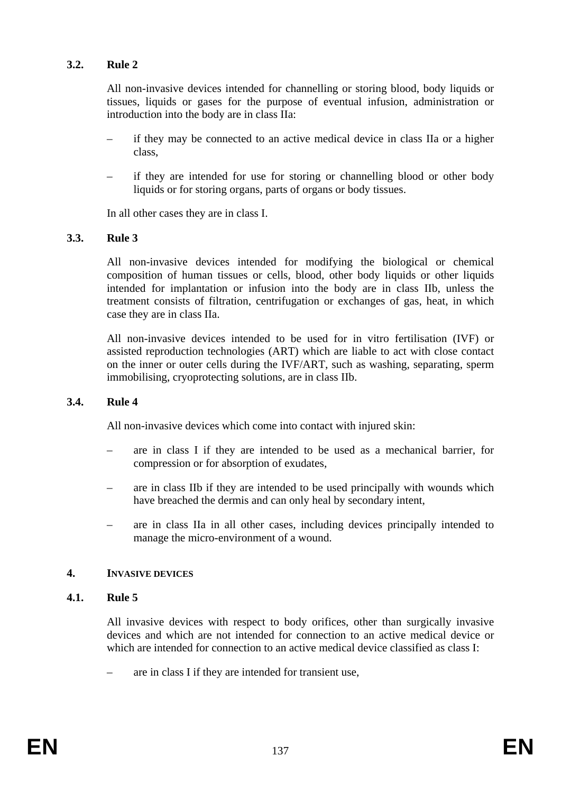#### **3.2. Rule 2**

All non-invasive devices intended for channelling or storing blood, body liquids or tissues, liquids or gases for the purpose of eventual infusion, administration or introduction into the body are in class IIa:

- if they may be connected to an active medical device in class IIa or a higher class,
- if they are intended for use for storing or channelling blood or other body liquids or for storing organs, parts of organs or body tissues.

In all other cases they are in class I.

### **3.3. Rule 3**

All non-invasive devices intended for modifying the biological or chemical composition of human tissues or cells, blood, other body liquids or other liquids intended for implantation or infusion into the body are in class IIb, unless the treatment consists of filtration, centrifugation or exchanges of gas, heat, in which case they are in class IIa.

All non-invasive devices intended to be used for in vitro fertilisation (IVF) or assisted reproduction technologies (ART) which are liable to act with close contact on the inner or outer cells during the IVF/ART, such as washing, separating, sperm immobilising, cryoprotecting solutions, are in class IIb.

#### **3.4. Rule 4**

All non-invasive devices which come into contact with injured skin:

- are in class I if they are intended to be used as a mechanical barrier, for compression or for absorption of exudates,
- are in class IIb if they are intended to be used principally with wounds which have breached the dermis and can only heal by secondary intent,
- are in class IIa in all other cases, including devices principally intended to manage the micro-environment of a wound.

#### **4. INVASIVE DEVICES**

#### **4.1. Rule 5**

All invasive devices with respect to body orifices, other than surgically invasive devices and which are not intended for connection to an active medical device or which are intended for connection to an active medical device classified as class I:

– are in class I if they are intended for transient use,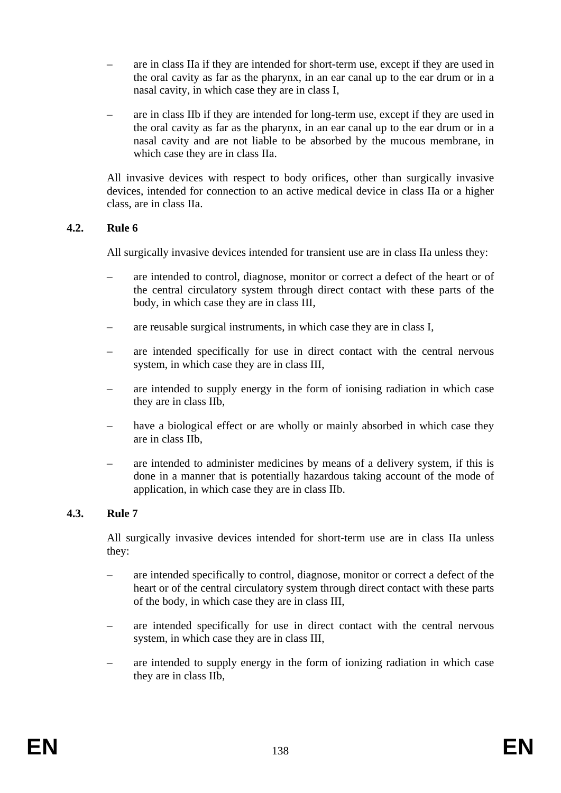- are in class IIa if they are intended for short-term use, except if they are used in the oral cavity as far as the pharynx, in an ear canal up to the ear drum or in a nasal cavity, in which case they are in class I,
- are in class IIb if they are intended for long-term use, except if they are used in the oral cavity as far as the pharynx, in an ear canal up to the ear drum or in a nasal cavity and are not liable to be absorbed by the mucous membrane, in which case they are in class IIa.

All invasive devices with respect to body orifices, other than surgically invasive devices, intended for connection to an active medical device in class IIa or a higher class, are in class IIa.

### **4.2. Rule 6**

All surgically invasive devices intended for transient use are in class IIa unless they:

- are intended to control, diagnose, monitor or correct a defect of the heart or of the central circulatory system through direct contact with these parts of the body, in which case they are in class III,
- are reusable surgical instruments, in which case they are in class I,
- are intended specifically for use in direct contact with the central nervous system, in which case they are in class III,
- are intended to supply energy in the form of ionising radiation in which case they are in class IIb,
- have a biological effect or are wholly or mainly absorbed in which case they are in class IIb,
- are intended to administer medicines by means of a delivery system, if this is done in a manner that is potentially hazardous taking account of the mode of application, in which case they are in class IIb.

# **4.3. Rule 7**

All surgically invasive devices intended for short-term use are in class IIa unless they:

- are intended specifically to control, diagnose, monitor or correct a defect of the heart or of the central circulatory system through direct contact with these parts of the body, in which case they are in class III,
- are intended specifically for use in direct contact with the central nervous system, in which case they are in class III,
- are intended to supply energy in the form of ionizing radiation in which case they are in class IIb,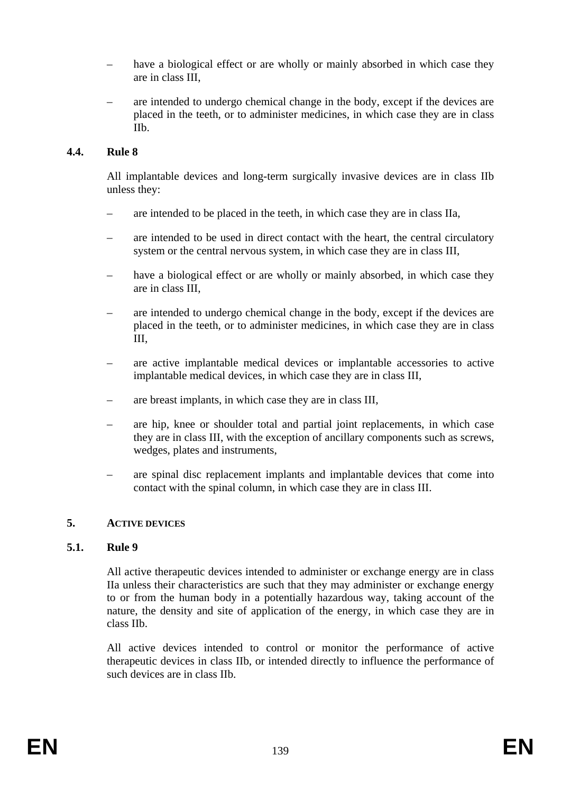- have a biological effect or are wholly or mainly absorbed in which case they are in class III,
- are intended to undergo chemical change in the body, except if the devices are placed in the teeth, or to administer medicines, in which case they are in class IIb.

# **4.4. Rule 8**

All implantable devices and long-term surgically invasive devices are in class IIb unless they:

- are intended to be placed in the teeth, in which case they are in class IIa,
- are intended to be used in direct contact with the heart, the central circulatory system or the central nervous system, in which case they are in class III,
- have a biological effect or are wholly or mainly absorbed, in which case they are in class III,
- are intended to undergo chemical change in the body, except if the devices are placed in the teeth, or to administer medicines, in which case they are in class III,
- are active implantable medical devices or implantable accessories to active implantable medical devices, in which case they are in class III,
- are breast implants, in which case they are in class III,
- are hip, knee or shoulder total and partial joint replacements, in which case they are in class III, with the exception of ancillary components such as screws, wedges, plates and instruments,
- are spinal disc replacement implants and implantable devices that come into contact with the spinal column, in which case they are in class III.

# **5. ACTIVE DEVICES**

# **5.1. Rule 9**

All active therapeutic devices intended to administer or exchange energy are in class IIa unless their characteristics are such that they may administer or exchange energy to or from the human body in a potentially hazardous way, taking account of the nature, the density and site of application of the energy, in which case they are in class IIb.

All active devices intended to control or monitor the performance of active therapeutic devices in class IIb, or intended directly to influence the performance of such devices are in class IIb.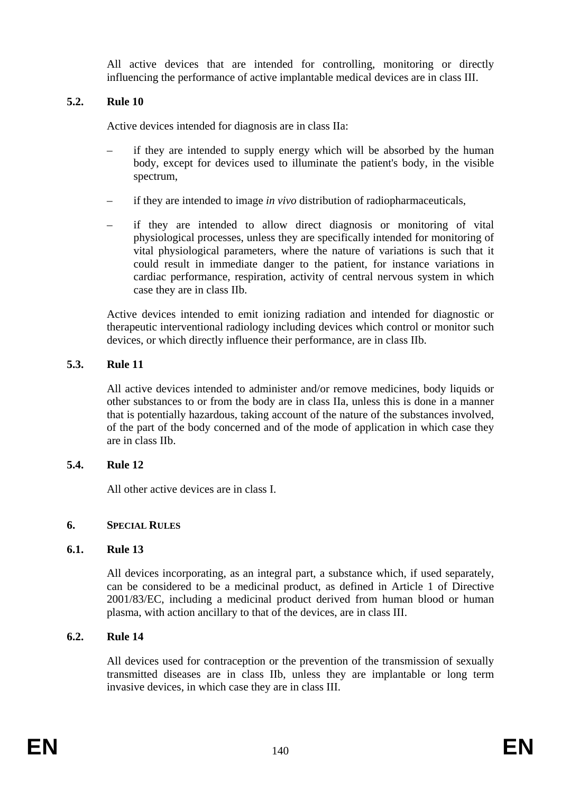All active devices that are intended for controlling, monitoring or directly influencing the performance of active implantable medical devices are in class III.

# **5.2. Rule 10**

Active devices intended for diagnosis are in class IIa:

- if they are intended to supply energy which will be absorbed by the human body, except for devices used to illuminate the patient's body, in the visible spectrum,
- if they are intended to image *in vivo* distribution of radiopharmaceuticals,
- if they are intended to allow direct diagnosis or monitoring of vital physiological processes, unless they are specifically intended for monitoring of vital physiological parameters, where the nature of variations is such that it could result in immediate danger to the patient, for instance variations in cardiac performance, respiration, activity of central nervous system in which case they are in class IIb.

Active devices intended to emit ionizing radiation and intended for diagnostic or therapeutic interventional radiology including devices which control or monitor such devices, or which directly influence their performance, are in class IIb.

# **5.3. Rule 11**

All active devices intended to administer and/or remove medicines, body liquids or other substances to or from the body are in class IIa, unless this is done in a manner that is potentially hazardous, taking account of the nature of the substances involved, of the part of the body concerned and of the mode of application in which case they are in class IIb.

# **5.4. Rule 12**

All other active devices are in class I.

# **6. SPECIAL RULES**

# **6.1. Rule 13**

All devices incorporating, as an integral part, a substance which, if used separately, can be considered to be a medicinal product, as defined in Article 1 of Directive 2001/83/EC, including a medicinal product derived from human blood or human plasma, with action ancillary to that of the devices, are in class III.

# **6.2. Rule 14**

All devices used for contraception or the prevention of the transmission of sexually transmitted diseases are in class IIb, unless they are implantable or long term invasive devices, in which case they are in class III.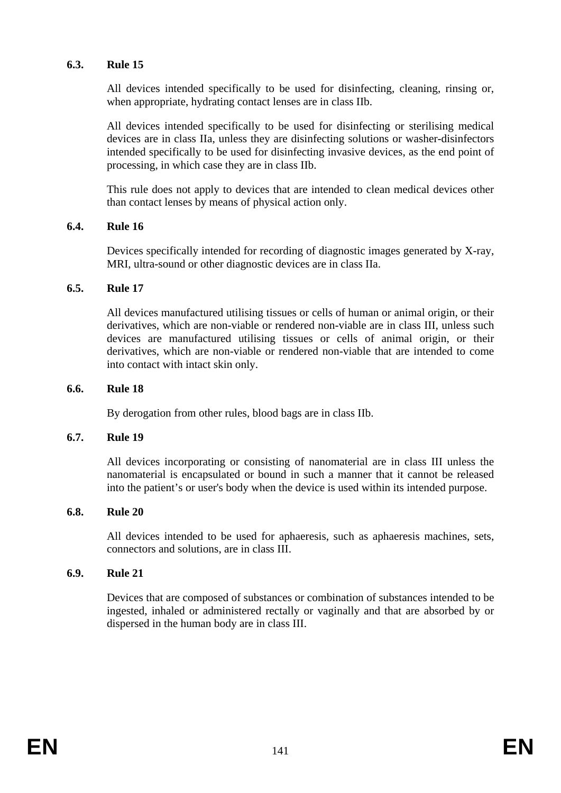#### **6.3. Rule 15**

All devices intended specifically to be used for disinfecting, cleaning, rinsing or, when appropriate, hydrating contact lenses are in class IIb.

All devices intended specifically to be used for disinfecting or sterilising medical devices are in class IIa, unless they are disinfecting solutions or washer-disinfectors intended specifically to be used for disinfecting invasive devices, as the end point of processing, in which case they are in class IIb.

This rule does not apply to devices that are intended to clean medical devices other than contact lenses by means of physical action only.

#### **6.4. Rule 16**

Devices specifically intended for recording of diagnostic images generated by X-ray, MRI, ultra-sound or other diagnostic devices are in class IIa.

### **6.5. Rule 17**

All devices manufactured utilising tissues or cells of human or animal origin, or their derivatives, which are non-viable or rendered non-viable are in class III, unless such devices are manufactured utilising tissues or cells of animal origin, or their derivatives, which are non-viable or rendered non-viable that are intended to come into contact with intact skin only.

#### **6.6. Rule 18**

By derogation from other rules, blood bags are in class IIb.

#### **6.7. Rule 19**

All devices incorporating or consisting of nanomaterial are in class III unless the nanomaterial is encapsulated or bound in such a manner that it cannot be released into the patient's or user's body when the device is used within its intended purpose.

#### **6.8. Rule 20**

All devices intended to be used for aphaeresis, such as aphaeresis machines, sets, connectors and solutions, are in class III.

#### **6.9. Rule 21**

Devices that are composed of substances or combination of substances intended to be ingested, inhaled or administered rectally or vaginally and that are absorbed by or dispersed in the human body are in class III.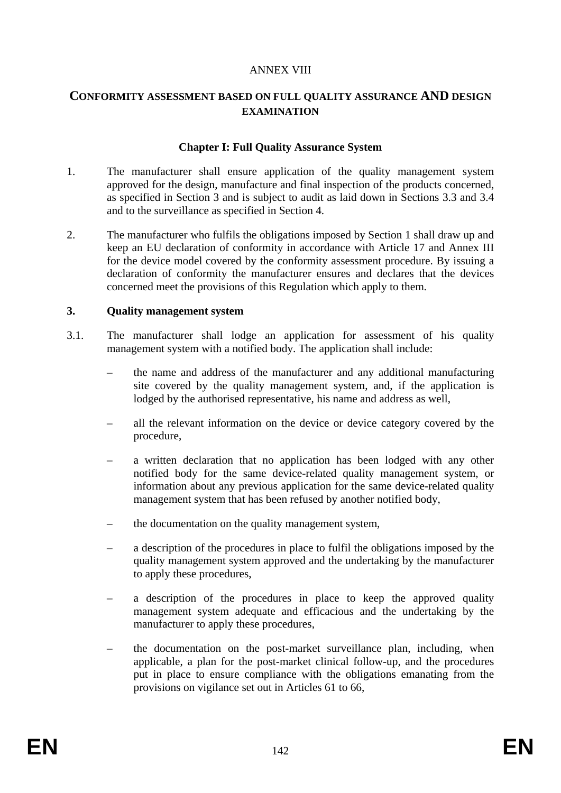#### ANNEX VIII

# **CONFORMITY ASSESSMENT BASED ON FULL QUALITY ASSURANCE AND DESIGN EXAMINATION**

#### **Chapter I: Full Quality Assurance System**

- 1. The manufacturer shall ensure application of the quality management system approved for the design, manufacture and final inspection of the products concerned, as specified in Section 3 and is subject to audit as laid down in Sections 3.3 and 3.4 and to the surveillance as specified in Section 4.
- 2. The manufacturer who fulfils the obligations imposed by Section 1 shall draw up and keep an EU declaration of conformity in accordance with Article 17 and Annex III for the device model covered by the conformity assessment procedure. By issuing a declaration of conformity the manufacturer ensures and declares that the devices concerned meet the provisions of this Regulation which apply to them.

#### **3. Quality management system**

- 3.1. The manufacturer shall lodge an application for assessment of his quality management system with a notified body. The application shall include:
	- the name and address of the manufacturer and any additional manufacturing site covered by the quality management system, and, if the application is lodged by the authorised representative, his name and address as well,
	- all the relevant information on the device or device category covered by the procedure,
	- a written declaration that no application has been lodged with any other notified body for the same device-related quality management system, or information about any previous application for the same device-related quality management system that has been refused by another notified body,
	- the documentation on the quality management system,
	- a description of the procedures in place to fulfil the obligations imposed by the quality management system approved and the undertaking by the manufacturer to apply these procedures,
	- a description of the procedures in place to keep the approved quality management system adequate and efficacious and the undertaking by the manufacturer to apply these procedures,
	- the documentation on the post-market surveillance plan, including, when applicable, a plan for the post-market clinical follow-up, and the procedures put in place to ensure compliance with the obligations emanating from the provisions on vigilance set out in Articles 61 to 66,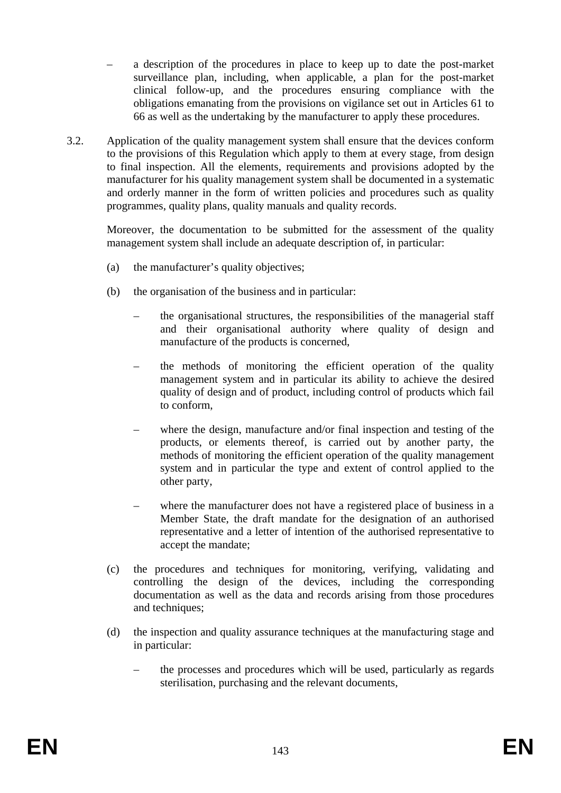- a description of the procedures in place to keep up to date the post-market surveillance plan, including, when applicable, a plan for the post-market clinical follow-up, and the procedures ensuring compliance with the obligations emanating from the provisions on vigilance set out in Articles 61 to 66 as well as the undertaking by the manufacturer to apply these procedures.
- 3.2. Application of the quality management system shall ensure that the devices conform to the provisions of this Regulation which apply to them at every stage, from design to final inspection. All the elements, requirements and provisions adopted by the manufacturer for his quality management system shall be documented in a systematic and orderly manner in the form of written policies and procedures such as quality programmes, quality plans, quality manuals and quality records.

Moreover, the documentation to be submitted for the assessment of the quality management system shall include an adequate description of, in particular:

- (a) the manufacturer's quality objectives;
- (b) the organisation of the business and in particular:
	- the organisational structures, the responsibilities of the managerial staff and their organisational authority where quality of design and manufacture of the products is concerned,
	- the methods of monitoring the efficient operation of the quality management system and in particular its ability to achieve the desired quality of design and of product, including control of products which fail to conform,
	- where the design, manufacture and/or final inspection and testing of the products, or elements thereof, is carried out by another party, the methods of monitoring the efficient operation of the quality management system and in particular the type and extent of control applied to the other party,
	- where the manufacturer does not have a registered place of business in a Member State, the draft mandate for the designation of an authorised representative and a letter of intention of the authorised representative to accept the mandate;
- (c) the procedures and techniques for monitoring, verifying, validating and controlling the design of the devices, including the corresponding documentation as well as the data and records arising from those procedures and techniques;
- (d) the inspection and quality assurance techniques at the manufacturing stage and in particular:
	- the processes and procedures which will be used, particularly as regards sterilisation, purchasing and the relevant documents,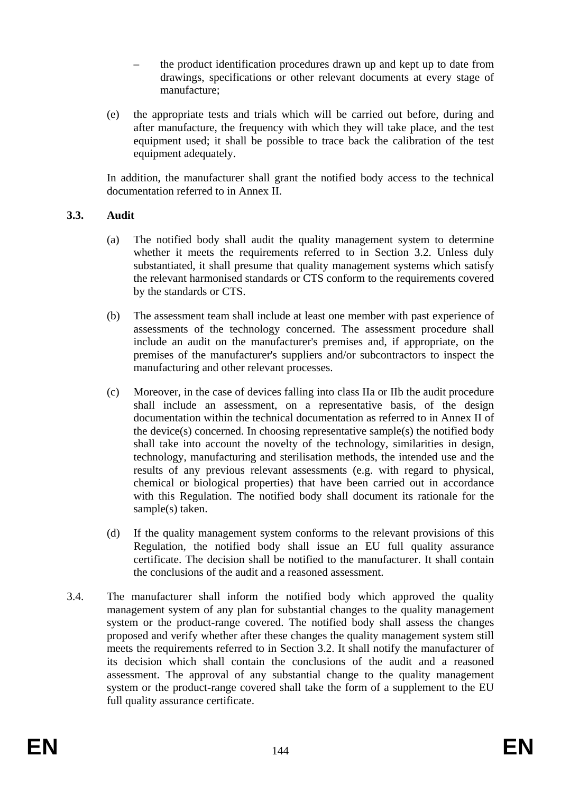- the product identification procedures drawn up and kept up to date from drawings, specifications or other relevant documents at every stage of manufacture;
- (e) the appropriate tests and trials which will be carried out before, during and after manufacture, the frequency with which they will take place, and the test equipment used; it shall be possible to trace back the calibration of the test equipment adequately.

In addition, the manufacturer shall grant the notified body access to the technical documentation referred to in Annex II.

### **3.3. Audit**

- (a) The notified body shall audit the quality management system to determine whether it meets the requirements referred to in Section 3.2. Unless duly substantiated, it shall presume that quality management systems which satisfy the relevant harmonised standards or CTS conform to the requirements covered by the standards or CTS.
- (b) The assessment team shall include at least one member with past experience of assessments of the technology concerned. The assessment procedure shall include an audit on the manufacturer's premises and, if appropriate, on the premises of the manufacturer's suppliers and/or subcontractors to inspect the manufacturing and other relevant processes.
- (c) Moreover, in the case of devices falling into class IIa or IIb the audit procedure shall include an assessment, on a representative basis, of the design documentation within the technical documentation as referred to in Annex II of the device(s) concerned. In choosing representative sample(s) the notified body shall take into account the novelty of the technology, similarities in design, technology, manufacturing and sterilisation methods, the intended use and the results of any previous relevant assessments (e.g. with regard to physical, chemical or biological properties) that have been carried out in accordance with this Regulation. The notified body shall document its rationale for the sample(s) taken.
- (d) If the quality management system conforms to the relevant provisions of this Regulation, the notified body shall issue an EU full quality assurance certificate. The decision shall be notified to the manufacturer. It shall contain the conclusions of the audit and a reasoned assessment.
- 3.4. The manufacturer shall inform the notified body which approved the quality management system of any plan for substantial changes to the quality management system or the product-range covered. The notified body shall assess the changes proposed and verify whether after these changes the quality management system still meets the requirements referred to in Section 3.2. It shall notify the manufacturer of its decision which shall contain the conclusions of the audit and a reasoned assessment. The approval of any substantial change to the quality management system or the product-range covered shall take the form of a supplement to the EU full quality assurance certificate.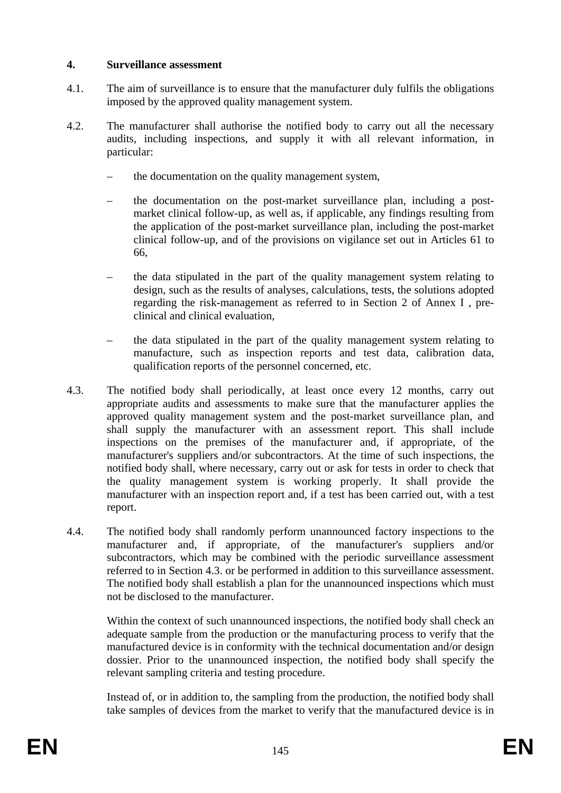#### **4. Surveillance assessment**

- 4.1. The aim of surveillance is to ensure that the manufacturer duly fulfils the obligations imposed by the approved quality management system.
- 4.2. The manufacturer shall authorise the notified body to carry out all the necessary audits, including inspections, and supply it with all relevant information, in particular:
	- the documentation on the quality management system,
	- the documentation on the post-market surveillance plan, including a postmarket clinical follow-up, as well as, if applicable, any findings resulting from the application of the post-market surveillance plan, including the post-market clinical follow-up, and of the provisions on vigilance set out in Articles 61 to 66,
	- the data stipulated in the part of the quality management system relating to design, such as the results of analyses, calculations, tests, the solutions adopted regarding the risk-management as referred to in Section 2 of Annex I , preclinical and clinical evaluation,
	- the data stipulated in the part of the quality management system relating to manufacture, such as inspection reports and test data, calibration data, qualification reports of the personnel concerned, etc.
- 4.3. The notified body shall periodically, at least once every 12 months, carry out appropriate audits and assessments to make sure that the manufacturer applies the approved quality management system and the post-market surveillance plan, and shall supply the manufacturer with an assessment report. This shall include inspections on the premises of the manufacturer and, if appropriate, of the manufacturer's suppliers and/or subcontractors. At the time of such inspections, the notified body shall, where necessary, carry out or ask for tests in order to check that the quality management system is working properly. It shall provide the manufacturer with an inspection report and, if a test has been carried out, with a test report.
- 4.4. The notified body shall randomly perform unannounced factory inspections to the manufacturer and, if appropriate, of the manufacturer's suppliers and/or subcontractors, which may be combined with the periodic surveillance assessment referred to in Section 4.3. or be performed in addition to this surveillance assessment. The notified body shall establish a plan for the unannounced inspections which must not be disclosed to the manufacturer.

Within the context of such unannounced inspections, the notified body shall check an adequate sample from the production or the manufacturing process to verify that the manufactured device is in conformity with the technical documentation and/or design dossier. Prior to the unannounced inspection, the notified body shall specify the relevant sampling criteria and testing procedure.

Instead of, or in addition to, the sampling from the production, the notified body shall take samples of devices from the market to verify that the manufactured device is in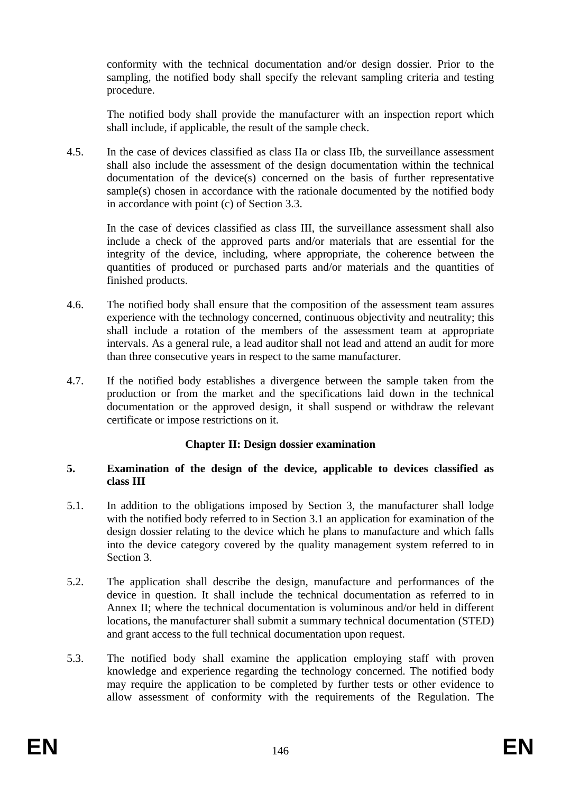conformity with the technical documentation and/or design dossier. Prior to the sampling, the notified body shall specify the relevant sampling criteria and testing procedure.

The notified body shall provide the manufacturer with an inspection report which shall include, if applicable, the result of the sample check.

4.5. In the case of devices classified as class IIa or class IIb, the surveillance assessment shall also include the assessment of the design documentation within the technical documentation of the device(s) concerned on the basis of further representative sample(s) chosen in accordance with the rationale documented by the notified body in accordance with point (c) of Section 3.3.

In the case of devices classified as class III, the surveillance assessment shall also include a check of the approved parts and/or materials that are essential for the integrity of the device, including, where appropriate, the coherence between the quantities of produced or purchased parts and/or materials and the quantities of finished products.

- 4.6. The notified body shall ensure that the composition of the assessment team assures experience with the technology concerned, continuous objectivity and neutrality; this shall include a rotation of the members of the assessment team at appropriate intervals. As a general rule, a lead auditor shall not lead and attend an audit for more than three consecutive years in respect to the same manufacturer.
- 4.7. If the notified body establishes a divergence between the sample taken from the production or from the market and the specifications laid down in the technical documentation or the approved design, it shall suspend or withdraw the relevant certificate or impose restrictions on it.

#### **Chapter II: Design dossier examination**

#### **5. Examination of the design of the device, applicable to devices classified as class III**

- 5.1. In addition to the obligations imposed by Section 3, the manufacturer shall lodge with the notified body referred to in Section 3.1 an application for examination of the design dossier relating to the device which he plans to manufacture and which falls into the device category covered by the quality management system referred to in Section 3.
- 5.2. The application shall describe the design, manufacture and performances of the device in question. It shall include the technical documentation as referred to in Annex II; where the technical documentation is voluminous and/or held in different locations, the manufacturer shall submit a summary technical documentation (STED) and grant access to the full technical documentation upon request.
- 5.3. The notified body shall examine the application employing staff with proven knowledge and experience regarding the technology concerned. The notified body may require the application to be completed by further tests or other evidence to allow assessment of conformity with the requirements of the Regulation. The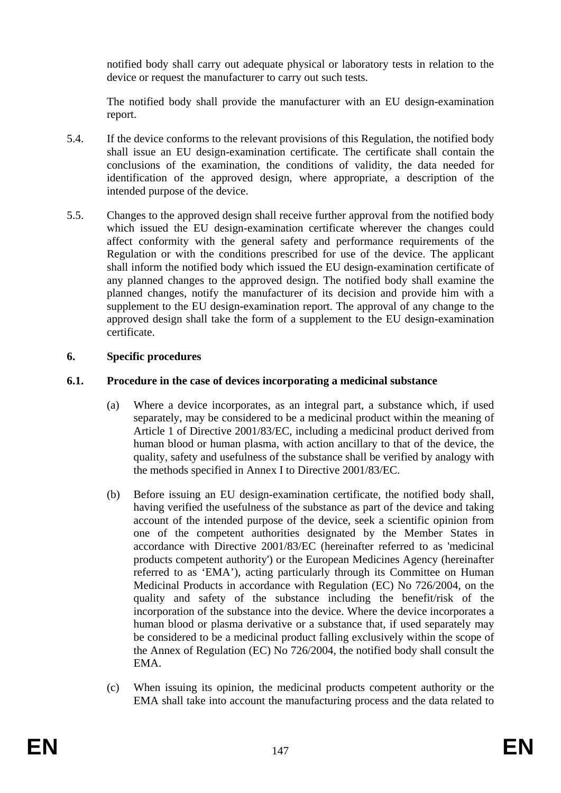notified body shall carry out adequate physical or laboratory tests in relation to the device or request the manufacturer to carry out such tests.

The notified body shall provide the manufacturer with an EU design-examination report.

- 5.4. If the device conforms to the relevant provisions of this Regulation, the notified body shall issue an EU design-examination certificate. The certificate shall contain the conclusions of the examination, the conditions of validity, the data needed for identification of the approved design, where appropriate, a description of the intended purpose of the device.
- 5.5. Changes to the approved design shall receive further approval from the notified body which issued the EU design-examination certificate wherever the changes could affect conformity with the general safety and performance requirements of the Regulation or with the conditions prescribed for use of the device. The applicant shall inform the notified body which issued the EU design-examination certificate of any planned changes to the approved design. The notified body shall examine the planned changes, notify the manufacturer of its decision and provide him with a supplement to the EU design-examination report. The approval of any change to the approved design shall take the form of a supplement to the EU design-examination certificate.

#### **6. Specific procedures**

## **6.1. Procedure in the case of devices incorporating a medicinal substance**

- (a) Where a device incorporates, as an integral part, a substance which, if used separately, may be considered to be a medicinal product within the meaning of Article 1 of Directive 2001/83/EC, including a medicinal product derived from human blood or human plasma, with action ancillary to that of the device, the quality, safety and usefulness of the substance shall be verified by analogy with the methods specified in Annex I to Directive 2001/83/EC.
- (b) Before issuing an EU design-examination certificate, the notified body shall, having verified the usefulness of the substance as part of the device and taking account of the intended purpose of the device, seek a scientific opinion from one of the competent authorities designated by the Member States in accordance with Directive 2001/83/EC (hereinafter referred to as 'medicinal products competent authority') or the European Medicines Agency (hereinafter referred to as 'EMA'), acting particularly through its Committee on Human Medicinal Products in accordance with Regulation (EC) No 726/2004, on the quality and safety of the substance including the benefit/risk of the incorporation of the substance into the device. Where the device incorporates a human blood or plasma derivative or a substance that, if used separately may be considered to be a medicinal product falling exclusively within the scope of the Annex of Regulation (EC) No 726/2004, the notified body shall consult the EMA.
- (c) When issuing its opinion, the medicinal products competent authority or the EMA shall take into account the manufacturing process and the data related to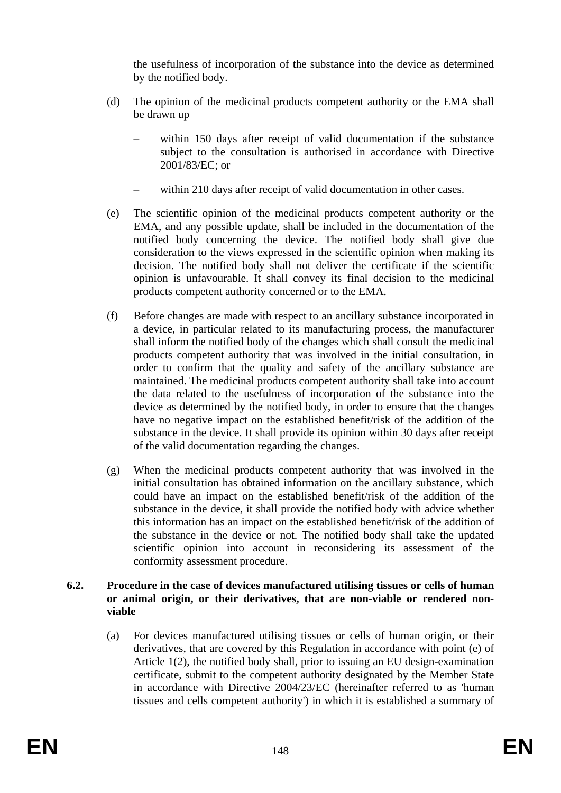the usefulness of incorporation of the substance into the device as determined by the notified body.

- (d) The opinion of the medicinal products competent authority or the EMA shall be drawn up
	- within 150 days after receipt of valid documentation if the substance subject to the consultation is authorised in accordance with Directive 2001/83/EC; or
	- within 210 days after receipt of valid documentation in other cases.
- (e) The scientific opinion of the medicinal products competent authority or the EMA, and any possible update, shall be included in the documentation of the notified body concerning the device. The notified body shall give due consideration to the views expressed in the scientific opinion when making its decision. The notified body shall not deliver the certificate if the scientific opinion is unfavourable. It shall convey its final decision to the medicinal products competent authority concerned or to the EMA.
- (f) Before changes are made with respect to an ancillary substance incorporated in a device, in particular related to its manufacturing process, the manufacturer shall inform the notified body of the changes which shall consult the medicinal products competent authority that was involved in the initial consultation, in order to confirm that the quality and safety of the ancillary substance are maintained. The medicinal products competent authority shall take into account the data related to the usefulness of incorporation of the substance into the device as determined by the notified body, in order to ensure that the changes have no negative impact on the established benefit/risk of the addition of the substance in the device. It shall provide its opinion within 30 days after receipt of the valid documentation regarding the changes.
- (g) When the medicinal products competent authority that was involved in the initial consultation has obtained information on the ancillary substance, which could have an impact on the established benefit/risk of the addition of the substance in the device, it shall provide the notified body with advice whether this information has an impact on the established benefit/risk of the addition of the substance in the device or not. The notified body shall take the updated scientific opinion into account in reconsidering its assessment of the conformity assessment procedure.

#### **6.2. Procedure in the case of devices manufactured utilising tissues or cells of human or animal origin, or their derivatives, that are non-viable or rendered nonviable**

(a) For devices manufactured utilising tissues or cells of human origin, or their derivatives, that are covered by this Regulation in accordance with point (e) of Article 1(2), the notified body shall, prior to issuing an EU design-examination certificate, submit to the competent authority designated by the Member State in accordance with Directive 2004/23/EC (hereinafter referred to as 'human tissues and cells competent authority') in which it is established a summary of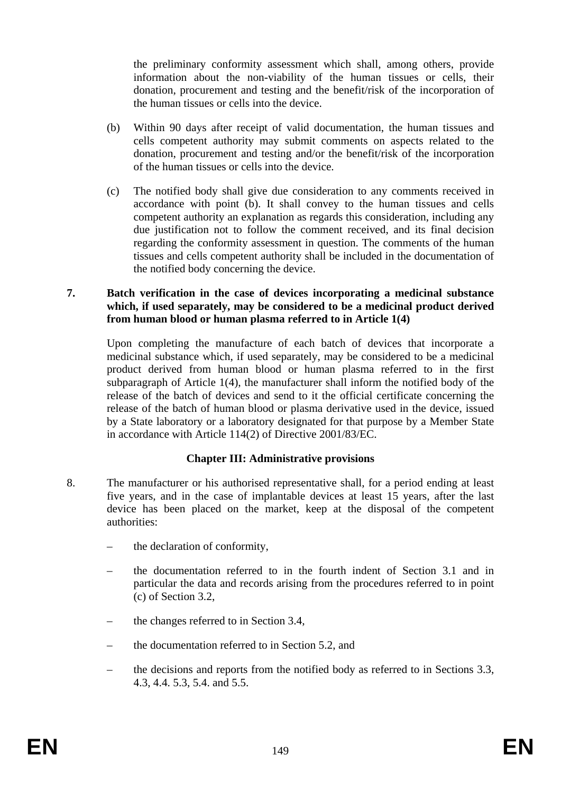the preliminary conformity assessment which shall, among others, provide information about the non-viability of the human tissues or cells, their donation, procurement and testing and the benefit/risk of the incorporation of the human tissues or cells into the device.

- (b) Within 90 days after receipt of valid documentation, the human tissues and cells competent authority may submit comments on aspects related to the donation, procurement and testing and/or the benefit/risk of the incorporation of the human tissues or cells into the device.
- (c) The notified body shall give due consideration to any comments received in accordance with point (b). It shall convey to the human tissues and cells competent authority an explanation as regards this consideration, including any due justification not to follow the comment received, and its final decision regarding the conformity assessment in question. The comments of the human tissues and cells competent authority shall be included in the documentation of the notified body concerning the device.

#### **7. Batch verification in the case of devices incorporating a medicinal substance which, if used separately, may be considered to be a medicinal product derived from human blood or human plasma referred to in Article 1(4)**

Upon completing the manufacture of each batch of devices that incorporate a medicinal substance which, if used separately, may be considered to be a medicinal product derived from human blood or human plasma referred to in the first subparagraph of Article 1(4), the manufacturer shall inform the notified body of the release of the batch of devices and send to it the official certificate concerning the release of the batch of human blood or plasma derivative used in the device, issued by a State laboratory or a laboratory designated for that purpose by a Member State in accordance with Article 114(2) of Directive 2001/83/EC.

#### **Chapter III: Administrative provisions**

- 8. The manufacturer or his authorised representative shall, for a period ending at least five years, and in the case of implantable devices at least 15 years, after the last device has been placed on the market, keep at the disposal of the competent authorities:
	- the declaration of conformity,
	- the documentation referred to in the fourth indent of Section 3.1 and in particular the data and records arising from the procedures referred to in point (c) of Section 3.2,
	- the changes referred to in Section 3.4,
	- the documentation referred to in Section 5.2, and
	- the decisions and reports from the notified body as referred to in Sections 3.3, 4.3, 4.4. 5.3, 5.4. and 5.5.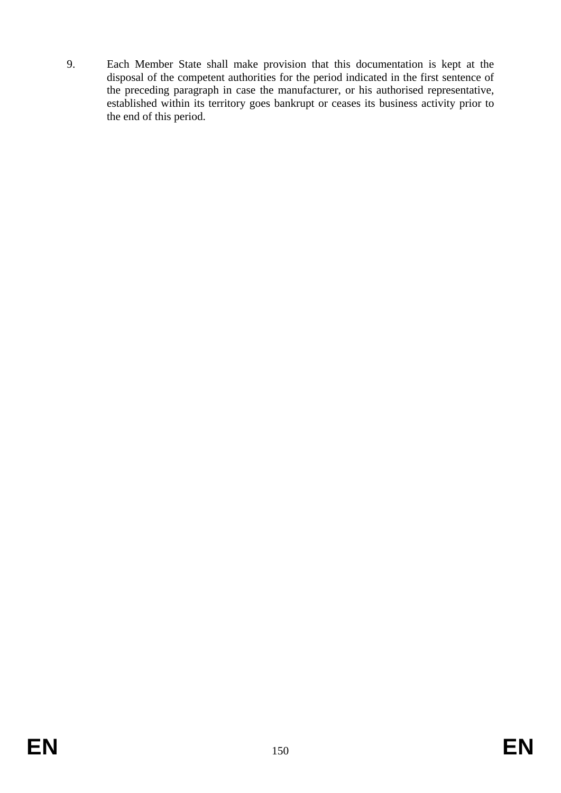9. Each Member State shall make provision that this documentation is kept at the disposal of the competent authorities for the period indicated in the first sentence of the preceding paragraph in case the manufacturer, or his authorised representative, established within its territory goes bankrupt or ceases its business activity prior to the end of this period.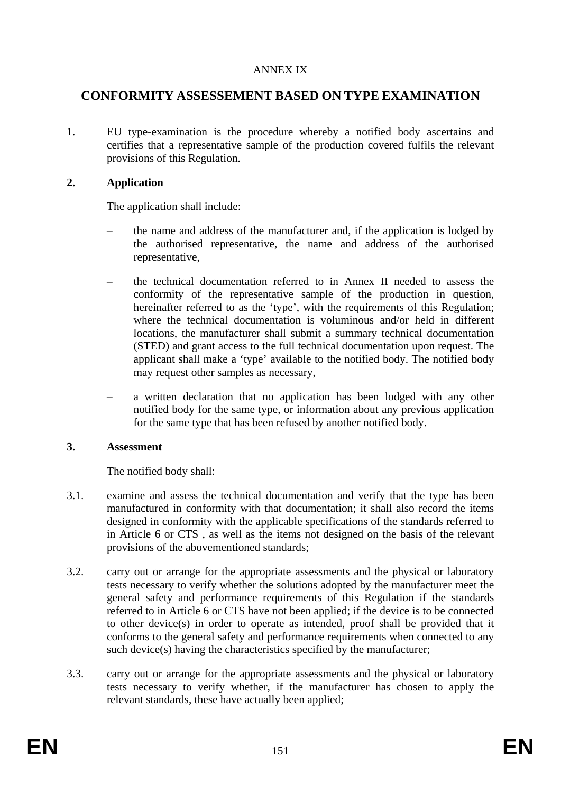#### ANNEX IX

# **CONFORMITY ASSESSEMENT BASED ON TYPE EXAMINATION**

1. EU type-examination is the procedure whereby a notified body ascertains and certifies that a representative sample of the production covered fulfils the relevant provisions of this Regulation.

#### **2. Application**

The application shall include:

- the name and address of the manufacturer and, if the application is lodged by the authorised representative, the name and address of the authorised representative,
- the technical documentation referred to in Annex II needed to assess the conformity of the representative sample of the production in question, hereinafter referred to as the 'type', with the requirements of this Regulation; where the technical documentation is voluminous and/or held in different locations, the manufacturer shall submit a summary technical documentation (STED) and grant access to the full technical documentation upon request. The applicant shall make a 'type' available to the notified body. The notified body may request other samples as necessary,
- a written declaration that no application has been lodged with any other notified body for the same type, or information about any previous application for the same type that has been refused by another notified body.

#### **3. Assessment**

The notified body shall:

- 3.1. examine and assess the technical documentation and verify that the type has been manufactured in conformity with that documentation; it shall also record the items designed in conformity with the applicable specifications of the standards referred to in Article 6 or CTS , as well as the items not designed on the basis of the relevant provisions of the abovementioned standards;
- 3.2. carry out or arrange for the appropriate assessments and the physical or laboratory tests necessary to verify whether the solutions adopted by the manufacturer meet the general safety and performance requirements of this Regulation if the standards referred to in Article 6 or CTS have not been applied; if the device is to be connected to other device(s) in order to operate as intended, proof shall be provided that it conforms to the general safety and performance requirements when connected to any such device(s) having the characteristics specified by the manufacturer;
- 3.3. carry out or arrange for the appropriate assessments and the physical or laboratory tests necessary to verify whether, if the manufacturer has chosen to apply the relevant standards, these have actually been applied;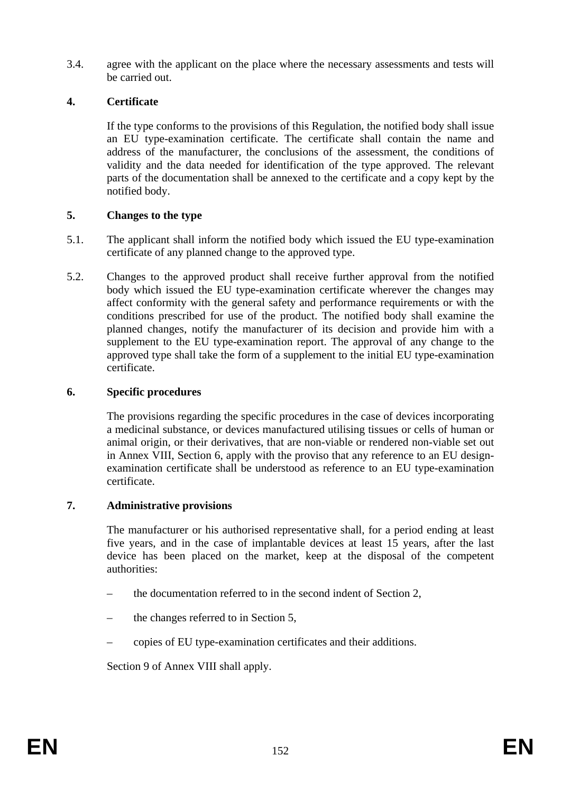3.4. agree with the applicant on the place where the necessary assessments and tests will be carried out.

## **4. Certificate**

If the type conforms to the provisions of this Regulation, the notified body shall issue an EU type-examination certificate. The certificate shall contain the name and address of the manufacturer, the conclusions of the assessment, the conditions of validity and the data needed for identification of the type approved. The relevant parts of the documentation shall be annexed to the certificate and a copy kept by the notified body.

#### **5. Changes to the type**

- 5.1. The applicant shall inform the notified body which issued the EU type-examination certificate of any planned change to the approved type.
- 5.2. Changes to the approved product shall receive further approval from the notified body which issued the EU type-examination certificate wherever the changes may affect conformity with the general safety and performance requirements or with the conditions prescribed for use of the product. The notified body shall examine the planned changes, notify the manufacturer of its decision and provide him with a supplement to the EU type-examination report. The approval of any change to the approved type shall take the form of a supplement to the initial EU type-examination certificate.

#### **6. Specific procedures**

The provisions regarding the specific procedures in the case of devices incorporating a medicinal substance, or devices manufactured utilising tissues or cells of human or animal origin, or their derivatives, that are non-viable or rendered non-viable set out in Annex VIII, Section 6, apply with the proviso that any reference to an EU designexamination certificate shall be understood as reference to an EU type-examination certificate.

#### **7. Administrative provisions**

The manufacturer or his authorised representative shall, for a period ending at least five years, and in the case of implantable devices at least 15 years, after the last device has been placed on the market, keep at the disposal of the competent authorities:

- the documentation referred to in the second indent of Section 2,
- the changes referred to in Section 5,
- copies of EU type-examination certificates and their additions.

Section 9 of Annex VIII shall apply.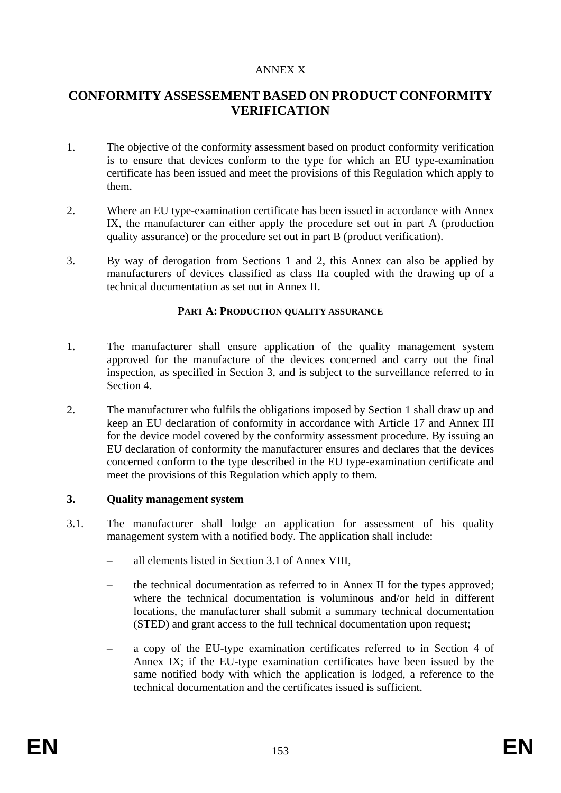#### ANNEX X

# **CONFORMITY ASSESSEMENT BASED ON PRODUCT CONFORMITY VERIFICATION**

- 1. The objective of the conformity assessment based on product conformity verification is to ensure that devices conform to the type for which an EU type-examination certificate has been issued and meet the provisions of this Regulation which apply to them.
- 2. Where an EU type-examination certificate has been issued in accordance with Annex IX, the manufacturer can either apply the procedure set out in part A (production quality assurance) or the procedure set out in part B (product verification).
- 3. By way of derogation from Sections 1 and 2, this Annex can also be applied by manufacturers of devices classified as class IIa coupled with the drawing up of a technical documentation as set out in Annex II.

#### **PART A: PRODUCTION QUALITY ASSURANCE**

- 1. The manufacturer shall ensure application of the quality management system approved for the manufacture of the devices concerned and carry out the final inspection, as specified in Section 3, and is subject to the surveillance referred to in Section 4.
- 2. The manufacturer who fulfils the obligations imposed by Section 1 shall draw up and keep an EU declaration of conformity in accordance with Article 17 and Annex III for the device model covered by the conformity assessment procedure. By issuing an EU declaration of conformity the manufacturer ensures and declares that the devices concerned conform to the type described in the EU type-examination certificate and meet the provisions of this Regulation which apply to them.

#### **3. Quality management system**

- 3.1. The manufacturer shall lodge an application for assessment of his quality management system with a notified body. The application shall include:
	- all elements listed in Section 3.1 of Annex VIII,
	- the technical documentation as referred to in Annex II for the types approved; where the technical documentation is voluminous and/or held in different locations, the manufacturer shall submit a summary technical documentation (STED) and grant access to the full technical documentation upon request;
	- a copy of the EU-type examination certificates referred to in Section 4 of Annex IX; if the EU-type examination certificates have been issued by the same notified body with which the application is lodged, a reference to the technical documentation and the certificates issued is sufficient.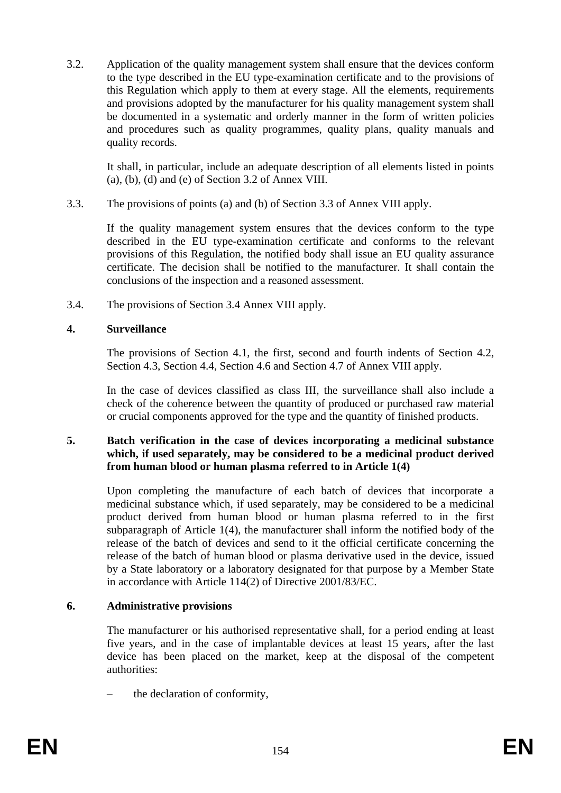3.2. Application of the quality management system shall ensure that the devices conform to the type described in the EU type-examination certificate and to the provisions of this Regulation which apply to them at every stage. All the elements, requirements and provisions adopted by the manufacturer for his quality management system shall be documented in a systematic and orderly manner in the form of written policies and procedures such as quality programmes, quality plans, quality manuals and quality records.

It shall, in particular, include an adequate description of all elements listed in points (a), (b), (d) and (e) of Section 3.2 of Annex VIII.

3.3. The provisions of points (a) and (b) of Section 3.3 of Annex VIII apply.

If the quality management system ensures that the devices conform to the type described in the EU type-examination certificate and conforms to the relevant provisions of this Regulation, the notified body shall issue an EU quality assurance certificate. The decision shall be notified to the manufacturer. It shall contain the conclusions of the inspection and a reasoned assessment.

3.4. The provisions of Section 3.4 Annex VIII apply.

#### **4. Surveillance**

The provisions of Section 4.1, the first, second and fourth indents of Section 4.2, Section 4.3, Section 4.4, Section 4.6 and Section 4.7 of Annex VIII apply.

In the case of devices classified as class III, the surveillance shall also include a check of the coherence between the quantity of produced or purchased raw material or crucial components approved for the type and the quantity of finished products.

#### **5. Batch verification in the case of devices incorporating a medicinal substance which, if used separately, may be considered to be a medicinal product derived from human blood or human plasma referred to in Article 1(4)**

Upon completing the manufacture of each batch of devices that incorporate a medicinal substance which, if used separately, may be considered to be a medicinal product derived from human blood or human plasma referred to in the first subparagraph of Article 1(4), the manufacturer shall inform the notified body of the release of the batch of devices and send to it the official certificate concerning the release of the batch of human blood or plasma derivative used in the device, issued by a State laboratory or a laboratory designated for that purpose by a Member State in accordance with Article 114(2) of Directive 2001/83/EC.

#### **6. Administrative provisions**

The manufacturer or his authorised representative shall, for a period ending at least five years, and in the case of implantable devices at least 15 years, after the last device has been placed on the market, keep at the disposal of the competent authorities:

the declaration of conformity,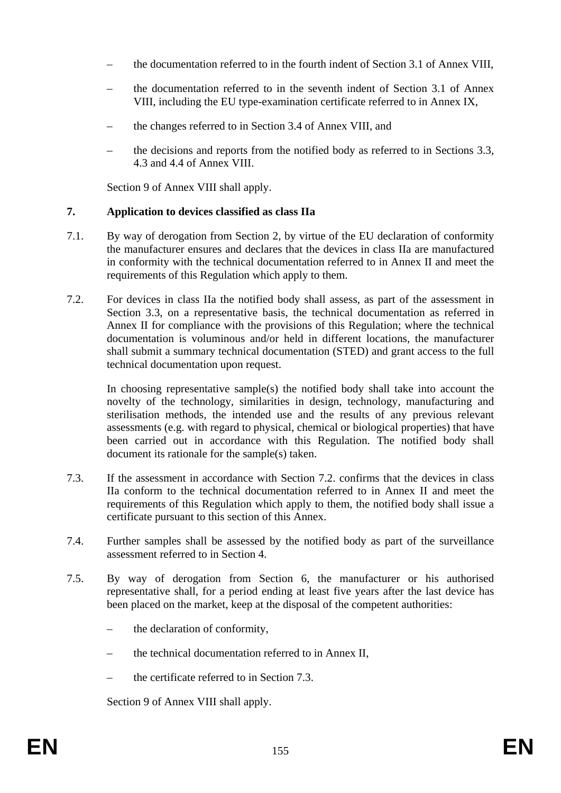- the documentation referred to in the fourth indent of Section 3.1 of Annex VIII,
- the documentation referred to in the seventh indent of Section 3.1 of Annex VIII, including the EU type-examination certificate referred to in Annex IX,
- the changes referred to in Section 3.4 of Annex VIII, and
- the decisions and reports from the notified body as referred to in Sections 3.3, 4.3 and 4.4 of Annex VIII.

Section 9 of Annex VIII shall apply.

#### **7. Application to devices classified as class IIa**

- 7.1. By way of derogation from Section 2, by virtue of the EU declaration of conformity the manufacturer ensures and declares that the devices in class IIa are manufactured in conformity with the technical documentation referred to in Annex II and meet the requirements of this Regulation which apply to them.
- 7.2. For devices in class IIa the notified body shall assess, as part of the assessment in Section 3.3, on a representative basis, the technical documentation as referred in Annex II for compliance with the provisions of this Regulation; where the technical documentation is voluminous and/or held in different locations, the manufacturer shall submit a summary technical documentation (STED) and grant access to the full technical documentation upon request.

In choosing representative sample(s) the notified body shall take into account the novelty of the technology, similarities in design, technology, manufacturing and sterilisation methods, the intended use and the results of any previous relevant assessments (e.g. with regard to physical, chemical or biological properties) that have been carried out in accordance with this Regulation. The notified body shall document its rationale for the sample(s) taken.

- 7.3. If the assessment in accordance with Section 7.2. confirms that the devices in class IIa conform to the technical documentation referred to in Annex II and meet the requirements of this Regulation which apply to them, the notified body shall issue a certificate pursuant to this section of this Annex.
- 7.4. Further samples shall be assessed by the notified body as part of the surveillance assessment referred to in Section 4.
- 7.5. By way of derogation from Section 6, the manufacturer or his authorised representative shall, for a period ending at least five years after the last device has been placed on the market, keep at the disposal of the competent authorities:
	- the declaration of conformity,
	- the technical documentation referred to in Annex II,
	- the certificate referred to in Section 7.3.

Section 9 of Annex VIII shall apply.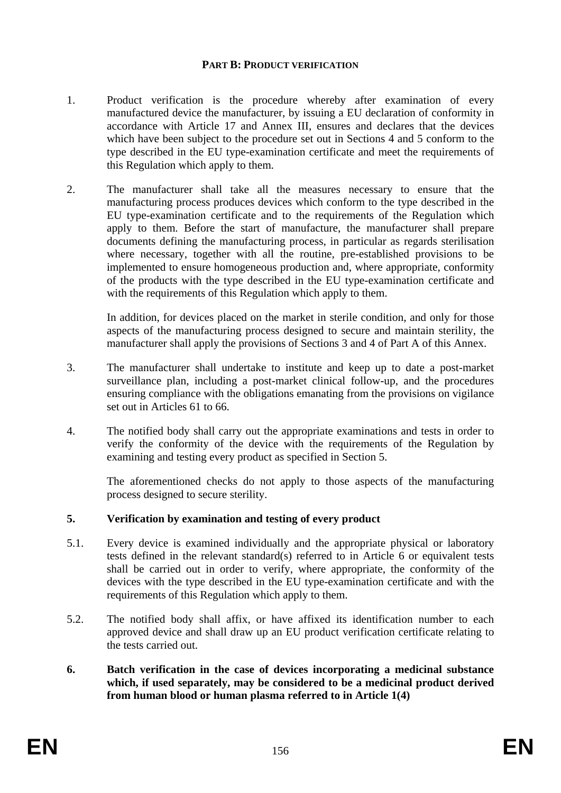#### **PART B: PRODUCT VERIFICATION**

- 1. Product verification is the procedure whereby after examination of every manufactured device the manufacturer, by issuing a EU declaration of conformity in accordance with Article 17 and Annex III, ensures and declares that the devices which have been subject to the procedure set out in Sections 4 and 5 conform to the type described in the EU type-examination certificate and meet the requirements of this Regulation which apply to them.
- 2. The manufacturer shall take all the measures necessary to ensure that the manufacturing process produces devices which conform to the type described in the EU type-examination certificate and to the requirements of the Regulation which apply to them. Before the start of manufacture, the manufacturer shall prepare documents defining the manufacturing process, in particular as regards sterilisation where necessary, together with all the routine, pre-established provisions to be implemented to ensure homogeneous production and, where appropriate, conformity of the products with the type described in the EU type-examination certificate and with the requirements of this Regulation which apply to them.

In addition, for devices placed on the market in sterile condition, and only for those aspects of the manufacturing process designed to secure and maintain sterility, the manufacturer shall apply the provisions of Sections 3 and 4 of Part A of this Annex.

- 3. The manufacturer shall undertake to institute and keep up to date a post-market surveillance plan, including a post-market clinical follow-up, and the procedures ensuring compliance with the obligations emanating from the provisions on vigilance set out in Articles 61 to 66.
- 4. The notified body shall carry out the appropriate examinations and tests in order to verify the conformity of the device with the requirements of the Regulation by examining and testing every product as specified in Section 5.

The aforementioned checks do not apply to those aspects of the manufacturing process designed to secure sterility.

#### **5. Verification by examination and testing of every product**

- 5.1. Every device is examined individually and the appropriate physical or laboratory tests defined in the relevant standard(s) referred to in Article 6 or equivalent tests shall be carried out in order to verify, where appropriate, the conformity of the devices with the type described in the EU type-examination certificate and with the requirements of this Regulation which apply to them.
- 5.2. The notified body shall affix, or have affixed its identification number to each approved device and shall draw up an EU product verification certificate relating to the tests carried out.
- **6. Batch verification in the case of devices incorporating a medicinal substance which, if used separately, may be considered to be a medicinal product derived from human blood or human plasma referred to in Article 1(4)**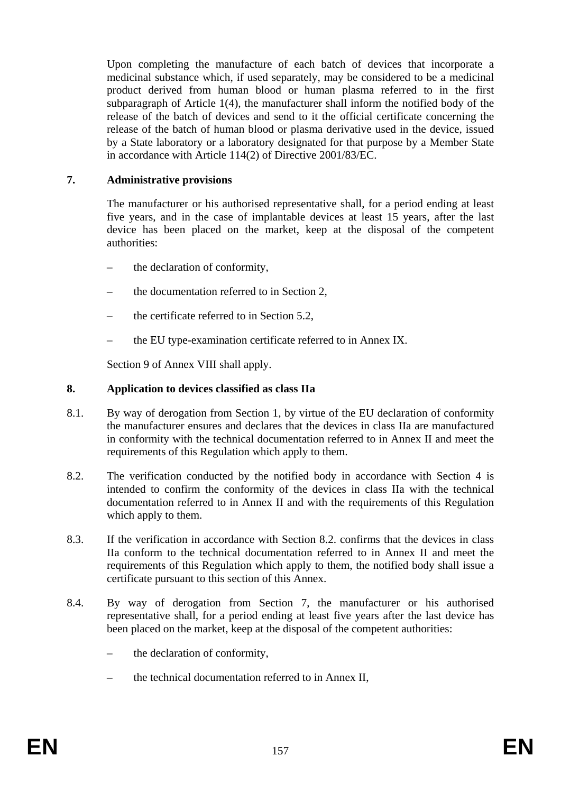Upon completing the manufacture of each batch of devices that incorporate a medicinal substance which, if used separately, may be considered to be a medicinal product derived from human blood or human plasma referred to in the first subparagraph of Article 1(4), the manufacturer shall inform the notified body of the release of the batch of devices and send to it the official certificate concerning the release of the batch of human blood or plasma derivative used in the device, issued by a State laboratory or a laboratory designated for that purpose by a Member State in accordance with Article 114(2) of Directive 2001/83/EC.

#### **7. Administrative provisions**

The manufacturer or his authorised representative shall, for a period ending at least five years, and in the case of implantable devices at least 15 years, after the last device has been placed on the market, keep at the disposal of the competent authorities:

- the declaration of conformity,
- the documentation referred to in Section 2,
- the certificate referred to in Section 5.2,
- the EU type-examination certificate referred to in Annex IX.

Section 9 of Annex VIII shall apply.

#### **8. Application to devices classified as class IIa**

- 8.1. By way of derogation from Section 1, by virtue of the EU declaration of conformity the manufacturer ensures and declares that the devices in class IIa are manufactured in conformity with the technical documentation referred to in Annex II and meet the requirements of this Regulation which apply to them.
- 8.2. The verification conducted by the notified body in accordance with Section 4 is intended to confirm the conformity of the devices in class IIa with the technical documentation referred to in Annex II and with the requirements of this Regulation which apply to them.
- 8.3. If the verification in accordance with Section 8.2. confirms that the devices in class IIa conform to the technical documentation referred to in Annex II and meet the requirements of this Regulation which apply to them, the notified body shall issue a certificate pursuant to this section of this Annex.
- 8.4. By way of derogation from Section 7, the manufacturer or his authorised representative shall, for a period ending at least five years after the last device has been placed on the market, keep at the disposal of the competent authorities:
	- the declaration of conformity,
	- the technical documentation referred to in Annex II,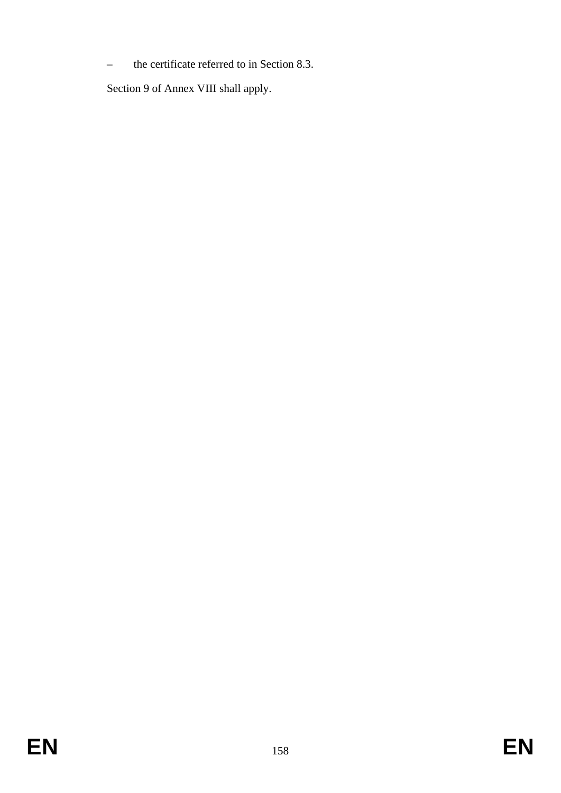– the certificate referred to in Section 8.3.

Section 9 of Annex VIII shall apply.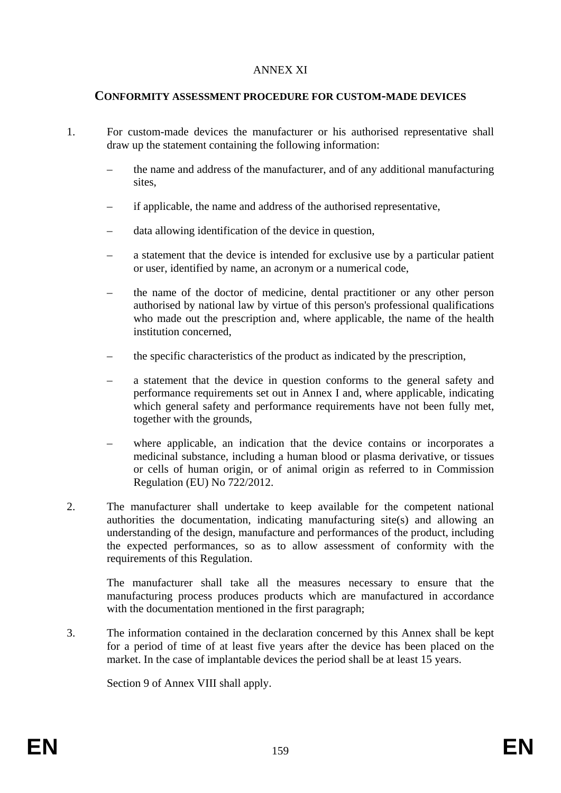#### ANNEX XI

#### **CONFORMITY ASSESSMENT PROCEDURE FOR CUSTOM-MADE DEVICES**

- 1. For custom-made devices the manufacturer or his authorised representative shall draw up the statement containing the following information:
	- the name and address of the manufacturer, and of any additional manufacturing sites,
	- if applicable, the name and address of the authorised representative,
	- data allowing identification of the device in question,
	- a statement that the device is intended for exclusive use by a particular patient or user, identified by name, an acronym or a numerical code,
	- the name of the doctor of medicine, dental practitioner or any other person authorised by national law by virtue of this person's professional qualifications who made out the prescription and, where applicable, the name of the health institution concerned,
	- the specific characteristics of the product as indicated by the prescription,
	- a statement that the device in question conforms to the general safety and performance requirements set out in Annex I and, where applicable, indicating which general safety and performance requirements have not been fully met, together with the grounds,
	- where applicable, an indication that the device contains or incorporates a medicinal substance, including a human blood or plasma derivative, or tissues or cells of human origin, or of animal origin as referred to in Commission Regulation (EU) No 722/2012.
- 2. The manufacturer shall undertake to keep available for the competent national authorities the documentation, indicating manufacturing site(s) and allowing an understanding of the design, manufacture and performances of the product, including the expected performances, so as to allow assessment of conformity with the requirements of this Regulation.

The manufacturer shall take all the measures necessary to ensure that the manufacturing process produces products which are manufactured in accordance with the documentation mentioned in the first paragraph;

3. The information contained in the declaration concerned by this Annex shall be kept for a period of time of at least five years after the device has been placed on the market. In the case of implantable devices the period shall be at least 15 years.

Section 9 of Annex VIII shall apply.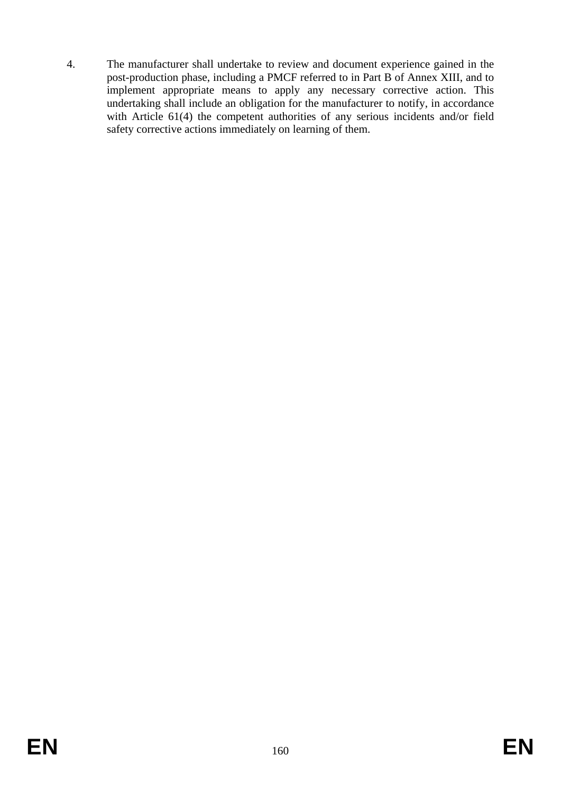4. The manufacturer shall undertake to review and document experience gained in the post-production phase, including a PMCF referred to in Part B of Annex XIII, and to implement appropriate means to apply any necessary corrective action. This undertaking shall include an obligation for the manufacturer to notify, in accordance with Article 61(4) the competent authorities of any serious incidents and/or field safety corrective actions immediately on learning of them.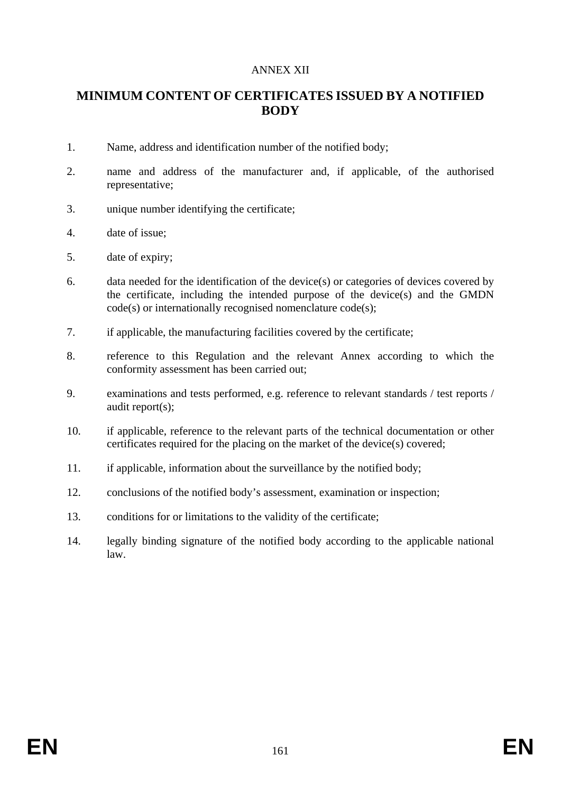#### ANNEX XII

# **MINIMUM CONTENT OF CERTIFICATES ISSUED BY A NOTIFIED BODY**

- 1. Name, address and identification number of the notified body;
- 2. name and address of the manufacturer and, if applicable, of the authorised representative;
- 3. unique number identifying the certificate;
- 4. date of issue;
- 5. date of expiry;
- 6. data needed for the identification of the device(s) or categories of devices covered by the certificate, including the intended purpose of the device(s) and the GMDN code(s) or internationally recognised nomenclature code(s);
- 7. if applicable, the manufacturing facilities covered by the certificate;
- 8. reference to this Regulation and the relevant Annex according to which the conformity assessment has been carried out;
- 9. examinations and tests performed, e.g. reference to relevant standards / test reports / audit report(s);
- 10. if applicable, reference to the relevant parts of the technical documentation or other certificates required for the placing on the market of the device(s) covered;
- 11. if applicable, information about the surveillance by the notified body;
- 12. conclusions of the notified body's assessment, examination or inspection;
- 13. conditions for or limitations to the validity of the certificate;
- 14. legally binding signature of the notified body according to the applicable national law.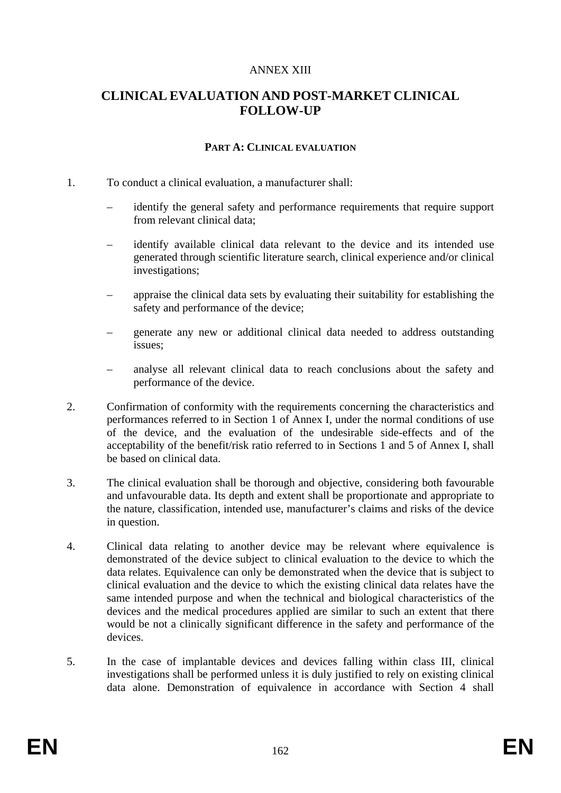#### ANNEX XIII

# **CLINICAL EVALUATION AND POST-MARKET CLINICAL FOLLOW-UP**

#### **PART A: CLINICAL EVALUATION**

#### 1. To conduct a clinical evaluation, a manufacturer shall:

- identify the general safety and performance requirements that require support from relevant clinical data;
- identify available clinical data relevant to the device and its intended use generated through scientific literature search, clinical experience and/or clinical investigations;
- appraise the clinical data sets by evaluating their suitability for establishing the safety and performance of the device;
- generate any new or additional clinical data needed to address outstanding issues;
- analyse all relevant clinical data to reach conclusions about the safety and performance of the device.
- 2. Confirmation of conformity with the requirements concerning the characteristics and performances referred to in Section 1 of Annex I, under the normal conditions of use of the device, and the evaluation of the undesirable side-effects and of the acceptability of the benefit/risk ratio referred to in Sections 1 and 5 of Annex I, shall be based on clinical data.
- 3. The clinical evaluation shall be thorough and objective, considering both favourable and unfavourable data. Its depth and extent shall be proportionate and appropriate to the nature, classification, intended use, manufacturer's claims and risks of the device in question.
- 4. Clinical data relating to another device may be relevant where equivalence is demonstrated of the device subject to clinical evaluation to the device to which the data relates. Equivalence can only be demonstrated when the device that is subject to clinical evaluation and the device to which the existing clinical data relates have the same intended purpose and when the technical and biological characteristics of the devices and the medical procedures applied are similar to such an extent that there would be not a clinically significant difference in the safety and performance of the devices.
- 5. In the case of implantable devices and devices falling within class III, clinical investigations shall be performed unless it is duly justified to rely on existing clinical data alone. Demonstration of equivalence in accordance with Section 4 shall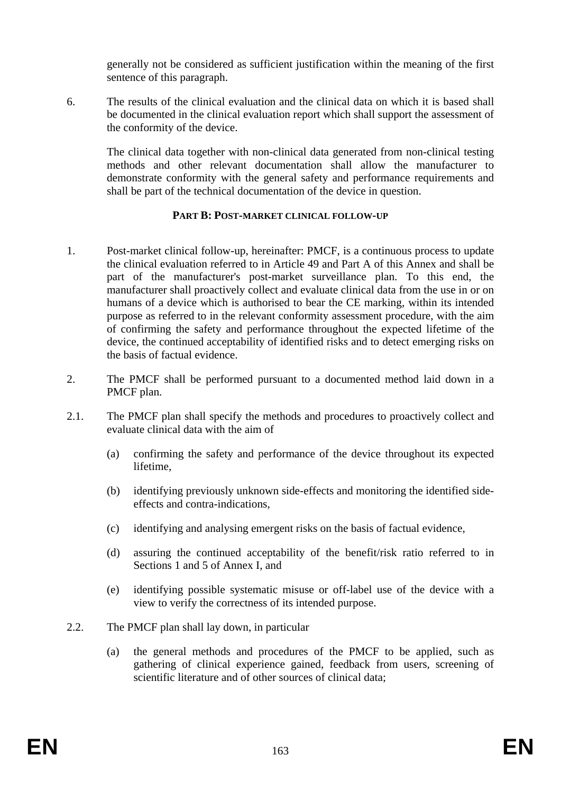generally not be considered as sufficient justification within the meaning of the first sentence of this paragraph.

6. The results of the clinical evaluation and the clinical data on which it is based shall be documented in the clinical evaluation report which shall support the assessment of the conformity of the device.

The clinical data together with non-clinical data generated from non-clinical testing methods and other relevant documentation shall allow the manufacturer to demonstrate conformity with the general safety and performance requirements and shall be part of the technical documentation of the device in question.

#### **PART B: POST-MARKET CLINICAL FOLLOW-UP**

- 1. Post-market clinical follow-up, hereinafter: PMCF, is a continuous process to update the clinical evaluation referred to in Article 49 and Part A of this Annex and shall be part of the manufacturer's post-market surveillance plan. To this end, the manufacturer shall proactively collect and evaluate clinical data from the use in or on humans of a device which is authorised to bear the CE marking, within its intended purpose as referred to in the relevant conformity assessment procedure, with the aim of confirming the safety and performance throughout the expected lifetime of the device, the continued acceptability of identified risks and to detect emerging risks on the basis of factual evidence.
- 2. The PMCF shall be performed pursuant to a documented method laid down in a PMCF plan.
- 2.1. The PMCF plan shall specify the methods and procedures to proactively collect and evaluate clinical data with the aim of
	- (a) confirming the safety and performance of the device throughout its expected lifetime,
	- (b) identifying previously unknown side-effects and monitoring the identified sideeffects and contra-indications,
	- (c) identifying and analysing emergent risks on the basis of factual evidence,
	- (d) assuring the continued acceptability of the benefit/risk ratio referred to in Sections 1 and 5 of Annex I, and
	- (e) identifying possible systematic misuse or off-label use of the device with a view to verify the correctness of its intended purpose.
- 2.2. The PMCF plan shall lay down, in particular
	- (a) the general methods and procedures of the PMCF to be applied, such as gathering of clinical experience gained, feedback from users, screening of scientific literature and of other sources of clinical data;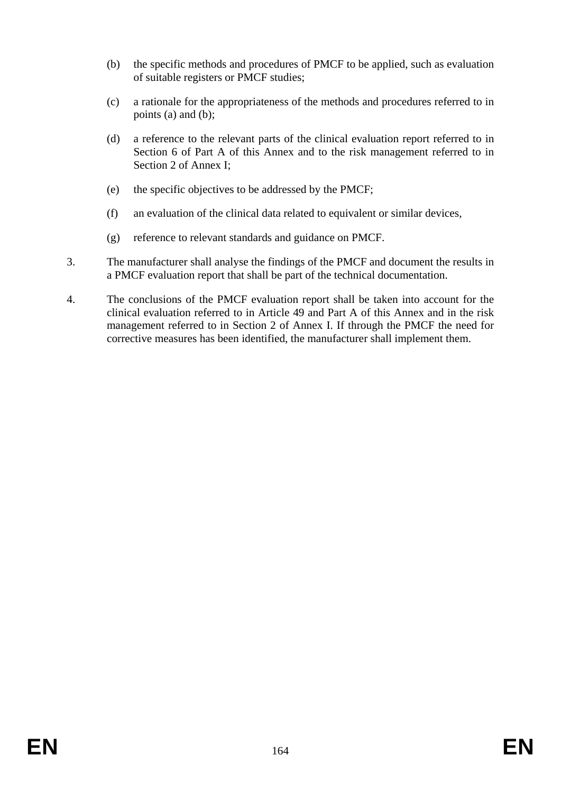- (b) the specific methods and procedures of PMCF to be applied, such as evaluation of suitable registers or PMCF studies;
- (c) a rationale for the appropriateness of the methods and procedures referred to in points (a) and (b);
- (d) a reference to the relevant parts of the clinical evaluation report referred to in Section 6 of Part A of this Annex and to the risk management referred to in Section 2 of Annex I;
- (e) the specific objectives to be addressed by the PMCF;
- (f) an evaluation of the clinical data related to equivalent or similar devices,
- (g) reference to relevant standards and guidance on PMCF.
- 3. The manufacturer shall analyse the findings of the PMCF and document the results in a PMCF evaluation report that shall be part of the technical documentation.
- 4. The conclusions of the PMCF evaluation report shall be taken into account for the clinical evaluation referred to in Article 49 and Part A of this Annex and in the risk management referred to in Section 2 of Annex I. If through the PMCF the need for corrective measures has been identified, the manufacturer shall implement them.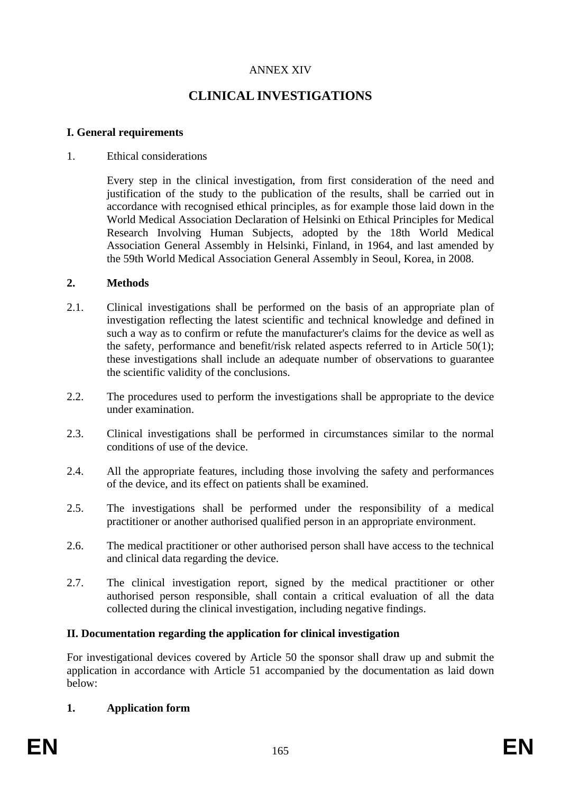## ANNEX XIV

# **CLINICAL INVESTIGATIONS**

#### **I. General requirements**

#### 1. Ethical considerations

Every step in the clinical investigation, from first consideration of the need and justification of the study to the publication of the results, shall be carried out in accordance with recognised ethical principles, as for example those laid down in the World Medical Association Declaration of Helsinki on Ethical Principles for Medical Research Involving Human Subjects, adopted by the 18th World Medical Association General Assembly in Helsinki, Finland, in 1964, and last amended by the 59th World Medical Association General Assembly in Seoul, Korea, in 2008.

#### **2. Methods**

- 2.1. Clinical investigations shall be performed on the basis of an appropriate plan of investigation reflecting the latest scientific and technical knowledge and defined in such a way as to confirm or refute the manufacturer's claims for the device as well as the safety, performance and benefit/risk related aspects referred to in Article 50(1); these investigations shall include an adequate number of observations to guarantee the scientific validity of the conclusions.
- 2.2. The procedures used to perform the investigations shall be appropriate to the device under examination.
- 2.3. Clinical investigations shall be performed in circumstances similar to the normal conditions of use of the device.
- 2.4. All the appropriate features, including those involving the safety and performances of the device, and its effect on patients shall be examined.
- 2.5. The investigations shall be performed under the responsibility of a medical practitioner or another authorised qualified person in an appropriate environment.
- 2.6. The medical practitioner or other authorised person shall have access to the technical and clinical data regarding the device.
- 2.7. The clinical investigation report, signed by the medical practitioner or other authorised person responsible, shall contain a critical evaluation of all the data collected during the clinical investigation, including negative findings.

#### **II. Documentation regarding the application for clinical investigation**

For investigational devices covered by Article 50 the sponsor shall draw up and submit the application in accordance with Article 51 accompanied by the documentation as laid down below:

#### **1. Application form**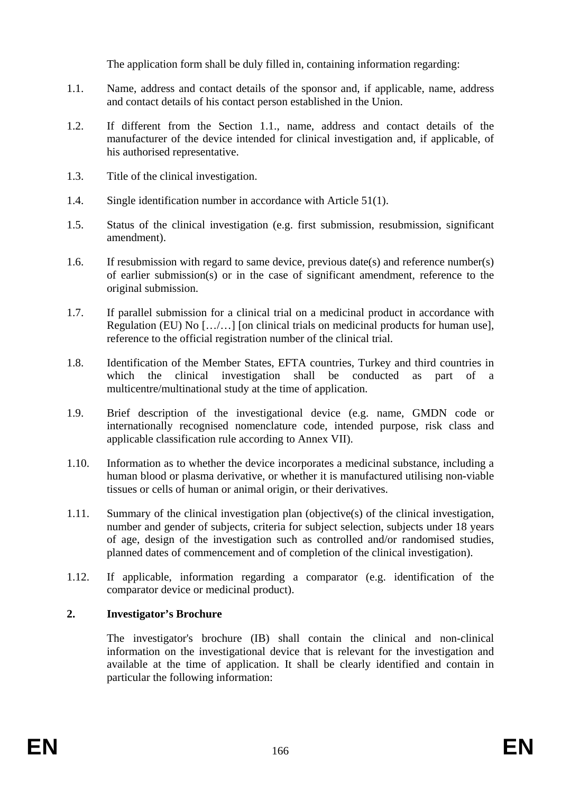The application form shall be duly filled in, containing information regarding:

- 1.1. Name, address and contact details of the sponsor and, if applicable, name, address and contact details of his contact person established in the Union.
- 1.2. If different from the Section 1.1., name, address and contact details of the manufacturer of the device intended for clinical investigation and, if applicable, of his authorised representative.
- 1.3. Title of the clinical investigation.
- 1.4. Single identification number in accordance with Article 51(1).
- 1.5. Status of the clinical investigation (e.g. first submission, resubmission, significant amendment).
- 1.6. If resubmission with regard to same device, previous date(s) and reference number(s) of earlier submission(s) or in the case of significant amendment, reference to the original submission.
- 1.7. If parallel submission for a clinical trial on a medicinal product in accordance with Regulation (EU) No […/…] [on clinical trials on medicinal products for human use], reference to the official registration number of the clinical trial.
- 1.8. Identification of the Member States, EFTA countries, Turkey and third countries in which the clinical investigation shall be conducted as part of a multicentre/multinational study at the time of application.
- 1.9. Brief description of the investigational device (e.g. name, GMDN code or internationally recognised nomenclature code, intended purpose, risk class and applicable classification rule according to Annex VII).
- 1.10. Information as to whether the device incorporates a medicinal substance, including a human blood or plasma derivative, or whether it is manufactured utilising non-viable tissues or cells of human or animal origin, or their derivatives.
- 1.11. Summary of the clinical investigation plan (objective(s) of the clinical investigation, number and gender of subjects, criteria for subject selection, subjects under 18 years of age, design of the investigation such as controlled and/or randomised studies, planned dates of commencement and of completion of the clinical investigation).
- 1.12. If applicable, information regarding a comparator (e.g. identification of the comparator device or medicinal product).

## **2. Investigator's Brochure**

The investigator's brochure (IB) shall contain the clinical and non-clinical information on the investigational device that is relevant for the investigation and available at the time of application. It shall be clearly identified and contain in particular the following information: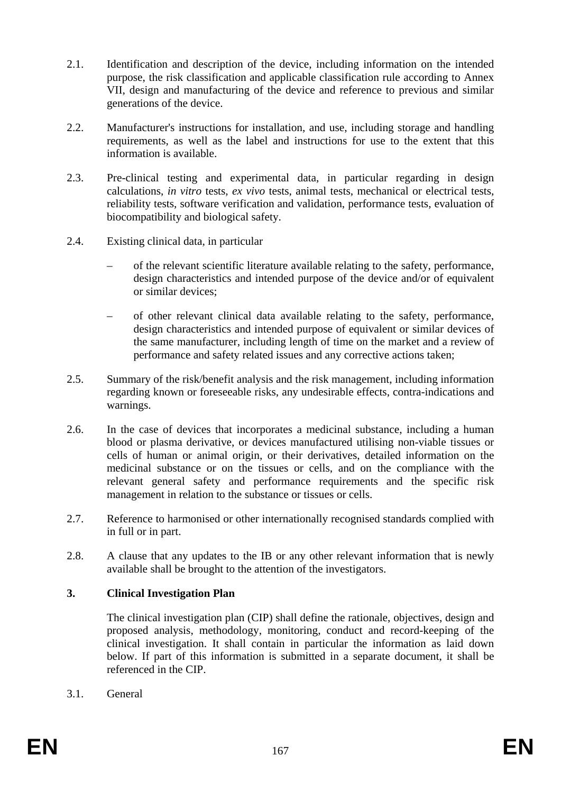- 2.1. Identification and description of the device, including information on the intended purpose, the risk classification and applicable classification rule according to Annex VII, design and manufacturing of the device and reference to previous and similar generations of the device.
- 2.2. Manufacturer's instructions for installation, and use, including storage and handling requirements, as well as the label and instructions for use to the extent that this information is available.
- 2.3. Pre-clinical testing and experimental data, in particular regarding in design calculations, *in vitro* tests, *ex vivo* tests, animal tests, mechanical or electrical tests, reliability tests, software verification and validation, performance tests, evaluation of biocompatibility and biological safety.
- 2.4. Existing clinical data, in particular
	- of the relevant scientific literature available relating to the safety, performance, design characteristics and intended purpose of the device and/or of equivalent or similar devices;
	- of other relevant clinical data available relating to the safety, performance, design characteristics and intended purpose of equivalent or similar devices of the same manufacturer, including length of time on the market and a review of performance and safety related issues and any corrective actions taken;
- 2.5. Summary of the risk/benefit analysis and the risk management, including information regarding known or foreseeable risks, any undesirable effects, contra-indications and warnings.
- 2.6. In the case of devices that incorporates a medicinal substance, including a human blood or plasma derivative, or devices manufactured utilising non-viable tissues or cells of human or animal origin, or their derivatives, detailed information on the medicinal substance or on the tissues or cells, and on the compliance with the relevant general safety and performance requirements and the specific risk management in relation to the substance or tissues or cells.
- 2.7. Reference to harmonised or other internationally recognised standards complied with in full or in part.
- 2.8. A clause that any updates to the IB or any other relevant information that is newly available shall be brought to the attention of the investigators.

#### **3. Clinical Investigation Plan**

The clinical investigation plan (CIP) shall define the rationale, objectives, design and proposed analysis, methodology, monitoring, conduct and record-keeping of the clinical investigation. It shall contain in particular the information as laid down below. If part of this information is submitted in a separate document, it shall be referenced in the CIP.

3.1. General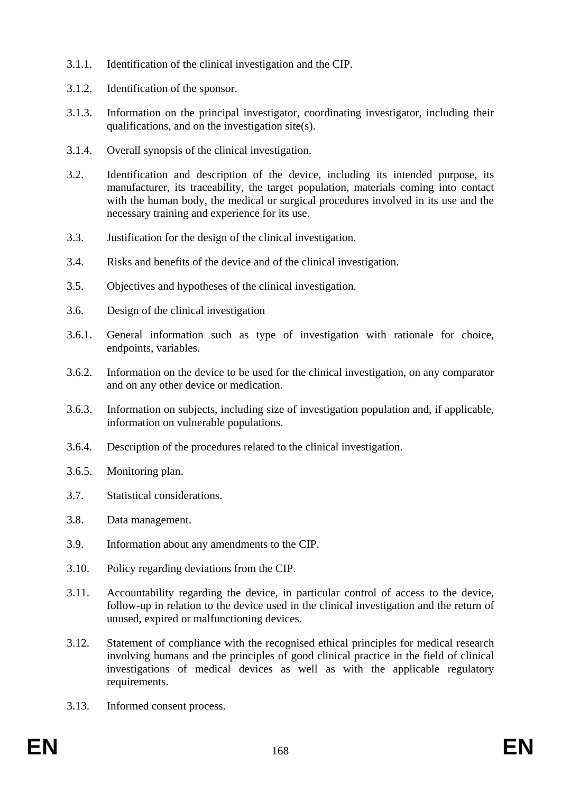- 3.1.1. Identification of the clinical investigation and the CIP.
- 3.1.2. Identification of the sponsor.
- 3.1.3. Information on the principal investigator, coordinating investigator, including their qualifications, and on the investigation site(s).
- 3.1.4. Overall synopsis of the clinical investigation.
- 3.2. Identification and description of the device, including its intended purpose, its manufacturer, its traceability, the target population, materials coming into contact with the human body, the medical or surgical procedures involved in its use and the necessary training and experience for its use.
- 3.3. Justification for the design of the clinical investigation.
- 3.4. Risks and benefits of the device and of the clinical investigation.
- 3.5. Objectives and hypotheses of the clinical investigation.
- 3.6. Design of the clinical investigation
- 3.6.1. General information such as type of investigation with rationale for choice, endpoints, variables.
- 3.6.2. Information on the device to be used for the clinical investigation, on any comparator and on any other device or medication.
- 3.6.3. Information on subjects, including size of investigation population and, if applicable, information on vulnerable populations.
- 3.6.4. Description of the procedures related to the clinical investigation.
- 3.6.5. Monitoring plan.
- 3.7. Statistical considerations.
- 3.8. Data management.
- 3.9. Information about any amendments to the CIP.
- 3.10. Policy regarding deviations from the CIP.
- 3.11. Accountability regarding the device, in particular control of access to the device, follow-up in relation to the device used in the clinical investigation and the return of unused, expired or malfunctioning devices.
- 3.12. Statement of compliance with the recognised ethical principles for medical research involving humans and the principles of good clinical practice in the field of clinical investigations of medical devices as well as with the applicable regulatory requirements.
- 3.13. Informed consent process.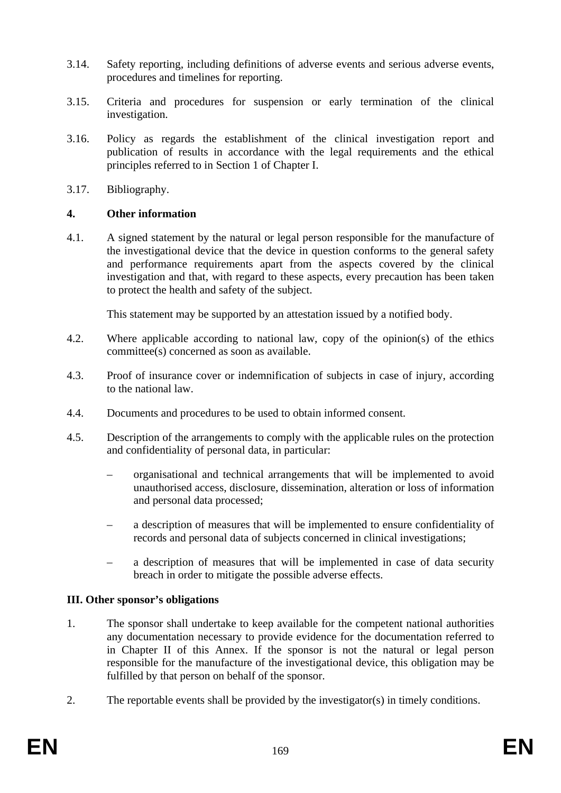- 3.14. Safety reporting, including definitions of adverse events and serious adverse events, procedures and timelines for reporting.
- 3.15. Criteria and procedures for suspension or early termination of the clinical investigation.
- 3.16. Policy as regards the establishment of the clinical investigation report and publication of results in accordance with the legal requirements and the ethical principles referred to in Section 1 of Chapter I.
- 3.17. Bibliography.

#### **4. Other information**

4.1. A signed statement by the natural or legal person responsible for the manufacture of the investigational device that the device in question conforms to the general safety and performance requirements apart from the aspects covered by the clinical investigation and that, with regard to these aspects, every precaution has been taken to protect the health and safety of the subject.

This statement may be supported by an attestation issued by a notified body.

- 4.2. Where applicable according to national law, copy of the opinion(s) of the ethics committee(s) concerned as soon as available.
- 4.3. Proof of insurance cover or indemnification of subjects in case of injury, according to the national law.
- 4.4. Documents and procedures to be used to obtain informed consent.
- 4.5. Description of the arrangements to comply with the applicable rules on the protection and confidentiality of personal data, in particular:
	- organisational and technical arrangements that will be implemented to avoid unauthorised access, disclosure, dissemination, alteration or loss of information and personal data processed;
	- a description of measures that will be implemented to ensure confidentiality of records and personal data of subjects concerned in clinical investigations;
	- a description of measures that will be implemented in case of data security breach in order to mitigate the possible adverse effects.

#### **III. Other sponsor's obligations**

- 1. The sponsor shall undertake to keep available for the competent national authorities any documentation necessary to provide evidence for the documentation referred to in Chapter II of this Annex. If the sponsor is not the natural or legal person responsible for the manufacture of the investigational device, this obligation may be fulfilled by that person on behalf of the sponsor.
- 2. The reportable events shall be provided by the investigator(s) in timely conditions.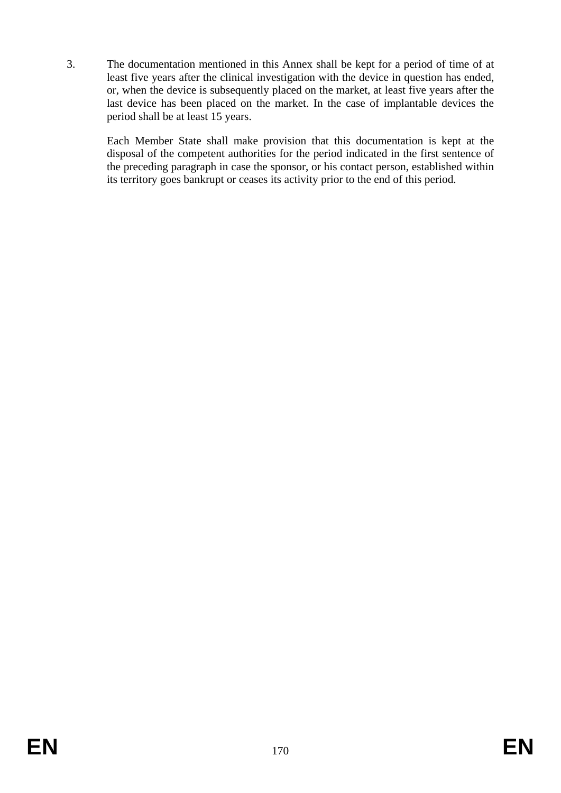3. The documentation mentioned in this Annex shall be kept for a period of time of at least five years after the clinical investigation with the device in question has ended, or, when the device is subsequently placed on the market, at least five years after the last device has been placed on the market. In the case of implantable devices the period shall be at least 15 years.

Each Member State shall make provision that this documentation is kept at the disposal of the competent authorities for the period indicated in the first sentence of the preceding paragraph in case the sponsor, or his contact person, established within its territory goes bankrupt or ceases its activity prior to the end of this period.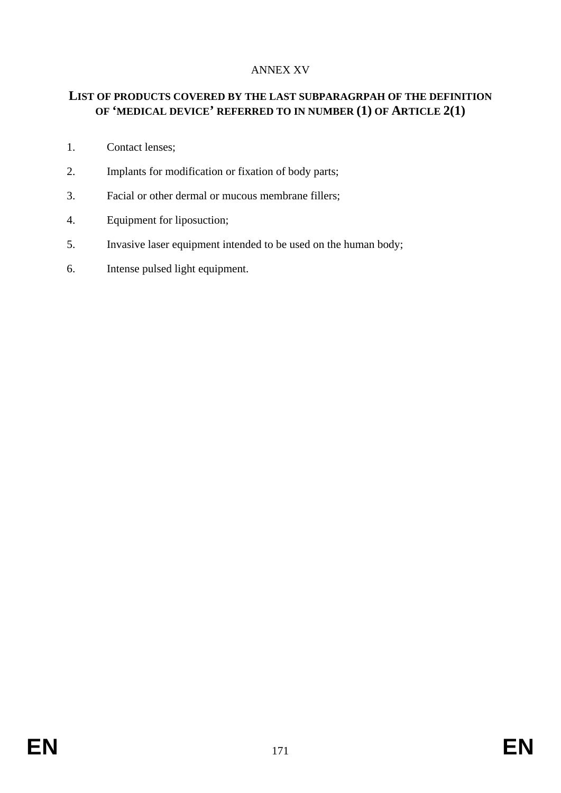# ANNEX XV

# **LIST OF PRODUCTS COVERED BY THE LAST SUBPARAGRPAH OF THE DEFINITION OF 'MEDICAL DEVICE' REFERRED TO IN NUMBER (1) OF ARTICLE 2(1)**

- 1. Contact lenses;
- 2. Implants for modification or fixation of body parts;
- 3. Facial or other dermal or mucous membrane fillers;
- 4. Equipment for liposuction;
- 5. Invasive laser equipment intended to be used on the human body;
- 6. Intense pulsed light equipment.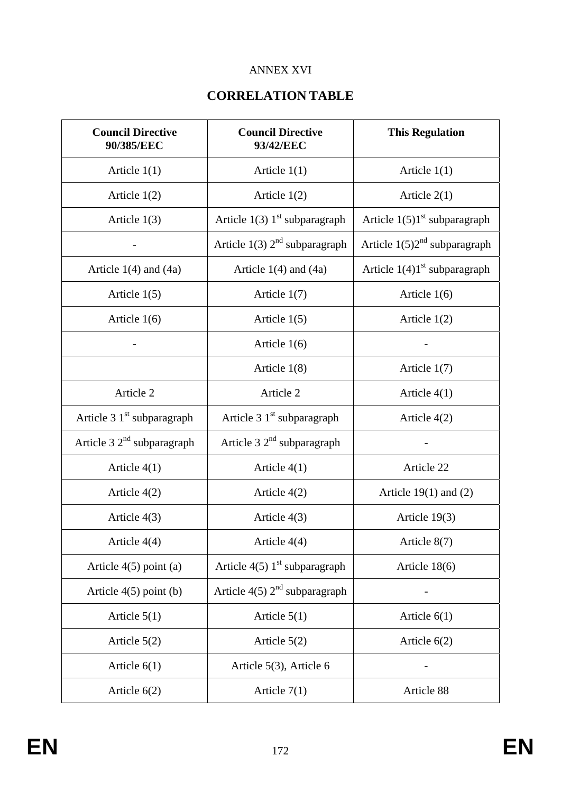# ANNEX XVI

# **CORRELATION TABLE**

| <b>Council Directive</b><br>90/385/EEC | <b>Council Directive</b><br>93/42/EEC       | <b>This Regulation</b>         |
|----------------------------------------|---------------------------------------------|--------------------------------|
| Article $1(1)$                         | Article $1(1)$                              | Article $1(1)$                 |
| Article $1(2)$                         | Article $1(2)$                              | Article $2(1)$                 |
| Article $1(3)$                         | Article $1(3)$ 1 <sup>st</sup> subparagraph | Article $1(5)1st$ subparagraph |
|                                        | Article $1(3)$ $2nd$ subparagraph           | Article $1(5)2nd$ subparagraph |
| Article $1(4)$ and $(4a)$              | Article $1(4)$ and $(4a)$                   | Article $1(4)1st$ subparagraph |
| Article $1(5)$                         | Article $1(7)$                              | Article $1(6)$                 |
| Article $1(6)$                         | Article $1(5)$                              | Article $1(2)$                 |
|                                        | Article $1(6)$                              |                                |
|                                        | Article $1(8)$                              | Article $1(7)$                 |
| Article 2                              | Article 2                                   | Article $4(1)$                 |
| Article 3 1 <sup>st</sup> subparagraph | Article 3 1 <sup>st</sup> subparagraph      | Article $4(2)$                 |
| Article $32nd$ subparagraph            | Article $32nd$ subparagraph                 |                                |
| Article $4(1)$                         | Article $4(1)$                              | Article 22                     |
| Article 4(2)                           | Article $4(2)$                              | Article $19(1)$ and $(2)$      |
| Article $4(3)$                         | Article $4(3)$                              | Article $19(3)$                |
| Article $4(4)$                         | Article $4(4)$                              | Article 8(7)                   |
| Article $4(5)$ point (a)               | Article $4(5)$ 1 <sup>st</sup> subparagraph | Article 18(6)                  |
| Article $4(5)$ point (b)               | Article $4(5)$ $2nd$ subparagraph           |                                |
| Article $5(1)$                         | Article $5(1)$                              | Article $6(1)$                 |
| Article $5(2)$                         | Article $5(2)$                              | Article $6(2)$                 |
| Article $6(1)$                         | Article 5(3), Article 6                     |                                |
| Article $6(2)$                         | Article $7(1)$                              | Article 88                     |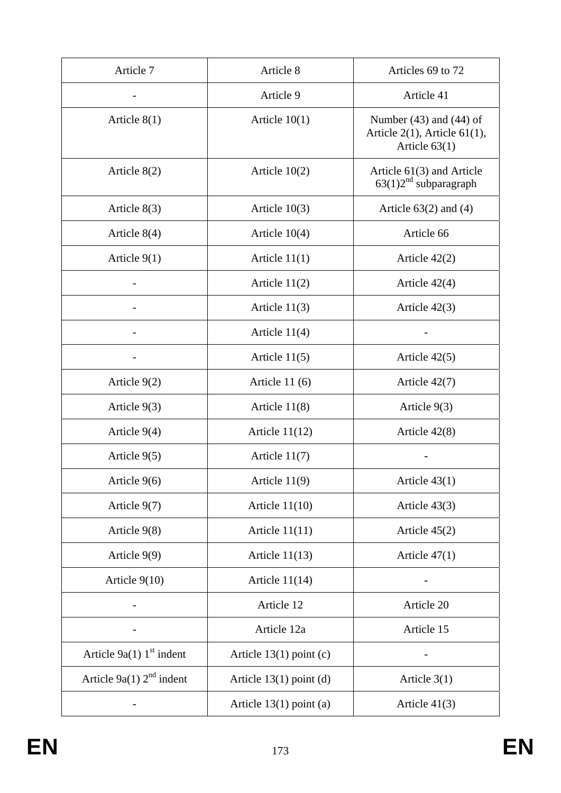| Article 7                              | Article 8                 | Articles 69 to 72                                                                    |
|----------------------------------------|---------------------------|--------------------------------------------------------------------------------------|
|                                        | Article 9                 | Article 41                                                                           |
| Article $8(1)$                         | Article $10(1)$           | Number $(43)$ and $(44)$ of<br>Article $2(1)$ , Article $61(1)$ ,<br>Article $63(1)$ |
| Article $8(2)$                         | Article $10(2)$           | Article 61(3) and Article<br>$63(1)2nd$ subparagraph                                 |
| Article $8(3)$                         | Article $10(3)$           | Article $63(2)$ and $(4)$                                                            |
| Article $8(4)$                         | Article $10(4)$           | Article 66                                                                           |
| Article $9(1)$                         | Article $11(1)$           | Article $42(2)$                                                                      |
|                                        | Article $11(2)$           | Article $42(4)$                                                                      |
|                                        | Article $11(3)$           | Article $42(3)$                                                                      |
|                                        | Article $11(4)$           |                                                                                      |
|                                        | Article $11(5)$           | Article $42(5)$                                                                      |
| Article $9(2)$                         | Article $11(6)$           | Article $42(7)$                                                                      |
| Article $9(3)$                         | Article $11(8)$           | Article $9(3)$                                                                       |
| Article $9(4)$                         | Article $11(12)$          | Article $42(8)$                                                                      |
| Article 9(5)                           | Article $11(7)$           |                                                                                      |
| Article 9(6)                           | Article $11(9)$           | Article $43(1)$                                                                      |
| Article 9(7)                           | Article $11(10)$          | Article $43(3)$                                                                      |
| Article $9(8)$                         | Article $11(11)$          | Article $45(2)$                                                                      |
| Article $9(9)$                         | Article $11(13)$          | Article $47(1)$                                                                      |
| Article $9(10)$                        | Article $11(14)$          |                                                                                      |
|                                        | Article 12                | Article 20                                                                           |
|                                        | Article 12a               | Article 15                                                                           |
| Article $9a(1)$ 1 <sup>st</sup> indent | Article $13(1)$ point (c) |                                                                                      |
| Article 9a(1) $2nd$ indent             | Article $13(1)$ point (d) | Article $3(1)$                                                                       |
|                                        | Article $13(1)$ point (a) | Article $41(3)$                                                                      |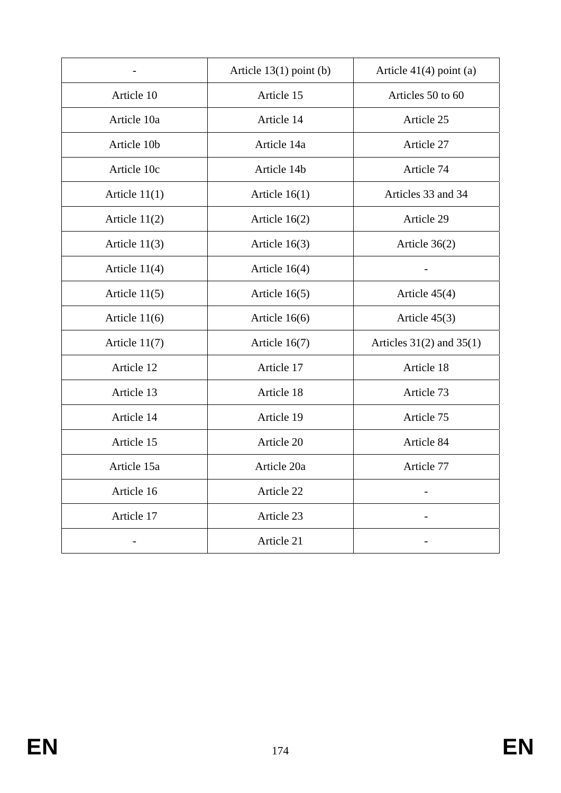|                 | Article $13(1)$ point (b) | Article $41(4)$ point (a)    |
|-----------------|---------------------------|------------------------------|
| Article 10      | Article 15                | Articles 50 to 60            |
| Article 10a     | Article 14                | Article 25                   |
| Article 10b     | Article 14a               | Article 27                   |
| Article 10c     | Article 14b               | Article 74                   |
| Article $11(1)$ | Article $16(1)$           | Articles 33 and 34           |
| Article $11(2)$ | Article $16(2)$           | Article 29                   |
| Article $11(3)$ | Article $16(3)$           | Article $36(2)$              |
| Article $11(4)$ | Article $16(4)$           |                              |
| Article $11(5)$ | Article $16(5)$           | Article 45(4)                |
| Article $11(6)$ | Article $16(6)$           | Article $45(3)$              |
| Article $11(7)$ | Article $16(7)$           | Articles $31(2)$ and $35(1)$ |
| Article 12      | Article 17                | Article 18                   |
| Article 13      | Article 18                | Article 73                   |
| Article 14      | Article 19                | Article 75                   |
| Article 15      | Article 20                | Article 84                   |
| Article 15a     | Article 20a               | Article 77                   |
| Article 16      | Article 22                |                              |
| Article 17      | Article 23                |                              |
|                 | Article 21                |                              |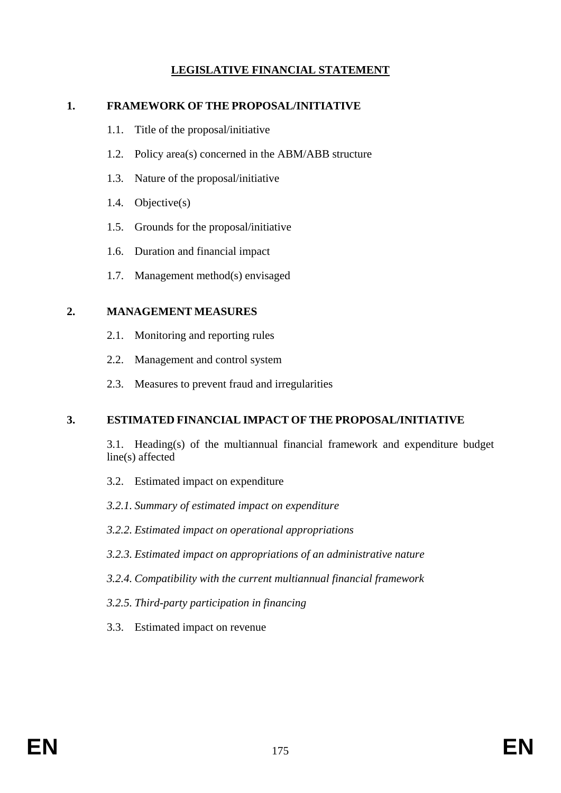# **LEGISLATIVE FINANCIAL STATEMENT**

#### **1. FRAMEWORK OF THE PROPOSAL/INITIATIVE**

- 1.1. Title of the proposal/initiative
- 1.2. Policy area(s) concerned in the ABM/ABB structure
- 1.3. Nature of the proposal/initiative
- 1.4. Objective(s)
- 1.5. Grounds for the proposal/initiative
- 1.6. Duration and financial impact
- 1.7. Management method(s) envisaged

#### **2. MANAGEMENT MEASURES**

- 2.1. Monitoring and reporting rules
- 2.2. Management and control system
- 2.3. Measures to prevent fraud and irregularities

#### **3. ESTIMATED FINANCIAL IMPACT OF THE PROPOSAL/INITIATIVE**

 3.1. Heading(s) of the multiannual financial framework and expenditure budget line(s) affected

- 3.2. Estimated impact on expenditure
- *3.2.1. Summary of estimated impact on expenditure*
- *3.2.2. Estimated impact on operational appropriations*
- *3.2.3. Estimated impact on appropriations of an administrative nature*
- *3.2.4. Compatibility with the current multiannual financial framework*
- *3.2.5. Third-party participation in financing*
- 3.3. Estimated impact on revenue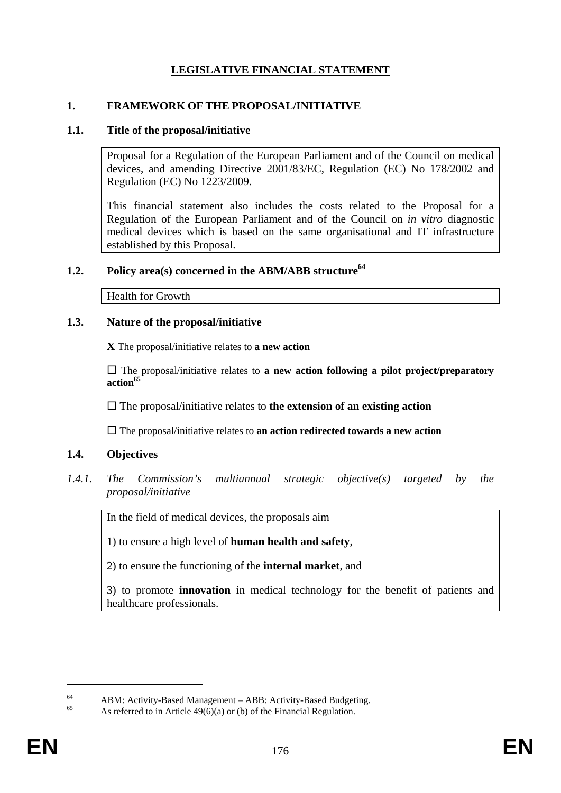# **LEGISLATIVE FINANCIAL STATEMENT**

#### **1. FRAMEWORK OF THE PROPOSAL/INITIATIVE**

#### **1.1. Title of the proposal/initiative**

Proposal for a Regulation of the European Parliament and of the Council on medical devices, and amending Directive 2001/83/EC, Regulation (EC) No 178/2002 and Regulation (EC) No 1223/2009.

This financial statement also includes the costs related to the Proposal for a Regulation of the European Parliament and of the Council on *in vitro* diagnostic medical devices which is based on the same organisational and IT infrastructure established by this Proposal.

# **1.2. Policy area(s) concerned in the ABM/ABB structure<sup>64</sup>**

Health for Growth

#### **1.3. Nature of the proposal/initiative**

**X** The proposal/initiative relates to **a new action** 

 The proposal/initiative relates to **a new action following a pilot project/preparatory action65**

The proposal/initiative relates to **the extension of an existing action**

The proposal/initiative relates to **an action redirected towards a new action**

#### **1.4. Objectives**

*1.4.1. The Commission's multiannual strategic objective(s) targeted by the proposal/initiative* 

In the field of medical devices, the proposals aim

1) to ensure a high level of **human health and safety**,

2) to ensure the functioning of the **internal market**, and

3) to promote **innovation** in medical technology for the benefit of patients and healthcare professionals.

1

<sup>64</sup> ABM: Activity-Based Management – ABB: Activity-Based Budgeting.

As referred to in Article  $49(6)(a)$  or (b) of the Financial Regulation.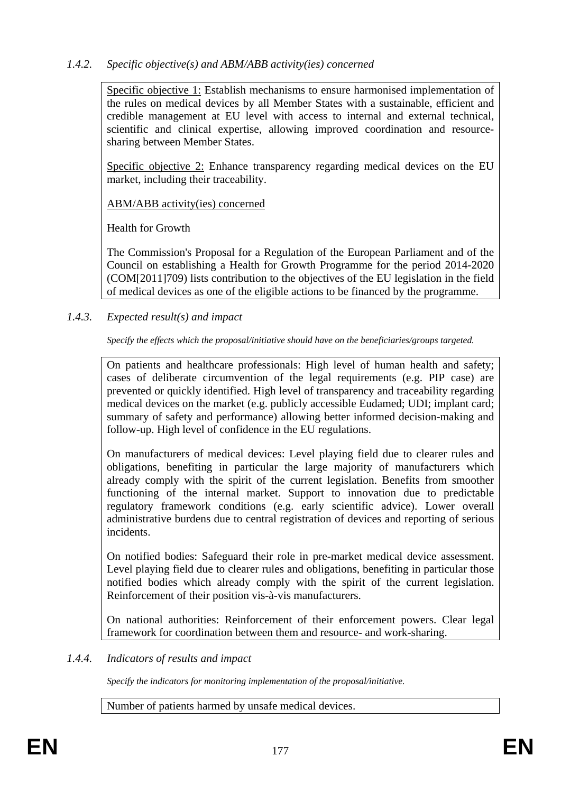#### *1.4.2. Specific objective(s) and ABM/ABB activity(ies) concerned*

Specific objective 1: Establish mechanisms to ensure harmonised implementation of the rules on medical devices by all Member States with a sustainable, efficient and credible management at EU level with access to internal and external technical, scientific and clinical expertise, allowing improved coordination and resourcesharing between Member States.

Specific objective 2: Enhance transparency regarding medical devices on the EU market, including their traceability.

ABM/ABB activity(ies) concerned

Health for Growth

The Commission's Proposal for a Regulation of the European Parliament and of the Council on establishing a Health for Growth Programme for the period 2014-2020 (COM[2011]709) lists contribution to the objectives of the EU legislation in the field of medical devices as one of the eligible actions to be financed by the programme.

*1.4.3. Expected result(s) and impact* 

*Specify the effects which the proposal/initiative should have on the beneficiaries/groups targeted.* 

On patients and healthcare professionals: High level of human health and safety; cases of deliberate circumvention of the legal requirements (e.g. PIP case) are prevented or quickly identified. High level of transparency and traceability regarding medical devices on the market (e.g. publicly accessible Eudamed; UDI; implant card; summary of safety and performance) allowing better informed decision-making and follow-up. High level of confidence in the EU regulations.

On manufacturers of medical devices: Level playing field due to clearer rules and obligations, benefiting in particular the large majority of manufacturers which already comply with the spirit of the current legislation. Benefits from smoother functioning of the internal market. Support to innovation due to predictable regulatory framework conditions (e.g. early scientific advice). Lower overall administrative burdens due to central registration of devices and reporting of serious incidents.

On notified bodies: Safeguard their role in pre-market medical device assessment. Level playing field due to clearer rules and obligations, benefiting in particular those notified bodies which already comply with the spirit of the current legislation. Reinforcement of their position vis-à-vis manufacturers.

On national authorities: Reinforcement of their enforcement powers. Clear legal framework for coordination between them and resource- and work-sharing.

#### *1.4.4. Indicators of results and impact*

*Specify the indicators for monitoring implementation of the proposal/initiative.* 

Number of patients harmed by unsafe medical devices.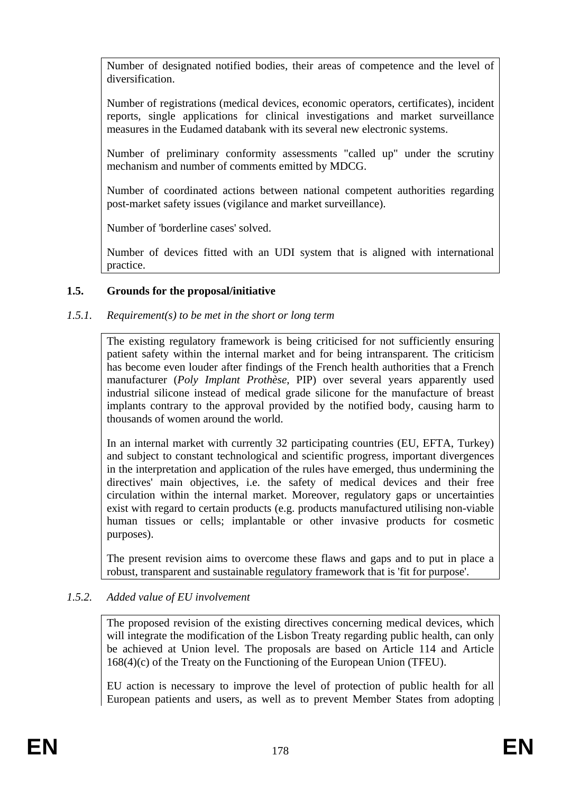Number of designated notified bodies, their areas of competence and the level of diversification.

Number of registrations (medical devices, economic operators, certificates), incident reports, single applications for clinical investigations and market surveillance measures in the Eudamed databank with its several new electronic systems.

Number of preliminary conformity assessments "called up" under the scrutiny mechanism and number of comments emitted by MDCG.

Number of coordinated actions between national competent authorities regarding post-market safety issues (vigilance and market surveillance).

Number of 'borderline cases' solved.

Number of devices fitted with an UDI system that is aligned with international practice.

## **1.5. Grounds for the proposal/initiative**

## *1.5.1. Requirement(s) to be met in the short or long term*

The existing regulatory framework is being criticised for not sufficiently ensuring patient safety within the internal market and for being intransparent. The criticism has become even louder after findings of the French health authorities that a French manufacturer (*Poly Implant Prothèse*, PIP) over several years apparently used industrial silicone instead of medical grade silicone for the manufacture of breast implants contrary to the approval provided by the notified body, causing harm to thousands of women around the world.

In an internal market with currently 32 participating countries (EU, EFTA, Turkey) and subject to constant technological and scientific progress, important divergences in the interpretation and application of the rules have emerged, thus undermining the directives' main objectives, i.e. the safety of medical devices and their free circulation within the internal market. Moreover, regulatory gaps or uncertainties exist with regard to certain products (e.g. products manufactured utilising non-viable human tissues or cells; implantable or other invasive products for cosmetic purposes).

The present revision aims to overcome these flaws and gaps and to put in place a robust, transparent and sustainable regulatory framework that is 'fit for purpose'.

#### *1.5.2. Added value of EU involvement*

The proposed revision of the existing directives concerning medical devices, which will integrate the modification of the Lisbon Treaty regarding public health, can only be achieved at Union level. The proposals are based on Article 114 and Article 168(4)(c) of the Treaty on the Functioning of the European Union (TFEU).

EU action is necessary to improve the level of protection of public health for all European patients and users, as well as to prevent Member States from adopting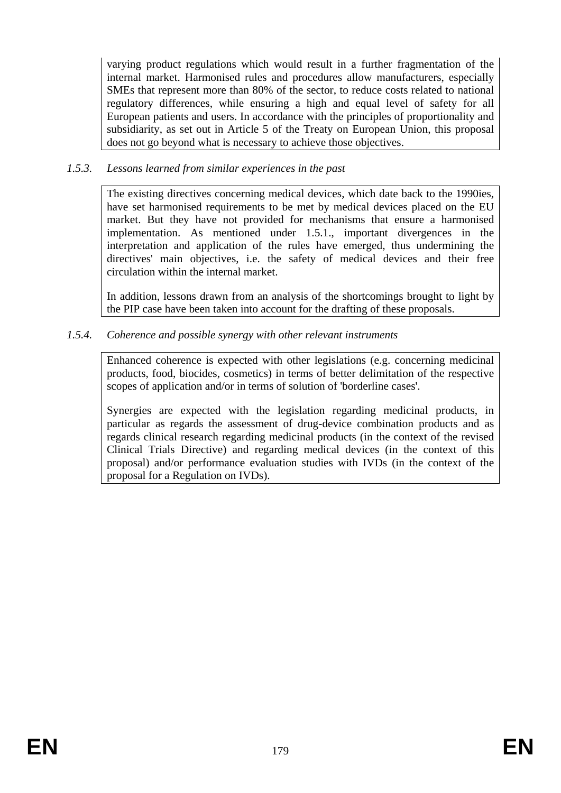varying product regulations which would result in a further fragmentation of the internal market. Harmonised rules and procedures allow manufacturers, especially SMEs that represent more than 80% of the sector, to reduce costs related to national regulatory differences, while ensuring a high and equal level of safety for all European patients and users. In accordance with the principles of proportionality and subsidiarity, as set out in Article 5 of the Treaty on European Union, this proposal does not go beyond what is necessary to achieve those objectives.

#### *1.5.3. Lessons learned from similar experiences in the past*

The existing directives concerning medical devices, which date back to the 1990ies, have set harmonised requirements to be met by medical devices placed on the EU market. But they have not provided for mechanisms that ensure a harmonised implementation. As mentioned under 1.5.1., important divergences in the interpretation and application of the rules have emerged, thus undermining the directives' main objectives, i.e. the safety of medical devices and their free circulation within the internal market.

In addition, lessons drawn from an analysis of the shortcomings brought to light by the PIP case have been taken into account for the drafting of these proposals.

## *1.5.4. Coherence and possible synergy with other relevant instruments*

Enhanced coherence is expected with other legislations (e.g. concerning medicinal products, food, biocides, cosmetics) in terms of better delimitation of the respective scopes of application and/or in terms of solution of 'borderline cases'.

Synergies are expected with the legislation regarding medicinal products, in particular as regards the assessment of drug-device combination products and as regards clinical research regarding medicinal products (in the context of the revised Clinical Trials Directive) and regarding medical devices (in the context of this proposal) and/or performance evaluation studies with IVDs (in the context of the proposal for a Regulation on IVDs).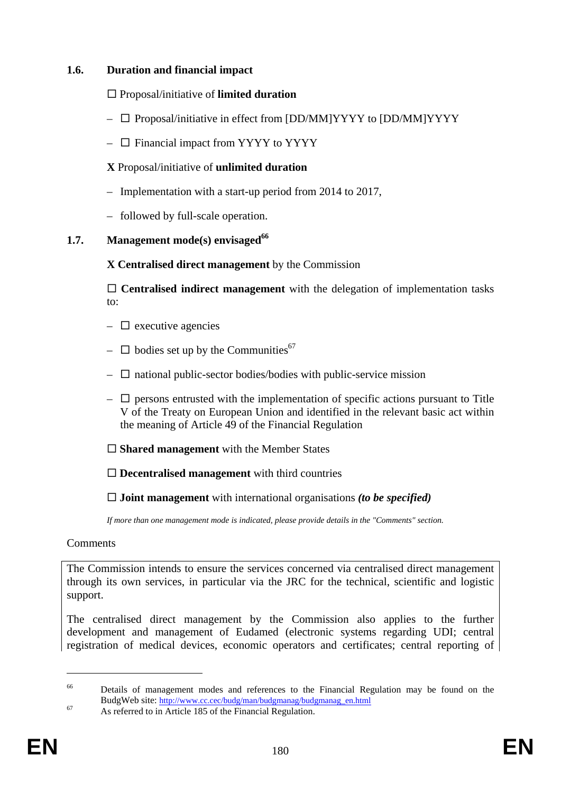#### **1.6. Duration and financial impact**

## Proposal/initiative of **limited duration**

- $\Box$  Proposal/initiative in effect from [DD/MM]YYYY to [DD/MM]YYYY
- $\Box$  Financial impact from YYYY to YYYY

## **X** Proposal/initiative of **unlimited duration**

- Implementation with a start-up period from 2014 to 2017,
- followed by full-scale operation.

## **1.7. Management mode(s) envisaged**<sup>66</sup>

## **X Centralised direct management** by the Commission

 **Centralised indirect management** with the delegation of implementation tasks to:

- $\Box$  executive agencies
- $\Box$  bodies set up by the Communities<sup>67</sup>
- $\Box$  national public-sector bodies/bodies with public-service mission
- $\Box$  persons entrusted with the implementation of specific actions pursuant to Title V of the Treaty on European Union and identified in the relevant basic act within the meaning of Article 49 of the Financial Regulation

## **Shared management** with the Member States

**Decentralised management** with third countries

**Joint management** with international organisations *(to be specified)* 

*If more than one management mode is indicated, please provide details in the "Comments" section.* 

#### Comments

The Commission intends to ensure the services concerned via centralised direct management through its own services, in particular via the JRC for the technical, scientific and logistic support.

The centralised direct management by the Commission also applies to the further development and management of Eudamed (electronic systems regarding UDI; central registration of medical devices, economic operators and certificates; central reporting of

1

<sup>&</sup>lt;sup>66</sup> Details of management modes and references to the Financial Regulation may be found on the BudgWeb site: [http://www.cc.cec/budg/man/b](http://www.cc.cec/budg/man/budgmanag/budgmanag_en.html)udgmanag/budgmanag\_en.html As referred to in Article 185 of the Financial Regulation.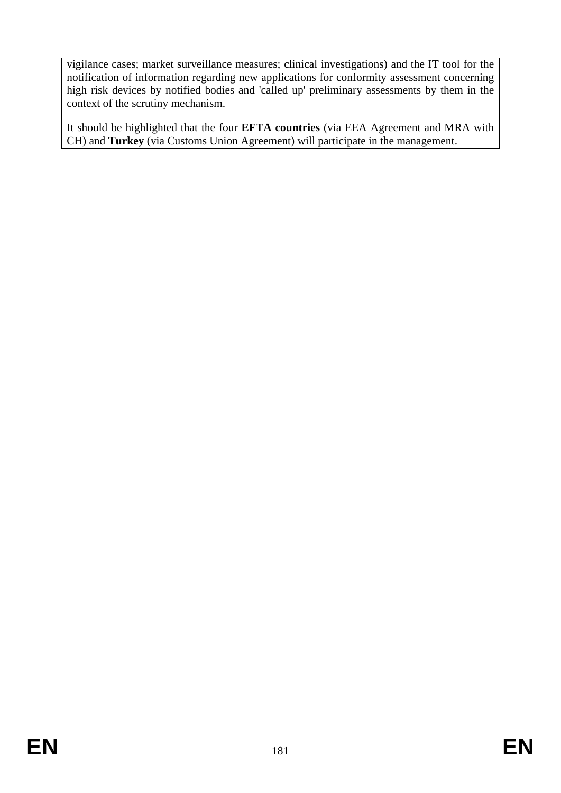vigilance cases; market surveillance measures; clinical investigations) and the IT tool for the notification of information regarding new applications for conformity assessment concerning high risk devices by notified bodies and 'called up' preliminary assessments by them in the context of the scrutiny mechanism.

It should be highlighted that the four **EFTA countries** (via EEA Agreement and MRA with CH) and **Turkey** (via Customs Union Agreement) will participate in the management.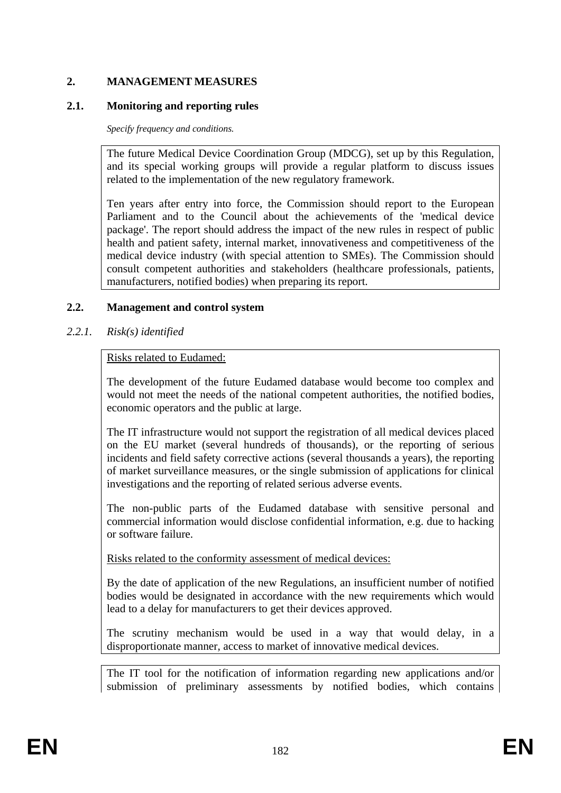# **2. MANAGEMENT MEASURES**

## **2.1. Monitoring and reporting rules**

*Specify frequency and conditions.*

The future Medical Device Coordination Group (MDCG), set up by this Regulation, and its special working groups will provide a regular platform to discuss issues related to the implementation of the new regulatory framework.

Ten years after entry into force, the Commission should report to the European Parliament and to the Council about the achievements of the 'medical device package'. The report should address the impact of the new rules in respect of public health and patient safety, internal market, innovativeness and competitiveness of the medical device industry (with special attention to SMEs). The Commission should consult competent authorities and stakeholders (healthcare professionals, patients, manufacturers, notified bodies) when preparing its report.

# **2.2. Management and control system**

*2.2.1. Risk(s) identified* 

## Risks related to Eudamed:

The development of the future Eudamed database would become too complex and would not meet the needs of the national competent authorities, the notified bodies, economic operators and the public at large.

The IT infrastructure would not support the registration of all medical devices placed on the EU market (several hundreds of thousands), or the reporting of serious incidents and field safety corrective actions (several thousands a years), the reporting of market surveillance measures, or the single submission of applications for clinical investigations and the reporting of related serious adverse events.

The non-public parts of the Eudamed database with sensitive personal and commercial information would disclose confidential information, e.g. due to hacking or software failure.

Risks related to the conformity assessment of medical devices:

By the date of application of the new Regulations, an insufficient number of notified bodies would be designated in accordance with the new requirements which would lead to a delay for manufacturers to get their devices approved.

The scrutiny mechanism would be used in a way that would delay, in a disproportionate manner, access to market of innovative medical devices.

The IT tool for the notification of information regarding new applications and/or submission of preliminary assessments by notified bodies, which contains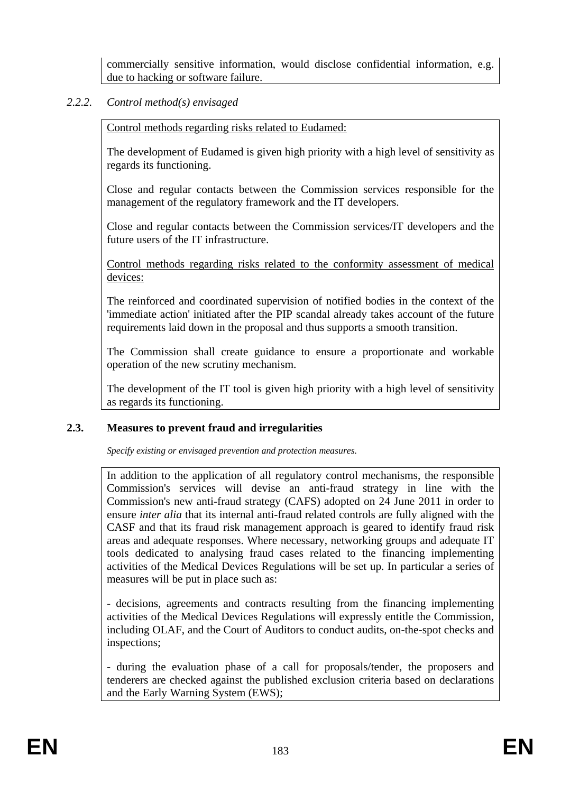commercially sensitive information, would disclose confidential information, e.g. due to hacking or software failure.

# *2.2.2. Control method(s) envisaged*

Control methods regarding risks related to Eudamed:

The development of Eudamed is given high priority with a high level of sensitivity as regards its functioning.

Close and regular contacts between the Commission services responsible for the management of the regulatory framework and the IT developers.

Close and regular contacts between the Commission services/IT developers and the future users of the IT infrastructure.

Control methods regarding risks related to the conformity assessment of medical devices:

The reinforced and coordinated supervision of notified bodies in the context of the 'immediate action' initiated after the PIP scandal already takes account of the future requirements laid down in the proposal and thus supports a smooth transition.

The Commission shall create guidance to ensure a proportionate and workable operation of the new scrutiny mechanism.

The development of the IT tool is given high priority with a high level of sensitivity as regards its functioning.

# **2.3. Measures to prevent fraud and irregularities**

*Specify existing or envisaged prevention and protection measures.* 

In addition to the application of all regulatory control mechanisms, the responsible Commission's services will devise an anti-fraud strategy in line with the Commission's new anti-fraud strategy (CAFS) adopted on 24 June 2011 in order to ensure *inter alia* that its internal anti-fraud related controls are fully aligned with the CASF and that its fraud risk management approach is geared to identify fraud risk areas and adequate responses. Where necessary, networking groups and adequate IT tools dedicated to analysing fraud cases related to the financing implementing activities of the Medical Devices Regulations will be set up. In particular a series of measures will be put in place such as:

- decisions, agreements and contracts resulting from the financing implementing activities of the Medical Devices Regulations will expressly entitle the Commission, including OLAF, and the Court of Auditors to conduct audits, on-the-spot checks and inspections;

- during the evaluation phase of a call for proposals/tender, the proposers and tenderers are checked against the published exclusion criteria based on declarations and the Early Warning System (EWS);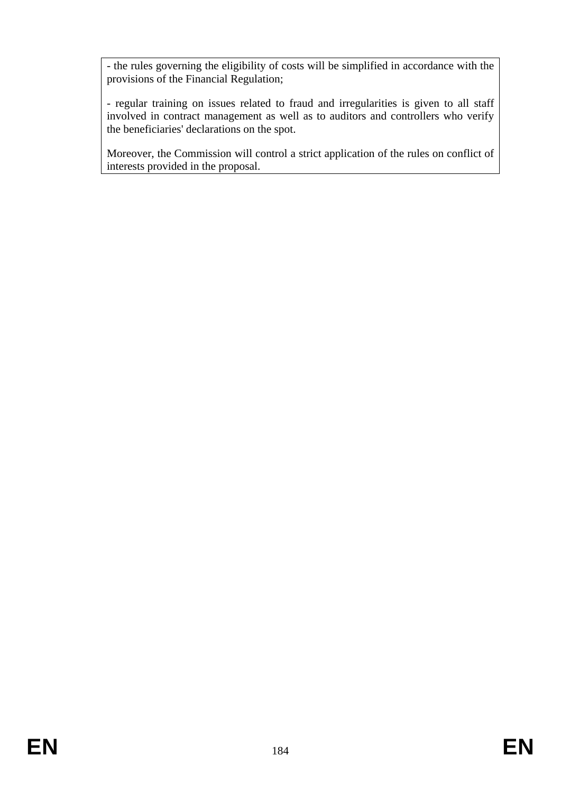- the rules governing the eligibility of costs will be simplified in accordance with the provisions of the Financial Regulation;

- regular training on issues related to fraud and irregularities is given to all staff involved in contract management as well as to auditors and controllers who verify the beneficiaries' declarations on the spot.

Moreover, the Commission will control a strict application of the rules on conflict of interests provided in the proposal.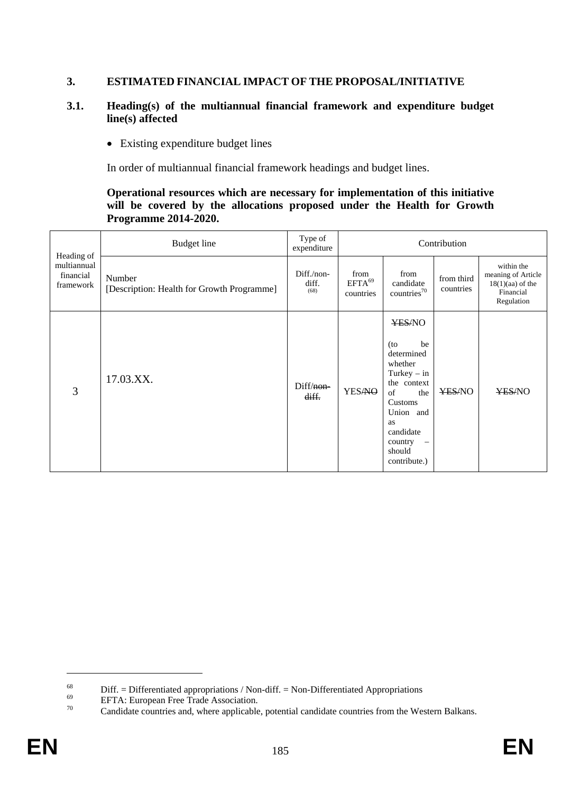# **3. ESTIMATED FINANCIAL IMPACT OF THE PROPOSAL/INITIATIVE**

### **3.1. Heading(s) of the multiannual financial framework and expenditure budget line(s) affected**

• Existing expenditure budget lines

In order of multiannual financial framework headings and budget lines.

### **Operational resources which are necessary for implementation of this initiative will be covered by the allocations proposed under the Health for Growth Programme 2014-2020.**

|                                                     | <b>Budget</b> line                                   | Type of<br>expenditure      |                                  |                                                                                                                                                                                                     | Contribution            |                                                                                   |
|-----------------------------------------------------|------------------------------------------------------|-----------------------------|----------------------------------|-----------------------------------------------------------------------------------------------------------------------------------------------------------------------------------------------------|-------------------------|-----------------------------------------------------------------------------------|
| Heading of<br>multiannual<br>financial<br>framework | Number<br>[Description: Health for Growth Programme] | Diff./non-<br>diff.<br>(68) | from<br>$EFTA^{69}$<br>countries | from<br>candidate<br>countries <sup>70</sup>                                                                                                                                                        | from third<br>countries | within the<br>meaning of Article<br>$18(1)(aa)$ of the<br>Financial<br>Regulation |
| 3                                                   | 17.03.XX.                                            | Diff/non-<br>diff.          | <b>YESANO</b>                    | YES/NO<br>be<br>$($ to<br>determined<br>whether<br>Turkey $-$ in<br>the context<br>of<br>the<br>Customs<br>Union and<br>as<br>candidate<br>country<br>$\bar{\phantom{a}}$<br>should<br>contribute.) | YES/NO                  | ¥ES/NO                                                                            |

<sup>&</sup>lt;sup>68</sup> Diff. = Differentiated appropriations / Non-diff. = Non-Differentiated Appropriations EFTA: European Free Trade Association.<br><sup>70</sup> Condidate countries and where applicable actorial condidate countries from the Wo

Candidate countries and, where applicable, potential candidate countries from the Western Balkans.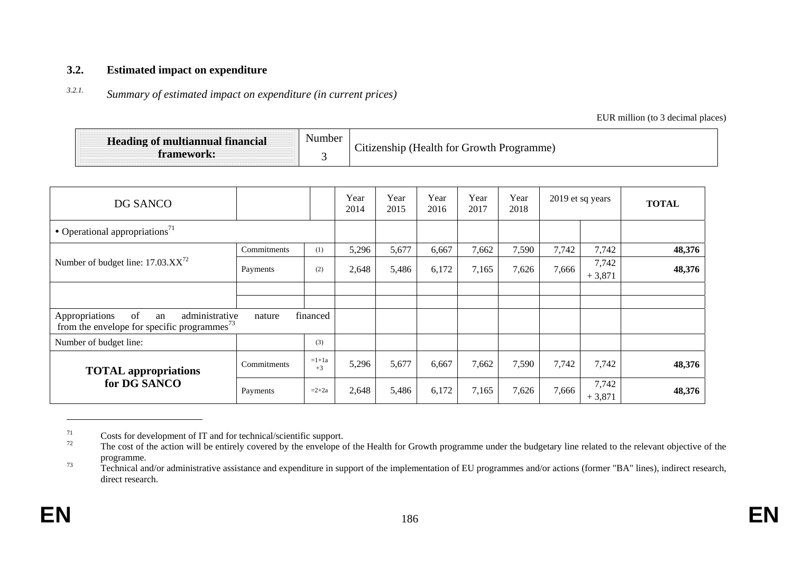#### **3.2.Estimated impact on expenditure**

#### *3.2.1.Summary of estimated impact on expenditure (in current prices)*

EUR million (to 3 decimal places)

| <b>Heading of multiannual financial</b><br>framework: | Number | Citizenship (Health for Growth Programme) |
|-------------------------------------------------------|--------|-------------------------------------------|
|-------------------------------------------------------|--------|-------------------------------------------|

| DG SANCO                                                                                          |             | Year<br>2014    | Year<br>2015 | Year<br>2016 | Year<br>2017 | Year<br>2018 | 2019 et sq years |       | <b>TOTAL</b>      |        |
|---------------------------------------------------------------------------------------------------|-------------|-----------------|--------------|--------------|--------------|--------------|------------------|-------|-------------------|--------|
| • Operational appropriations <sup>71</sup>                                                        |             |                 |              |              |              |              |                  |       |                   |        |
|                                                                                                   | (1)         | 5,296           | 5,677        | 6,667        | 7,662        | 7,590        | 7,742            | 7,742 | 48,376            |        |
| Number of budget line: $17.03.XX^{72}$                                                            | Payments    | (2)             | 2,648        | 5,486        | 6,172        | 7,165        | 7,626            | 7,666 | 7,742<br>$+3,871$ | 48,376 |
|                                                                                                   |             |                 |              |              |              |              |                  |       |                   |        |
|                                                                                                   |             |                 |              |              |              |              |                  |       |                   |        |
| Appropriations<br>of<br>administrative<br>an<br>from the envelope for specific programmes $^{73}$ | nature      | financed        |              |              |              |              |                  |       |                   |        |
| Number of budget line:                                                                            |             | (3)             |              |              |              |              |                  |       |                   |        |
| <b>TOTAL</b> appropriations                                                                       | Commitments | $=1+1a$<br>$+3$ | 5,296        | 5,677        | 6,667        | 7,662        | 7,590            | 7,742 | 7,742             | 48,376 |
| for DG SANCO                                                                                      | Payments    | $=2+2a$         | 2,648        | 5,486        | 6,172        | 7,165        | 7,626            | 7,666 | 7,742<br>$+3,871$ | 48,376 |

 $^{71}$  Costs for development of IT and for technical/scientific support.<br>The cost of the action will be ontirely covered by the envelope of

The cost of the action will be entirely covered by the envelope of the Health for Growth programme under the budgetary line related to the relevant objective of the programme.

 $\frac{73}{12}$  Technical and/or administrative assistance and expenditure in support of the implementation of EU programmes and/or actions (former "BA" lines), indirect research, direct research.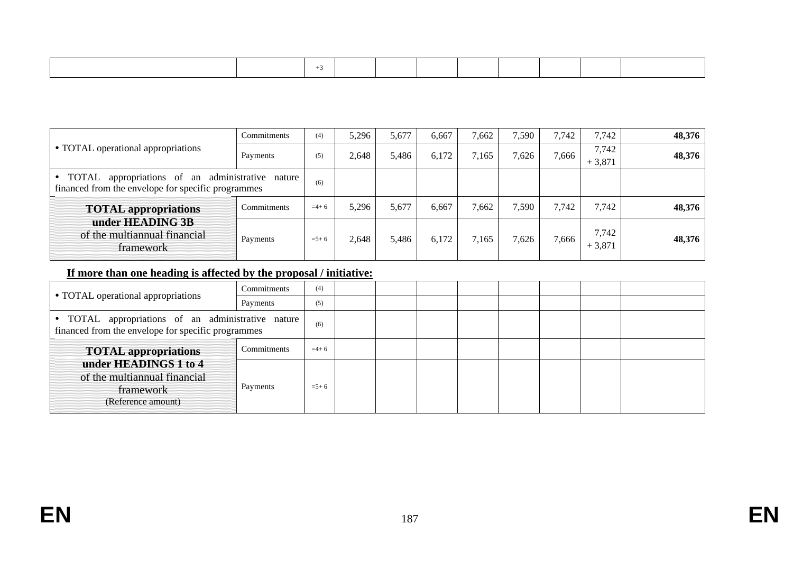|                                                                                                                     | Commitments | (4)       | 5,296 | 5,677 | 6,667 | 7,662 | 7.590 | 7,742 | 7,742             | 48,376 |
|---------------------------------------------------------------------------------------------------------------------|-------------|-----------|-------|-------|-------|-------|-------|-------|-------------------|--------|
| • TOTAL operational appropriations                                                                                  | Payments    | (5)       | 2,648 | 5,486 | 6,172 | 7,165 | 7,626 | 7,666 | 7,742<br>$+3,871$ | 48,376 |
| appropriations of an administrative nature<br>$\bullet$ TOTAL<br>financed from the envelope for specific programmes | (6)         |           |       |       |       |       |       |       |                   |        |
| <b>TOTAL</b> appropriations                                                                                         | Commitments | $=4+6$    | 5,296 | 5,677 | 6,667 | 7,662 | 7,590 | 7,742 | 7.742             | 48,376 |
| under HEADING 3B<br>of the multiannual financial<br>framework                                                       | Payments    | $= 5 + 6$ | 2,648 | 5,486 | 6,172 | 7.165 | 7,626 | 7,666 | 7,742<br>$+3,871$ | 48,376 |

# **If more than one heading is affected by the proposal / initiative:**

| • TOTAL operational appropriations                                                                       | Commitments | (4)       |  |  |  |  |
|----------------------------------------------------------------------------------------------------------|-------------|-----------|--|--|--|--|
|                                                                                                          | Payments    | (5)       |  |  |  |  |
| • TOTAL appropriations of an administrative nature<br>financed from the envelope for specific programmes |             | (6)       |  |  |  |  |
| <b>TOTAL appropriations</b>                                                                              | Commitments | $=4+6$    |  |  |  |  |
| under HEADINGS 1 to 4<br>of the multiannual financial<br>framework<br>(Reference amount)                 | Payments    | $= 5 + 6$ |  |  |  |  |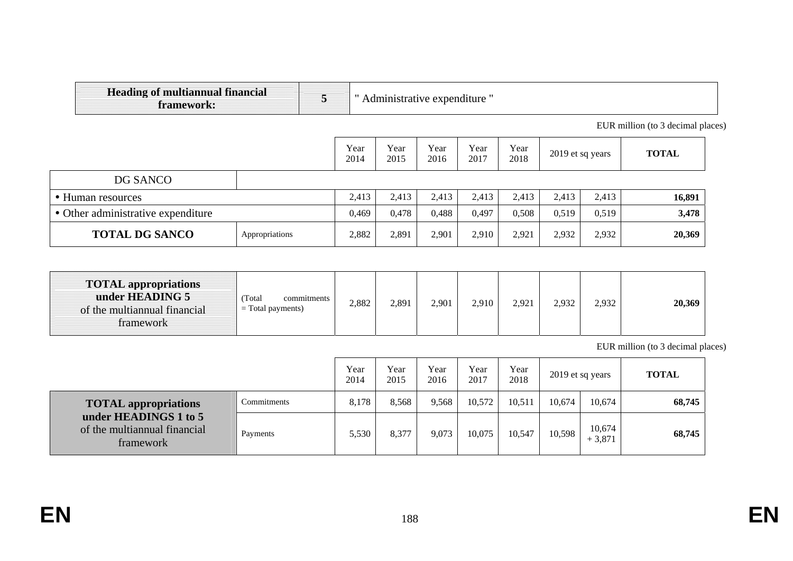| <b>Heading of multiannual financial</b><br>framework: | 5     |              | Administrative expenditure " |              |              |              |                  |        |                                   |
|-------------------------------------------------------|-------|--------------|------------------------------|--------------|--------------|--------------|------------------|--------|-----------------------------------|
|                                                       |       |              |                              |              |              |              |                  |        | EUR million (to 3 decimal places) |
|                                                       |       | Year<br>2014 | Year<br>2015                 | Year<br>2016 | Year<br>2017 | Year<br>2018 | 2019 et sq years |        | <b>TOTAL</b>                      |
| DG SANCO                                              |       |              |                              |              |              |              |                  |        |                                   |
| • Human resources                                     |       | 2,413        | 2,413                        | 2,413        | 2,413        | 2,413        | 2,413            | 2,413  | 16,891                            |
| • Other administrative expenditure                    |       | 0,469        | 0,478                        | 0,488        | 0,497        | 0,508        | 0,519            | 0,519  | 3,478                             |
| <b>TOTAL DG SANCO</b><br>Appropriations               | 2,882 | 2,891        | 2,901                        | 2,910        | 2,921        | 2,932        | 2,932            | 20,369 |                                   |

| <b>TOTAL appropriations</b><br>under HEADING 5<br>of the multiannual financial<br>tramework | Total<br>commitments<br>$=$ Total payments) | 2,882 | 2,891 | 2,901 | 2,910 | 2,921 | 2,932 | 2,932 | 20,369 |
|---------------------------------------------------------------------------------------------|---------------------------------------------|-------|-------|-------|-------|-------|-------|-------|--------|
|---------------------------------------------------------------------------------------------|---------------------------------------------|-------|-------|-------|-------|-------|-------|-------|--------|

EUR million (to 3 decimal places)

|                                                                    |             | Year<br>2014 | Year<br>2015 | Year<br>2016 | Year<br>2017 | Year<br>2018 |        | 2019 et sq years   | <b>TOTAL</b> |
|--------------------------------------------------------------------|-------------|--------------|--------------|--------------|--------------|--------------|--------|--------------------|--------------|
| <b>TOTAL appropriations</b>                                        | Commitments | 8,178        | 8,568        | 9,568        | 10,572       | 10,511       | 10,674 | 10,674             | 68,745       |
| under HEADINGS 1 to 5<br>of the multiannual financial<br>framework | Payments    | 5,530        | 8.377        | 9,073        | 10,075       | 10,547       | 10,598 | 10,674<br>$+3,871$ | 68,745       |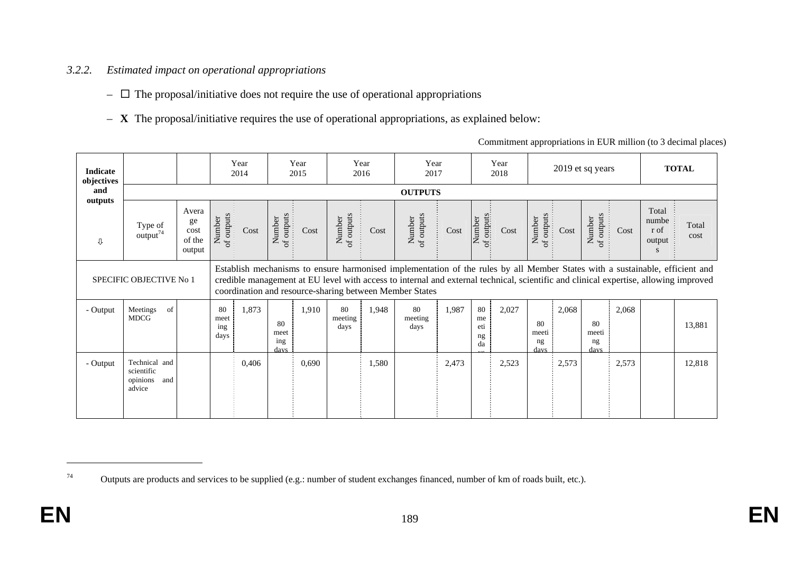#### *3.2.2.Estimated impact on operational appropriations*

- $\Box$  The proposal/initiative does not require the use of operational appropriations
- **X** The proposal/initiative requires the use of operational appropriations, as explained below:

| Commitment appropriations in EUR million (to 3 decimal places) |  |  |  |  |
|----------------------------------------------------------------|--|--|--|--|
|                                                                |  |  |  |  |

| <b>Indicate</b><br>objectives |                                                          |                                         | Year<br>2014                       | Year<br>2015                                                                                                                                                                                                                                                                                                                    |                                | Year<br>2016 | Year<br>2017          |       |                             | Year<br>2018 |                               |       | 2019 et sq years          |       |                                       | <b>TOTAL</b>  |
|-------------------------------|----------------------------------------------------------|-----------------------------------------|------------------------------------|---------------------------------------------------------------------------------------------------------------------------------------------------------------------------------------------------------------------------------------------------------------------------------------------------------------------------------|--------------------------------|--------------|-----------------------|-------|-----------------------------|--------------|-------------------------------|-------|---------------------------|-------|---------------------------------------|---------------|
| and                           |                                                          |                                         |                                    |                                                                                                                                                                                                                                                                                                                                 |                                |              | <b>OUTPUTS</b>        |       |                             |              |                               |       |                           |       |                                       |               |
| outputs<br>⇩                  | Type of<br>$\arctan^{74}$                                | Avera<br>ge<br>cost<br>of the<br>output | Number<br>of outputs<br>Cost       | of outputs<br>Number<br>Cost                                                                                                                                                                                                                                                                                                    | Number<br>of outputs           | Cost         | Number<br>of outputs  | Cost  | of outputs<br>Number        | Cost         | outputs<br>Number<br>$\sigma$ | Cost  | Number<br>of outputs      | Cost  | Total<br>numbe<br>r of<br>output<br>S | Total<br>cost |
|                               | SPECIFIC OBJECTIVE No 1                                  |                                         |                                    | Establish mechanisms to ensure harmonised implementation of the rules by all Member States with a sustainable, efficient and<br>credible management at EU level with access to internal and external technical, scientific and clinical expertise, allowing improved<br>coordination and resource-sharing between Member States |                                |              |                       |       |                             |              |                               |       |                           |       |                                       |               |
| - Output                      | Meetings<br>of<br><b>MDCG</b>                            |                                         | 80<br>1,873<br>meet<br>ing<br>days | 80<br>meet<br>ing<br>davs                                                                                                                                                                                                                                                                                                       | 80<br>1,910<br>meeting<br>days | 1,948        | 80<br>meeting<br>days | 1,987 | 80<br>me<br>eti<br>ng<br>da | 2,027        | 80<br>meeti<br>ng<br>davs     | 2,068 | 80<br>meeti<br>ng<br>davs | 2,068 |                                       | 13,881        |
| - Output                      | Technical and<br>scientific<br>opinions<br>and<br>advice |                                         | 0,406                              | 0,690                                                                                                                                                                                                                                                                                                                           |                                | 1,580        |                       | 2,473 |                             | 2,523        |                               | 2,573 |                           | 2,573 |                                       | 12,818        |

<sup>&</sup>lt;sup>74</sup> Outputs are products and services to be supplied (e.g.: number of student exchanges financed, number of km of roads built, etc.).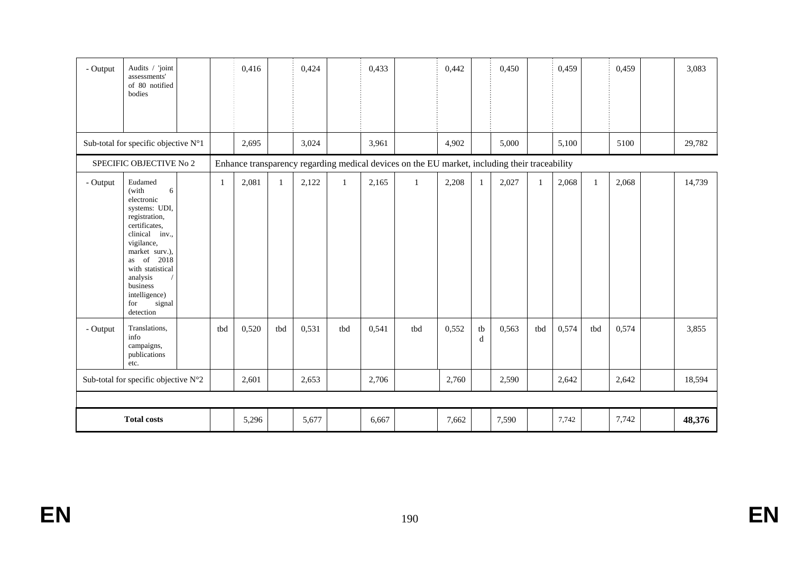| - Output | Audits / 'joint<br>assessments'<br>of 80 notified<br>bodies                                                                                                                                                                                       |  |              | 0,416 |              | 0,424 |              | 0,433 |                                                                                               | 0,442 |              | 0,450 |     | 0,459 |              | 0,459 | 3,083  |
|----------|---------------------------------------------------------------------------------------------------------------------------------------------------------------------------------------------------------------------------------------------------|--|--------------|-------|--------------|-------|--------------|-------|-----------------------------------------------------------------------------------------------|-------|--------------|-------|-----|-------|--------------|-------|--------|
|          | Sub-total for specific objective N°1                                                                                                                                                                                                              |  |              | 2,695 |              | 3,024 |              | 3,961 |                                                                                               | 4,902 |              | 5,000 |     | 5,100 |              | 5100  | 29,782 |
|          | SPECIFIC OBJECTIVE No 2                                                                                                                                                                                                                           |  |              |       |              |       |              |       | Enhance transparency regarding medical devices on the EU market, including their traceability |       |              |       |     |       |              |       |        |
| - Output | Eudamed<br>(with<br>6<br>electronic<br>systems: UDI,<br>registration,<br>certificates,<br>clinical inv.,<br>vigilance,<br>market surv.),<br>as of 2018<br>with statistical<br>analysis<br>business<br>intelligence)<br>signal<br>for<br>detection |  | $\mathbf{1}$ | 2,081 | $\mathbf{1}$ | 2,122 | $\mathbf{1}$ | 2,165 | -1                                                                                            | 2,208 | $\mathbf{1}$ | 2,027 | 1   | 2,068 | $\mathbf{1}$ | 2,068 | 14,739 |
| - Output | Translations,<br>info<br>campaigns,<br>publications<br>etc.                                                                                                                                                                                       |  | tbd          | 0,520 | tbd          | 0,531 | tbd          | 0,541 | tbd                                                                                           | 0,552 | tb<br>d      | 0,563 | tbd | 0,574 | tbd          | 0,574 | 3,855  |
|          | Sub-total for specific objective N°2                                                                                                                                                                                                              |  |              | 2,601 |              | 2,653 |              | 2,706 |                                                                                               | 2,760 |              | 2,590 |     | 2,642 |              | 2,642 | 18,594 |
|          |                                                                                                                                                                                                                                                   |  |              |       |              |       |              |       |                                                                                               |       |              |       |     |       |              |       |        |
|          | <b>Total costs</b>                                                                                                                                                                                                                                |  |              | 5,296 |              | 5,677 |              | 6,667 |                                                                                               | 7,662 |              | 7,590 |     | 7,742 |              | 7,742 | 48,376 |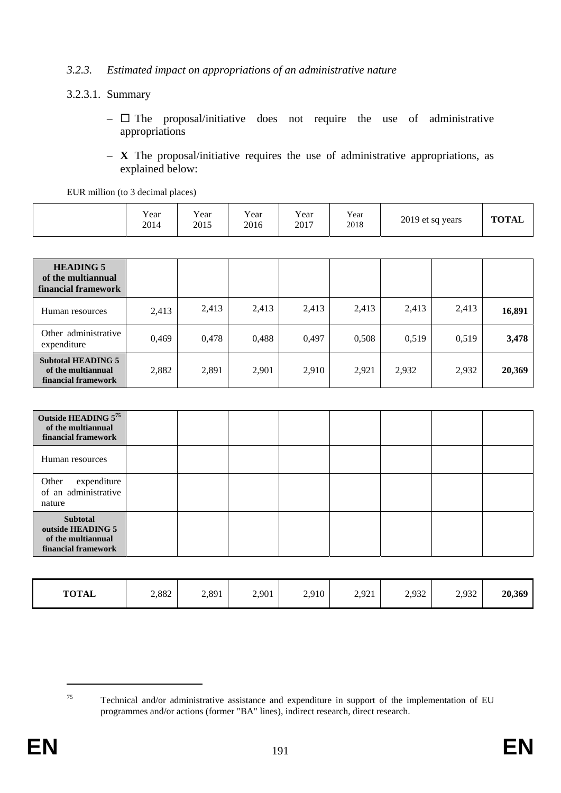## *3.2.3. Estimated impact on appropriations of an administrative nature*

## 3.2.3.1. Summary

- $\Box$  The proposal/initiative does not require the use of administrative appropriations
- **X** The proposal/initiative requires the use of administrative appropriations, as explained below:

EUR million (to 3 decimal places)

|  | Year<br>2014 | $\mathbf{v}$<br>Y ear<br>2015 | $v_{\text{ear}}$<br>2016 | Year<br>2017 | Year<br>2018 | 2019 et sq years | <b>TOTAL</b> |
|--|--------------|-------------------------------|--------------------------|--------------|--------------|------------------|--------------|
|--|--------------|-------------------------------|--------------------------|--------------|--------------|------------------|--------------|

| <b>HEADING 5</b><br>of the multiannual<br>financial framework          |       |       |       |       |       |       |       |        |
|------------------------------------------------------------------------|-------|-------|-------|-------|-------|-------|-------|--------|
| Human resources                                                        | 2,413 | 2,413 | 2,413 | 2,413 | 2,413 | 2,413 | 2,413 | 16,891 |
| Other administrative<br>expenditure                                    | 0,469 | 0,478 | 0,488 | 0,497 | 0,508 | 0,519 | 0,519 | 3,478  |
| <b>Subtotal HEADING 5</b><br>of the multiannual<br>financial framework | 2,882 | 2,891 | 2,901 | 2,910 | 2,921 | 2,932 | 2,932 | 20,369 |

| Outside HEADING 575<br>of the multiannual<br>financial framework                  |  |  |  |  |
|-----------------------------------------------------------------------------------|--|--|--|--|
| Human resources                                                                   |  |  |  |  |
| Other<br>expenditure<br>of an administrative<br>nature                            |  |  |  |  |
| <b>Subtotal</b><br>outside HEADING 5<br>of the multiannual<br>financial framework |  |  |  |  |

| <b>TOTAL</b> | 2,882 | 2,891 | 2,901 | 2,910 | 2,921 | 2,932 | 2,932 | 20,369 |
|--------------|-------|-------|-------|-------|-------|-------|-------|--------|
|--------------|-------|-------|-------|-------|-------|-------|-------|--------|

<sup>75</sup> Technical and/or administrative assistance and expenditure in support of the implementation of EU programmes and/or actions (former "BA" lines), indirect research, direct research.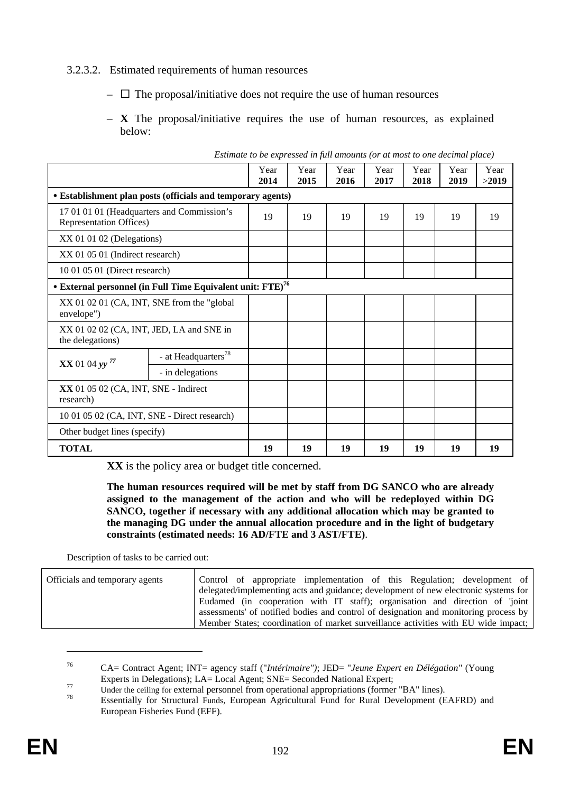## 3.2.3.2. Estimated requirements of human resources

- $\Box$  The proposal/initiative does not require the use of human resources
- **X** The proposal/initiative requires the use of human resources, as explained below:

|                                                                               | believe to be expressed in jun annoinns for an most to one accentum place) |              |              |              |              |              |              |               |
|-------------------------------------------------------------------------------|----------------------------------------------------------------------------|--------------|--------------|--------------|--------------|--------------|--------------|---------------|
|                                                                               |                                                                            | Year<br>2014 | Year<br>2015 | Year<br>2016 | Year<br>2017 | Year<br>2018 | Year<br>2019 | Year<br>>2019 |
|                                                                               | • Establishment plan posts (officials and temporary agents)                |              |              |              |              |              |              |               |
| 17 01 01 01 (Headquarters and Commission's<br><b>Representation Offices</b> ) |                                                                            | 19           | 19           | 19           | 19           | 19           | 19           | 19            |
| XX 01 01 02 (Delegations)                                                     |                                                                            |              |              |              |              |              |              |               |
| XX 01 05 01 (Indirect research)                                               |                                                                            |              |              |              |              |              |              |               |
| 10 01 05 01 (Direct research)                                                 |                                                                            |              |              |              |              |              |              |               |
|                                                                               | • External personnel (in Full Time Equivalent unit: FTE) <sup>76</sup>     |              |              |              |              |              |              |               |
| XX 01 02 01 (CA, INT, SNE from the "global"<br>envelope")                     |                                                                            |              |              |              |              |              |              |               |
| XX 01 02 02 (CA, INT, JED, LA and SNE in<br>the delegations)                  |                                                                            |              |              |              |              |              |              |               |
| $XX$ 01 04 yy <sup>77</sup>                                                   | - at Headquarters <sup>78</sup>                                            |              |              |              |              |              |              |               |
|                                                                               | - in delegations                                                           |              |              |              |              |              |              |               |
| XX 01 05 02 (CA, INT, SNE - Indirect<br>research)                             |                                                                            |              |              |              |              |              |              |               |
| 10 01 05 02 (CA, INT, SNE - Direct research)                                  |                                                                            |              |              |              |              |              |              |               |
| Other budget lines (specify)                                                  |                                                                            |              |              |              |              |              |              |               |
| <b>TOTAL</b>                                                                  |                                                                            | 19           | 19           | 19           | 19           | 19           | 19           | 19            |

*Estimate to be expressed in full amounts (or at most to one decimal place)* 

**XX** is the policy area or budget title concerned.

**The human resources required will be met by staff from DG SANCO who are already assigned to the management of the action and who will be redeployed within DG SANCO, together if necessary with any additional allocation which may be granted to the managing DG under the annual allocation procedure and in the light of budgetary constraints (estimated needs: 16 AD/FTE and 3 AST/FTE)**.

Description of tasks to be carried out:

| Officials and temporary agents | Control of appropriate implementation of this Regulation; development of             |
|--------------------------------|--------------------------------------------------------------------------------------|
|                                | delegated/implementing acts and guidance; development of new electronic systems for  |
|                                | Eudamed (in cooperation with IT staff); organisation and direction of 'joint         |
|                                | assessments' of notified bodies and control of designation and monitoring process by |
|                                | Member States; coordination of market surveillance activities with EU wide impact;   |

<sup>76</sup> CA= Contract Agent; INT= agency staff ("*Intérimaire")*; JED= "*Jeune Expert en Délégation"* (Young

Experts in Delegations); LA= Local Agent; SNE= Seconded National Expert;<br>
Under the ceiling for external personnel from operational appropriations (former "BA" lines).<br>
Essentially for Structural Funds, European Agricultur European Fisheries Fund (EFF).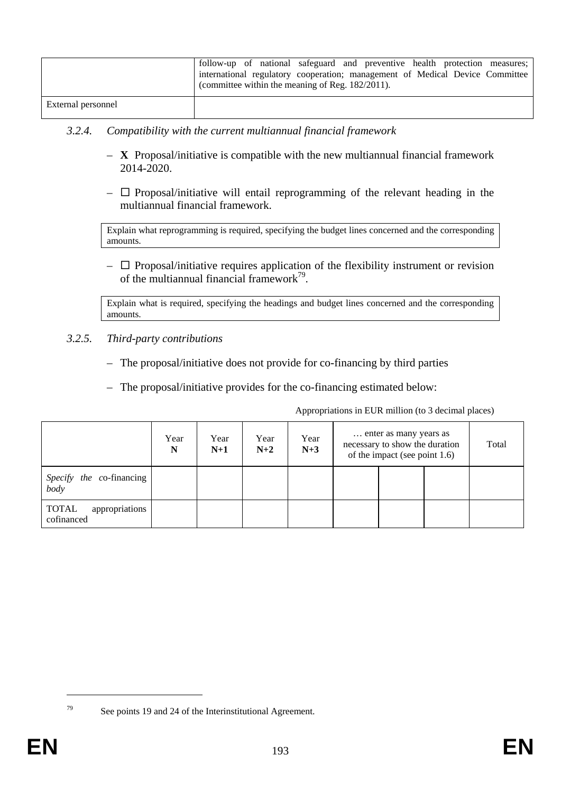|                    | follow-up of national safeguard and preventive health protection measures;<br>international regulatory cooperation; management of Medical Device Committee<br>(committee within the meaning of Reg. $182/2011$ ). |
|--------------------|-------------------------------------------------------------------------------------------------------------------------------------------------------------------------------------------------------------------|
| External personnel |                                                                                                                                                                                                                   |

## *3.2.4. Compatibility with the current multiannual financial framework*

- **X** Proposal/initiative is compatible with the new multiannual financial framework 2014-2020.
- $\Box$  Proposal/initiative will entail reprogramming of the relevant heading in the multiannual financial framework.

Explain what reprogramming is required, specifying the budget lines concerned and the corresponding amounts.

 $\overline{\phantom{a}}$  Proposal/initiative requires application of the flexibility instrument or revision of the multiannual financial framework $^{79}$ .

Explain what is required, specifying the headings and budget lines concerned and the corresponding amounts.

### *3.2.5. Third-party contributions*

- The proposal/initiative does not provide for co-financing by third parties
- The proposal/initiative provides for the co-financing estimated below:

Appropriations in EUR million (to 3 decimal places)

|                                       | Year<br>N | Year<br>$N+1$ | Year<br>$N+2$ | Year<br>$N+3$ | enter as many years as<br>necessary to show the duration<br>of the impact (see point $1.6$ ) |  |  | Total |
|---------------------------------------|-----------|---------------|---------------|---------------|----------------------------------------------------------------------------------------------|--|--|-------|
| Specify the co-financing<br>body      |           |               |               |               |                                                                                              |  |  |       |
| appropriations<br>TOTAL<br>cofinanced |           |               |               |               |                                                                                              |  |  |       |

<sup>&</sup>lt;u>.</u>

<sup>79</sup> See points 19 and 24 of the Interinstitutional Agreement.